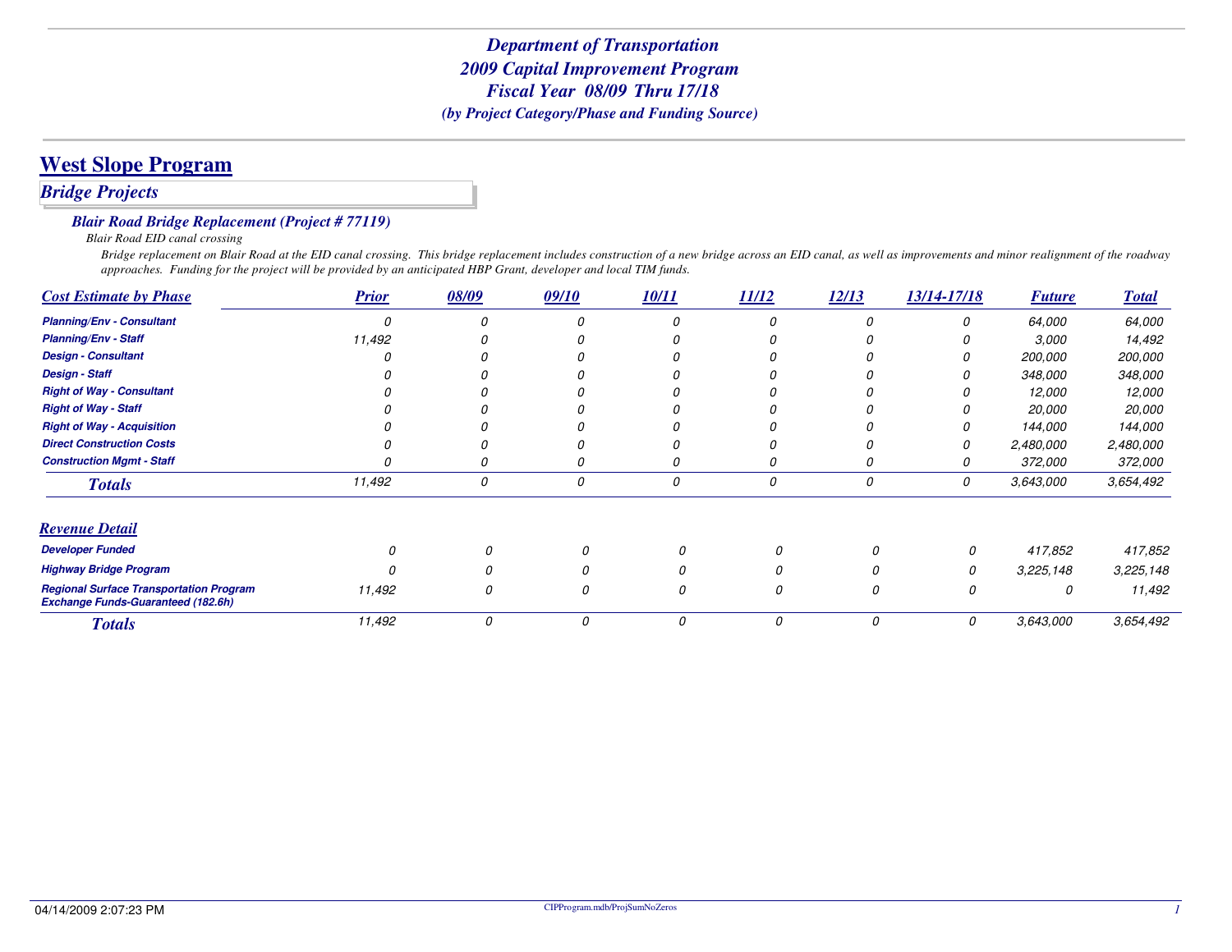## **West Slope Program**

### *Bridge Projects*

#### *Blair Road Bridge Replacement (Project # 77119)*

*Blair Road EID canal crossing*

 *Bridge replacement on Blair Road at the EID canal crossing. This bridge replacement includes construction of a new bridge across an EID canal, as well as improvements and minor realignment of the roadwayapproaches. Funding for the project will be provided by an anticipated HBP Grant, developer and local TIM funds.*

| <b>Cost Estimate by Phase</b>                                                               | <b>Prior</b> | 08/09 | 09/10 | 10/11 | 11/12 | 12/13 | 13/14-17/18 | <b>Future</b> | <b>Total</b>   |
|---------------------------------------------------------------------------------------------|--------------|-------|-------|-------|-------|-------|-------------|---------------|----------------|
| <b>Planning/Env - Consultant</b>                                                            |              |       |       |       |       |       |             | 64,000        | 64,000         |
| <b>Planning/Env - Staff</b>                                                                 | 11,492       |       |       |       |       |       |             | 3,000         | 14,492         |
| <b>Design - Consultant</b>                                                                  |              |       |       |       |       |       |             | 200,000       | <i>200,000</i> |
| <b>Design - Staff</b>                                                                       |              |       |       |       |       |       |             | 348,000       | 348,000        |
| <b>Right of Way - Consultant</b>                                                            |              |       |       |       |       |       |             | 12,000        | 12,000         |
| <b>Right of Way - Staff</b>                                                                 |              |       |       |       |       |       |             | 20,000        | <i>20,000</i>  |
| <b>Right of Way - Acquisition</b>                                                           |              |       |       |       |       |       |             | 144,000       | 144,000        |
| <b>Direct Construction Costs</b>                                                            |              |       |       |       |       |       | 0           | 2,480,000     | 2,480,000      |
| <b>Construction Mgmt - Staff</b>                                                            |              |       |       | 0     | 0     |       |             | 372,000       | 372,000        |
| <b>Totals</b>                                                                               | 11,492       | 0     | 0     | 0     | 0     | 0     | 0           | 3,643,000     | 3,654,492      |
| <b>Revenue Detail</b>                                                                       |              |       |       |       |       |       |             |               |                |
| <b>Developer Funded</b>                                                                     |              |       |       |       |       | O     | 0           | 417,852       | 417,852        |
| <b>Highway Bridge Program</b>                                                               |              |       |       |       |       |       | 0           | 3,225,148     | 3,225,148      |
| <b>Regional Surface Transportation Program</b><br><b>Exchange Funds-Guaranteed (182.6h)</b> | 11,492       | 0     | 0     | 0     | 0     | 0     | 0           | 0             | 11,492         |
| <b>Totals</b>                                                                               | 11,492       | 0     | 0     | 0     | 0     | 0     | 0           | 3,643,000     | 3,654,492      |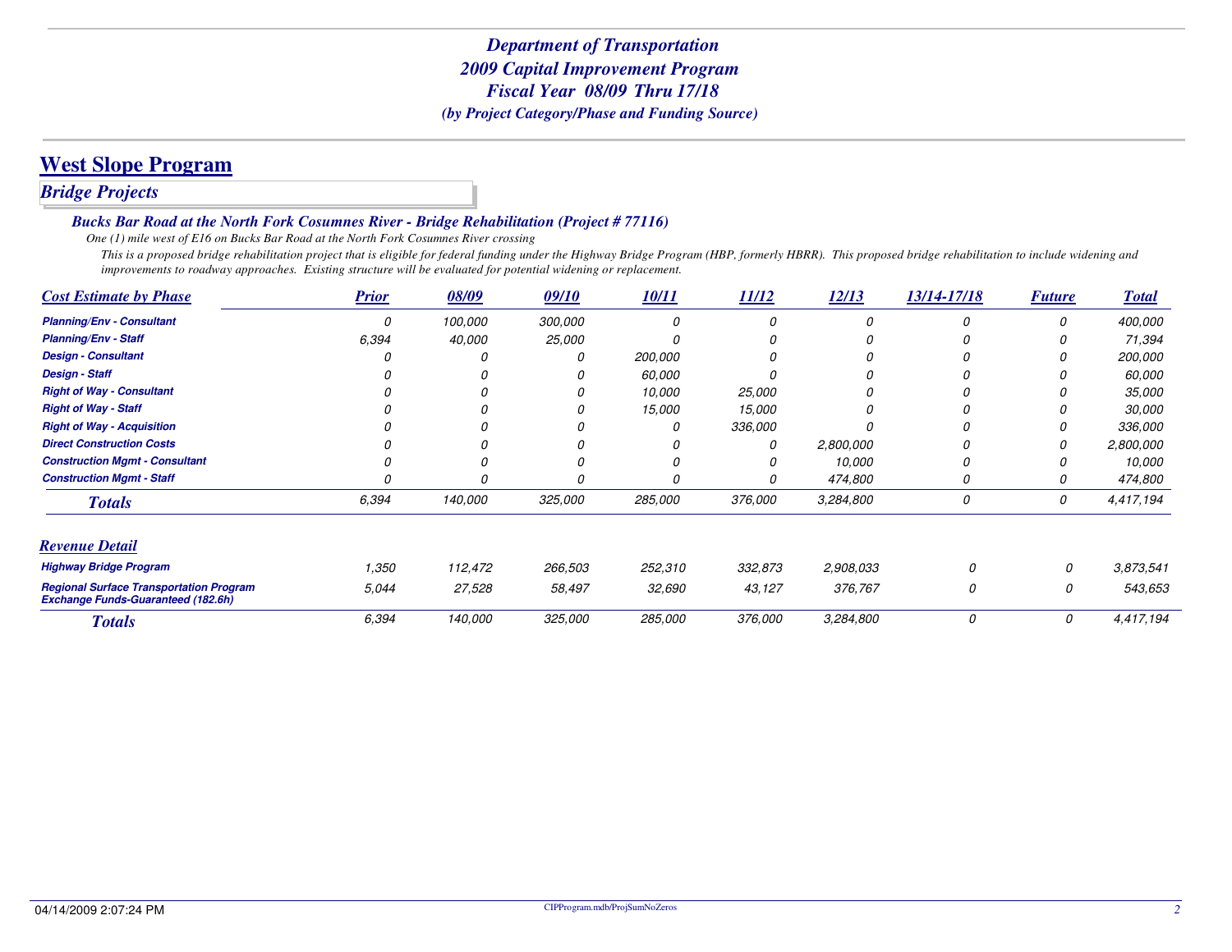## **West Slope Program**

### *Bridge Projects*

#### *Bucks Bar Road at the North Fork Cosumnes River - Bridge Rehabilitation (Project # 77116)*

*One (1) mile west of E16 on Bucks Bar Road at the North Fork Cosumnes River crossing*

 *This is a proposed bridge rehabilitation project that is eligible for federal funding under the Highway Bridge Program (HBP, formerly HBRR). This proposed bridge rehabilitation to include widening and improvements to roadway approaches. Existing structure will be evaluated for potential widening or replacement.*

| <b>Cost Estimate by Phase</b>                                                               | <b>Prior</b> | 08/09   | 09/10   | 10/11   | 11/12          | 12/13     | 13/14-17/18 | <b>Future</b> | <b>Total</b>  |
|---------------------------------------------------------------------------------------------|--------------|---------|---------|---------|----------------|-----------|-------------|---------------|---------------|
| <b>Planning/Env - Consultant</b>                                                            | 0            | 100,000 | 300,000 | 0       |                |           | 0           |               | 400,000       |
| <b>Planning/Env - Staff</b>                                                                 | 6.394        | 40,000  | 25,000  |         |                |           |             |               | 71,394        |
| <b>Design - Consultant</b>                                                                  |              |         |         | 200,000 |                |           |             |               | 200,000       |
| <b>Design - Staff</b>                                                                       |              |         |         | 60,000  |                |           |             |               | 60,000        |
| <b>Right of Way - Consultant</b>                                                            |              |         |         | 10,000  | <i>25,000</i>  |           |             |               | <i>35,000</i> |
| <b>Right of Way - Staff</b>                                                                 |              |         |         | 15,000  | 15,000         |           | 0           |               | <i>30.000</i> |
| <b>Right of Way - Acquisition</b>                                                           |              |         |         |         | 336,000        |           | 0           |               | 336,000       |
| <b>Direct Construction Costs</b>                                                            |              |         |         |         | 0              | 2,800,000 |             |               | 2,800,000     |
| <b>Construction Mgmt - Consultant</b>                                                       |              |         |         |         | 0              | 10,000    | 0           |               | 10.000        |
| <b>Construction Mgmt - Staff</b>                                                            |              |         |         |         | 0              | 474,800   | 0           |               | 474,800       |
| <b>Totals</b>                                                                               | 6,394        | 140,000 | 325,000 | 285,000 | <i>376.000</i> | 3,284,800 | 0           | 0             | 4,417,194     |
| <b>Revenue Detail</b>                                                                       |              |         |         |         |                |           |             |               |               |
| <b>Highway Bridge Program</b>                                                               | 1,350        | 112,472 | 266,503 | 252,310 | 332,873        | 2,908,033 | $\Omega$    | 0             | 3,873,541     |
| <b>Regional Surface Transportation Program</b><br><b>Exchange Funds-Guaranteed (182.6h)</b> | 5.044        | 27,528  | 58,497  | 32,690  | 43,127         | 376,767   | 0           | 0             | 543,653       |
| <b>Totals</b>                                                                               | 6,394        | 140,000 | 325,000 | 285,000 | 376,000        | 3,284,800 | 0           | 0             | 4,417,194     |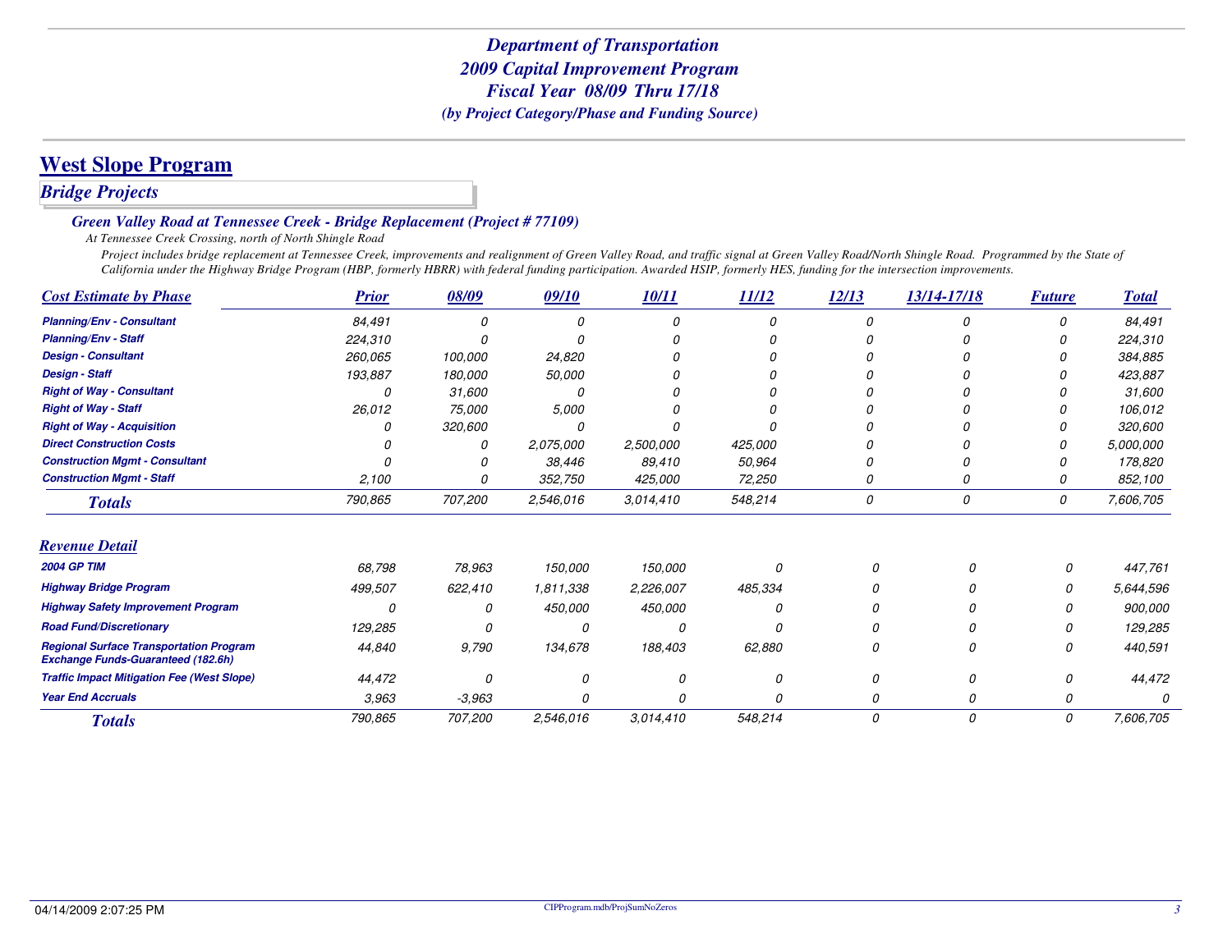## **West Slope Program**

### *Bridge Projects*

#### *Green Valley Road at Tennessee Creek - Bridge Replacement (Project # 77109)*

*At Tennessee Creek Crossing, north of North Shingle Road*

Project includes bridge replacement at Tennessee Creek, improvements and realignment of Green Valley Road, and traffic signal at Green Valley Road/North Shingle Road. Programmed by the State of *California under the Highway Bridge Program (HBP, formerly HBRR) with federal funding participation. Awarded HSIP, formerly HES, funding for the intersection improvements.*

| <b>Cost Estimate by Phase</b>                                                               | <b>Prior</b> | 08/09    | 09/10     | 10/11     | 11/12   | 12/13    | 13/14-17/18 | <b>Future</b> | <b>Total</b> |
|---------------------------------------------------------------------------------------------|--------------|----------|-----------|-----------|---------|----------|-------------|---------------|--------------|
| <b>Planning/Env - Consultant</b>                                                            | 84,491       | 0        |           |           |         | $\Omega$ |             | N             | 84,491       |
| <b>Planning/Env - Staff</b>                                                                 | 224,310      |          |           |           |         |          |             |               | 224,310      |
| <b>Design - Consultant</b>                                                                  | 260,065      | 100,000  | 24,820    |           |         |          |             |               | 384,885      |
| <b>Design - Staff</b>                                                                       | 193,887      | 180,000  | 50,000    |           |         |          |             |               | 423,887      |
| <b>Right of Way - Consultant</b>                                                            |              | 31,600   |           |           |         |          |             |               | 31,600       |
| <b>Right of Way - Staff</b>                                                                 | 26,012       | 75,000   | 5,000     |           |         |          |             |               | 106,012      |
| <b>Right of Way - Acquisition</b>                                                           |              | 320,600  |           |           |         |          |             |               | 320,600      |
| <b>Direct Construction Costs</b>                                                            |              | 0        | 2,075,000 | 2,500,000 | 425,000 |          |             |               | 5,000,000    |
| <b>Construction Mgmt - Consultant</b>                                                       |              |          | 38,446    | 89,410    | 50,964  |          |             |               | 178,820      |
| <b>Construction Mgmt - Staff</b>                                                            | 2,100        |          | 352,750   | 425,000   | 72,250  |          |             |               | 852,100      |
| <b>Totals</b>                                                                               | 790,865      | 707,200  | 2,546,016 | 3.014,410 | 548,214 | 0        | 0           | 0             | 7,606,705    |
| <b>Revenue Detail</b>                                                                       |              |          |           |           |         |          |             |               |              |
| <b>2004 GP TIM</b>                                                                          | 68,798       | 78,963   | 150,000   | 150,000   |         |          |             |               | 447,761      |
| <b>Highway Bridge Program</b>                                                               | 499,507      | 622,410  | 1,811,338 | 2,226,007 | 485,334 |          |             |               | 5,644,596    |
| <b>Highway Safety Improvement Program</b>                                                   | G            | O        | 450,000   | 450,000   |         |          |             |               | 900,000      |
| <b>Road Fund/Discretionary</b>                                                              | 129,285      |          | 0         |           |         |          |             |               | 129,285      |
| <b>Regional Surface Transportation Program</b><br><b>Exchange Funds-Guaranteed (182.6h)</b> | 44,840       | 9,790    | 134,678   | 188,403   | 62,880  |          | 0           |               | 440,591      |
| <b>Traffic Impact Mitigation Fee (West Slope)</b>                                           | 44,472       | $\Omega$ |           |           | n       |          | n           |               | 44,472       |
| <b>Year End Accruals</b>                                                                    | 3,963        | $-3,963$ |           |           |         |          |             |               |              |
| <b>Totals</b>                                                                               | 790,865      | 707,200  | 2,546,016 | 3,014,410 | 548,214 | 0        | 0           | 0             | 7,606,705    |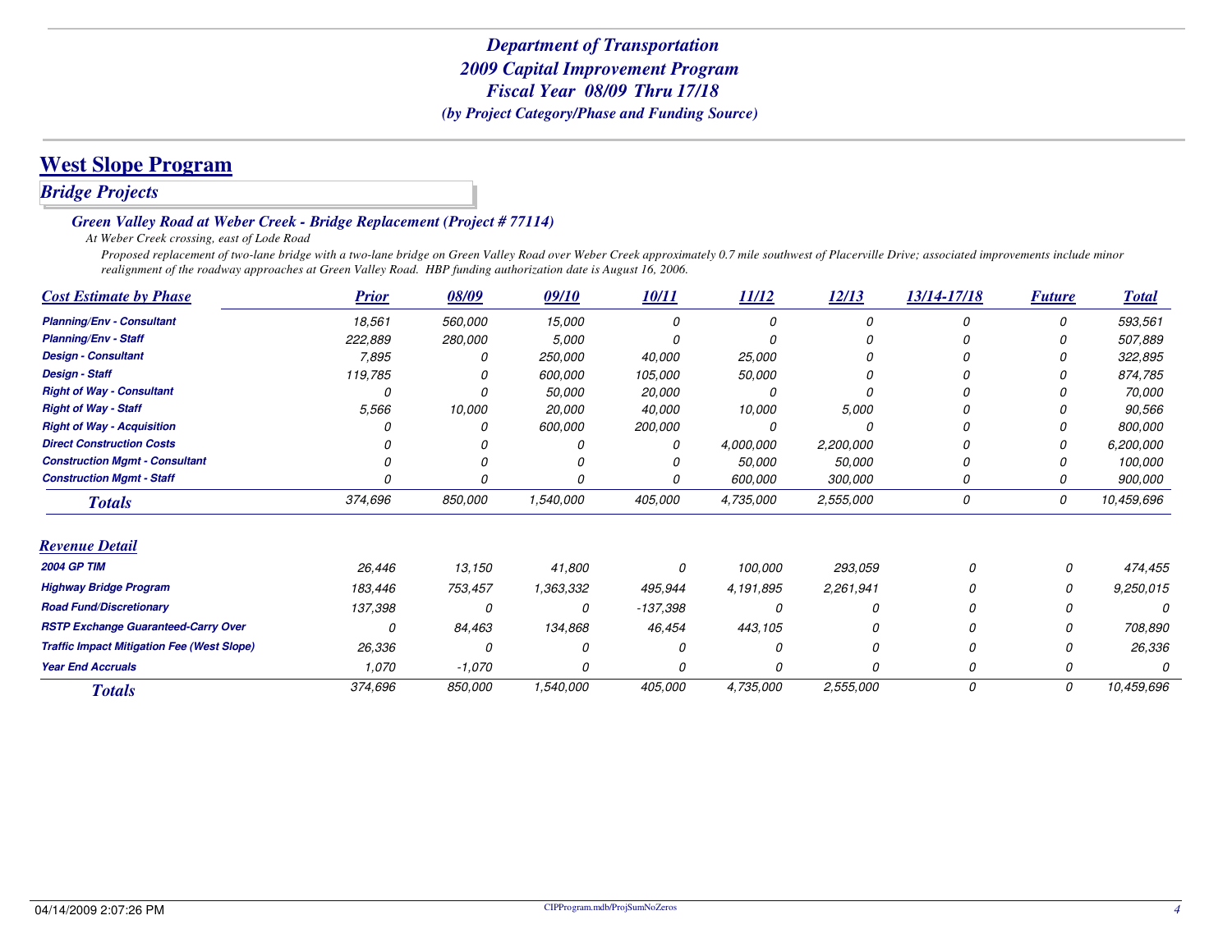## **West Slope Program**

### *Bridge Projects*

#### *Green Valley Road at Weber Creek - Bridge Replacement (Project # 77114)*

*At Weber Creek crossing, east of Lode Road*

 *Proposed replacement of two-lane bridge with a two-lane bridge on Green Valley Road over Weber Creek approximately 0.7 mile southwest of Placerville Drive; associated improvements include minor realignment of the roadway approaches at Green Valley Road. HBP funding authorization date is August 16, 2006.*

| <b>Cost Estimate by Phase</b>                     | <b>Prior</b> | 08/09      | 09/10     | 10/11      | 11/12     | 12/13     | 13/14-17/18 | <b>Future</b> | <b>Total</b> |
|---------------------------------------------------|--------------|------------|-----------|------------|-----------|-----------|-------------|---------------|--------------|
| <b>Planning/Env - Consultant</b>                  | 18,561       | 560,000    | 15,000    |            | Ω         |           | Ω           | 0             | 593,561      |
| <b>Planning/Env - Staff</b>                       | 222,889      | 280,000    | 5,000     |            |           |           |             |               | 507,889      |
| <b>Design - Consultant</b>                        | 7,895        |            | 250,000   | 40,000     | 25,000    |           |             |               | 322,895      |
| <b>Design - Staff</b>                             | 119,785      |            | 600,000   | 105,000    | 50,000    |           |             |               | 874,785      |
| <b>Right of Way - Consultant</b>                  |              |            | 50,000    | 20,000     | Ω         |           |             |               | 70,000       |
| <b>Right of Way - Staff</b>                       | 5,566        | 10,000     | 20,000    | 40,000     | 10,000    | 5.000     |             |               | 90,566       |
| <b>Right of Way - Acquisition</b>                 |              |            | 600,000   | 200,000    | 0         |           |             |               | 800,000      |
| <b>Direct Construction Costs</b>                  |              |            |           |            | 4,000,000 | 2,200,000 |             |               | 6,200,000    |
| <b>Construction Mgmt - Consultant</b>             |              |            |           |            | 50,000    | 50,000    |             |               | 100,000      |
| <b>Construction Mgmt - Staff</b>                  |              |            |           | Ω          | 600,000   | 300,000   |             |               | 900,000      |
| <b>Totals</b>                                     | 374,696      | 850,000    | 1,540,000 | 405,000    | 4,735,000 | 2,555,000 | 0           | 0             | 10,459,696   |
| <b>Revenue Detail</b>                             |              |            |           |            |           |           |             |               |              |
| <b>2004 GP TIM</b>                                | 26,446       | 13,150     | 41,800    | 0          | 100,000   | 293,059   | n           | 0             | 474,455      |
| <b>Highway Bridge Program</b>                     | 183,446      | 753,457    | 1,363,332 | 495,944    | 4,191,895 | 2,261,941 |             | 0             | 9,250,015    |
| <b>Road Fund/Discretionary</b>                    | 137,398      | $\sqrt{2}$ | 0         | $-137,398$ |           | $\Omega$  |             | 0             |              |
| <b>RSTP Exchange Guaranteed-Carry Over</b>        | 0            | 84,463     | 134,868   | 46,454     | 443,105   |           |             | 0             | 708,890      |
| <b>Traffic Impact Mitigation Fee (West Slope)</b> | 26,336       | O          |           | Ω          |           | 0         |             | 0             | 26,336       |
| <b>Year End Accruals</b>                          | 1,070        | $-1,070$   | 0         | 0          |           | 0         | 0           | 0             |              |
| <b>Totals</b>                                     | 374,696      | 850,000    | 1,540,000 | 405,000    | 4,735,000 | 2,555,000 | 0           | 0             | 10,459,696   |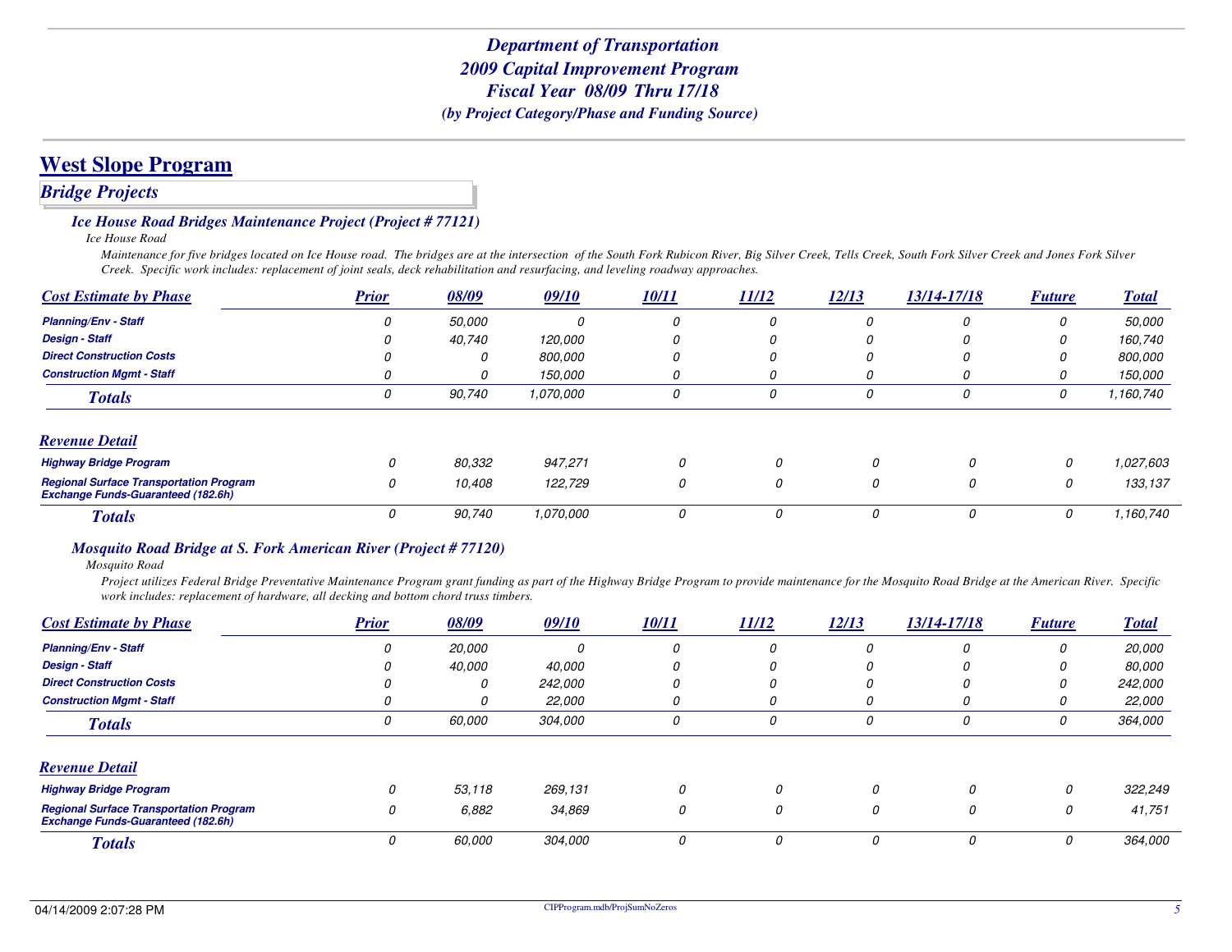### **West Slope Program**

### *Bridge Projects*

#### *Ice House Road Bridges Maintenance Project (Project # 77121)*

*Ice House Road*

 *Maintenance for five bridges located on Ice House road. The bridges are at the intersection of the South Fork Rubicon River, Big Silver Creek, Tells Creek, South Fork Silver Creek and Jones Fork Silver Creek. Specific work includes: replacement of joint seals, deck rehabilitation and resurfacing, and leveling roadway approaches.*

| <b>Cost Estimate by Phase</b>                                                               | <b>Prior</b> | 08/09  | 09/10          | <b>10/11</b> | 11/12 | 12/13        | 13/14-17/18 | <b>Future</b> | <b>Total</b> |
|---------------------------------------------------------------------------------------------|--------------|--------|----------------|--------------|-------|--------------|-------------|---------------|--------------|
| <b>Planning/Env - Staff</b>                                                                 |              | 50,000 |                |              |       | $\Omega$     |             | 0             | 50,000       |
| <b>Design - Staff</b>                                                                       |              | 40,740 | 120,000        |              |       | <sup>0</sup> |             |               | 160,740      |
| <b>Direct Construction Costs</b>                                                            |              |        | <i>800.000</i> |              |       | 0            |             | 0             | 800.000      |
| <b>Construction Mamt - Staff</b>                                                            |              | ,,     | 150,000        |              |       | 0            |             | 0             | 150,000      |
| <b>Totals</b>                                                                               | 0            | 90,740 | 1,070,000      | 0            | 0     | 0            |             | 0             | 1,160,740    |
| <b>Revenue Detail</b>                                                                       |              |        |                |              |       |              |             |               |              |
| <b>Highway Bridge Program</b>                                                               | 0            | 80,332 | 947,271        | 0            | 0     | 0            | 0           | 0             | 1.027.603    |
| <b>Regional Surface Transportation Program</b><br><b>Exchange Funds-Guaranteed (182.6h)</b> | 0            | 10,408 | 122,729        | 0            | 0     | 0            | 0           | 0             | 133,137      |
| <b>Totals</b>                                                                               | 0            | 90,740 | 1,070,000      | 0            | 0     | 0            | 0           | 0             | 1,160,740    |

#### *Mosquito Road Bridge at S. Fork American River (Project # 77120)*

*Mosquito Road*

 *Project utilizes Federal Bridge Preventative Maintenance Program grant funding as part of the Highway Bridge Program to provide maintenance for the Mosquito Road Bridge at the American River. Specific work includes: replacement of hardware, all decking and bottom chord truss timbers.*

| <b>Cost Estimate by Phase</b>                                                               | <b>Prior</b> | 08/09         | 09/10          | <u>10/11</u> | 11/12         | 12/13 | 13/14-17/18 | <b>Future</b> | <b>Total</b>  |
|---------------------------------------------------------------------------------------------|--------------|---------------|----------------|--------------|---------------|-------|-------------|---------------|---------------|
| <b>Planning/Env - Staff</b>                                                                 |              | <i>20.000</i> | 0              | 0            | 0             | 0     |             | U             | 20,000        |
| <b>Design - Staff</b>                                                                       |              | 40,000        | 40,000         |              | 0             | 0     |             |               | 80.000        |
| <b>Direct Construction Costs</b>                                                            |              | 0             | <i>242,000</i> | 0            | 0             | 0     |             |               | 242,000       |
| <b>Construction Mgmt - Staff</b>                                                            |              | O             | 22,000         |              | 0             | 0     |             |               | <i>22,000</i> |
| <b>Totals</b>                                                                               | 0            | 60,000        | 304,000        | 0            | 0             | 0     |             | n             | 364,000       |
| <b>Revenue Detail</b>                                                                       |              |               |                |              |               |       |             |               |               |
| <b>Highway Bridge Program</b>                                                               | $\Omega$     | 53,118        | 269,131        | 0            | $\mathcal{O}$ | 0     | 0           | 0             | 322,249       |
| <b>Regional Surface Transportation Program</b><br><b>Exchange Funds-Guaranteed (182.6h)</b> | 0            | 6,882         | 34,869         | 0            | 0             | 0     | 0           | 0             | 41,751        |
| <b>Totals</b>                                                                               |              | 60,000        | 304,000        | 0            | 0             | 0     |             | 0             | 364,000       |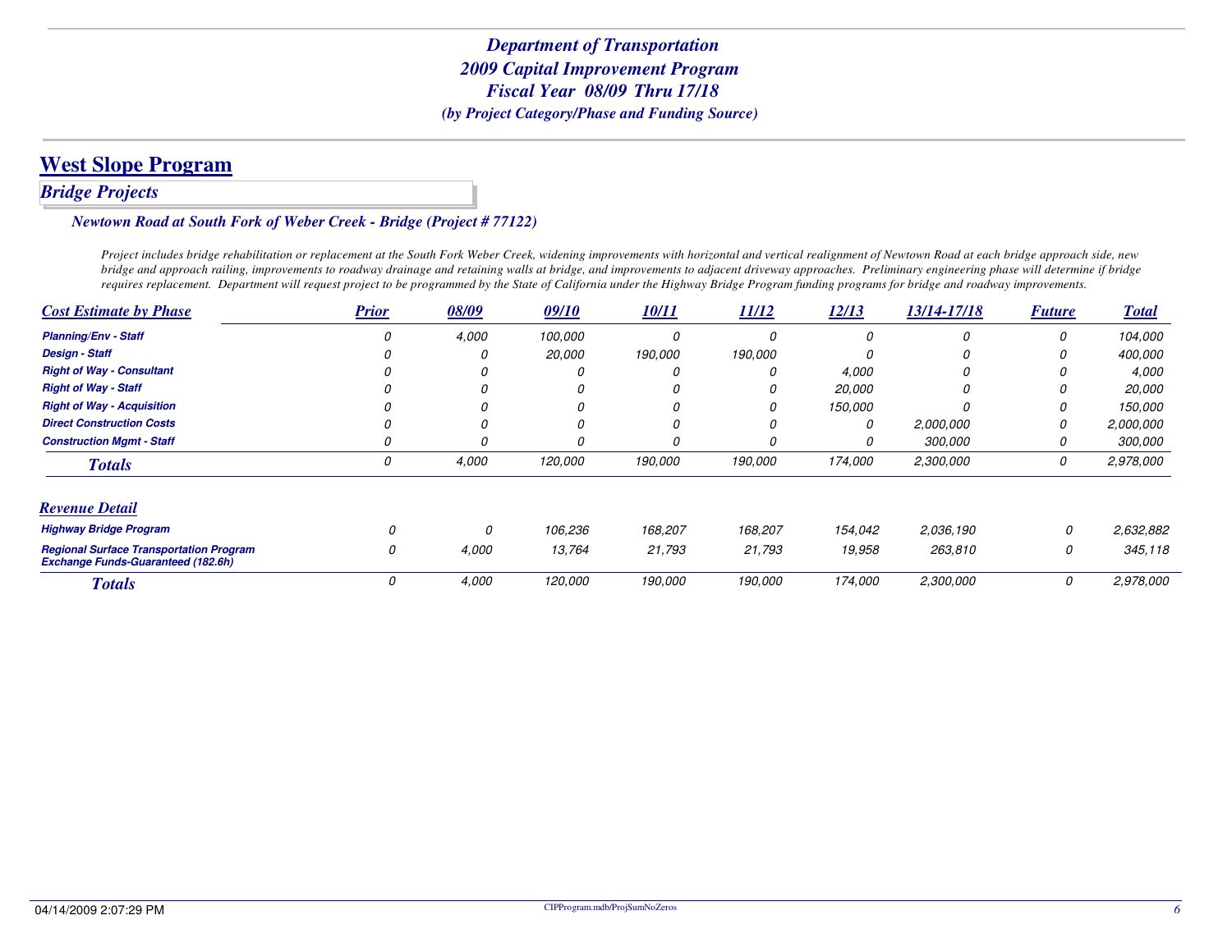## **West Slope Program**

### *Bridge Projects*

#### *Newtown Road at South Fork of Weber Creek - Bridge (Project # 77122)*

*Project includes bridge rehabilitation or replacement at the South Fork Weber Creek, widening improvements with horizontal and vertical realignment of Newtown Road at each bridge approach side, new bridge and approach railing, improvements to roadway drainage and retaining walls at bridge, and improvements to adjacent driveway approaches. Preliminary engineering phase will determine if bridge requires replacement. Department will request project to be programmed by the State of California under the Highway Bridge Program funding programs for bridge and roadway improvements.*

| <b>Cost Estimate by Phase</b>                                                               | <b>Prior</b> | 08/09 | 09/10   | 10/11   | 11/12   | 12/13   | 13/14-17/18 | <b>Future</b> | <b>Total</b>  |
|---------------------------------------------------------------------------------------------|--------------|-------|---------|---------|---------|---------|-------------|---------------|---------------|
| <b>Planning/Env - Staff</b>                                                                 |              | 4,000 | 100,000 |         |         |         |             | 0             | 104,000       |
| <b>Design - Staff</b>                                                                       |              |       | 20,000  | 190,000 | 190,000 |         |             | 0             | 400,000       |
| <b>Right of Way - Consultant</b>                                                            |              |       |         |         |         | 4,000   |             | 0             | 4.000         |
| <b>Right of Way - Staff</b>                                                                 |              |       |         |         |         | 20,000  |             | O             | <i>20,000</i> |
| <b>Right of Way - Acquisition</b>                                                           |              |       |         |         |         | 150,000 |             | 0             | 150,000       |
| <b>Direct Construction Costs</b>                                                            |              |       |         |         |         | 0       | 2,000,000   | 0             | 2,000,000     |
| <b>Construction Mgmt - Staff</b>                                                            | 0            |       |         | 0       |         |         | 300,000     | 0             | 300,000       |
| <b>Totals</b>                                                                               | 0            | 4,000 | 120,000 | 190,000 | 190,000 | 174,000 | 2,300,000   | 0             | 2,978,000     |
| <b>Revenue Detail</b>                                                                       |              |       |         |         |         |         |             |               |               |
| <b>Highway Bridge Program</b>                                                               | $\Omega$     | 0     | 106,236 | 168,207 | 168,207 | 154,042 | 2,036,190   | 0             | 2,632,882     |
| <b>Regional Surface Transportation Program</b><br><b>Exchange Funds-Guaranteed (182.6h)</b> | 0            | 4,000 | 13,764  | 21,793  | 21,793  | 19,958  | 263,810     | 0             | 345,118       |
| <b>Totals</b>                                                                               | 0            | 4,000 | 120,000 | 190,000 | 190,000 | 174,000 | 2,300,000   | 0             | 2,978,000     |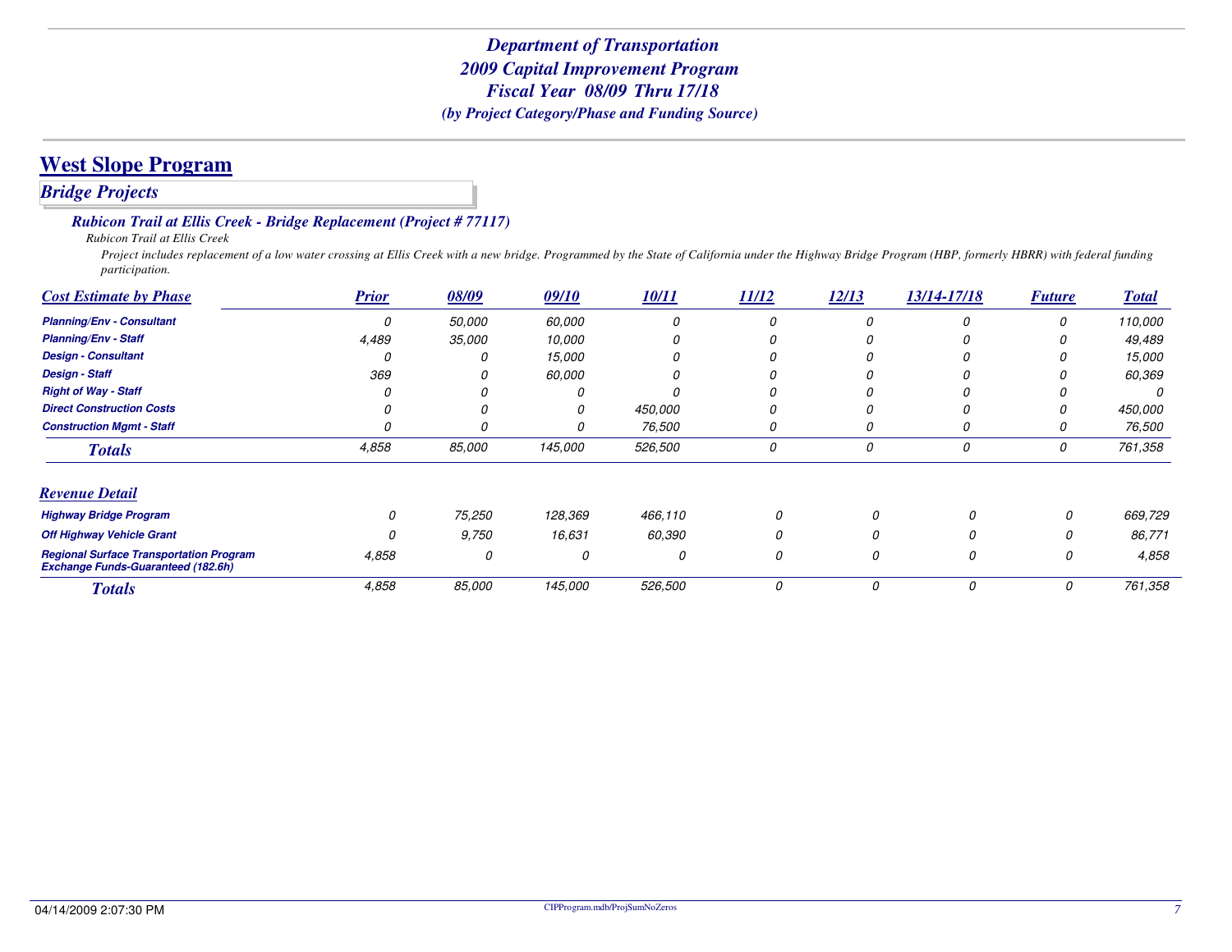*Bridge Projects*

#### *Rubicon Trail at Ellis Creek - Bridge Replacement (Project # 77117)*

*Rubicon Trail at Ellis Creek*

 *Project includes replacement of a low water crossing at Ellis Creek with a new bridge. Programmed by the State of California under the Highway Bridge Program (HBP, formerly HBRR) with federal funding participation.*

| <b>Cost Estimate by Phase</b>                                                               | <b>Prior</b> | 08/09  | 09/10   | 10/11   | 11/12 | 12/13 | 13/14-17/18 | <b>Future</b> | <b>Total</b> |
|---------------------------------------------------------------------------------------------|--------------|--------|---------|---------|-------|-------|-------------|---------------|--------------|
| <b>Planning/Env - Consultant</b>                                                            | 0            | 50,000 | 60,000  | 0       | 0     |       |             | 0             | 110,000      |
| <b>Planning/Env - Staff</b>                                                                 | 4,489        | 35,000 | 10,000  |         | 0     |       |             | 0             | 49,489       |
| <b>Design - Consultant</b>                                                                  |              | Ω      | 15,000  |         | O     |       |             |               | 15,000       |
| <b>Design - Staff</b>                                                                       | 369          |        | 60,000  |         |       |       |             |               | 60,369       |
| <b>Right of Way - Staff</b>                                                                 |              |        |         |         |       |       |             |               | 0            |
| <b>Direct Construction Costs</b>                                                            |              |        |         | 450,000 | 0     |       |             | 0             | 450,000      |
| <b>Construction Mgmt - Staff</b>                                                            |              | Ω      |         | 76,500  | 0     | 0     |             | 0             | 76,500       |
| <b>Totals</b>                                                                               | 4,858        | 85,000 | 145,000 | 526,500 | 0     | 0     |             | 0             | 761,358      |
| <b>Revenue Detail</b>                                                                       |              |        |         |         |       |       |             |               |              |
| <b>Highway Bridge Program</b>                                                               |              | 75,250 | 128,369 | 466,110 | 0     |       |             | 0             | 669,729      |
| <b>Off Highway Vehicle Grant</b>                                                            |              | 9,750  | 16,631  | 60,390  | 0     |       | O.          | 0             | 86,771       |
| <b>Regional Surface Transportation Program</b><br><b>Exchange Funds-Guaranteed (182.6h)</b> | 4,858        | 0      | 0       | 0       | 0     |       | 0           | 0             | 4,858        |
| <b>Totals</b>                                                                               | 4,858        | 85,000 | 145,000 | 526,500 | 0     | 0     | 0           | 0             | 761,358      |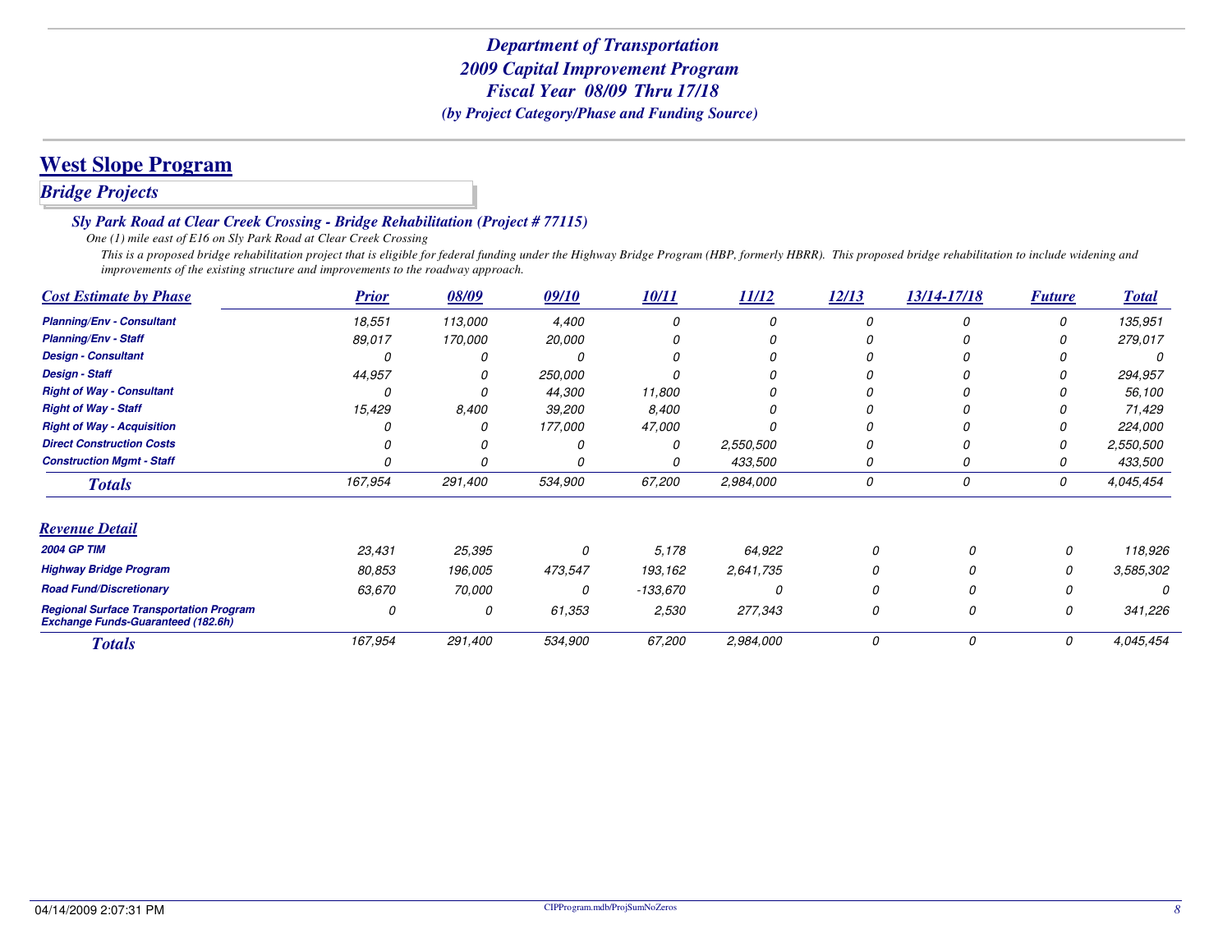## **West Slope Program**

### *Bridge Projects*

*Sly Park Road at Clear Creek Crossing - Bridge Rehabilitation (Project # 77115)*

*One (1) mile east of E16 on Sly Park Road at Clear Creek Crossing*

 *This is a proposed bridge rehabilitation project that is eligible for federal funding under the Highway Bridge Program (HBP, formerly HBRR). This proposed bridge rehabilitation to include widening and improvements of the existing structure and improvements to the roadway approach.*

| <b>Cost Estimate by Phase</b>                                                               | <b>Prior</b> | 08/09   | 09/10   | 10/11    | 11/12     | 12/13 | 13/14-17/18 | <b>Future</b> | <b>Total</b> |
|---------------------------------------------------------------------------------------------|--------------|---------|---------|----------|-----------|-------|-------------|---------------|--------------|
| <b>Planning/Env - Consultant</b>                                                            | 18,551       | 113,000 | 4,400   |          |           |       |             | $\Omega$      | 135,951      |
| <b>Planning/Env - Staff</b>                                                                 | 89,017       | 170,000 | 20,000  |          |           |       |             |               | 279,017      |
| <b>Design - Consultant</b>                                                                  |              |         |         |          |           |       |             |               |              |
| <b>Design - Staff</b>                                                                       | 44,957       |         | 250,000 |          |           |       |             |               | 294,957      |
| <b>Right of Way - Consultant</b>                                                            |              |         | 44,300  | 11,800   |           |       |             |               | 56,100       |
| <b>Right of Way - Staff</b>                                                                 | 15,429       | 8,400   | 39,200  | 8,400    |           |       |             |               | 71,429       |
| <b>Right of Way - Acquisition</b>                                                           |              |         | 177,000 | 47,000   |           |       |             |               | 224,000      |
| <b>Direct Construction Costs</b>                                                            |              |         |         | 0        | 2,550,500 |       |             |               | 2,550,500    |
| <b>Construction Mgmt - Staff</b>                                                            |              |         |         | 0        | 433,500   | 0     | 0           | 0             | 433,500      |
| <b>Totals</b>                                                                               | 167,954      | 291,400 | 534,900 | 67,200   | 2,984,000 | 0     | 0           | 0             | 4,045,454    |
| <b>Revenue Detail</b>                                                                       |              |         |         |          |           |       |             |               |              |
| <b>2004 GP TIM</b>                                                                          | 23,431       | 25,395  | 0       | 5,178    | 64,922    | 0     | $\Omega$    | 0             | 118,926      |
| <b>Highway Bridge Program</b>                                                               | 80,853       | 196,005 | 473,547 | 193,162  | 2,641,735 | 0     |             | 0             | 3,585,302    |
| <b>Road Fund/Discretionary</b>                                                              | 63,670       | 70,000  | 0       | -133,670 |           | 0     |             | 0             |              |
| <b>Regional Surface Transportation Program</b><br><b>Exchange Funds-Guaranteed (182.6h)</b> | 0            | 0       | 61,353  | 2,530    | 277,343   | 0     | 0           | 0             | 341,226      |
| <b>Totals</b>                                                                               | 167,954      | 291,400 | 534,900 | 67,200   | 2,984,000 | 0     | 0           | 0             | 4,045,454    |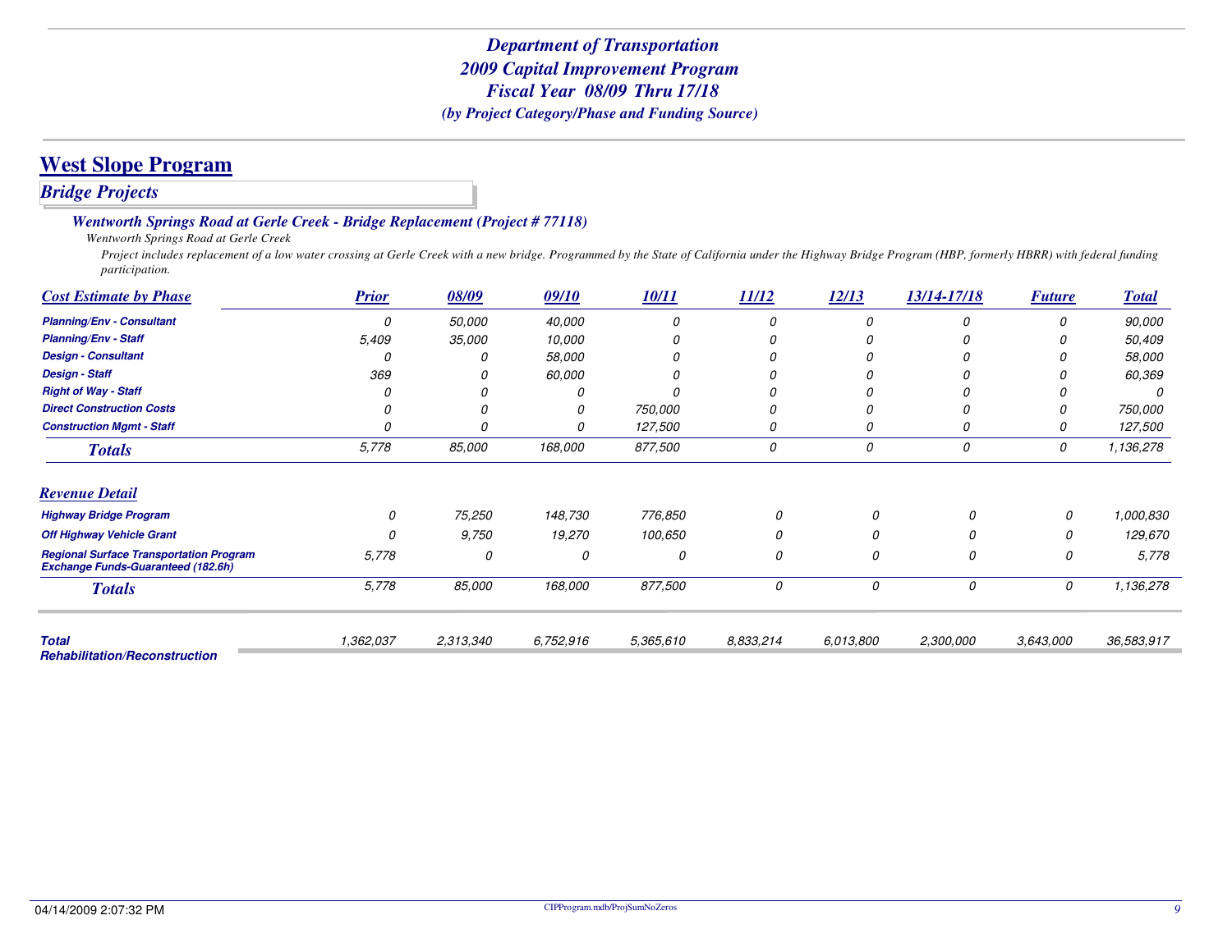### *Bridge Projects*

#### *Wentworth Springs Road at Gerle Creek - Bridge Replacement (Project # 77118)*

*Wentworth Springs Road at Gerle Creek*

 *Project includes replacement of a low water crossing at Gerle Creek with a new bridge. Programmed by the State of California under the Highway Bridge Program (HBP, formerly HBRR) with federal funding participation.*

| <b>Cost Estimate by Phase</b>                                                               | <b>Prior</b> | 08/09     | 09/10     | 10/11     | 11/12     | 12/13     | 13/14-17/18 | <b>Future</b> | <b>Total</b> |
|---------------------------------------------------------------------------------------------|--------------|-----------|-----------|-----------|-----------|-----------|-------------|---------------|--------------|
| <b>Planning/Env - Consultant</b>                                                            | $\Omega$     | 50,000    | 40,000    |           |           | $\Omega$  |             | n             | 90,000       |
| <b>Planning/Env - Staff</b>                                                                 | 5,409        | 35,000    | 10,000    |           |           |           |             |               | 50,409       |
| <b>Design - Consultant</b>                                                                  |              | n         | 58,000    |           |           |           |             |               | 58,000       |
| <b>Design - Staff</b>                                                                       | 369          |           | 60,000    |           |           |           |             |               | 60,369       |
| <b>Right of Way - Staff</b>                                                                 |              |           |           |           |           |           |             |               |              |
| <b>Direct Construction Costs</b>                                                            |              |           | 0         | 750,000   |           |           |             |               | 750,000      |
| <b>Construction Mgmt - Staff</b>                                                            |              |           | O         | 127,500   |           | 0         |             | O             | 127,500      |
| <b>Totals</b>                                                                               | 5,778        | 85,000    | 168,000   | 877,500   | 0         | 0         | 0           | 0             | 1,136,278    |
| <b>Revenue Detail</b>                                                                       |              |           |           |           |           |           |             |               |              |
| <b>Highway Bridge Program</b>                                                               | 0            | 75,250    | 148,730   | 776,850   | 0         | 0         | 0           | 0             | 1,000,830    |
| <b>Off Highway Vehicle Grant</b>                                                            |              | 9,750     | 19,270    | 100,650   | 0         | $\Omega$  | Ω           | 0             | 129,670      |
| <b>Regional Surface Transportation Program</b><br><b>Exchange Funds-Guaranteed (182.6h)</b> | 5,778        | 0         | 0         | 0         | 0         | 0         | 0           | 0             | 5,778        |
| <b>Totals</b>                                                                               | 5,778        | 85,000    | 168,000   | 877,500   | 0         | 0         | 0           | 0             | 1,136,278    |
| <b>Total</b>                                                                                | 1,362,037    | 2,313,340 | 6,752,916 | 5,365,610 | 8,833,214 | 6,013,800 | 2,300,000   | 3,643,000     | 36,583,917   |
| <b>Rehabilitation/Reconstruction</b>                                                        |              |           |           |           |           |           |             |               |              |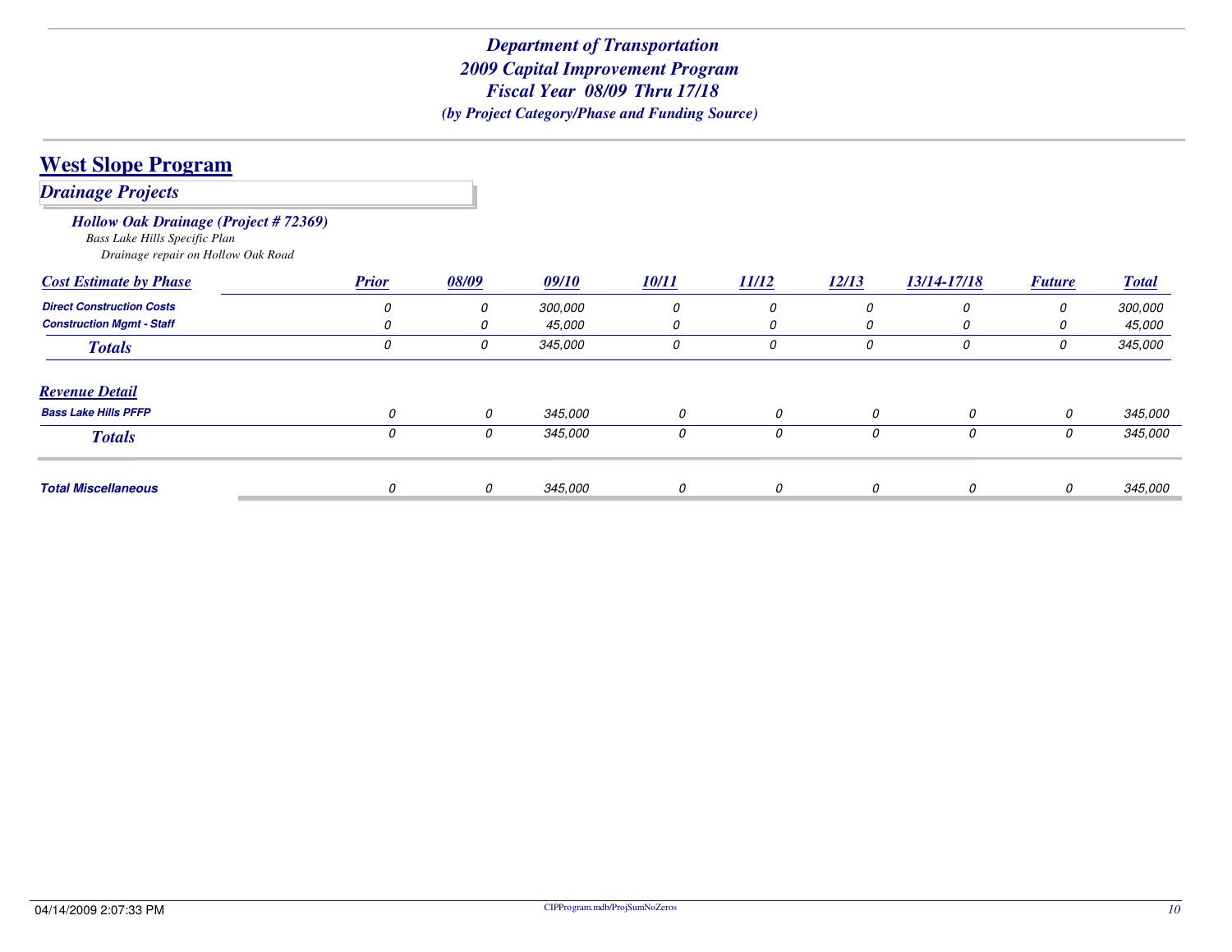| <b>West Slope Program</b>                                                                                          |              |       |         |       |       |       |             |               |              |
|--------------------------------------------------------------------------------------------------------------------|--------------|-------|---------|-------|-------|-------|-------------|---------------|--------------|
| <b>Drainage Projects</b>                                                                                           |              |       |         |       |       |       |             |               |              |
| <b>Hollow Oak Drainage (Project #72369)</b><br>Bass Lake Hills Specific Plan<br>Drainage repair on Hollow Oak Road |              |       |         |       |       |       |             |               |              |
| <b>Cost Estimate by Phase</b>                                                                                      | <b>Prior</b> | 08/09 | 09/10   | 10/11 | 11/12 | 12/13 | 13/14-17/18 | <b>Future</b> | <b>Total</b> |
| <b>Direct Construction Costs</b>                                                                                   | 0            | 0     | 300,000 | 0     | 0     | 0     |             | 0             | 300,000      |
| <b>Construction Mgmt - Staff</b>                                                                                   |              | 0     | 45,000  | 0     | 0     | 0     |             | 0             | 45,000       |
| <b>Totals</b>                                                                                                      | 0            | 0     | 345,000 | 0     | 0     | 0     | 0           | 0             | 345,000      |
| <b>Revenue Detail</b>                                                                                              |              |       |         |       |       |       |             |               |              |
| <b>Bass Lake Hills PFFP</b>                                                                                        | 0            | 0     | 345,000 | 0     | 0     | 0     | 0           | 0             | 345,000      |
| <b>Totals</b>                                                                                                      | 0            | 0     | 345,000 | 0     | 0     | 0     | 0           | 0             | 345,000      |
| <b>Total Miscellaneous</b>                                                                                         | 0            | 0     | 345,000 | 0     | 0     | 0     | 0           | 0             | 345,000      |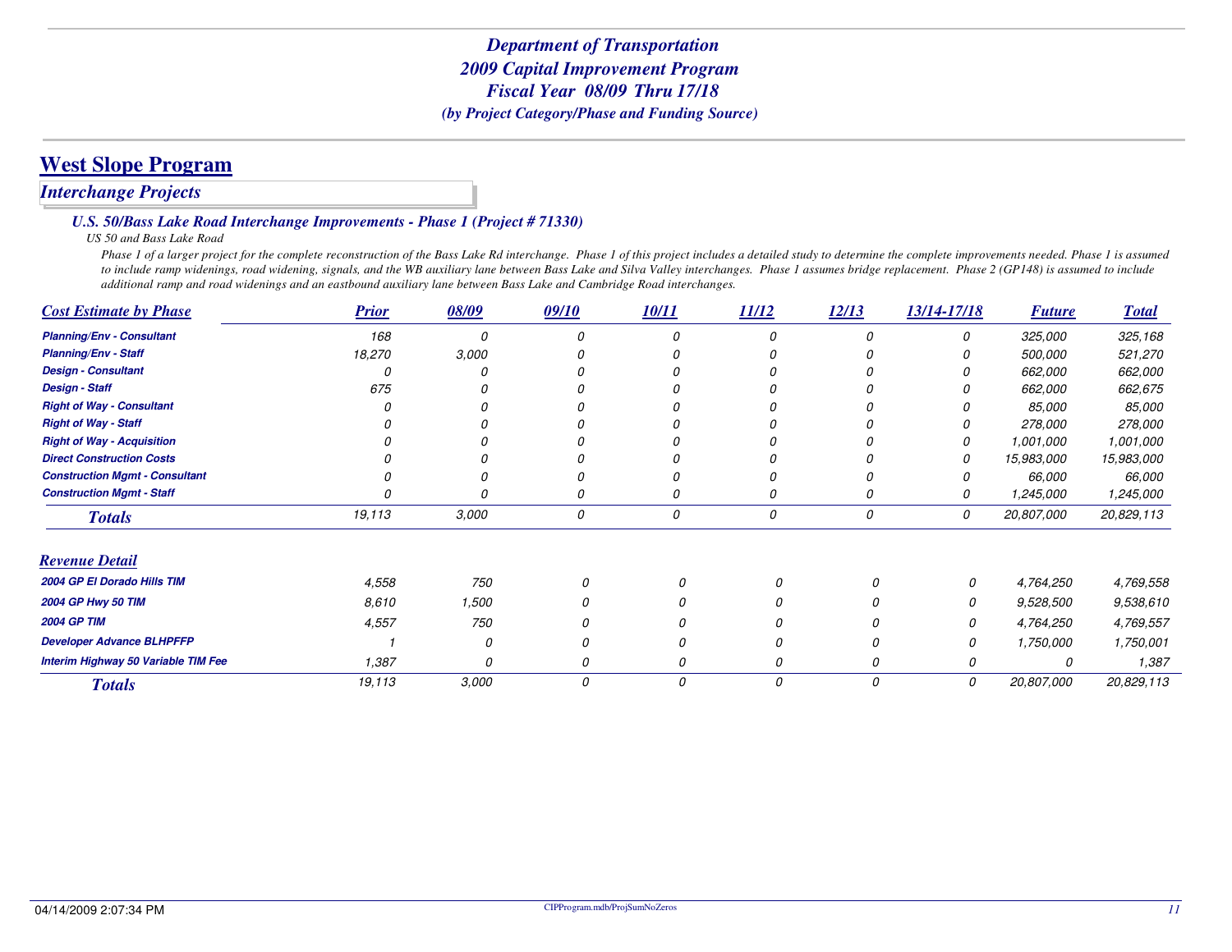### *Interchange Projects*

#### *U.S. 50/Bass Lake Road Interchange Improvements - Phase 1 (Project # 71330)*

#### *US 50 and Bass Lake Road*

 *Phase 1 of a larger project for the complete reconstruction of the Bass Lake Rd interchange. Phase 1 of this project includes a detailed study to determine the complete improvements needed. Phase 1 is assumed to include ramp widenings, road widening, signals, and the WB auxiliary lane between Bass Lake and Silva Valley interchanges. Phase 1 assumes bridge replacement. Phase 2 (GP148) is assumed to include additional ramp and road widenings and an eastbound auxiliary lane between Bass Lake and Cambridge Road interchanges.*

| <b>Cost Estimate by Phase</b>              | <b>Prior</b> | 08/09    | 09/10 | 10/11 | 11/12    | 12/13    | 13/14-17/18 | <b>Future</b> | <b>Total</b>  |
|--------------------------------------------|--------------|----------|-------|-------|----------|----------|-------------|---------------|---------------|
| <b>Planning/Env - Consultant</b>           | 168          | n        |       |       | n        | $\Omega$ | 0           | 325,000       | 325,168       |
| <b>Planning/Env - Staff</b>                | 18,270       | 3,000    |       |       |          |          |             | 500,000       | 521,270       |
| <b>Design - Consultant</b>                 |              |          |       |       |          |          |             | 662,000       | 662,000       |
| <b>Design - Staff</b>                      | 675          |          |       |       |          |          |             | 662,000       | 662,675       |
| <b>Right of Way - Consultant</b>           |              |          |       |       |          |          |             | <i>85,000</i> | <i>85,000</i> |
| <b>Right of Way - Staff</b>                |              |          |       |       |          |          |             | 278,000       | 278,000       |
| <b>Right of Way - Acquisition</b>          |              |          |       |       |          |          |             | 1,001,000     | 1,001,000     |
| <b>Direct Construction Costs</b>           |              |          |       |       |          |          |             | 15,983,000    | 15,983,000    |
| <b>Construction Mgmt - Consultant</b>      |              |          |       |       |          |          |             | 66,000        | 66,000        |
| <b>Construction Mgmt - Staff</b>           |              |          |       | 0     | 0        | 0        |             | 1,245,000     | 1,245,000     |
| <b>Totals</b>                              | 19,113       | 3,000    | 0     | 0     | 0        | 0        | 0           | 20,807,000    | 20,829,113    |
| <b>Revenue Detail</b>                      |              |          |       |       |          |          |             |               |               |
| 2004 GP El Dorado Hills TIM                | 4,558        | 750      | 0     |       | 0        | $\Omega$ | 0           | 4,764,250     | 4,769,558     |
| 2004 GP Hwy 50 TIM                         | 8,610        | 1,500    | 0     |       | 0        |          | 0           | 9,528,500     | 9,538,610     |
| <b>2004 GP TIM</b>                         | 4,557        | 750      |       |       |          |          | 0           | 4,764,250     | 4,769,557     |
| <b>Developer Advance BLHPFFP</b>           |              | $\Omega$ | 0     | 0     | $\Omega$ | O        | 0           | 1,750,000     | 1,750,001     |
| <b>Interim Highway 50 Variable TIM Fee</b> | 1,387        | 0        | 0     | 0     | 0        | 0        | 0           |               | 1,387         |
| <b>Totals</b>                              | 19,113       | 3,000    | 0     | 0     | 0        | 0        | 0           | 20,807,000    | 20,829,113    |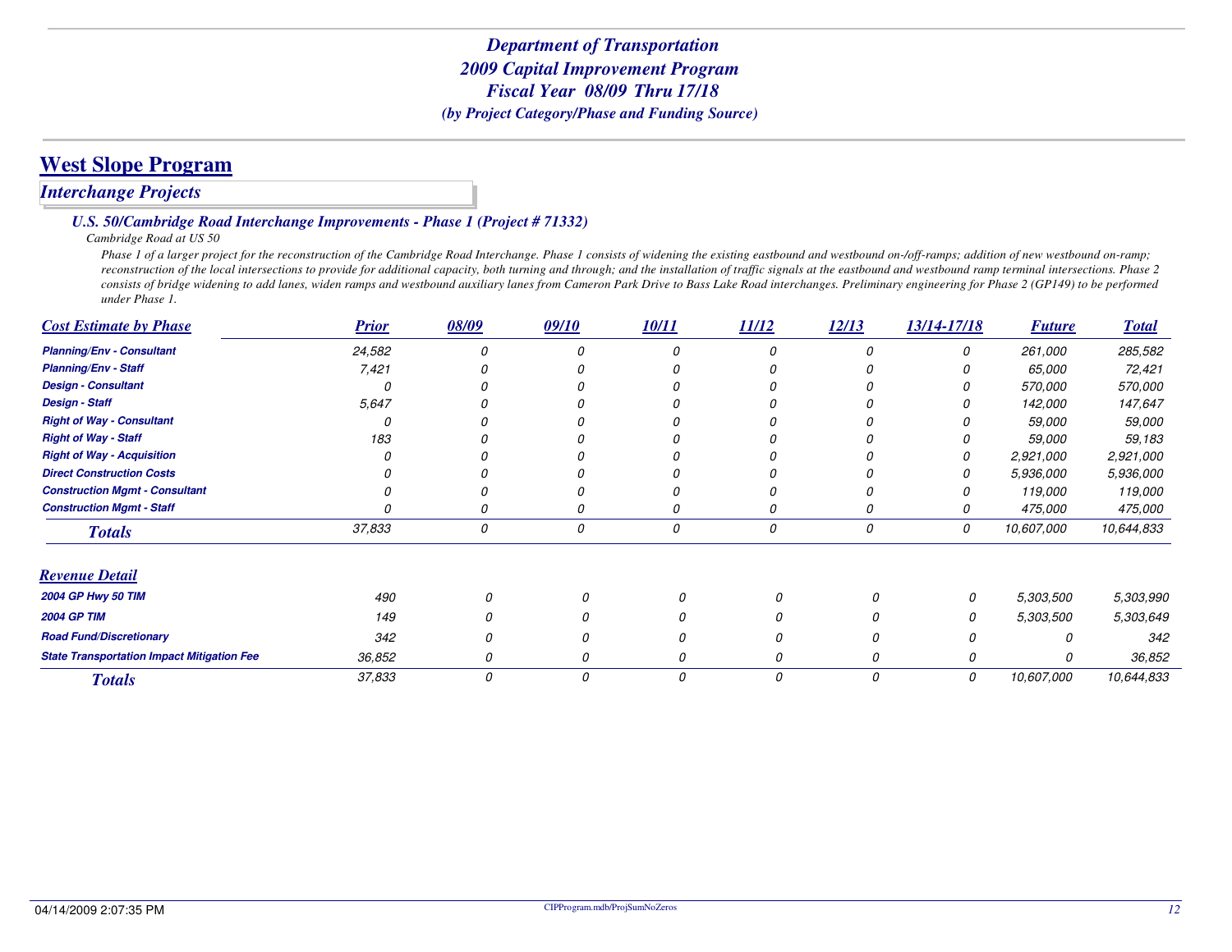## **West Slope Program**

### *Interchange Projects*

#### *U.S. 50/Cambridge Road Interchange Improvements - Phase 1 (Project # 71332)*

*Cambridge Road at US 50*

Phase 1 of a larger project for the reconstruction of the Cambridge Road Interchange. Phase 1 consists of widening the existing eastbound and westbound on-/off-ramps; addition of new westbound on-ramp; reconstruction of the local intersections to provide for additional capacity, both turning and through; and the installation of traffic signals at the eastbound and westbound ramp terminal intersections. Phase 2 *consists of bridge widening to add lanes, widen ramps and westbound auxiliary lanes from Cameron Park Drive to Bass Lake Road interchanges. Preliminary engineering for Phase 2 (GP149) to be performed under Phase 1.*

| <b>Cost Estimate by Phase</b>                     | <b>Prior</b> | 08/09 | 09/10 | 10/11 | 11/12 | 12/13    | 13/14-17/18 | <b>Future</b> | <b>Total</b> |
|---------------------------------------------------|--------------|-------|-------|-------|-------|----------|-------------|---------------|--------------|
| <b>Planning/Env - Consultant</b>                  | 24,582       |       |       |       |       | $\Omega$ | 0           | 261,000       | 285,582      |
| <b>Planning/Env - Staff</b>                       | 7,421        |       |       |       |       |          |             | 65,000        | 72,421       |
| <b>Design - Consultant</b>                        |              |       |       |       |       |          |             | 570,000       | 570,000      |
| <b>Design - Staff</b>                             | 5,647        |       |       |       |       |          |             | 142,000       | 147,647      |
| <b>Right of Way - Consultant</b>                  |              |       |       |       |       |          |             | 59,000        | 59,000       |
| <b>Right of Way - Staff</b>                       | 183          |       |       |       |       |          |             | 59,000        | 59,183       |
| <b>Right of Way - Acquisition</b>                 |              |       |       |       |       |          |             | 2,921,000     | 2,921,000    |
| <b>Direct Construction Costs</b>                  |              |       |       |       |       |          |             | 5,936,000     | 5,936,000    |
| <b>Construction Mgmt - Consultant</b>             |              |       |       |       |       |          |             | 119,000       | 119,000      |
| <b>Construction Mgmt - Staff</b>                  |              |       |       |       | 0     |          |             | 475,000       | 475,000      |
| <b>Totals</b>                                     | 37,833       | 0     | 0     | 0     | 0     | 0        | 0           | 10,607,000    | 10,644,833   |
| <b>Revenue Detail</b>                             |              |       |       |       |       |          |             |               |              |
| 2004 GP Hwy 50 TIM                                | 490          |       |       |       | 0     |          | 0           | 5,303,500     | 5,303,990    |
| <b>2004 GP TIM</b>                                | 149          |       |       |       |       |          |             | 5,303,500     | 5,303,649    |
| <b>Road Fund/Discretionary</b>                    | 342          |       |       |       |       |          |             |               | 342          |
| <b>State Transportation Impact Mitigation Fee</b> | 36,852       |       | 0     |       |       |          | 0           |               | 36,852       |
| <b>Totals</b>                                     | 37,833       | 0     | 0     | 0     | 0     | 0        | 0           | 10,607,000    | 10,644,833   |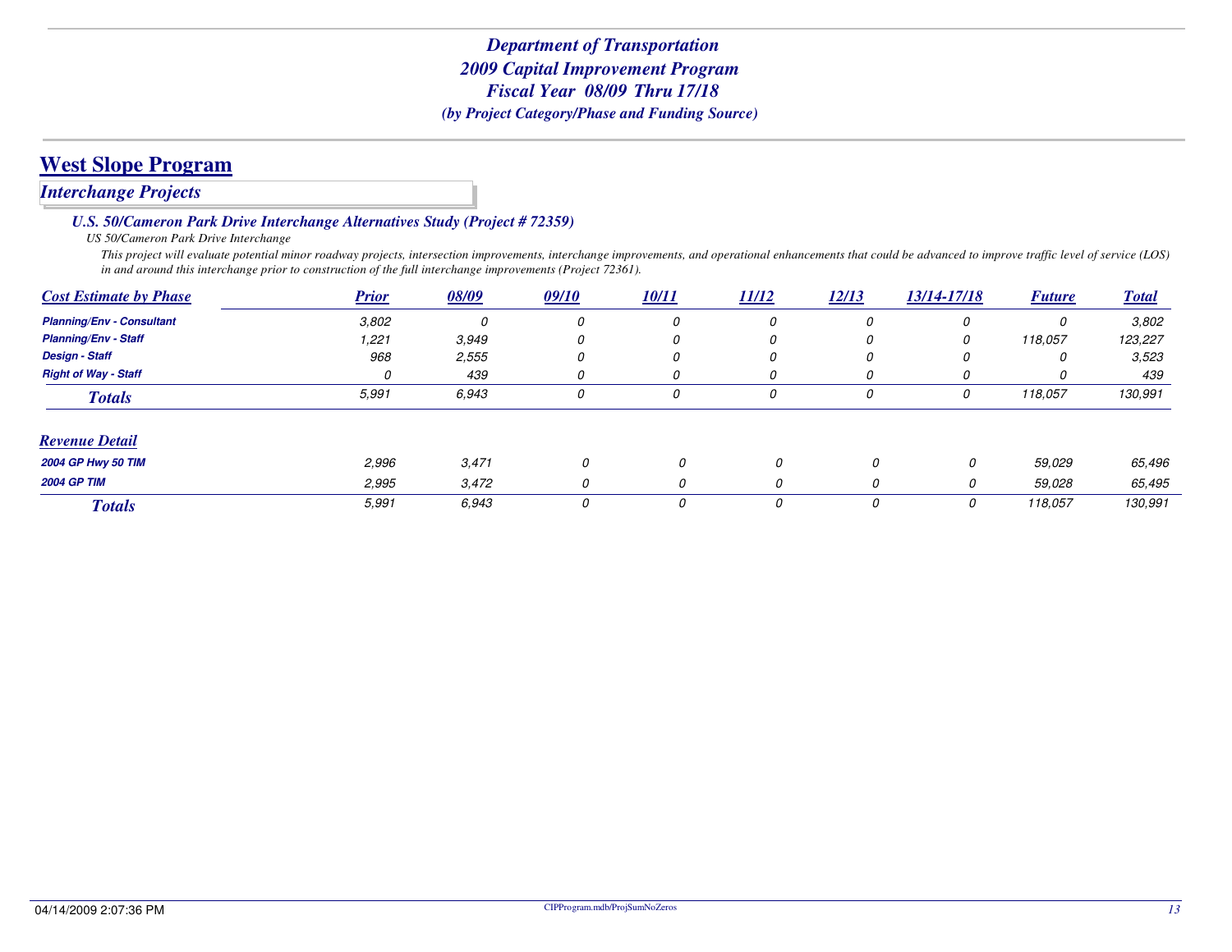### *Interchange Projects*

#### *U.S. 50/Cameron Park Drive Interchange Alternatives Study (Project # 72359)*

*US 50/Cameron Park Drive Interchange*

 *This project will evaluate potential minor roadway projects, intersection improvements, interchange improvements, and operational enhancements that could be advanced to improve traffic level of service (LOS) in and around this interchange prior to construction of the full interchange improvements (Project 72361).*

| <b>Cost Estimate by Phase</b>    | <b>Prior</b> | 08/09 | 09/10    | <b>10/11</b> | 11/12 | 12/13 | 13/14-17/18 | <b>Future</b> | <b>Total</b> |
|----------------------------------|--------------|-------|----------|--------------|-------|-------|-------------|---------------|--------------|
| <b>Planning/Env - Consultant</b> | 3,802        |       | 0        | 0            | 0     | 0     | 0           | 0             | 3,802        |
| <b>Planning/Env - Staff</b>      | 1,221        | 3,949 | 0        | 0            | 0     | 0     | 0           | 118,057       | 123,227      |
| <b>Design - Staff</b>            | 968          | 2,555 | 0        | 0            | 0     | 0     | 0           |               | 3,523        |
| <b>Right of Way - Staff</b>      | 0            | 439   | $\Omega$ |              |       | 0     | 0           |               | 439          |
| <b>Totals</b>                    | 5,991        | 6,943 | 0        | 0            | 0     | 0     | 0           | 118,057       | 130,991      |
| <b>Revenue Detail</b>            |              |       |          |              |       |       |             |               |              |
| <b>2004 GP Hwy 50 TIM</b>        | 2,996        | 3,471 | 0        | 0            | 0     | 0     | 0           | 59,029        | 65,496       |
| <b>2004 GP TIM</b>               | 2,995        | 3,472 | 0        |              | 0     | 0     | 0           | 59.028        | 65,495       |
| <b>Totals</b>                    | 5,991        | 6.943 | 0        | 0            | 0     | 0     | 0           | 118,057       | 130,991      |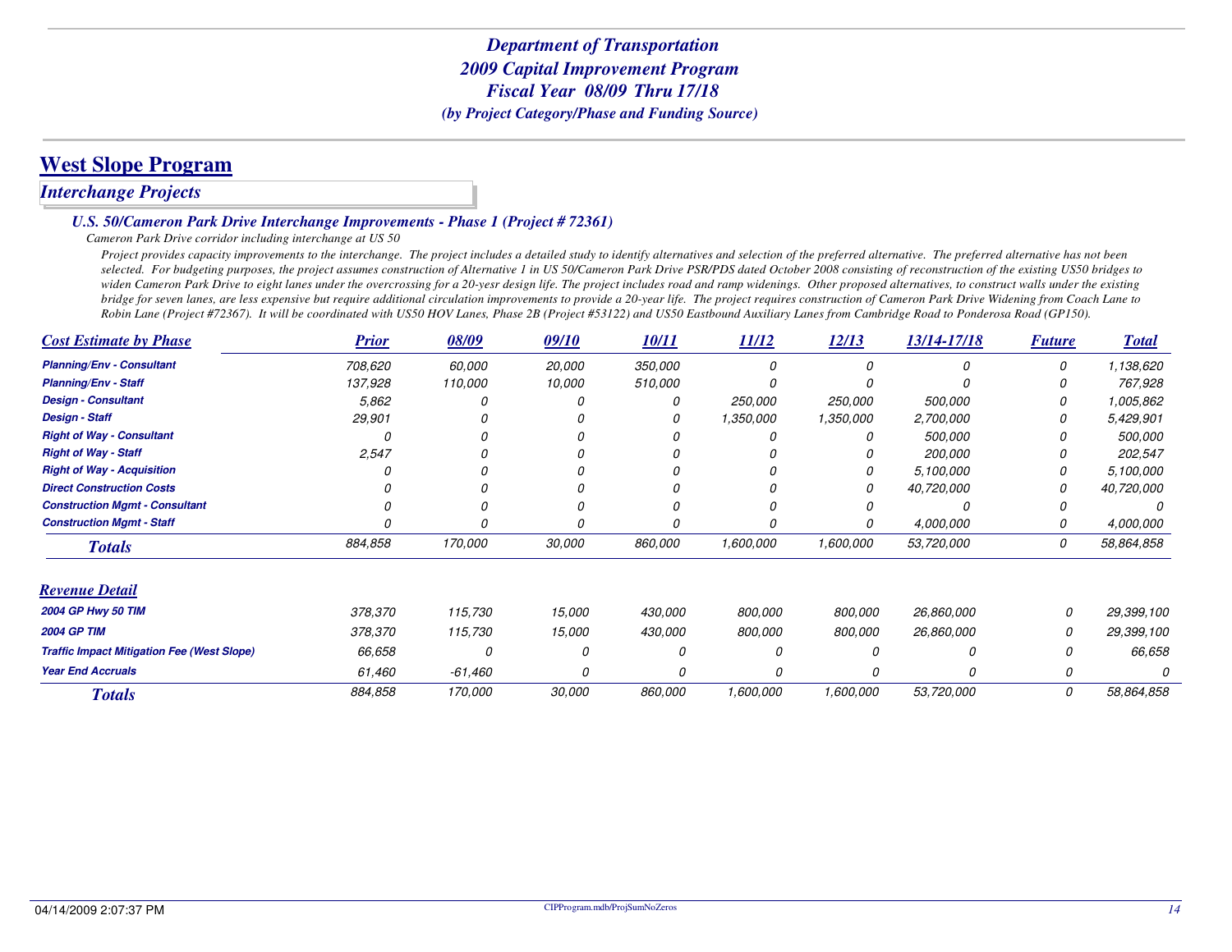### **West Slope Program**

### *Interchange Projects*

#### *U.S. 50/Cameron Park Drive Interchange Improvements - Phase 1 (Project # 72361)*

#### *Cameron Park Drive corridor including interchange at US 50*

Project provides capacity improvements to the interchange. The project includes a detailed study to identify alternatives and selection of the preferred alternative. The preferred alternative has not been *selected. For budgeting purposes, the project assumes construction of Alternative 1 in US 50/Cameron Park Drive PSR/PDS dated October 2008 consisting of reconstruction of the existing US50 bridges to widen Cameron Park Drive to eight lanes under the overcrossing for a 20-yesr design life. The project includes road and ramp widenings. Other proposed alternatives, to construct walls under the existing bridge for seven lanes, are less expensive but require additional circulation improvements to provide a 20-year life. The project requires construction of Cameron Park Drive Widening from Coach Lane to Robin Lane (Project #72367). It will be coordinated with US50 HOV Lanes, Phase 2B (Project #53122) and US50 Eastbound Auxiliary Lanes from Cambridge Road to Ponderosa Road (GP150).*

| <b>Cost Estimate by Phase</b>                     | <b>Prior</b> | 08/09     | 09/10  | 10/11   | 11/12     | 12/13     | 13/14-17/18 | <b>Future</b> | <b>Total</b> |
|---------------------------------------------------|--------------|-----------|--------|---------|-----------|-----------|-------------|---------------|--------------|
| <b>Planning/Env - Consultant</b>                  | 708,620      | 60,000    | 20,000 | 350,000 | n         | 0         | $\Omega$    | 0             | 1,138,620    |
| <b>Planning/Env - Staff</b>                       | 137,928      | 110,000   | 10,000 | 510,000 |           |           |             |               | 767,928      |
| <b>Design - Consultant</b>                        | 5,862        |           |        |         | 250,000   | 250,000   | 500,000     | 0             | 1,005,862    |
| <b>Design - Staff</b>                             | 29,901       |           |        |         | 1,350,000 | 1,350,000 | 2,700,000   |               | 5,429,901    |
| <b>Right of Way - Consultant</b>                  |              |           |        |         |           | $\Omega$  | 500,000     |               | 500,000      |
| <b>Right of Way - Staff</b>                       | 2,547        |           |        |         |           |           | 200,000     |               | 202,547      |
| <b>Right of Way - Acquisition</b>                 |              |           |        |         |           | 0         | 5,100,000   | O             | 5,100,000    |
| <b>Direct Construction Costs</b>                  |              |           |        |         |           | 0         | 40,720,000  |               | 40,720,000   |
| <b>Construction Mgmt - Consultant</b>             |              |           |        |         |           | $\Omega$  |             | N             |              |
| <b>Construction Mgmt - Staff</b>                  |              |           |        |         |           | 0         | 4,000,000   | 0             | 4,000,000    |
| <b>Totals</b>                                     | 884,858      | 170,000   | 30,000 | 860,000 | 1,600,000 | 1,600,000 | 53,720,000  | 0             | 58,864,858   |
| <b>Revenue Detail</b>                             |              |           |        |         |           |           |             |               |              |
| 2004 GP Hwy 50 TIM                                | 378,370      | 115,730   | 15,000 | 430,000 | 800,000   | 800,000   | 26,860,000  | 0             | 29,399,100   |
| <b>2004 GP TIM</b>                                | 378,370      | 115,730   | 15,000 | 430,000 | 800,000   | 800,000   | 26,860,000  |               | 29,399,100   |
| <b>Traffic Impact Mitigation Fee (West Slope)</b> | 66,658       | 0         | 0      |         |           |           | Ω           |               | 66,658       |
| <b>Year End Accruals</b>                          | 61,460       | $-61,460$ | 0      |         |           |           | 0           |               |              |
| <b>Totals</b>                                     | 884,858      | 170,000   | 30,000 | 860,000 | 1,600,000 | 1,600,000 | 53,720,000  | 0             | 58,864,858   |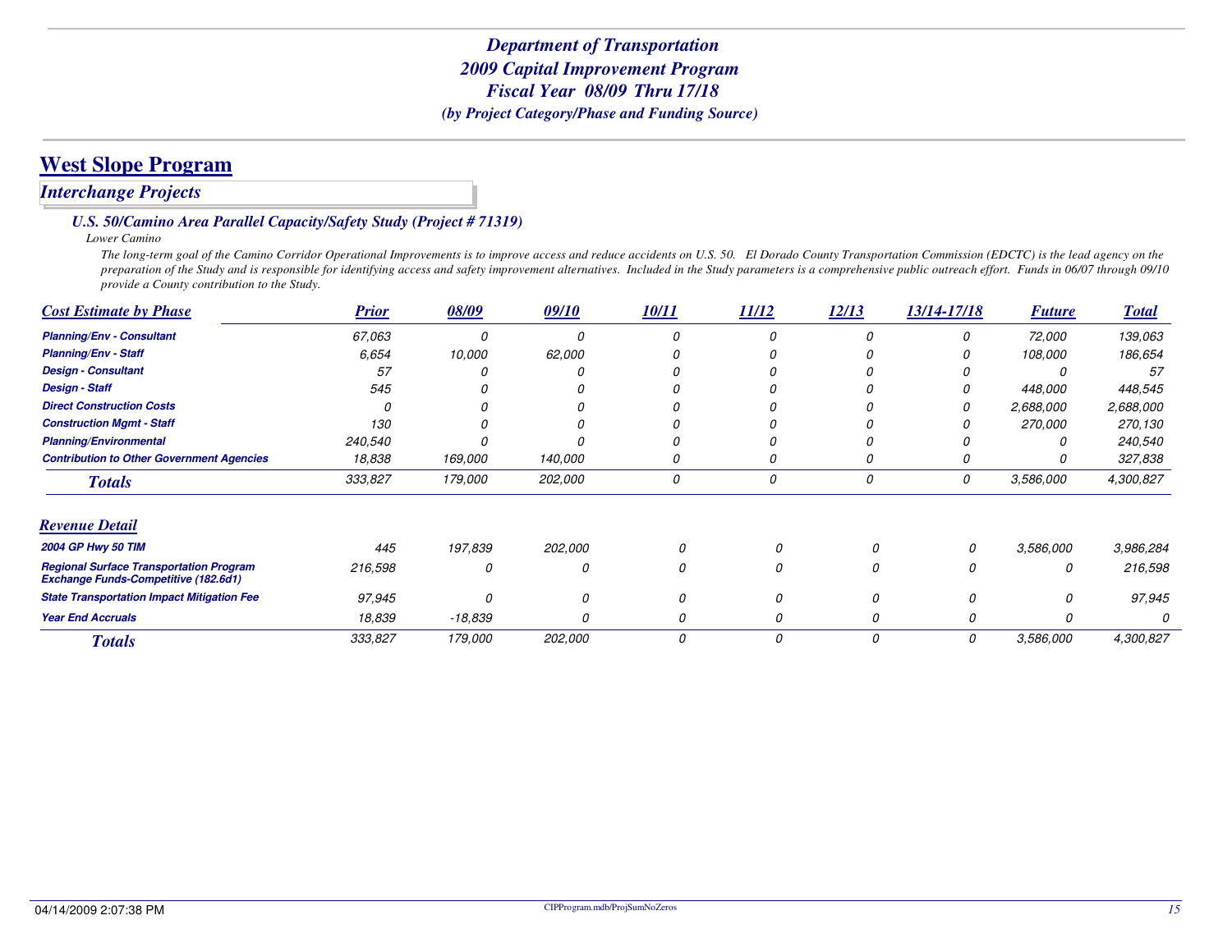## **West Slope Program**

### *Interchange Projects*

### *U.S. 50/Camino Area Parallel Capacity/Safety Study (Project # 71319)*

*Lower Camino*

 *The long-term goal of the Camino Corridor Operational Improvements is to improve access and reduce accidents on U.S. 50. El Dorado County Transportation Commission (EDCTC) is the lead agency on the preparation of the Study and is responsible for identifying access and safety improvement alternatives. Included in the Study parameters is a comprehensive public outreach effort. Funds in 06/07 through 09/10 provide a County contribution to the Study.*

| <b>Cost Estimate by Phase</b>                                                                 | <b>Prior</b> | 08/09     | 09/10   | 10/11 | 11/12 | 12/13 | 13/14-17/18 | <b>Future</b> | <b>Total</b> |
|-----------------------------------------------------------------------------------------------|--------------|-----------|---------|-------|-------|-------|-------------|---------------|--------------|
| <b>Planning/Env - Consultant</b>                                                              | 67,063       |           |         |       |       |       | 0           | 72,000        | 139,063      |
| <b>Planning/Env - Staff</b>                                                                   | 6.654        | 10,000    | 62,000  |       |       |       | 0           | 108,000       | 186,654      |
| <b>Design - Consultant</b>                                                                    | 57           |           |         |       |       |       |             |               | 57           |
| <b>Design - Staff</b>                                                                         | 545          |           |         |       |       |       |             | 448,000       | 448,545      |
| <b>Direct Construction Costs</b>                                                              |              |           |         |       |       |       | 0           | 2,688,000     | 2,688,000    |
| <b>Construction Mgmt - Staff</b>                                                              | 130          |           |         |       |       |       |             | 270,000       | 270,130      |
| <b>Planning/Environmental</b>                                                                 | 240,540      |           |         |       |       |       |             |               | 240,540      |
| <b>Contribution to Other Government Agencies</b>                                              | 18,838       | 169,000   | 140,000 |       |       |       | Ω           |               | 327,838      |
| <b>Totals</b>                                                                                 | 333,827      | 179,000   | 202,000 | 0     | 0     | 0     | 0           | 3,586,000     | 4,300,827    |
| <b>Revenue Detail</b>                                                                         |              |           |         |       |       |       |             |               |              |
| 2004 GP Hwy 50 TIM                                                                            | 445          | 197,839   | 202,000 |       |       | Ω     | $\Omega$    | 3,586,000     | 3,986,284    |
| <b>Regional Surface Transportation Program</b><br><b>Exchange Funds-Competitive (182.6d1)</b> | 216,598      | 0         | 0       | 0     |       | 0     | 0           | 0             | 216,598      |
| <b>State Transportation Impact Mitigation Fee</b>                                             | 97,945       |           |         |       |       | 0     |             |               | 97,945       |
| <b>Year End Accruals</b>                                                                      | 18,839       | $-18,839$ |         | 0     | 0     | 0     |             |               |              |
| <b>Totals</b>                                                                                 | 333,827      | 179,000   | 202,000 | 0     | 0     | 0     | 0           | 3,586,000     | 4,300,827    |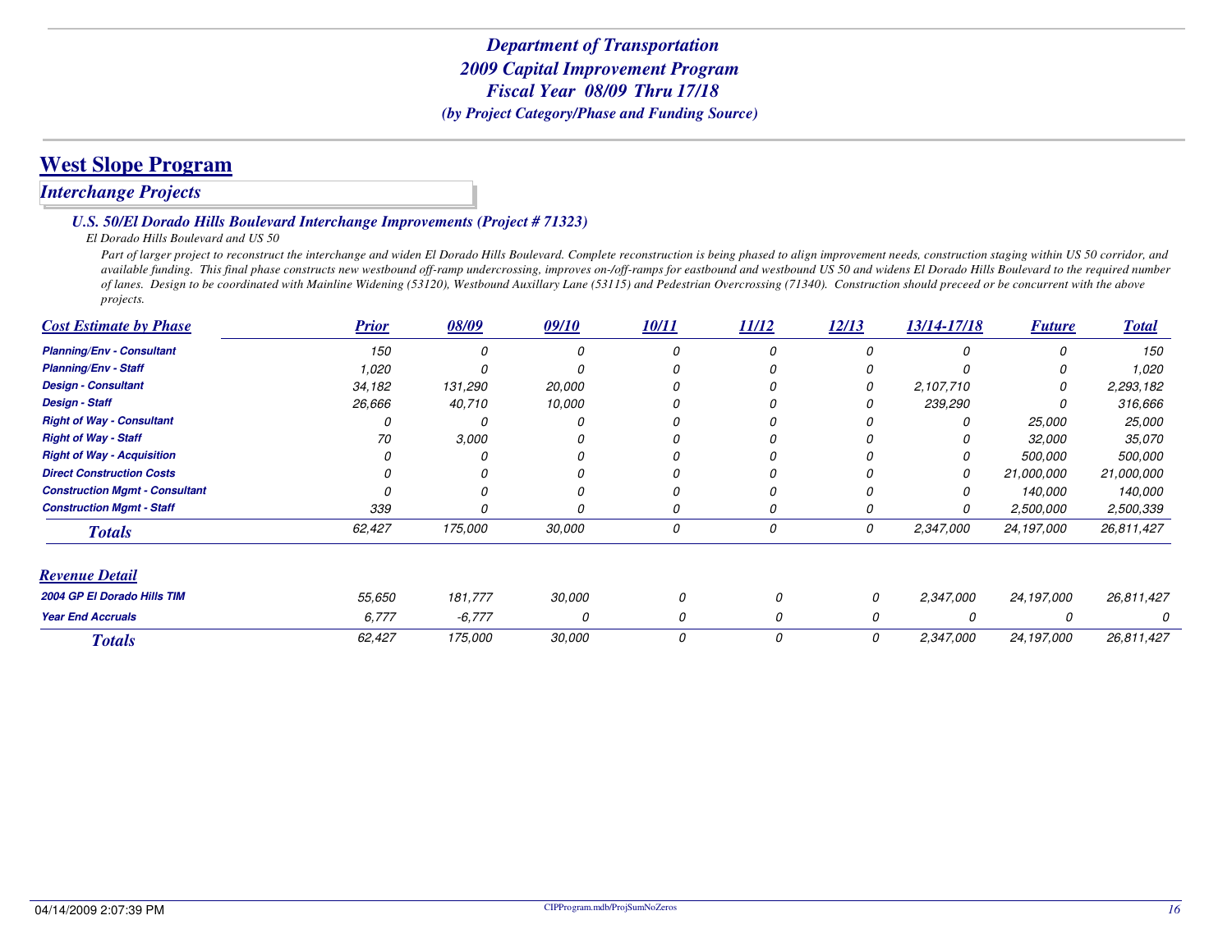## **West Slope Program**

### *Interchange Projects*

#### *U.S. 50/El Dorado Hills Boulevard Interchange Improvements (Project # 71323)*

#### *El Dorado Hills Boulevard and US 50*

Part of larger project to reconstruct the interchange and widen El Dorado Hills Boulevard. Complete reconstruction is being phased to align improvement needs, construction staging within US 50 corridor, and *available funding. This final phase constructs new westbound off-ramp undercrossing, improves on-/off-ramps for eastbound and westbound US 50 and widens El Dorado Hills Boulevard to the required number of lanes. Design to be coordinated with Mainline Widening (53120), Westbound Auxillary Lane (53115) and Pedestrian Overcrossing (71340). Construction should preceed or be concurrent with the above projects.*

| <b>Cost Estimate by Phase</b>                                             | <b>Prior</b> | 08/09    | 09/10  | 10/11 | 11/12    | 12/13 | 13/14-17/18 | <b>Future</b>         | <b>Total</b>                            |
|---------------------------------------------------------------------------|--------------|----------|--------|-------|----------|-------|-------------|-----------------------|-----------------------------------------|
| <b>Planning/Env - Consultant</b>                                          | 150          |          |        |       |          |       |             | O                     | 150                                     |
| <b>Planning/Env - Staff</b>                                               | 1.020        |          |        |       |          |       |             |                       | 1,020                                   |
| <b>Design - Consultant</b>                                                | 34,182       | 131,290  | 20,000 |       |          |       | 2,107,710   |                       | 2,293,182                               |
| <b>Design - Staff</b>                                                     | 26,666       | 40,710   | 10,000 |       |          |       | 239,290     |                       | 316,666                                 |
| <b>Right of Way - Consultant</b>                                          |              |          |        |       |          |       |             | 25,000                | 25,000                                  |
| <b>Right of Way - Staff</b>                                               | 70           | 3,000    |        |       |          |       |             | 32,000                | 35,070                                  |
| <b>Right of Way - Acquisition</b>                                         |              |          |        |       |          |       |             | 500,000               | <i>500,000</i><br>21,000,000<br>140,000 |
| <b>Direct Construction Costs</b><br><b>Construction Mgmt - Consultant</b> |              |          |        |       |          |       | 0<br>0      | 21,000,000<br>140,000 |                                         |
|                                                                           |              |          |        |       |          |       |             |                       |                                         |
| <b>Construction Mgmt - Staff</b>                                          | 339          |          |        |       |          |       | 0           | 2,500,000             | 2,500,339                               |
| <b>Totals</b>                                                             | 62,427       | 175,000  | 30,000 | 0     | 0        | 0     | 2,347,000   | 24,197,000            | 26.811,427                              |
| <b>Revenue Detail</b>                                                     |              |          |        |       |          |       |             |                       |                                         |
| 2004 GP El Dorado Hills TIM                                               | 55,650       | 181,777  | 30,000 | 0     | $\Omega$ | 0     | 2,347,000   | 24,197,000            | 26,811,427                              |
| <b>Year End Accruals</b>                                                  | 6,777        | $-6,777$ | 0      | 0     | 0        | 0     | O           |                       |                                         |
| <b>Totals</b>                                                             | 62,427       | 175,000  | 30,000 | 0     | 0        | 0     | 2,347,000   | 24,197,000            | 26,811,427                              |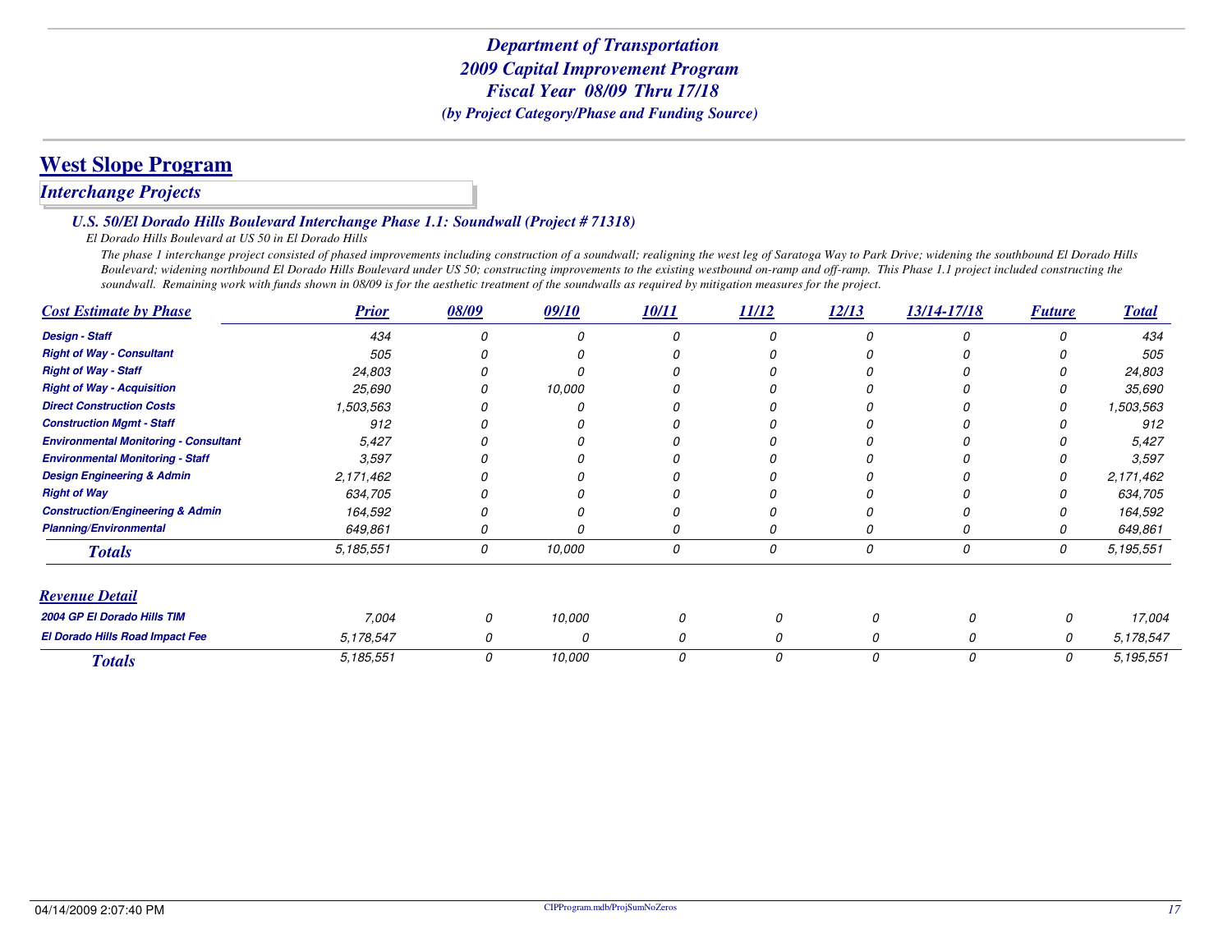## **West Slope Program**

### *Interchange Projects*

#### *U.S. 50/El Dorado Hills Boulevard Interchange Phase 1.1: Soundwall (Project # 71318)*

#### *El Dorado Hills Boulevard at US 50 in El Dorado Hills*

 *The phase 1 interchange project consisted of phased improvements including construction of a soundwall; realigning the west leg of Saratoga Way to Park Drive; widening the southbound El Dorado Hills Boulevard; widening northbound El Dorado Hills Boulevard under US 50; constructing improvements to the existing westbound on-ramp and off-ramp. This Phase 1.1 project included constructing the soundwall. Remaining work with funds shown in 08/09 is for the aesthetic treatment of the soundwalls as required by mitigation measures for the project.*

| <b>Cost Estimate by Phase</b>                | <b>Prior</b> | 08/09 | 09/10  | 10/11 | 11/12 | 12/13 | 13/14-17/18 | <b>Future</b> | <b>Total</b> |
|----------------------------------------------|--------------|-------|--------|-------|-------|-------|-------------|---------------|--------------|
| <b>Design - Staff</b>                        | 434          |       |        |       |       |       |             |               | 434          |
| <b>Right of Way - Consultant</b>             | 505          |       |        |       |       |       |             |               | 505          |
| <b>Right of Way - Staff</b>                  | 24,803       |       |        |       |       |       |             |               | 24,803       |
| <b>Right of Way - Acquisition</b>            | 25,690       |       | 10,000 |       |       |       |             |               | 35,690       |
| <b>Direct Construction Costs</b>             | 1,503,563    |       |        |       |       |       |             |               | 1,503,563    |
| <b>Construction Mgmt - Staff</b>             | 912          |       |        |       |       |       |             |               | 912          |
| <b>Environmental Monitoring - Consultant</b> | 5,427        |       |        |       |       |       |             |               | 5,427        |
| <b>Environmental Monitoring - Staff</b>      | 3,597        |       |        |       |       |       |             |               | 3,597        |
| <b>Design Engineering &amp; Admin</b>        | 2,171,462    |       |        |       |       |       |             |               | 2,171,462    |
| <b>Right of Way</b>                          | 634,705      |       |        |       |       |       |             |               | 634,705      |
| <b>Construction/Engineering &amp; Admin</b>  | 164,592      |       |        |       |       |       |             |               | 164,592      |
| <b>Planning/Environmental</b>                | 649,861      |       |        |       | 0     |       |             |               | 649,861      |
| <b>Totals</b>                                | 5,185,551    | 0     | 10,000 | 0     | 0     | 0     | 0           | 0             | 5,195,551    |
| <b>Revenue Detail</b>                        |              |       |        |       |       |       |             |               |              |
| 2004 GP El Dorado Hills TIM                  | 7,004        | 0     | 10,000 | 0     | O     | n     | Ω           | 0             | 17,004       |
| El Dorado Hills Road Impact Fee              | 5,178,547    |       | 0      | 0     | 0     |       | Ω           | 0             | 5,178,547    |
| <b>Totals</b>                                | 5,185,551    | 0     | 10,000 | 0     | 0     | 0     | 0           | 0             | 5, 195, 551  |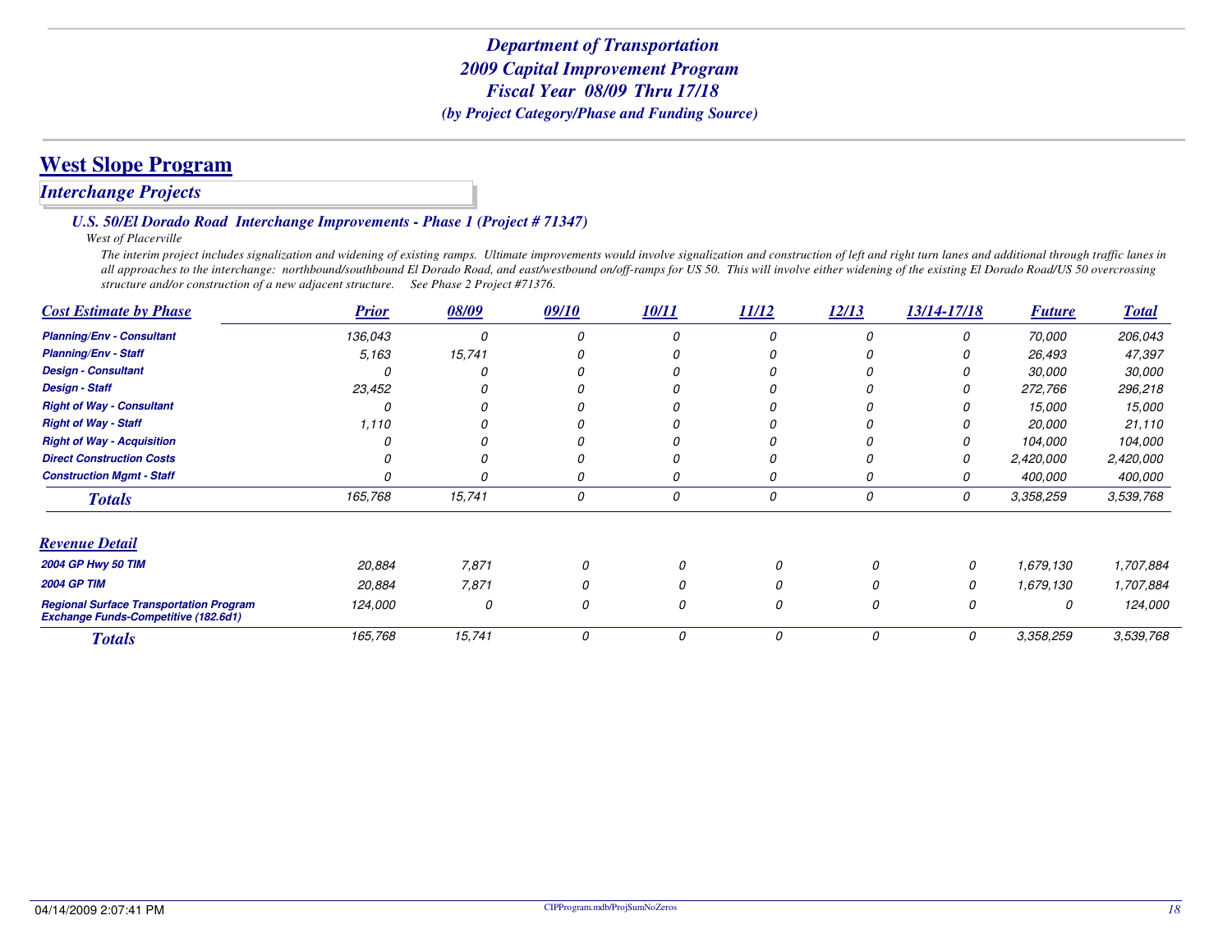### *Interchange Projects*

*U.S. 50/El Dorado Road Interchange Improvements - Phase 1 (Project # 71347)*

*West of Placerville*

 *The interim project includes signalization and widening of existing ramps. Ultimate improvements would involve signalization and construction of left and right turn lanes and additional through traffic lanes in all approaches to the interchange: northbound/southbound El Dorado Road, and east/westbound on/off-ramps for US 50. This will involve either widening of the existing El Dorado Road/US 50 overcrossing structure and/or construction of a new adjacent structure. See Phase 2 Project #71376.*

| <b>Cost Estimate by Phase</b>                                                                 | <b>Prior</b> | 08/09  | 09/10    | 10/11 | 11/12 | 12/13 | 13/14-17/18 | <b>Future</b> | <b>Total</b>  |
|-----------------------------------------------------------------------------------------------|--------------|--------|----------|-------|-------|-------|-------------|---------------|---------------|
| <b>Planning/Env - Consultant</b>                                                              | 136,043      | O      | $\Omega$ |       |       |       | 0           | 70,000        | 206,043       |
| <b>Planning/Env - Staff</b>                                                                   | 5,163        | 15,741 |          |       |       |       |             | 26,493        | 47,397        |
| <b>Design - Consultant</b>                                                                    |              |        |          |       |       |       |             | 30,000        | <i>30,000</i> |
| <b>Design - Staff</b>                                                                         | 23,452       |        |          |       |       |       |             | 272,766       | 296,218       |
| <b>Right of Way - Consultant</b>                                                              |              |        |          |       |       |       |             | 15,000        | 15,000        |
| <b>Right of Way - Staff</b>                                                                   | 1,110        |        |          |       |       |       |             | 20,000        | 21,110        |
| <b>Right of Way - Acquisition</b>                                                             |              |        |          |       |       |       |             | 104,000       | 104,000       |
| <b>Direct Construction Costs</b>                                                              |              |        |          |       |       |       |             | 2,420,000     | 2,420,000     |
| <b>Construction Mgmt - Staff</b>                                                              |              |        | Ω        |       |       |       |             | 400,000       | 400,000       |
| <b>Totals</b>                                                                                 | 165,768      | 15,741 | 0        | 0     | 0     | 0     | 0           | 3,358,259     | 3,539,768     |
| <b>Revenue Detail</b>                                                                         |              |        |          |       |       |       |             |               |               |
| 2004 GP Hwy 50 TIM                                                                            | 20,884       | 7,871  |          |       | n     |       | 0           | 1,679,130     | 1,707,884     |
| <b>2004 GP TIM</b>                                                                            | 20,884       | 7,871  |          |       |       |       | 0           | 1,679,130     | 1,707,884     |
| <b>Regional Surface Transportation Program</b><br><b>Exchange Funds-Competitive (182.6d1)</b> | 124,000      | 0      | 0        |       | 0     | 0     | 0           | 0             | 124,000       |
| <b>Totals</b>                                                                                 | 165,768      | 15,741 | 0        | 0     | 0     | 0     | 0           | 3,358,259     | 3,539,768     |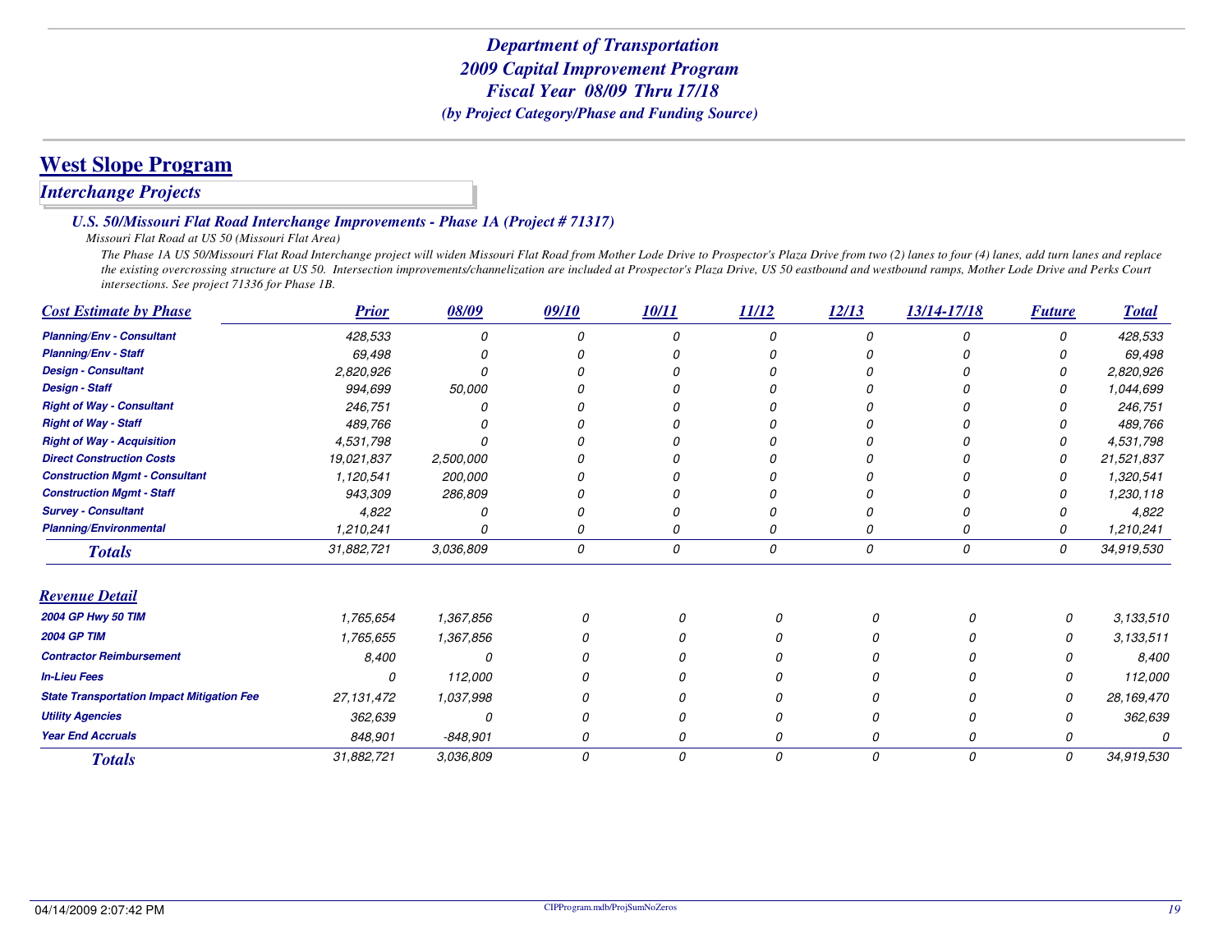## **West Slope Program**

### *Interchange Projects*

#### *U.S. 50/Missouri Flat Road Interchange Improvements - Phase 1A (Project # 71317)*

#### *Missouri Flat Road at US 50 (Missouri Flat Area)*

 *The Phase 1A US 50/Missouri Flat Road Interchange project will widen Missouri Flat Road from Mother Lode Drive to Prospector's Plaza Drive from two (2) lanes to four (4) lanes, add turn lanes and replace the existing overcrossing structure at US 50. Intersection improvements/channelization are included at Prospector's Plaza Drive, US 50 eastbound and westbound ramps, Mother Lode Drive and Perks Court intersections. See project 71336 for Phase 1B.*

| <b>Cost Estimate by Phase</b>                     | <b>Prior</b> | 08/09      | 09/10         | 10/11    | 11/12    | 12/13 | 13/14-17/18 | <b>Future</b> | <b>Total</b> |
|---------------------------------------------------|--------------|------------|---------------|----------|----------|-------|-------------|---------------|--------------|
| <b>Planning/Env - Consultant</b>                  | 428,533      | 0          | 0             |          | $\Omega$ | 0     |             | 0             | 428,533      |
| <b>Planning/Env - Staff</b>                       | 69,498       |            |               |          |          |       |             |               | 69,498       |
| <b>Design - Consultant</b>                        | 2,820,926    |            |               |          |          |       |             |               | 2,820,926    |
| <b>Design - Staff</b>                             | 994,699      | 50,000     |               |          |          |       |             |               | 1,044,699    |
| <b>Right of Way - Consultant</b>                  | 246,751      |            |               |          |          |       |             |               | 246,751      |
| <b>Right of Way - Staff</b>                       | 489,766      |            |               |          |          |       |             |               | 489,766      |
| <b>Right of Way - Acquisition</b>                 | 4,531,798    |            |               |          |          |       |             | 0             | 4,531,798    |
| <b>Direct Construction Costs</b>                  | 19,021,837   | 2,500,000  |               |          |          |       |             | 0             | 21,521,837   |
| <b>Construction Mgmt - Consultant</b>             | 1,120,541    | 200,000    |               |          |          |       |             | 0             | 1,320,541    |
| <b>Construction Mgmt - Staff</b>                  | 943,309      | 286,809    |               |          |          |       |             |               | 1,230,118    |
| <b>Survey - Consultant</b>                        | 4,822        | 0          |               |          |          |       |             |               | 4,822        |
| <b>Planning/Environmental</b>                     | 1,210,241    | 0          |               |          | 0        | 0     |             | 0             | 1,210,241    |
| <b>Totals</b>                                     | 31,882,721   | 3,036,809  | 0             | 0        | 0        | 0     | 0           | 0             | 34,919,530   |
| <b>Revenue Detail</b>                             |              |            |               |          |          |       |             |               |              |
| 2004 GP Hwy 50 TIM                                | 1,765,654    | 1,367,856  |               | $\Omega$ | 0        | 0     | 0           | 0             | 3,133,510    |
| <b>2004 GP TIM</b>                                | 1,765,655    | 1,367,856  |               |          |          | Ω     |             | 0             | 3,133,511    |
| <b>Contractor Reimbursement</b>                   | 8,400        | 0          |               |          |          | N     |             | Ω             | 8,400        |
| <b>In-Lieu Fees</b>                               | $\Omega$     | 112,000    |               |          |          |       |             | 0             | 112,000      |
| <b>State Transportation Impact Mitigation Fee</b> | 27,131,472   | 1,037,998  |               |          |          |       |             | O             | 28,169,470   |
| <b>Utility Agencies</b>                           | 362,639      | 0          |               | O        |          | 0     |             | 0             | 362,639      |
| <b>Year End Accruals</b>                          | 848,901      | $-848,901$ |               | 0        | 0        | 0     |             | G             |              |
| <b>Totals</b>                                     | 31,882,721   | 3,036,809  | $\mathcal{O}$ | 0        | 0        | 0     | 0           | 0             | 34,919,530   |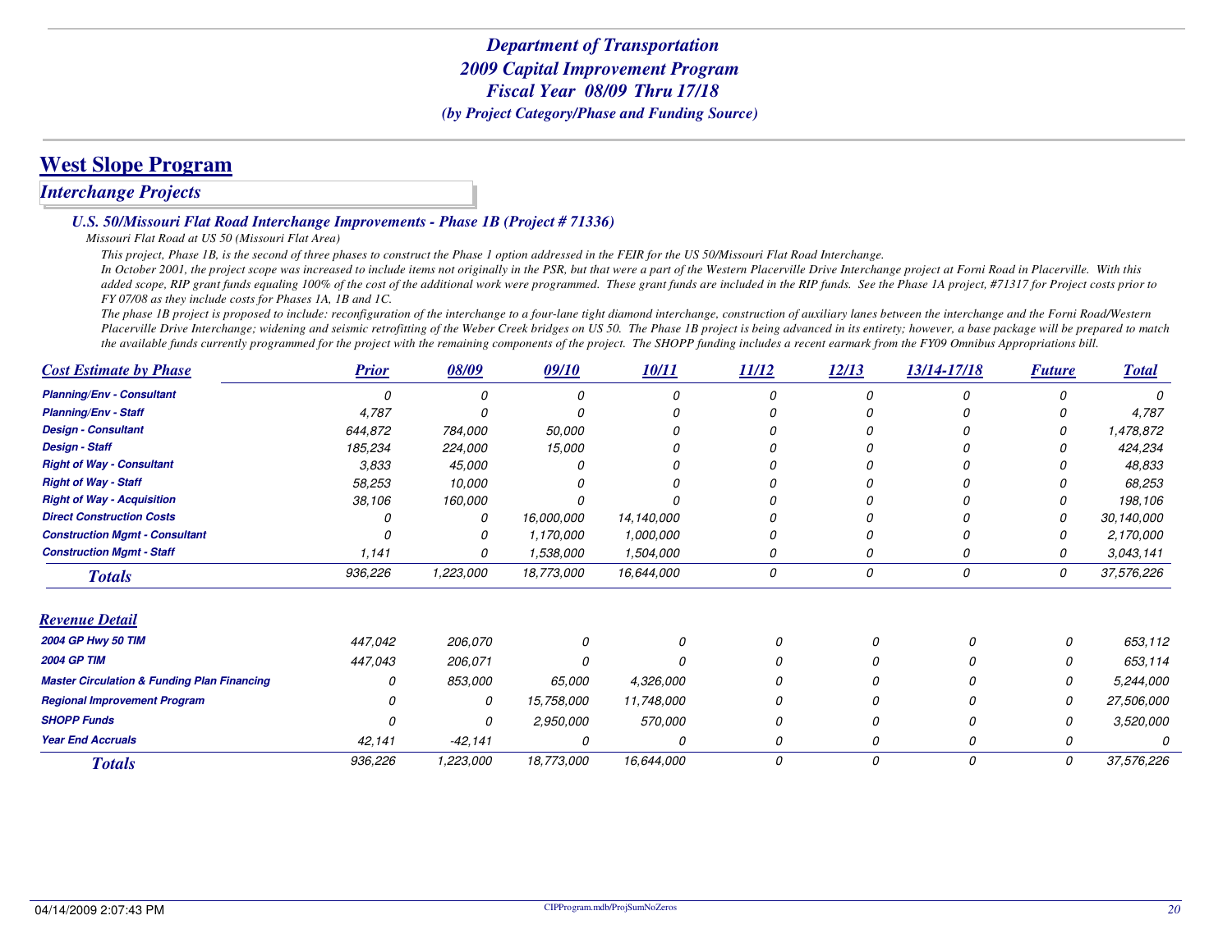### **West Slope Program**

#### *Interchange Projects*

*U.S. 50/Missouri Flat Road Interchange Improvements - Phase 1B (Project # 71336)*

*Missouri Flat Road at US 50 (Missouri Flat Area)*

*This project, Phase 1B, is the second of three phases to construct the Phase 1 option addressed in the FEIR for the US 50/Missouri Flat Road Interchange.*

 *In October 2001, the project scope was increased to include items not originally in the PSR, but that were a part of the Western Placerville Drive Interchange project at Forni Road in Placerville. With this added scope, RIP grant funds equaling 100% of the cost of the additional work were programmed. These grant funds are included in the RIP funds. See the Phase 1A project, #71317 for Project costs prior to FY 07/08 as they include costs for Phases 1A, 1B and 1C.* 

 *The phase 1B project is proposed to include: reconfiguration of the interchange to a four-lane tight diamond interchange, construction of auxiliary lanes between the interchange and the Forni Road/Western Placerville Drive Interchange; widening and seismic retrofitting of the Weber Creek bridges on US 50. The Phase 1B project is being advanced in its entirety; however, a base package will be prepared to match the available funds currently programmed for the project with the remaining components of the project. The SHOPP funding includes a recent earmark from the FY09 Omnibus Appropriations bill.*

| <b>Cost Estimate by Phase</b>                          | <b>Prior</b> | 08/09      | 09/10         | 10/11      | <b>11/12</b> | 12/13 | 13/14-17/18 | <b>Future</b> | <b>Total</b> |
|--------------------------------------------------------|--------------|------------|---------------|------------|--------------|-------|-------------|---------------|--------------|
| <b>Planning/Env - Consultant</b>                       |              |            |               |            |              |       |             |               |              |
| <b>Planning/Env - Staff</b>                            | 4,787        |            |               |            |              |       |             |               | 4,787        |
| <b>Design - Consultant</b>                             | 644,872      | 784,000    | 50,000        |            |              |       |             |               | 1,478,872    |
| <b>Design - Staff</b>                                  | 185,234      | 224,000    | 15,000        |            |              |       |             |               | 424,234      |
| <b>Right of Way - Consultant</b>                       | 3,833        | 45,000     |               |            |              |       |             |               | 48,833       |
| <b>Right of Way - Staff</b>                            | 58,253       | 10,000     |               |            |              |       |             |               | 68,253       |
| <b>Right of Way - Acquisition</b>                      | 38,106       | 160,000    |               |            |              |       |             |               | 198,106      |
| <b>Direct Construction Costs</b>                       |              | 0          | 16,000,000    | 14,140,000 |              |       |             |               | 30,140,000   |
| <b>Construction Mgmt - Consultant</b>                  |              | 0          | 1,170,000     | 1,000,000  |              |       |             |               | 2,170,000    |
| <b>Construction Mgmt - Staff</b>                       | 1,141        | 0          | 1,538,000     | 1,504,000  | 0            |       |             |               | 3,043,141    |
| <b>Totals</b>                                          | 936,226      | 1,223,000  | 18,773,000    | 16,644,000 | 0            | 0     | 0           | 0             | 37,576,226   |
| <b>Revenue Detail</b>                                  |              |            |               |            |              |       |             |               |              |
| 2004 GP Hwy 50 TIM                                     | 447,042      | 206,070    |               | 0          |              | 0     |             | n             | 653,112      |
| <b>2004 GP TIM</b>                                     | 447,043      | 206,071    |               | n          |              |       |             | Ω             | 653,114      |
| <b>Master Circulation &amp; Funding Plan Financing</b> |              | 853,000    | <i>65,000</i> | 4,326,000  |              |       |             | 0             | 5,244,000    |
| <b>Regional Improvement Program</b>                    |              | 0          | 15,758,000    | 11,748,000 |              |       |             | 0             | 27,506,000   |
| <b>SHOPP Funds</b>                                     |              | 0          | 2,950,000     | 570,000    |              | n     |             | 0             | 3,520,000    |
| <b>Year End Accruals</b>                               | 42,141       | $-42, 141$ | 0             | 0          | $\Omega$     | Ω     |             | 0             |              |
| <b>Totals</b>                                          | 936,226      | 1,223,000  | 18,773,000    | 16,644,000 | 0            | 0     | 0           | 0             | 37,576,226   |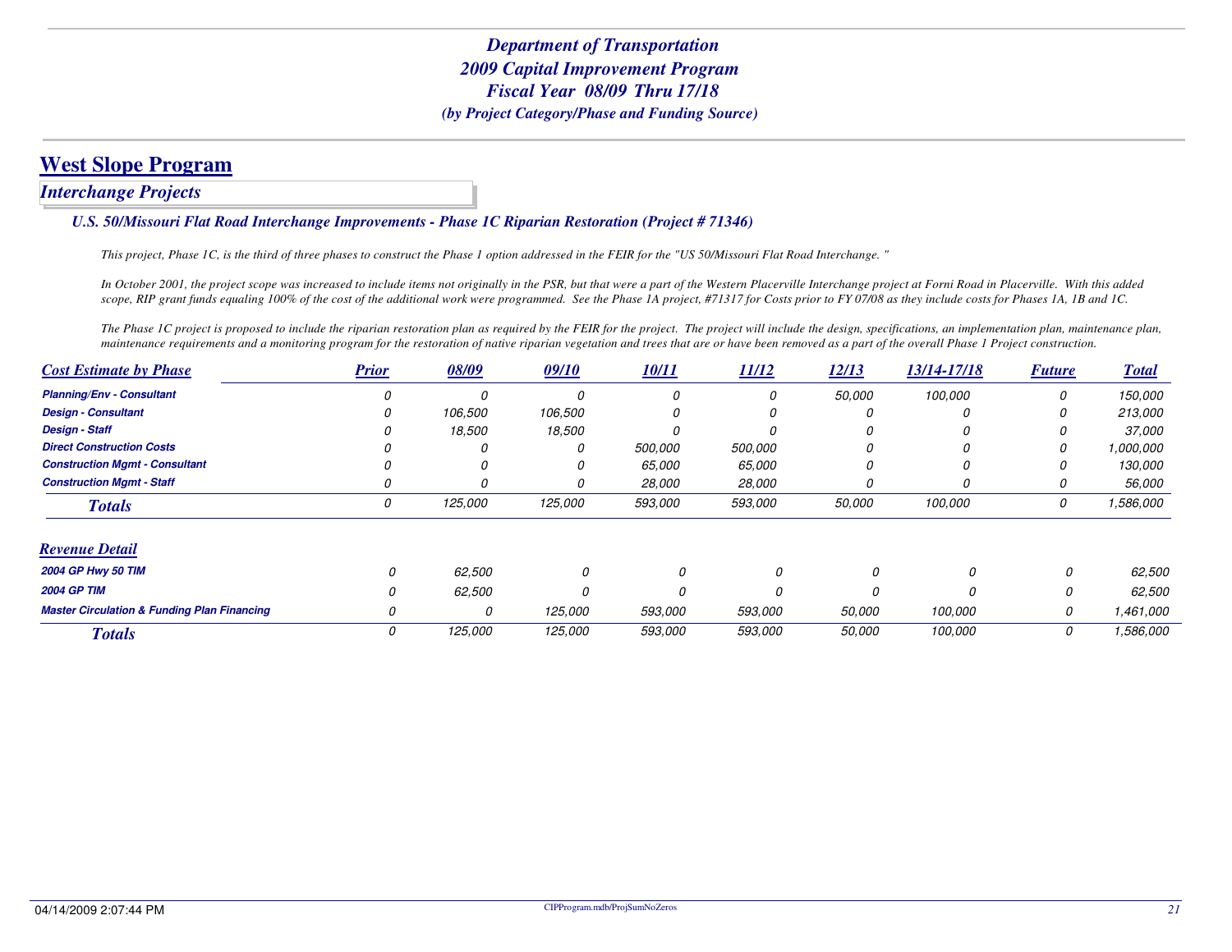*Interchange Projects*

#### *U.S. 50/Missouri Flat Road Interchange Improvements - Phase 1C Riparian Restoration (Project # 71346)*

*This project, Phase 1C, is the third of three phases to construct the Phase 1 option addressed in the FEIR for the "US 50/Missouri Flat Road Interchange. "*

*In October 2001, the project scope was increased to include items not originally in the PSR, but that were a part of the Western Placerville Interchange project at Forni Road in Placerville. With this added scope, RIP grant funds equaling 100% of the cost of the additional work were programmed. See the Phase 1A project, #71317 for Costs prior to FY 07/08 as they include costs for Phases 1A, 1B and 1C.*

The Phase 1C project is proposed to include the riparian restoration plan as required by the FEIR for the project. The project will include the design, specifications, an implementation plan, maintenance plan, *maintenance requirements and a monitoring program for the restoration of native riparian vegetation and trees that are or have been removed as a part of the overall Phase 1 Project construction.*

| <b>Cost Estimate by Phase</b>                          | <b>Prior</b> | 08/09   | 09/10   | 10/11          | 11/12   | 12/13         | 13/14-17/18 | <b>Future</b> | <b>Total</b>  |
|--------------------------------------------------------|--------------|---------|---------|----------------|---------|---------------|-------------|---------------|---------------|
| <b>Planning/Env - Consultant</b>                       |              |         |         |                | 0       | <i>50.000</i> | 100,000     | 0             | 150,000       |
| <b>Design - Consultant</b>                             |              | 106,500 | 106,500 |                | 0       | O             |             | 0             | 213,000       |
| <b>Design - Staff</b>                                  |              | 18,500  | 18,500  |                | 0       |               |             |               | <i>37.000</i> |
| <b>Direct Construction Costs</b>                       |              |         |         | 500.000        | 500,000 |               |             |               | 1,000,000     |
| <b>Construction Mgmt - Consultant</b>                  |              |         |         | 65,000         | 65,000  | O             |             |               | 130,000       |
| <b>Construction Mamt - Staff</b>                       |              |         |         | 28,000         | 28,000  | O             |             |               | 56,000        |
| <b>Totals</b>                                          | 0            | 125,000 | 125,000 | <i>593,000</i> | 593,000 | 50,000        | 100,000     | 0             | 1,586,000     |
| <b>Revenue Detail</b>                                  |              |         |         |                |         |               |             |               |               |
| <b>2004 GP Hwy 50 TIM</b>                              | 0            | 62,500  | 0       | 0              | 0       | O             | O           | 0             | 62,500        |
| <b>2004 GP TIM</b>                                     |              | 62,500  |         | 0              |         |               |             | 0             | 62,500        |
| <b>Master Circulation &amp; Funding Plan Financing</b> | 0            | 0       | 125,000 | 593,000        | 593,000 | 50,000        | 100,000     | 0             | 1,461,000     |
| <b>Totals</b>                                          | 0            | 125,000 | 125,000 | 593,000        | 593,000 | 50,000        | 100,000     | 0             | 1,586,000     |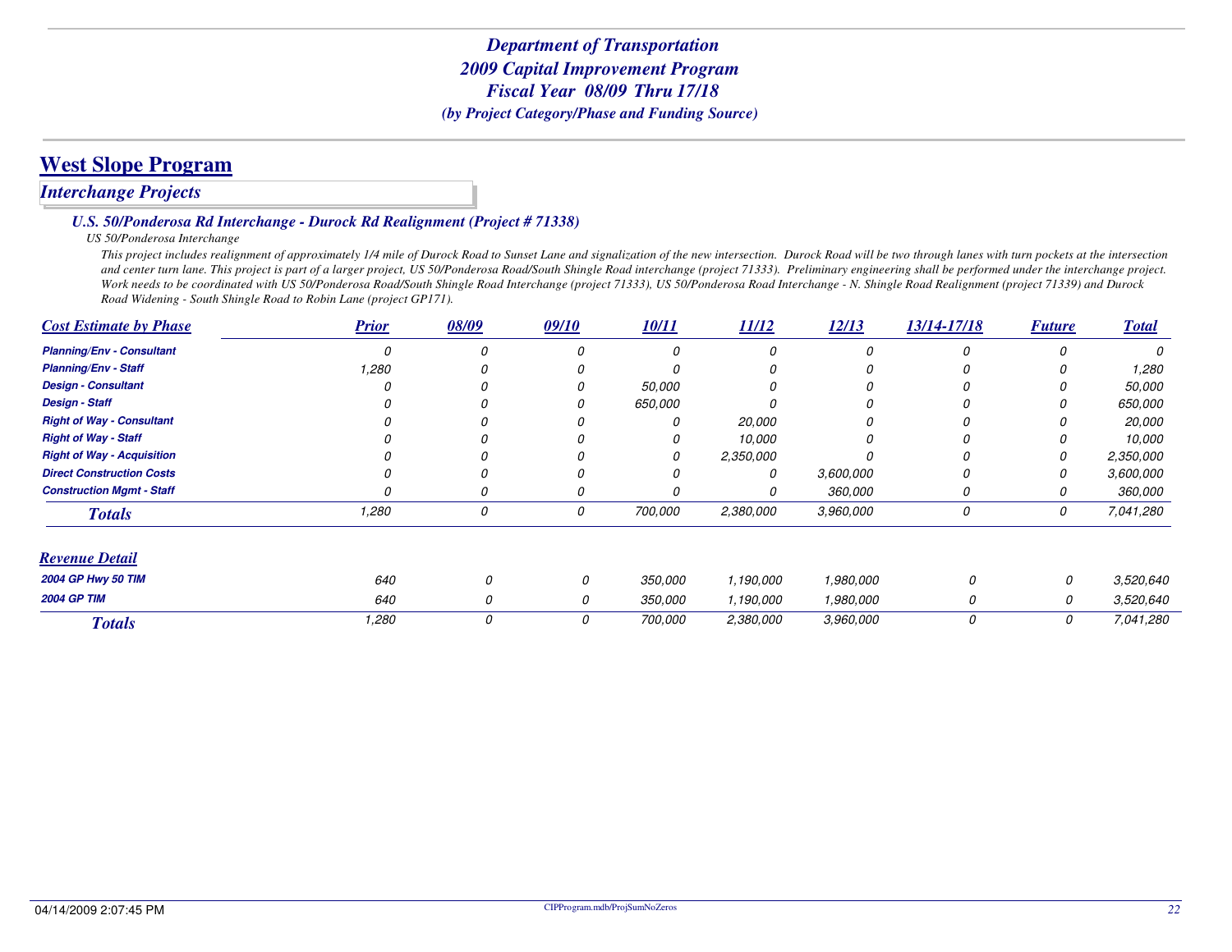# **West Slope Program**

### *Interchange Projects*

#### *U.S. 50/Ponderosa Rd Interchange - Durock Rd Realignment (Project # 71338)*

#### *US 50/Ponderosa Interchange*

 *This project includes realignment of approximately 1/4 mile of Durock Road to Sunset Lane and signalization of the new intersection. Durock Road will be two through lanes with turn pockets at the intersection and center turn lane. This project is part of a larger project, US 50/Ponderosa Road/South Shingle Road interchange (project 71333). Preliminary engineering shall be performed under the interchange project.* Work needs to be coordinated with US 50/Ponderosa Road/South Shingle Road Interchange (project 71333), US 50/Ponderosa Road Interchange - N. Shingle Road Realignment (project 71339) and Durock *Road Widening - South Shingle Road to Robin Lane (project GP171).*

| <b>Cost Estimate by Phase</b>     | <b>Prior</b> | 08/09 | 09/10 | 10/11   | 11/12     | 12/13     | 13/14-17/18 | <b>Future</b> | <b>Total</b>  |
|-----------------------------------|--------------|-------|-------|---------|-----------|-----------|-------------|---------------|---------------|
| <b>Planning/Env - Consultant</b>  |              |       |       | O       | 0         |           | 0           | O             | 0             |
| <b>Planning/Env - Staff</b>       | 1,280        |       |       |         |           |           |             |               | 1,280         |
| <b>Design - Consultant</b>        |              |       |       | 50,000  |           |           |             |               | 50,000        |
| <b>Design - Staff</b>             |              |       |       | 650,000 |           |           |             |               | 650,000       |
| <b>Right of Way - Consultant</b>  |              |       |       |         | 20,000    |           |             |               | <i>20,000</i> |
| <b>Right of Way - Staff</b>       |              |       |       |         | 10,000    |           |             |               | 10,000        |
| <b>Right of Way - Acquisition</b> |              |       |       |         | 2,350,000 |           |             | $\Omega$      | 2,350,000     |
| <b>Direct Construction Costs</b>  |              |       |       |         | 0         | 3,600,000 |             |               | 3,600,000     |
| <b>Construction Mgmt - Staff</b>  |              |       |       |         | 0         | 360,000   | U           | U             | 360,000       |
| <b>Totals</b>                     | 1,280        | 0     | 0     | 700,000 | 2,380,000 | 3,960,000 | 0           | 0             | 7,041,280     |
| <b>Revenue Detail</b>             |              |       |       |         |           |           |             |               |               |
| <b>2004 GP Hwy 50 TIM</b>         | 640          | 0     | 0     | 350,000 | 1,190,000 | 1,980,000 |             | 0             | 3,520,640     |
| <b>2004 GP TIM</b>                | 640          | 0     | 0     | 350,000 | 1,190,000 | 1,980,000 | 0           | 0             | 3,520,640     |
| <b>Totals</b>                     | 1,280        | 0     | 0     | 700,000 | 2,380,000 | 3,960,000 | 0           | 0             | 7,041,280     |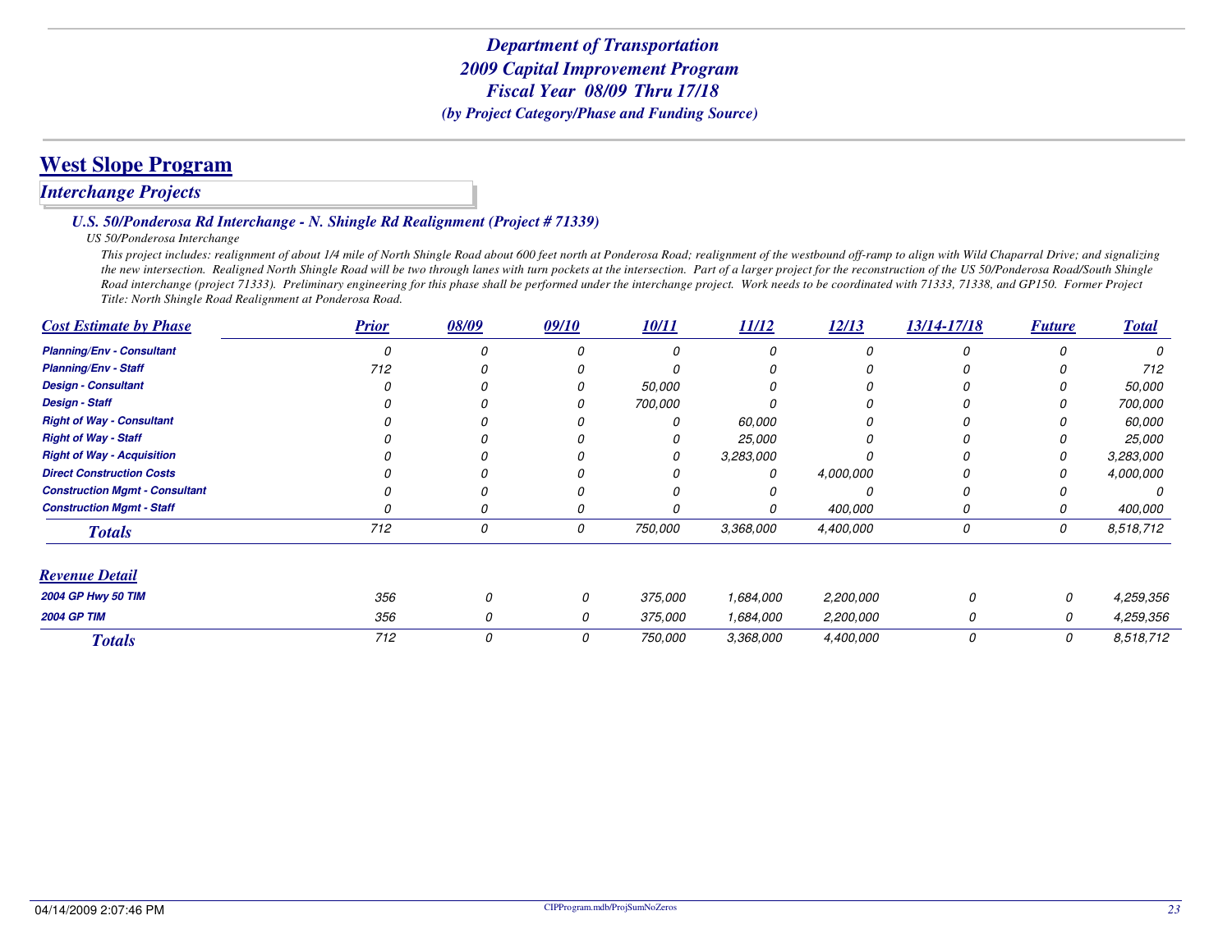## **West Slope Program**

### *Interchange Projects*

#### *U.S. 50/Ponderosa Rd Interchange - N. Shingle Rd Realignment (Project # 71339)*

#### *US 50/Ponderosa Interchange*

 *This project includes: realignment of about 1/4 mile of North Shingle Road about 600 feet north at Ponderosa Road; realignment of the westbound off-ramp to align with Wild Chaparral Drive; and signalizing the new intersection. Realigned North Shingle Road will be two through lanes with turn pockets at the intersection. Part of a larger project for the reconstruction of the US 50/Ponderosa Road/South Shingle Road interchange (project 71333). Preliminary engineering for this phase shall be performed under the interchange project. Work needs to be coordinated with 71333, 71338, and GP150. Former Project Title: North Shingle Road Realignment at Ponderosa Road.*

| <b>Cost Estimate by Phase</b>         | <b>Prior</b> | 08/09 | 09/10 | 10/11   | 11/12     | 12/13     | 13/14-17/18 | <b>Future</b> | <b>Total</b>  |
|---------------------------------------|--------------|-------|-------|---------|-----------|-----------|-------------|---------------|---------------|
| <b>Planning/Env - Consultant</b>      |              |       |       |         |           |           |             |               | 0             |
| <b>Planning/Env - Staff</b>           | 712          |       |       |         |           |           |             |               | 712           |
| <b>Design - Consultant</b>            |              |       |       | 50,000  |           |           |             |               | 50,000        |
| <b>Design - Staff</b>                 |              |       |       | 700,000 |           |           |             |               | 700,000       |
| <b>Right of Way - Consultant</b>      |              |       |       |         | 60,000    |           |             |               | 60,000        |
| <b>Right of Way - Staff</b>           |              |       |       |         | 25,000    |           |             |               | <i>25,000</i> |
| <b>Right of Way - Acquisition</b>     |              |       |       |         | 3,283,000 |           |             |               | 3,283,000     |
| <b>Direct Construction Costs</b>      |              |       |       |         | 0         | 4,000,000 |             |               | 4,000,000     |
| <b>Construction Mgmt - Consultant</b> |              |       |       |         |           |           |             |               |               |
| <b>Construction Mgmt - Staff</b>      |              |       |       |         |           | 400,000   |             |               | 400,000       |
| <b>Totals</b>                         | 712          | 0     | 0     | 750,000 | 3,368,000 | 4,400,000 | 0           | 0             | 8,518,712     |
| <b>Revenue Detail</b>                 |              |       |       |         |           |           |             |               |               |
| <b>2004 GP Hwy 50 TIM</b>             | 356          |       | 0     | 375,000 | 1,684,000 | 2,200,000 |             | 0             | 4,259,356     |
| <b>2004 GP TIM</b>                    | 356          | O     | 0     | 375,000 | 1,684,000 | 2,200,000 | 0           | 0             | 4,259,356     |
| <b>Totals</b>                         | 712          | 0     | 0     | 750,000 | 3,368,000 | 4,400,000 | 0           | 0             | 8,518,712     |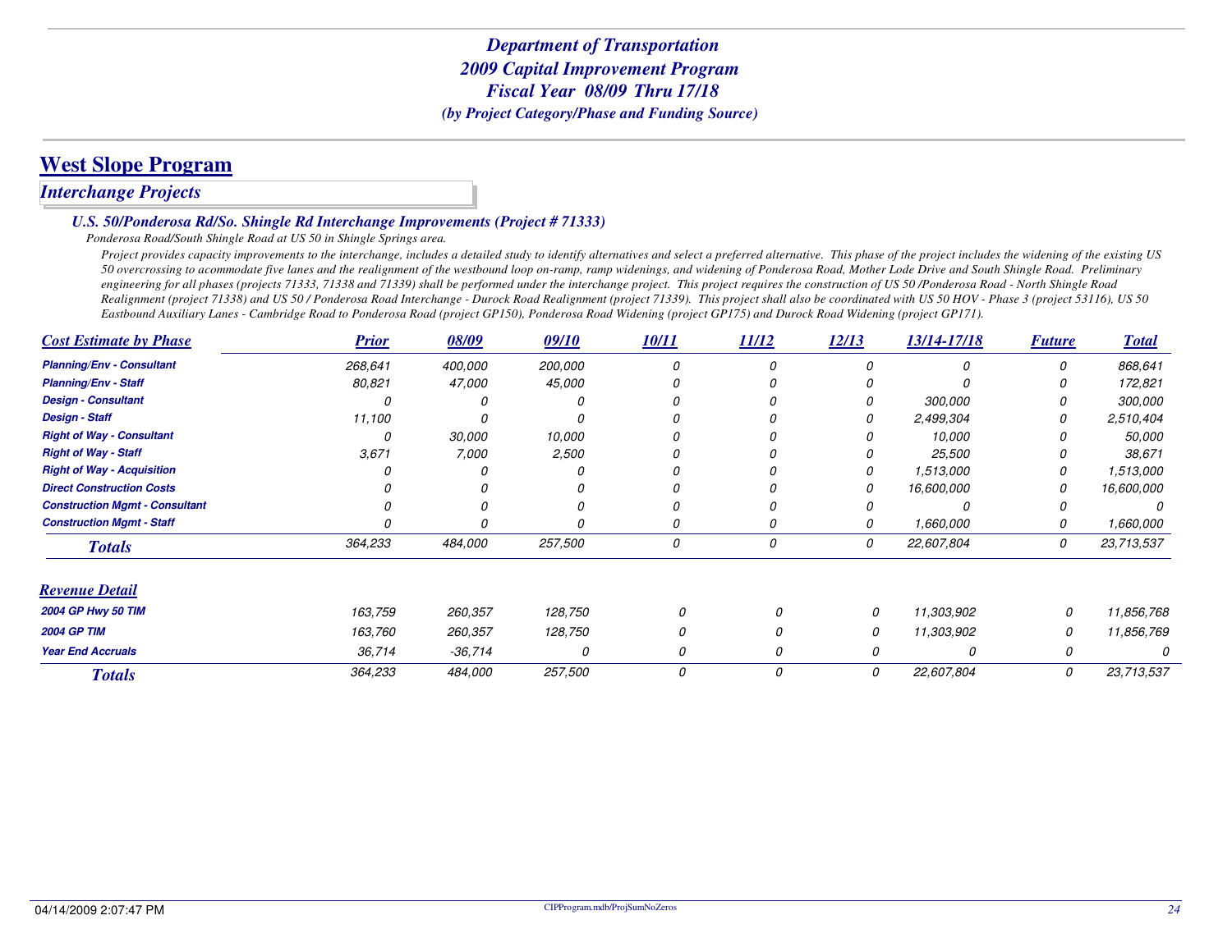### **West Slope Program**

### *Interchange Projects*

#### *U.S. 50/Ponderosa Rd/So. Shingle Rd Interchange Improvements (Project # 71333)*

*Ponderosa Road/South Shingle Road at US 50 in Shingle Springs area.*

*Project provides capacity improvements to the interchange, includes a detailed study to identify alternatives and select a preferred alternative. This phase of the project includes the widening of the existing US 50 overcrossing to acommodate five lanes and the realignment of the westbound loop on-ramp, ramp widenings, and widening of Ponderosa Road, Mother Lode Drive and South Shingle Road. Preliminary engineering for all phases (projects 71333, 71338 and 71339) shall be performed under the interchange project. This project requires the construction of US 50 /Ponderosa Road - North Shingle Road Realignment (project 71338) and US 50 / Ponderosa Road Interchange - Durock Road Realignment (project 71339). This project shall also be coordinated with US 50 HOV - Phase 3 (project 53116), US 50 Eastbound Auxiliary Lanes - Cambridge Road to Ponderosa Road (project GP150), Ponderosa Road Widening (project GP175) and Durock Road Widening (project GP171).*

| <b>Cost Estimate by Phase</b>         | <b>Prior</b> | 08/09     | 09/10   | 10/11 | 11/12 | 12/13 | 13/14-17/18 | <b>Future</b> | <b>Total</b>  |
|---------------------------------------|--------------|-----------|---------|-------|-------|-------|-------------|---------------|---------------|
| <b>Planning/Env - Consultant</b>      | 268,641      | 400,000   | 200,000 |       | Ω     |       |             |               | 868,641       |
| <b>Planning/Env - Staff</b>           | 80,821       | 47,000    | 45,000  |       |       |       |             |               | 172,821       |
| <b>Design - Consultant</b>            |              | Ω         |         |       |       |       | 300,000     |               | 300,000       |
| <b>Design - Staff</b>                 | 11,100       |           |         |       |       |       | 2,499,304   |               | 2,510,404     |
| <b>Right of Way - Consultant</b>      |              | 30,000    | 10,000  |       |       |       | 10,000      |               | <i>50,000</i> |
| <b>Right of Way - Staff</b>           | 3,671        | 7,000     | 2,500   |       |       |       | 25,500      |               | 38,671        |
| <b>Right of Way - Acquisition</b>     |              |           |         |       |       | 0     | 1,513,000   |               | 1,513,000     |
| <b>Direct Construction Costs</b>      |              |           |         |       |       | 0     | 16,600,000  |               | 16,600,000    |
| <b>Construction Mgmt - Consultant</b> |              |           |         |       |       |       |             |               |               |
| <b>Construction Mgmt - Staff</b>      |              | 0         |         |       | 0     | 0     | 1,660,000   |               | 1,660,000     |
| <b>Totals</b>                         | 364,233      | 484,000   | 257,500 | 0     | 0     | 0     | 22,607,804  | 0             | 23,713,537    |
| <b>Revenue Detail</b>                 |              |           |         |       |       |       |             |               |               |
| 2004 GP Hwy 50 TIM                    | 163,759      | 260,357   | 128,750 | 0     | O     | 0     | 11,303,902  | 0             | 11,856,768    |
| <b>2004 GP TIM</b>                    | 163,760      | 260,357   | 128,750 | 0     |       | 0     | 11,303,902  | 0             | 11,856,769    |
| <b>Year End Accruals</b>              | 36,714       | $-36,714$ | 0       | 0     | 0     |       | 0           | 0             |               |
| <b>Totals</b>                         | 364,233      | 484,000   | 257,500 | 0     | 0     | 0     | 22,607,804  | 0             | 23,713,537    |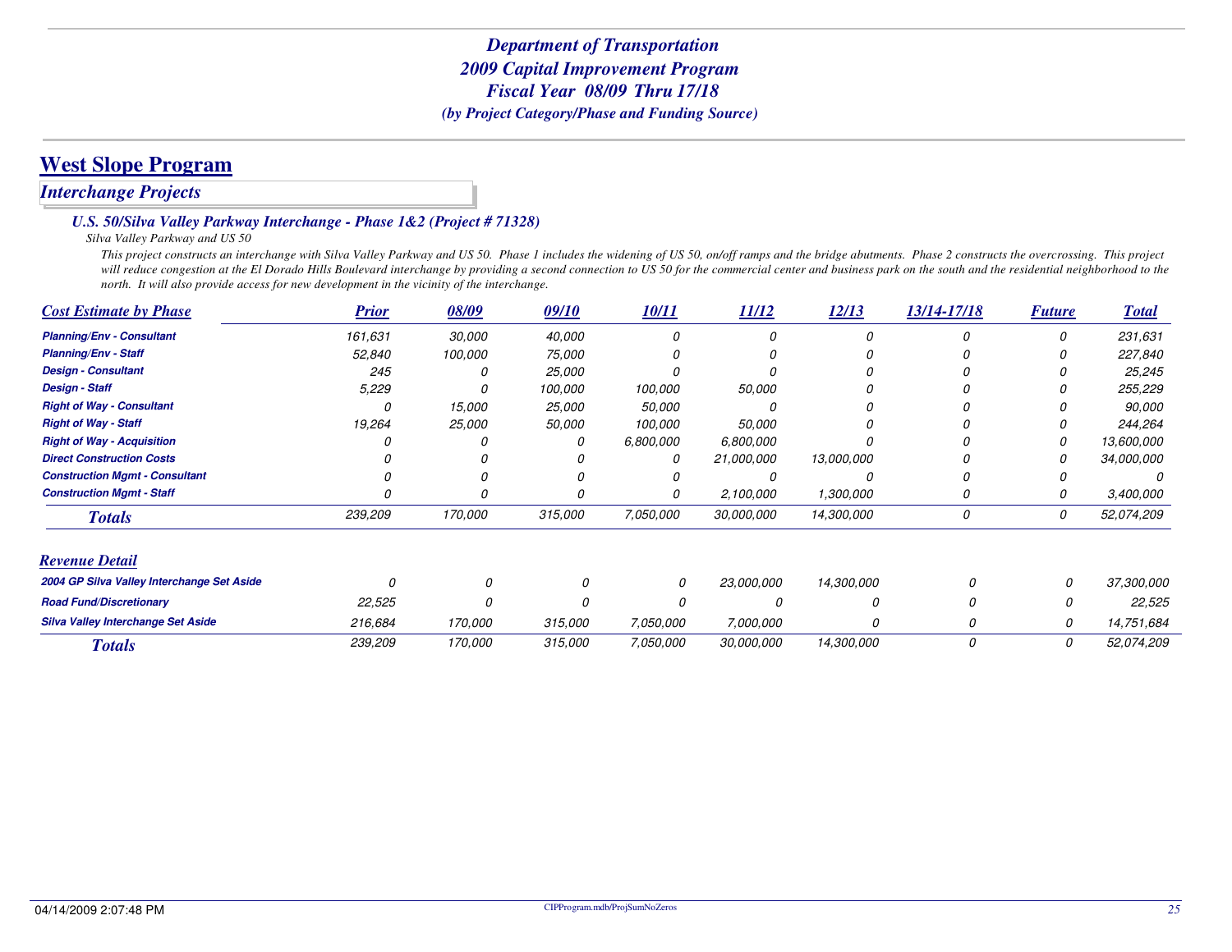## **West Slope Program**

### *Interchange Projects*

#### *U.S. 50/Silva Valley Parkway Interchange - Phase 1&2 (Project # 71328)*

#### *Silva Valley Parkway and US 50*

 *This project constructs an interchange with Silva Valley Parkway and US 50. Phase 1 includes the widening of US 50, on/off ramps and the bridge abutments. Phase 2 constructs the overcrossing. This project* will reduce congestion at the El Dorado Hills Boulevard interchange by providing a second connection to US 50 for the commercial center and business park on the south and the residential neighborhood to the *north. It will also provide access for new development in the vicinity of the interchange.*

| <b>Cost Estimate by Phase</b>              | <b>Prior</b> | 08/09   | 09/10   | 10/11     | 11/12             | 12/13      | 13/14-17/18 | <b>Future</b> | <b>Total</b> |
|--------------------------------------------|--------------|---------|---------|-----------|-------------------|------------|-------------|---------------|--------------|
| <b>Planning/Env - Consultant</b>           | 161,631      | 30,000  | 40,000  |           |                   |            |             | 0             | 231,631      |
| <b>Planning/Env - Staff</b>                | 52,840       | 100,000 | 75,000  |           |                   |            |             |               | 227,840      |
| <b>Design - Consultant</b>                 | 245          |         | 25,000  |           |                   |            |             |               | 25,245       |
| <b>Design - Staff</b>                      | 5,229        |         | 100,000 | 100,000   | 50,000            |            |             |               | 255,229      |
| <b>Right of Way - Consultant</b>           |              | 15,000  | 25,000  | 50,000    |                   |            |             |               | 90,000       |
| <b>Right of Way - Staff</b>                | 19,264       | 25,000  | 50,000  | 100,000   | <i>50.000</i>     |            |             | 0             | 244,264      |
| <b>Right of Way - Acquisition</b>          |              |         | 0       | 6,800,000 | 6,800,000         |            |             | 0             | 13,600,000   |
| <b>Direct Construction Costs</b>           |              |         |         | 0         | 21,000,000        | 13,000,000 |             |               | 34,000,000   |
| <b>Construction Mgmt - Consultant</b>      |              |         |         |           |                   |            |             |               |              |
| <b>Construction Mgmt - Staff</b>           |              |         |         | 0         | 2,100,000         | 1,300,000  |             | 0             | 3,400,000    |
| <b>Totals</b>                              | 239,209      | 170,000 | 315,000 | 7,050,000 | 30,000,000        | 14,300,000 | 0           | 0             | 52,074,209   |
| <b>Revenue Detail</b>                      |              |         |         |           |                   |            |             |               |              |
| 2004 GP Silva Valley Interchange Set Aside |              |         |         | 0         | <i>23.000.000</i> | 14,300,000 | 0           | 0             | 37,300,000   |
| <b>Road Fund/Discretionary</b>             | 22,525       |         | 0       |           |                   | n          | O           | 0             | 22,525       |
| <b>Silva Valley Interchange Set Aside</b>  | 216,684      | 170,000 | 315,000 | 7,050,000 | 7,000,000         | 0          | 0           | 0             | 14,751,684   |
| <b>Totals</b>                              | 239,209      | 170,000 | 315,000 | 7,050,000 | 30,000,000        | 14,300,000 | 0           | 0             | 52,074,209   |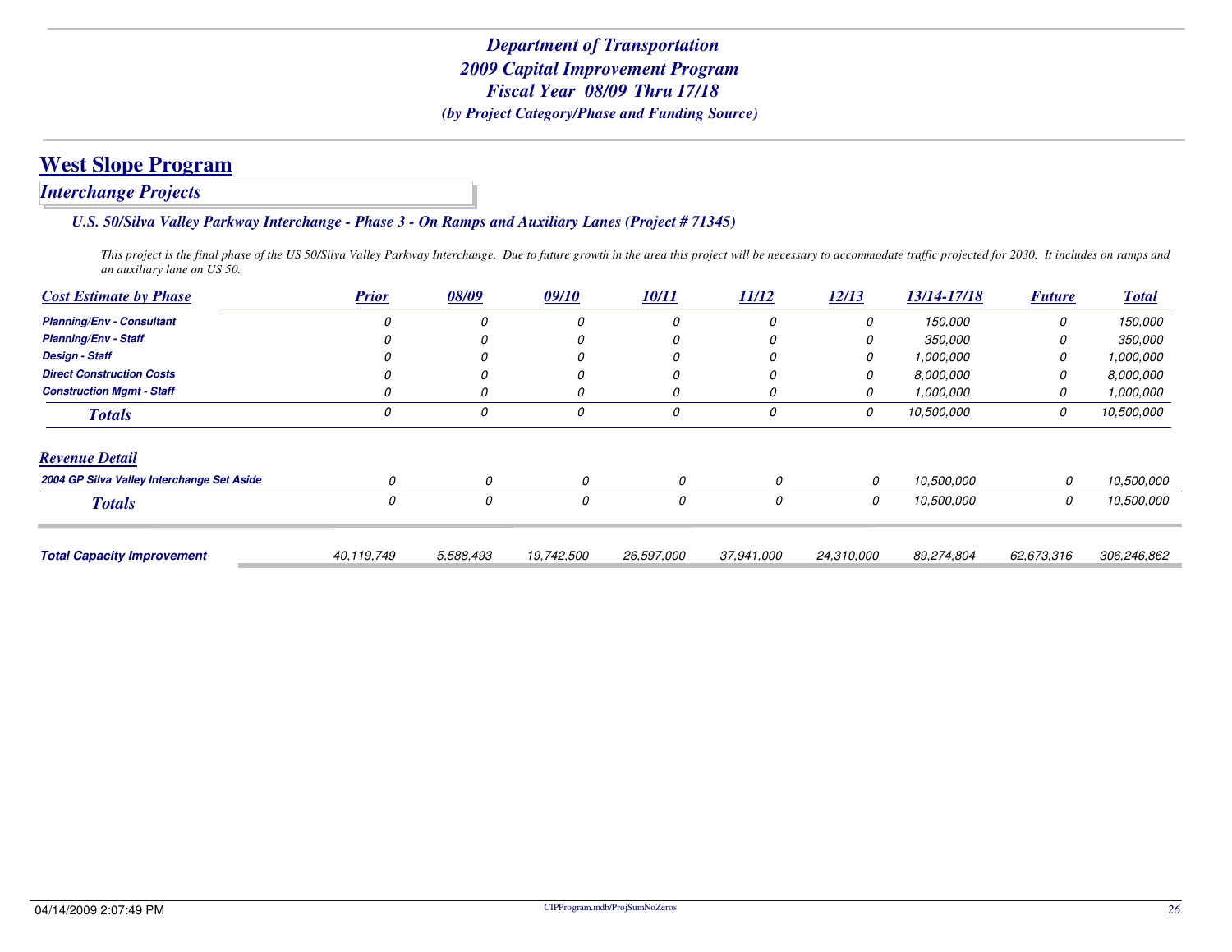### *Interchange Projects*

#### *U.S. 50/Silva Valley Parkway Interchange - Phase 3 - On Ramps and Auxiliary Lanes (Project # 71345)*

*This project is the final phase of the US 50/Silva Valley Parkway Interchange. Due to future growth in the area this project will be necessary to accommodate traffic projected for 2030. It includes on ramps and an auxiliary lane on US 50.*

| <b>Cost Estimate by Phase</b>              | <b>Prior</b> | 08/09     | 09/10      | <u>10/11</u> | 11/12      | 12/13      | 13/14-17/18 | <b>Future</b> | <u><b>Total</b></u> |
|--------------------------------------------|--------------|-----------|------------|--------------|------------|------------|-------------|---------------|---------------------|
| <b>Planning/Env - Consultant</b>           |              | 0         |            |              | 0          | 0          | 150,000     | 0             | 150,000             |
| <b>Planning/Env - Staff</b>                |              | 0         |            |              | 0          | 0          | 350,000     | 0             | 350,000             |
| <b>Design - Staff</b>                      |              | 0         |            |              | 0          | 0          | 1,000,000   | 0             | 1,000,000           |
| <b>Direct Construction Costs</b>           |              |           |            |              | 0          | 0          | 8.000.000   | 0             | 8,000,000           |
| <b>Construction Mgmt - Staff</b>           |              | 0         |            |              | 0          | 0          | 1.000.000   | 0             | 1,000,000           |
| <b>Totals</b>                              |              | 0         | 0          | 0            | 0          | 0          | 10,500,000  | 0             | 10,500,000          |
| <b>Revenue Detail</b>                      |              |           |            |              |            |            |             |               |                     |
| 2004 GP Silva Valley Interchange Set Aside | 0            | 0         | 0          | 0            | 0          | 0          | 10,500,000  | 0             | 10,500,000          |
| <b>Totals</b>                              | 0            | 0         | 0          | 0            | 0          | 0          | 10,500,000  | 0             | 10,500,000          |
|                                            |              |           |            |              |            |            |             |               |                     |
| <b>Total Capacity Improvement</b>          | 40,119,749   | 5,588,493 | 19,742,500 | 26,597,000   | 37,941,000 | 24,310,000 | 89,274,804  | 62,673,316    | 306,246,862         |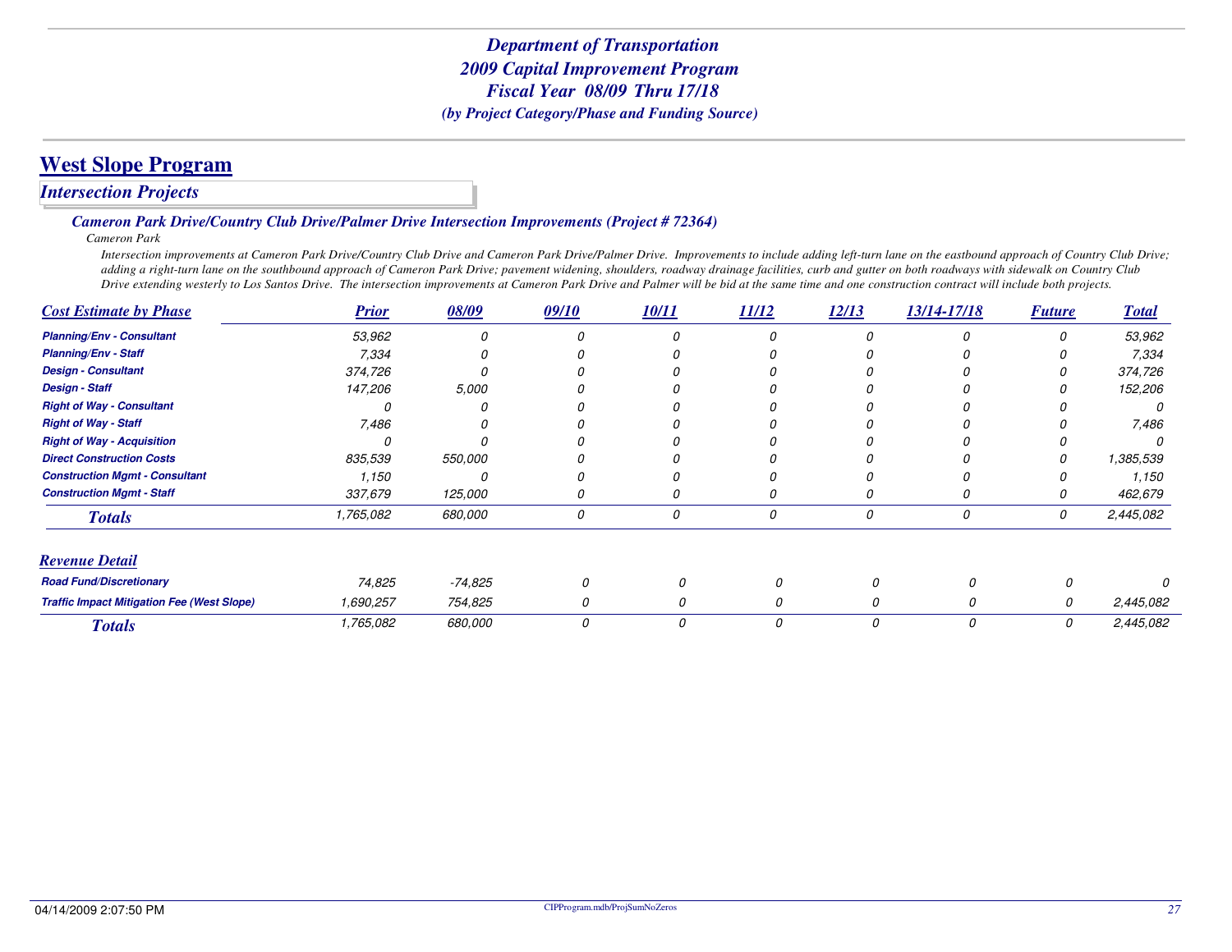## **West Slope Program**

### *Intersection Projects*

#### *Cameron Park Drive/Country Club Drive/Palmer Drive Intersection Improvements (Project # 72364)*

*Cameron Park*

 *Intersection improvements at Cameron Park Drive/Country Club Drive and Cameron Park Drive/Palmer Drive. Improvements to include adding left-turn lane on the eastbound approach of Country Club Drive; adding a right-turn lane on the southbound approach of Cameron Park Drive; pavement widening, shoulders, roadway drainage facilities, curb and gutter on both roadways with sidewalk on Country Club Drive extending westerly to Los Santos Drive. The intersection improvements at Cameron Park Drive and Palmer will be bid at the same time and one construction contract will include both projects.*

| <b>Cost Estimate by Phase</b>                     | <b>Prior</b> | 08/09   | 09/10 | 10/11 | 11/12 | 12/13 | 13/14-17/18 | <b>Future</b> | <b>Total</b> |
|---------------------------------------------------|--------------|---------|-------|-------|-------|-------|-------------|---------------|--------------|
| <b>Planning/Env - Consultant</b>                  | 53,962       |         |       |       |       |       |             | O             | 53,962       |
| <b>Planning/Env - Staff</b>                       | 7,334        |         |       |       |       |       |             |               | 7,334        |
| <b>Design - Consultant</b>                        | 374,726      |         |       |       |       |       |             |               | 374,726      |
| <b>Design - Staff</b>                             | 147,206      | 5,000   |       |       |       |       |             |               | 152,206      |
| <b>Right of Way - Consultant</b>                  |              |         |       |       |       |       |             |               |              |
| <b>Right of Way - Staff</b>                       | 7,486        |         |       |       |       |       |             |               | 7,486        |
| <b>Right of Way - Acquisition</b>                 |              |         |       |       |       |       |             |               |              |
| <b>Direct Construction Costs</b>                  | 835,539      | 550,000 |       |       |       |       |             |               | 1,385,539    |
| <b>Construction Mgmt - Consultant</b>             | 1,150        |         |       |       |       |       |             |               | 1,150        |
| <b>Construction Mgmt - Staff</b>                  | 337,679      | 125,000 |       |       |       |       |             |               | 462,679      |
| <b>Totals</b>                                     | 1,765,082    | 680,000 | 0     | 0     | 0     | 0     | 0           | 0             | 2,445,082    |
| <b>Revenue Detail</b>                             |              |         |       |       |       |       |             |               |              |
| <b>Road Fund/Discretionary</b>                    | 74,825       | -74,825 |       |       |       | 0     |             |               |              |
| <b>Traffic Impact Mitigation Fee (West Slope)</b> | 1,690,257    | 754,825 | 0     | 0     | 0     | 0     | 0           | 0             | 2,445,082    |
| <b>Totals</b>                                     | 1,765,082    | 680,000 | 0     | 0     | 0     | 0     | 0           | 0             | 2,445,082    |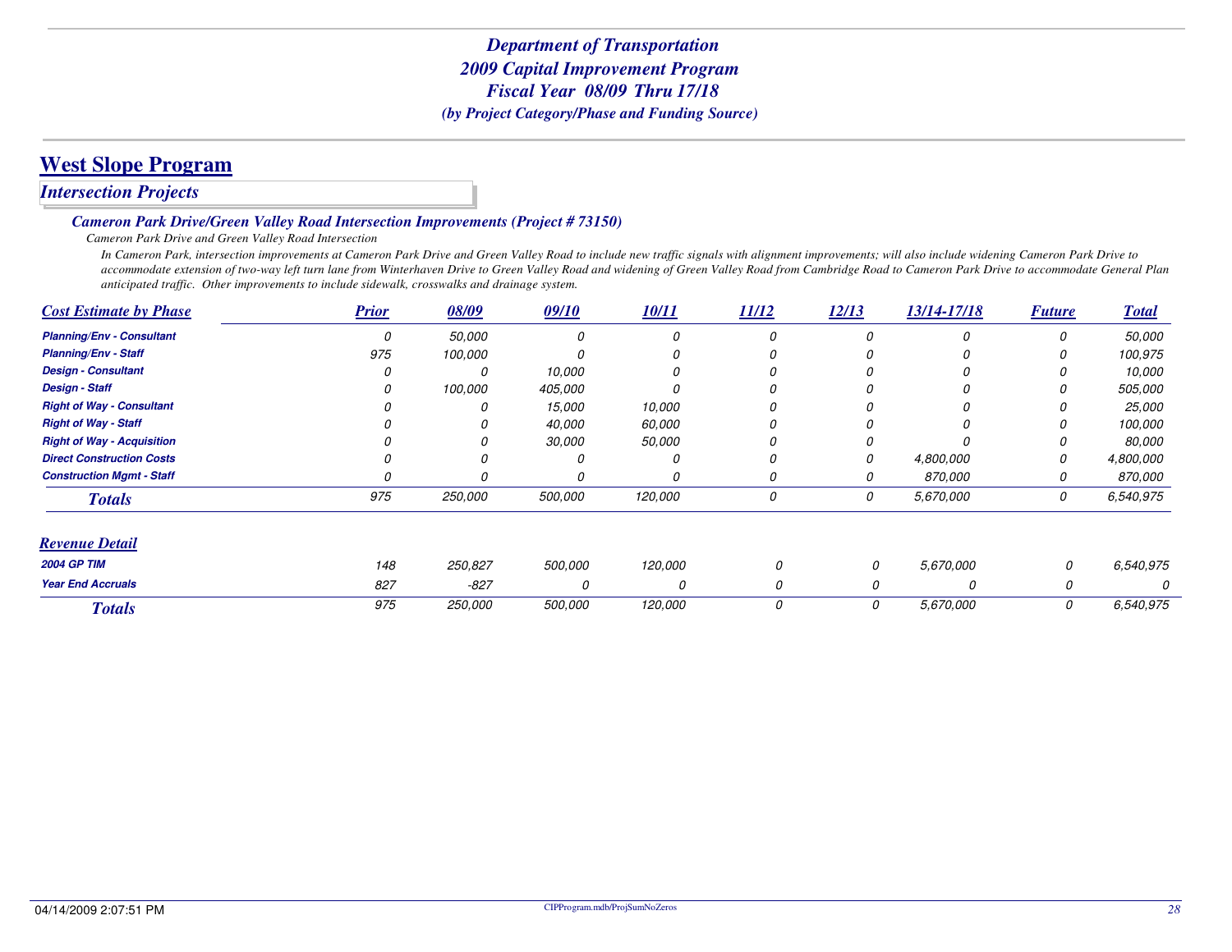## **West Slope Program**

### *Intersection Projects*

#### *Cameron Park Drive/Green Valley Road Intersection Improvements (Project # 73150)*

#### *Cameron Park Drive and Green Valley Road Intersection*

 *In Cameron Park, intersection improvements at Cameron Park Drive and Green Valley Road to include new traffic signals with alignment improvements; will also include widening Cameron Park Drive to accommodate extension of two-way left turn lane from Winterhaven Drive to Green Valley Road and widening of Green Valley Road from Cambridge Road to Cameron Park Drive to accommodate General Plan anticipated traffic. Other improvements to include sidewalk, crosswalks and drainage system.*

| <b>Cost Estimate by Phase</b>     | <b>Prior</b> | 08/09   | 09/10    | 10/11   | 11/12 | 12/13    | 13/14-17/18 | <b>Future</b> | <b>Total</b> |
|-----------------------------------|--------------|---------|----------|---------|-------|----------|-------------|---------------|--------------|
| <b>Planning/Env - Consultant</b>  | 0            | 50,000  | $\Omega$ | 0       | 0     |          | 0           | 0             | 50,000       |
| <b>Planning/Env - Staff</b>       | 975          | 100,000 |          | O       | 0     |          |             |               | 100,975      |
| <b>Design - Consultant</b>        |              |         | 10,000   | O       | 0     |          |             |               | 10,000       |
| <b>Design - Staff</b>             |              | 100,000 | 405,000  |         |       |          |             |               | 505,000      |
| <b>Right of Way - Consultant</b>  |              |         | 15,000   | 10,000  | 0     |          |             |               | 25,000       |
| <b>Right of Way - Staff</b>       |              |         | 40,000   | 60,000  | 0     |          |             |               | 100,000      |
| <b>Right of Way - Acquisition</b> |              |         | 30,000   | 50,000  | 0     |          |             |               | 80,000       |
| <b>Direct Construction Costs</b>  |              |         |          | 0       | 0     |          | 4,800,000   | 0             | 4,800,000    |
| <b>Construction Mgmt - Staff</b>  |              |         |          | 0       | 0     |          | 870,000     | 0             | 870,000      |
| <b>Totals</b>                     | 975          | 250,000 | 500,000  | 120,000 | 0     | 0        | 5,670,000   | 0             | 6,540,975    |
| <b>Revenue Detail</b>             |              |         |          |         |       |          |             |               |              |
| <b>2004 GP TIM</b>                | 148          | 250,827 | 500,000  | 120,000 |       | 0        | 5,670,000   | 0             | 6,540,975    |
| <b>Year End Accruals</b>          | 827          | $-827$  | 0        | 0       |       | $\Omega$ | 0           | 0             |              |
| <b>Totals</b>                     | 975          | 250,000 | 500,000  | 120,000 | 0     | 0        | 5,670,000   | 0             | 6,540,975    |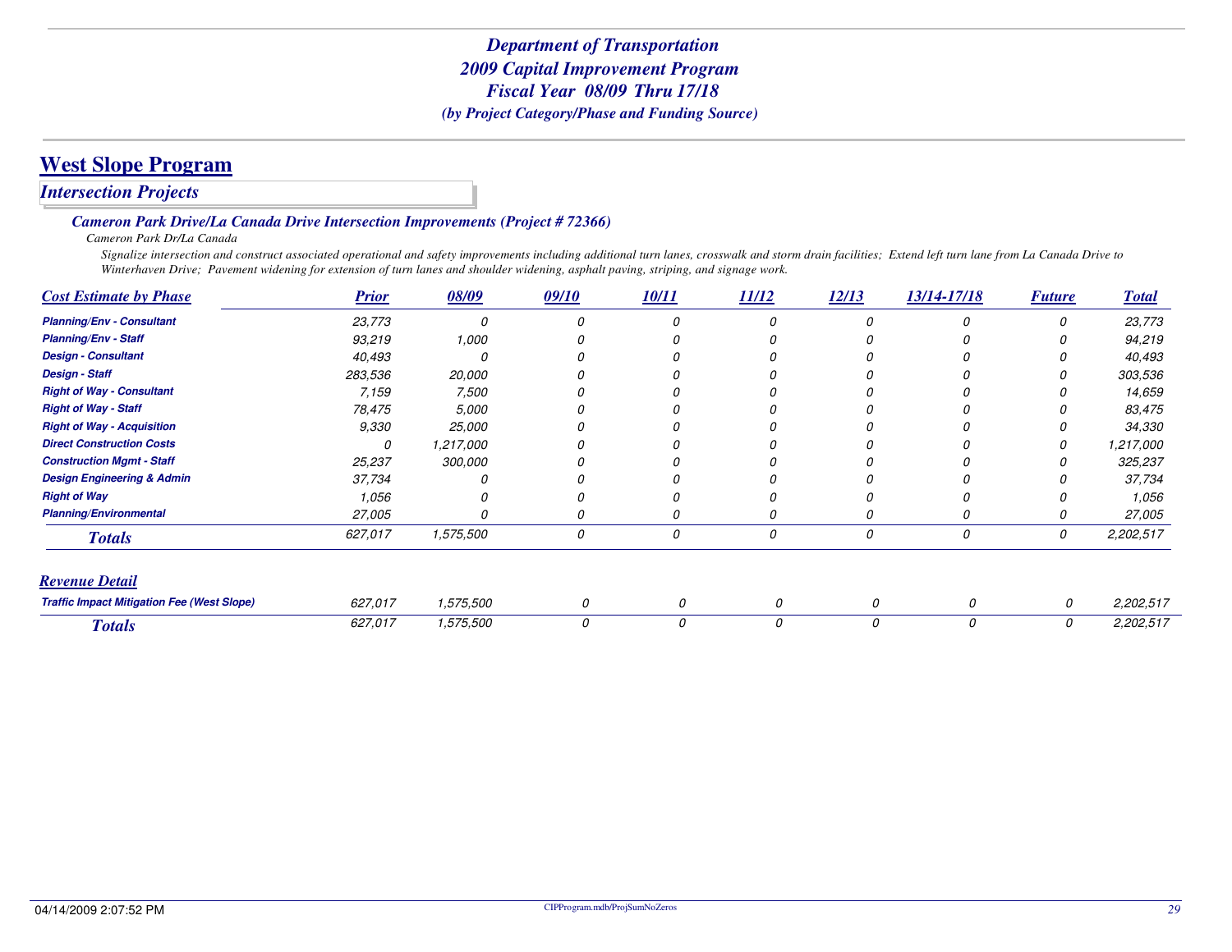### *Intersection Projects*

#### *Cameron Park Drive/La Canada Drive Intersection Improvements (Project # 72366)*

*Cameron Park Dr/La Canada*

 *Signalize intersection and construct associated operational and safety improvements including additional turn lanes, crosswalk and storm drain facilities; Extend left turn lane from La Canada Drive to Winterhaven Drive; Pavement widening for extension of turn lanes and shoulder widening, asphalt paving, striping, and signage work.*

| <b>Cost Estimate by Phase</b>                     | <b>Prior</b> | 08/09     | 09/10 | 10/11 | 11/12    | 12/13 | 13/14-17/18 | <b>Future</b> | <b>Total</b> |
|---------------------------------------------------|--------------|-----------|-------|-------|----------|-------|-------------|---------------|--------------|
| <b>Planning/Env - Consultant</b>                  | 23,773       |           |       |       | 0        |       |             |               | 23,773       |
| <b>Planning/Env - Staff</b>                       | 93,219       | 1,000     |       |       |          |       |             |               | 94,219       |
| <b>Design - Consultant</b>                        | 40,493       |           |       |       |          |       |             |               | 40,493       |
| <b>Design - Staff</b>                             | 283,536      | 20,000    |       |       |          |       |             |               | 303,536      |
| <b>Right of Way - Consultant</b>                  | 7,159        | 7,500     |       |       |          |       |             |               | 14,659       |
| <b>Right of Way - Staff</b>                       | 78,475       | 5,000     |       |       |          |       |             |               | 83,475       |
| <b>Right of Way - Acquisition</b>                 | 9.330        | 25,000    |       |       |          |       |             |               | 34,330       |
| <b>Direct Construction Costs</b>                  | Ω            | 1,217,000 |       |       |          |       |             |               | 1,217,000    |
| <b>Construction Mgmt - Staff</b>                  | 25,237       | 300,000   |       |       |          |       |             |               | 325,237      |
| <b>Design Engineering &amp; Admin</b>             | 37,734       |           |       |       |          |       |             |               | 37,734       |
| <b>Right of Way</b>                               | 1,056        |           |       |       |          |       |             |               | 1,056        |
| <b>Planning/Environmental</b>                     | 27,005       |           | 0     | O     |          |       |             |               | 27,005       |
| <b>Totals</b>                                     | 627,017      | 1,575,500 | 0     | 0     | 0        | 0     | 0           | 0             | 2,202,517    |
| <b>Revenue Detail</b>                             |              |           |       |       |          |       |             |               |              |
| <b>Traffic Impact Mitigation Fee (West Slope)</b> | 627,017      | 1,575,500 | 0     | 0     |          | 0     | 0           | 0             | 2,202,517    |
| <b>Totals</b>                                     | 627,017      | 1,575,500 | 0     | 0     | $\Omega$ | 0     | 0           | 0             | 2,202,517    |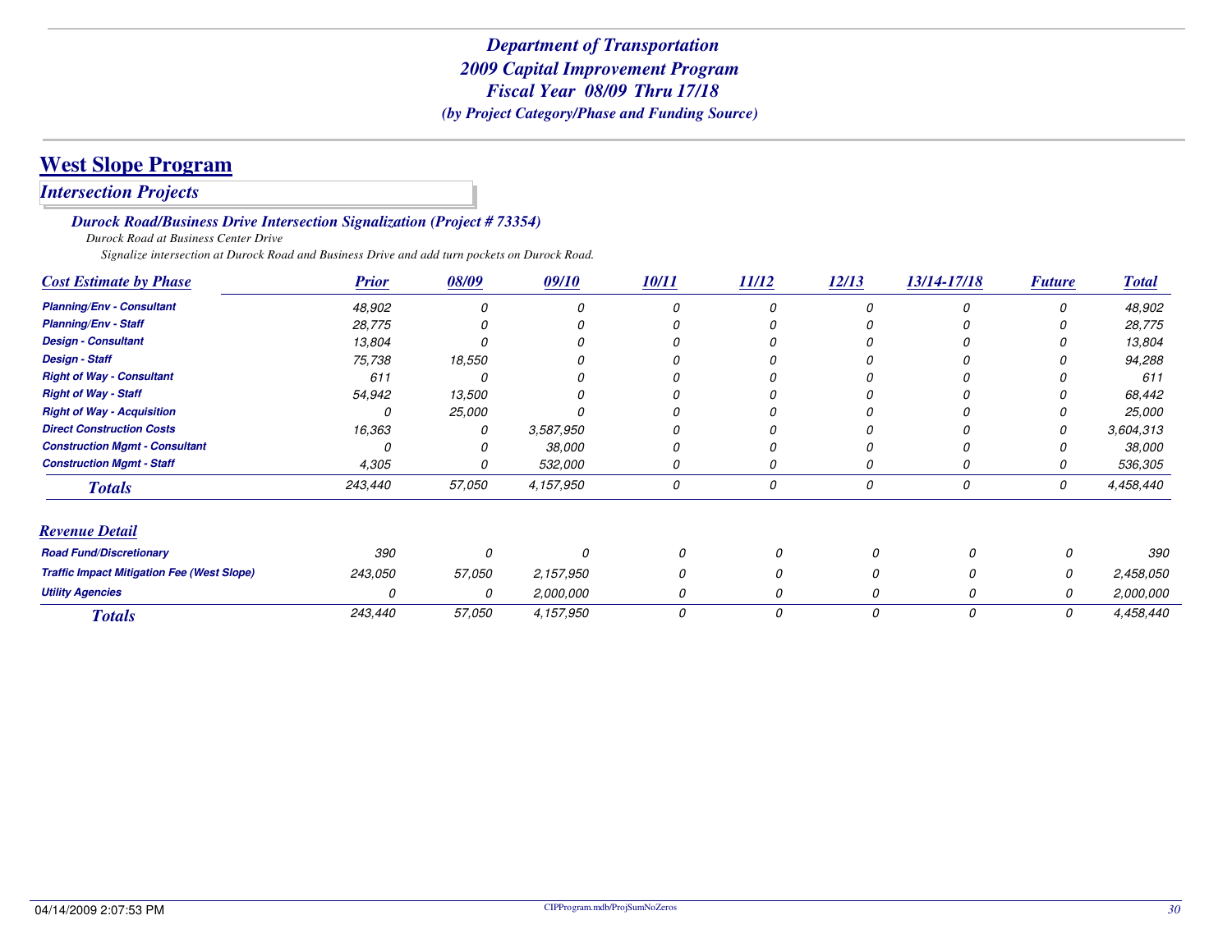# **West Slope Program**

### *Intersection Projects*

#### *Durock Road/Business Drive Intersection Signalization (Project # 73354)*

*Durock Road at Business Center Drive*

*Signalize intersection at Durock Road and Business Drive and add turn pockets on Durock Road.*

| <b>Cost Estimate by Phase</b>                     | <b>Prior</b> | 08/09    | 09/10     | 10/11 | 11/12    | 12/13 | 13/14-17/18 | <b>Future</b> | <b>Total</b> |
|---------------------------------------------------|--------------|----------|-----------|-------|----------|-------|-------------|---------------|--------------|
| <b>Planning/Env - Consultant</b>                  | 48,902       | 0        |           |       |          |       |             |               | 48,902       |
| <b>Planning/Env - Staff</b>                       | 28,775       |          |           |       |          |       |             |               | 28,775       |
| <b>Design - Consultant</b>                        | 13,804       |          |           |       |          |       |             |               | 13,804       |
| <b>Design - Staff</b>                             | 75,738       | 18,550   |           |       |          |       |             |               | 94,288       |
| <b>Right of Way - Consultant</b>                  | 611          |          |           |       |          |       |             |               | 611          |
| <b>Right of Way - Staff</b>                       | 54,942       | 13,500   |           |       |          |       |             |               | 68,442       |
| <b>Right of Way - Acquisition</b>                 |              | 25,000   |           |       |          |       |             |               | 25,000       |
| <b>Direct Construction Costs</b>                  | 16,363       | 0        | 3,587,950 |       |          |       |             |               | 3,604,313    |
| <b>Construction Mgmt - Consultant</b>             |              |          | 38,000    |       |          |       |             |               | 38,000       |
| <b>Construction Mgmt - Staff</b>                  | 4,305        | Ω        | 532,000   | 0     | 0        | O     | 0           |               | 536,305      |
| <b>Totals</b>                                     | 243,440      | 57,050   | 4,157,950 | 0     | 0        | 0     | 0           | 0             | 4,458,440    |
| <b>Revenue Detail</b>                             |              |          |           |       |          |       |             |               |              |
| <b>Road Fund/Discretionary</b>                    | 390          | $\Omega$ |           |       | $\Omega$ |       |             |               | 390          |
| <b>Traffic Impact Mitigation Fee (West Slope)</b> | 243,050      | 57,050   | 2,157,950 | 0     | 0        |       | O           | 0             | 2,458,050    |
| <b>Utility Agencies</b>                           | 0            | 0        | 2,000,000 | 0     | 0        |       |             | 0             | 2,000,000    |
| <b>Totals</b>                                     | 243,440      | 57,050   | 4,157,950 | 0     | 0        | 0     | 0           | 0             | 4,458,440    |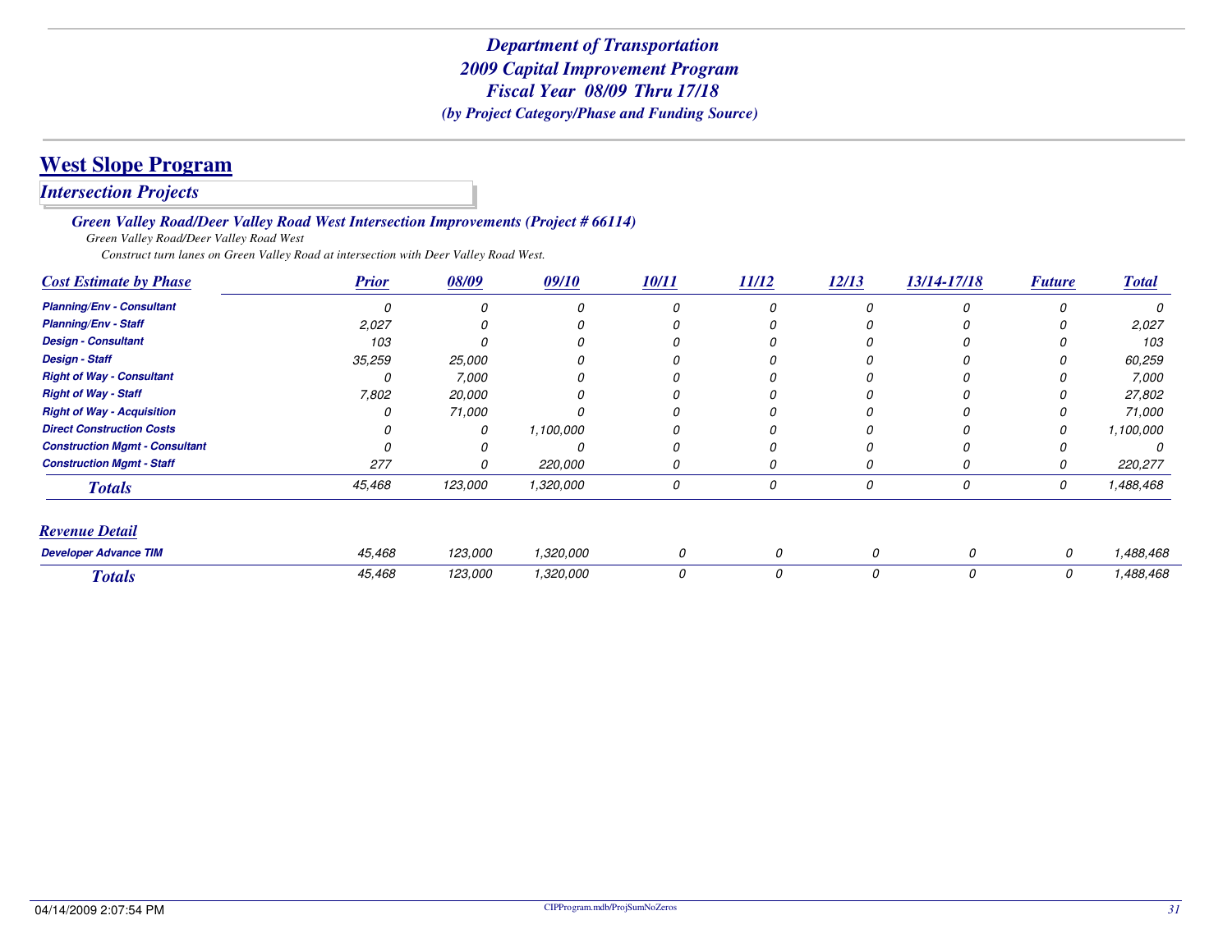## **West Slope Program**

*Intersection Projects*

*Green Valley Road/Deer Valley Road West Intersection Improvements (Project # 66114)*

*Green Valley Road/Deer Valley Road West*

*Construct turn lanes on Green Valley Road at intersection with Deer Valley Road West.*

| <b>Cost Estimate by Phase</b>         | <b>Prior</b> | 08/09   | 09/10     | 10/11 | 11/12 | 12/13 | 13/14-17/18 | <b>Future</b> | <b>Total</b> |
|---------------------------------------|--------------|---------|-----------|-------|-------|-------|-------------|---------------|--------------|
| <b>Planning/Env - Consultant</b>      |              |         |           |       | 0     |       | n           |               |              |
| <b>Planning/Env - Staff</b>           | 2,027        |         |           |       |       |       |             |               | 2,027        |
| <b>Design - Consultant</b>            | 103          |         |           |       |       |       |             |               | 103          |
| <b>Design - Staff</b>                 | 35,259       | 25,000  |           |       |       |       |             |               | 60,259       |
| <b>Right of Way - Consultant</b>      |              | 7,000   |           |       |       |       |             |               | 7,000        |
| <b>Right of Way - Staff</b>           | 7,802        | 20,000  |           |       |       |       |             |               | 27,802       |
| <b>Right of Way - Acquisition</b>     |              | 71,000  |           |       |       |       |             |               | 71,000       |
| <b>Direct Construction Costs</b>      |              | 0       | 1,100,000 |       |       |       |             |               | 1,100,000    |
| <b>Construction Mgmt - Consultant</b> |              |         |           |       |       |       |             |               |              |
| <b>Construction Mgmt - Staff</b>      | 277          |         | 220,000   |       | 0     |       |             |               | 220,277      |
| <b>Totals</b>                         | 45,468       | 123,000 | 1,320,000 | 0     | 0     | 0     | 0           | 0             | 1,488,468    |
| <b>Revenue Detail</b>                 |              |         |           |       |       |       |             |               |              |
| <b>Developer Advance TIM</b>          | 45,468       | 123,000 | 1,320,000 | 0     | 0     | 0     | 0           | 0             | 1,488,468    |
| <b>Totals</b>                         | 45,468       | 123,000 | 1,320,000 | 0     | 0     | 0     | 0           | 0             | 1,488,468    |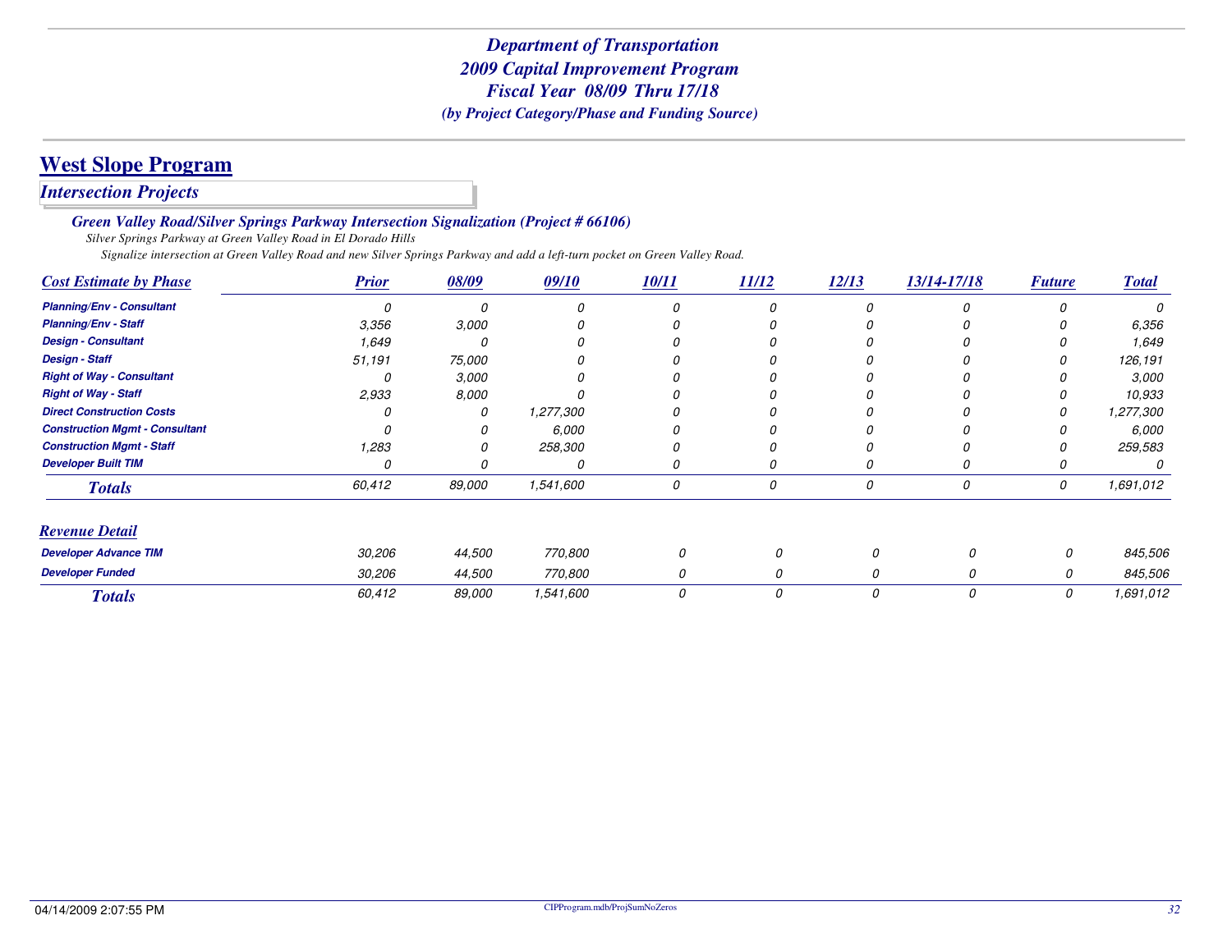## **West Slope Program**

*Intersection Projects*

*Green Valley Road/Silver Springs Parkway Intersection Signalization (Project # 66106)*

*Silver Springs Parkway at Green Valley Road in El Dorado Hills*

*Signalize intersection at Green Valley Road and new Silver Springs Parkway and add a left-turn pocket on Green Valley Road.*

| <b>Cost Estimate by Phase</b>         | <b>Prior</b> | 08/09  | 09/10     | 10/11 | 11/12 | 12/13    | 13/14-17/18 | <b>Future</b> | <b>Total</b> |
|---------------------------------------|--------------|--------|-----------|-------|-------|----------|-------------|---------------|--------------|
| <b>Planning/Env - Consultant</b>      | 0            |        | $\Omega$  |       |       |          |             |               |              |
| <b>Planning/Env - Staff</b>           | 3,356        | 3,000  |           |       |       |          |             |               | 6,356        |
| <b>Design - Consultant</b>            | 1,649        |        |           |       |       |          |             |               | 1,649        |
| <b>Design - Staff</b>                 | 51,191       | 75,000 |           |       |       |          |             |               | 126,191      |
| <b>Right of Way - Consultant</b>      | 0            | 3,000  |           |       |       |          |             |               | 3,000        |
| <b>Right of Way - Staff</b>           | 2,933        | 8,000  |           |       |       |          |             |               | 10,933       |
| <b>Direct Construction Costs</b>      |              | 0      | 1,277,300 |       |       |          |             |               | 1,277,300    |
| <b>Construction Mgmt - Consultant</b> |              |        | 6,000     |       |       |          |             |               | 6,000        |
| <b>Construction Mgmt - Staff</b>      | 1,283        |        | 258,300   |       |       |          |             |               | 259,583      |
| <b>Developer Built TIM</b>            | 0            |        | 0         |       |       |          |             |               |              |
| <b>Totals</b>                         | 60,412       | 89,000 | 1,541,600 | 0     | 0     | 0        | 0           | 0             | 1,691,012    |
| <b>Revenue Detail</b>                 |              |        |           |       |       |          |             |               |              |
| <b>Developer Advance TIM</b>          | 30,206       | 44,500 | 770,800   | 0     | 0     | $\Omega$ | Ω           | 0             | 845,506      |
| <b>Developer Funded</b>               | 30,206       | 44,500 | 770,800   | 0     | 0     | 0        | 0           | 0             | 845,506      |
| <b>Totals</b>                         | 60,412       | 89,000 | 1,541,600 | 0     | 0     | 0        | 0           | 0             | 1,691,012    |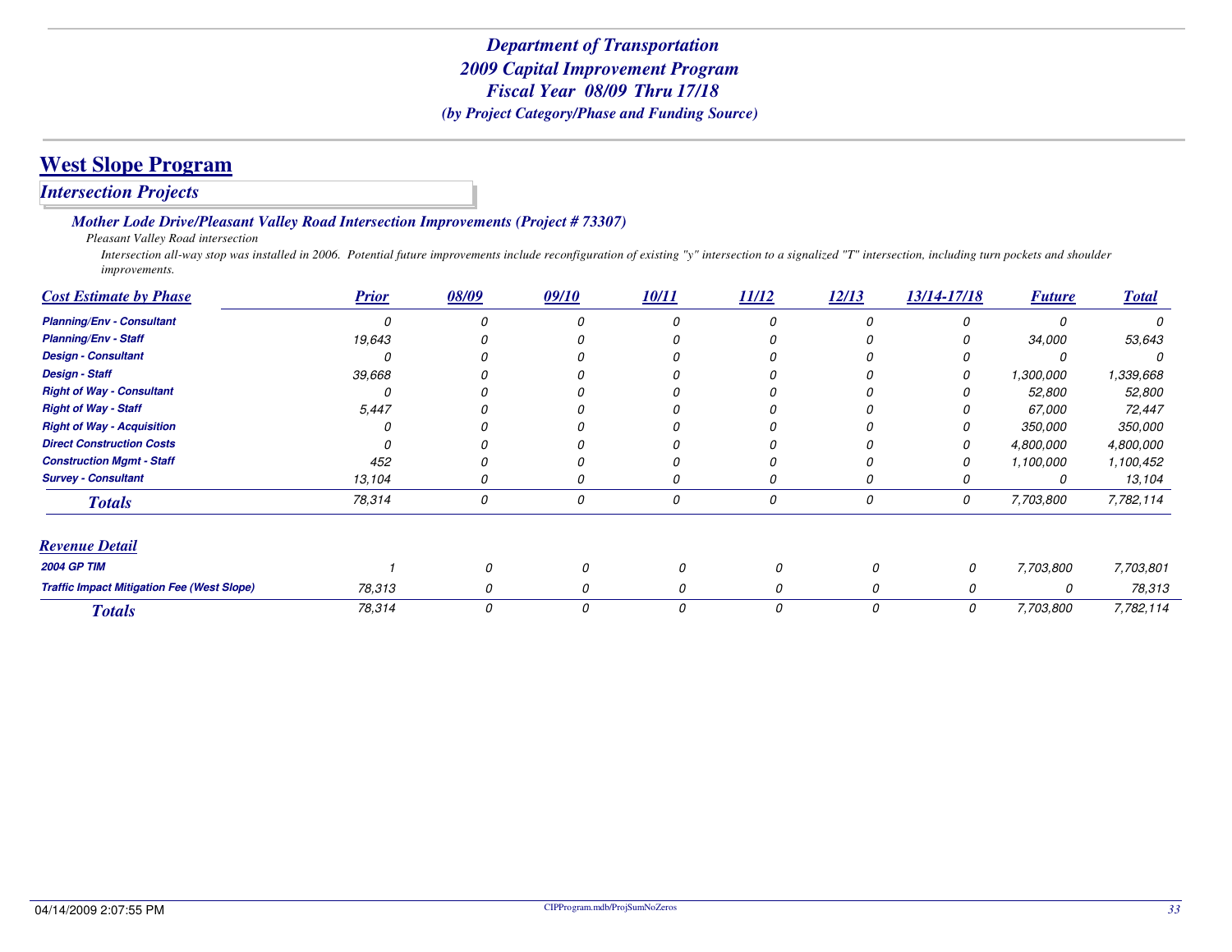#### *Intersection Projects*

#### *Mother Lode Drive/Pleasant Valley Road Intersection Improvements (Project # 73307)*

*Pleasant Valley Road intersection*

 *Intersection all-way stop was installed in 2006. Potential future improvements include reconfiguration of existing "y" intersection to a signalized "T" intersection, including turn pockets and shoulder improvements.*

| <b>Cost Estimate by Phase</b>                     | <b>Prior</b> | 08/09 | 09/10 | 10/11 | 11/12 | 12/13 | 13/14-17/18 | <b>Future</b>  | <b>Total</b> |
|---------------------------------------------------|--------------|-------|-------|-------|-------|-------|-------------|----------------|--------------|
| <b>Planning/Env - Consultant</b>                  | Ω            |       |       |       | 0     |       |             |                |              |
| <b>Planning/Env - Staff</b>                       | 19,643       |       |       |       |       |       |             | 34,000         | 53,643       |
| <b>Design - Consultant</b>                        |              |       |       |       |       |       |             |                |              |
| <b>Design - Staff</b>                             | 39,668       |       |       |       |       |       |             | 1,300,000      | 1,339,668    |
| <b>Right of Way - Consultant</b>                  |              |       |       |       |       |       |             | 52,800         | 52,800       |
| <b>Right of Way - Staff</b>                       | 5,447        |       |       |       |       |       |             | 67,000         | 72,447       |
| <b>Right of Way - Acquisition</b>                 |              |       |       |       |       |       |             | <i>350,000</i> | 350,000      |
| <b>Direct Construction Costs</b>                  |              |       |       |       |       |       |             | 4,800,000      | 4,800,000    |
| <b>Construction Mgmt - Staff</b>                  | 452          |       |       |       |       |       |             | 1,100,000      | 1,100,452    |
| <b>Survey - Consultant</b>                        | 13,104       |       |       |       | 0     |       |             |                | 13,104       |
| <b>Totals</b>                                     | 78,314       | 0     | 0     | 0     | 0     | 0     | 0           | 7,703,800      | 7,782,114    |
| <b>Revenue Detail</b>                             |              |       |       |       |       |       |             |                |              |
| <b>2004 GP TIM</b>                                |              |       |       | 0     |       |       | 0           | 7,703,800      | 7,703,801    |
| <b>Traffic Impact Mitigation Fee (West Slope)</b> | 78,313       | 0     |       | 0     |       | 0     | 0           | 0              | 78,313       |
| <b>Totals</b>                                     | 78,314       | 0     | 0     | 0     | 0     | 0     | 0           | 7,703,800      | 7,782,114    |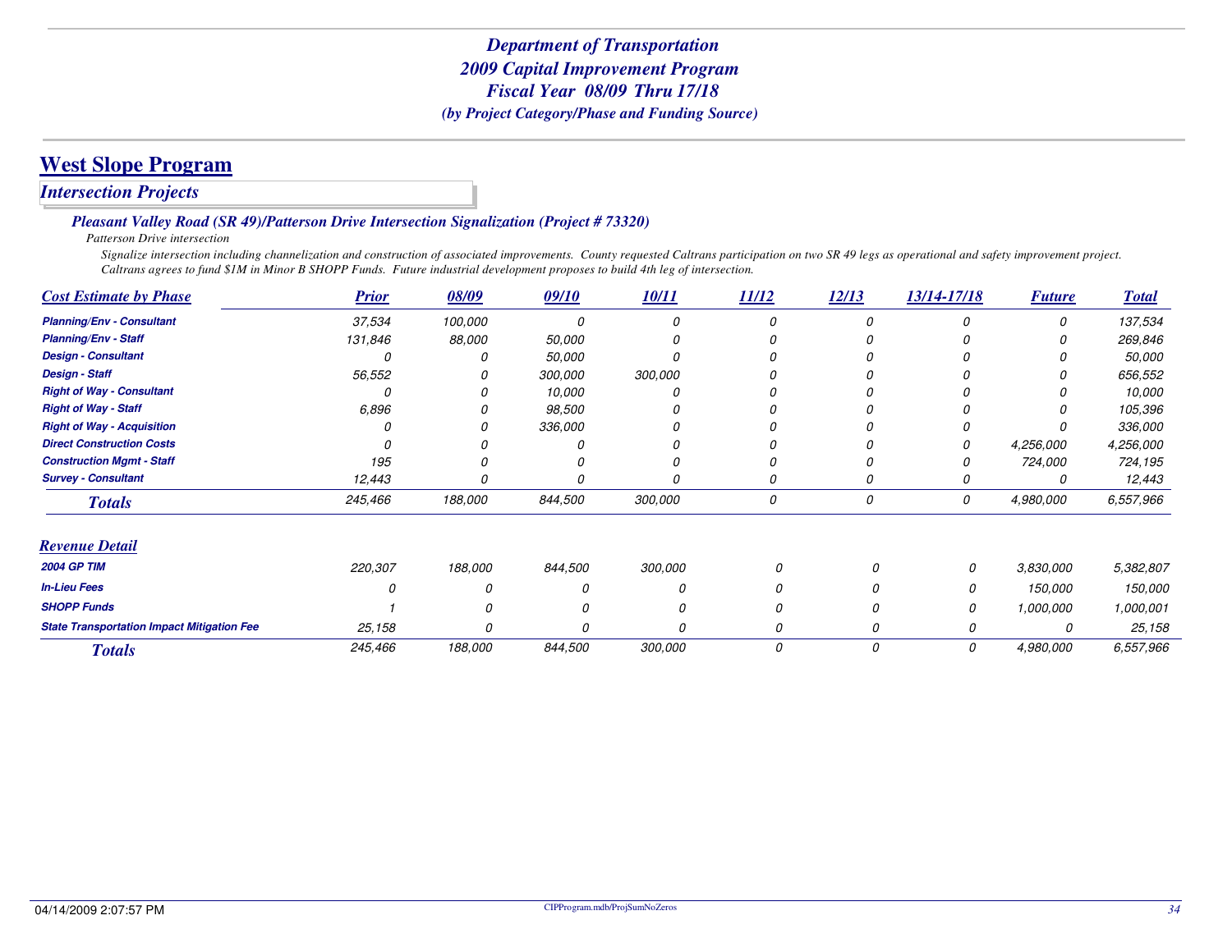### *Intersection Projects*

#### *Pleasant Valley Road (SR 49)/Patterson Drive Intersection Signalization (Project # 73320)*

*Patterson Drive intersection*

 *Signalize intersection including channelization and construction of associated improvements. County requested Caltrans participation on two SR 49 legs as operational and safety improvement project. Caltrans agrees to fund \$1M in Minor B SHOPP Funds. Future industrial development proposes to build 4th leg of intersection.*

| <b>Cost Estimate by Phase</b>                     | <b>Prior</b> | 08/09   | 09/10   | 10/11   | 11/12 | 12/13 | 13/14-17/18 | <b>Future</b> | <b>Total</b> |
|---------------------------------------------------|--------------|---------|---------|---------|-------|-------|-------------|---------------|--------------|
| <b>Planning/Env - Consultant</b>                  | 37,534       | 100,000 | n       |         |       |       |             | $\Omega$      | 137,534      |
| <b>Planning/Env - Staff</b>                       | 131,846      | 88,000  | 50,000  |         |       |       |             |               | 269,846      |
| <b>Design - Consultant</b>                        |              |         | 50,000  |         |       |       |             |               | 50,000       |
| <b>Design - Staff</b>                             | 56,552       |         | 300,000 | 300,000 |       |       |             |               | 656,552      |
| <b>Right of Way - Consultant</b>                  |              |         | 10,000  |         |       |       |             |               | 10,000       |
| <b>Right of Way - Staff</b>                       | 6,896        |         | 98,500  |         |       |       |             |               | 105,396      |
| <b>Right of Way - Acquisition</b>                 |              |         | 336,000 |         |       |       |             |               | 336,000      |
| <b>Direct Construction Costs</b>                  |              |         |         |         |       |       | 0           | 4,256,000     | 4,256,000    |
| <b>Construction Mgmt - Staff</b>                  | 195          |         |         |         |       |       |             | 724,000       | 724,195      |
| <b>Survey - Consultant</b>                        | 12,443       |         |         |         |       |       |             | 0             | 12,443       |
| <b>Totals</b>                                     | 245,466      | 188,000 | 844,500 | 300,000 | 0     | 0     | 0           | 4,980,000     | 6,557,966    |
| <b>Revenue Detail</b>                             |              |         |         |         |       |       |             |               |              |
| <b>2004 GP TIM</b>                                | 220,307      | 188,000 | 844,500 | 300,000 |       | 0     | 0           | 3,830,000     | 5,382,807    |
| <b>In-Lieu Fees</b>                               |              |         |         |         |       | 0     | 0           | 150,000       | 150,000      |
| <b>SHOPP Funds</b>                                |              |         |         |         |       | 0     | 0           | 1,000,000     | 1,000,001    |
| <b>State Transportation Impact Mitigation Fee</b> | 25,158       |         |         | Ω       |       | 0     | 0           | 0             | 25,158       |
| <b>Totals</b>                                     | 245,466      | 188,000 | 844,500 | 300,000 | 0     | 0     | 0           | 4,980,000     | 6,557,966    |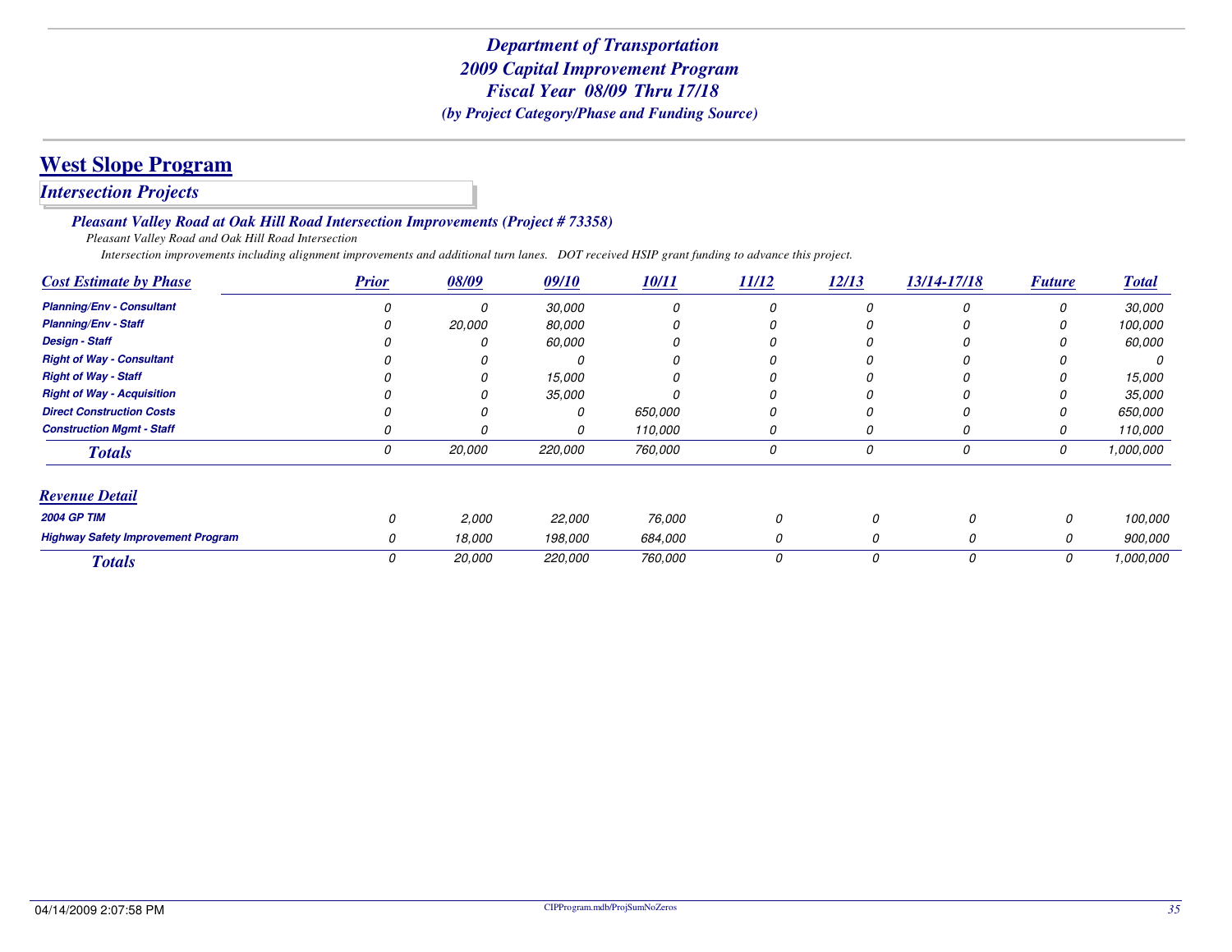*Intersection Projects*

*Pleasant Valley Road at Oak Hill Road Intersection Improvements (Project # 73358)*

*Pleasant Valley Road and Oak Hill Road Intersection*

*Intersection improvements including alignment improvements and additional turn lanes. DOT received HSIP grant funding to advance this project.*

| <b>Cost Estimate by Phase</b>             | <b>Prior</b> | 08/09  | 09/10   | 10/11   | 11/12 | 12/13 | 13/14-17/18 | <b>Future</b> | <b>Total</b> |
|-------------------------------------------|--------------|--------|---------|---------|-------|-------|-------------|---------------|--------------|
| <b>Planning/Env - Consultant</b>          |              |        | 30,000  | 0       | 0     |       | 0           | 0             | 30,000       |
| <b>Planning/Env - Staff</b>               |              | 20,000 | 80,000  | 0       |       |       |             |               | 100,000      |
| <b>Design - Staff</b>                     |              |        | 60,000  | 0       |       |       |             |               | 60,000       |
| <b>Right of Way - Consultant</b>          |              |        |         | 0       |       |       |             |               | 0            |
| <b>Right of Way - Staff</b>               |              |        | 15,000  |         |       |       |             | 0             | 15,000       |
| <b>Right of Way - Acquisition</b>         |              |        | 35,000  |         |       |       |             |               | 35,000       |
| <b>Direct Construction Costs</b>          |              |        | 0       | 650.000 |       |       |             |               | 650,000      |
| <b>Construction Mgmt - Staff</b>          |              |        | 0       | 110,000 | 0     |       | 0           | 0             | 110,000      |
| <b>Totals</b>                             | 0            | 20,000 | 220,000 | 760,000 | 0     |       | 0           | 0             | 1,000,000    |
| <b>Revenue Detail</b>                     |              |        |         |         |       |       |             |               |              |
| <b>2004 GP TIM</b>                        | 0            | 2,000  | 22,000  | 76,000  |       | 0     | 0           | 0             | 100,000      |
| <b>Highway Safety Improvement Program</b> |              | 18,000 | 198,000 | 684,000 |       | 0     | 0           | 0             | 900,000      |
| <b>Totals</b>                             | 0            | 20,000 | 220,000 | 760,000 |       | 0     | 0           | 0             | 1,000,000    |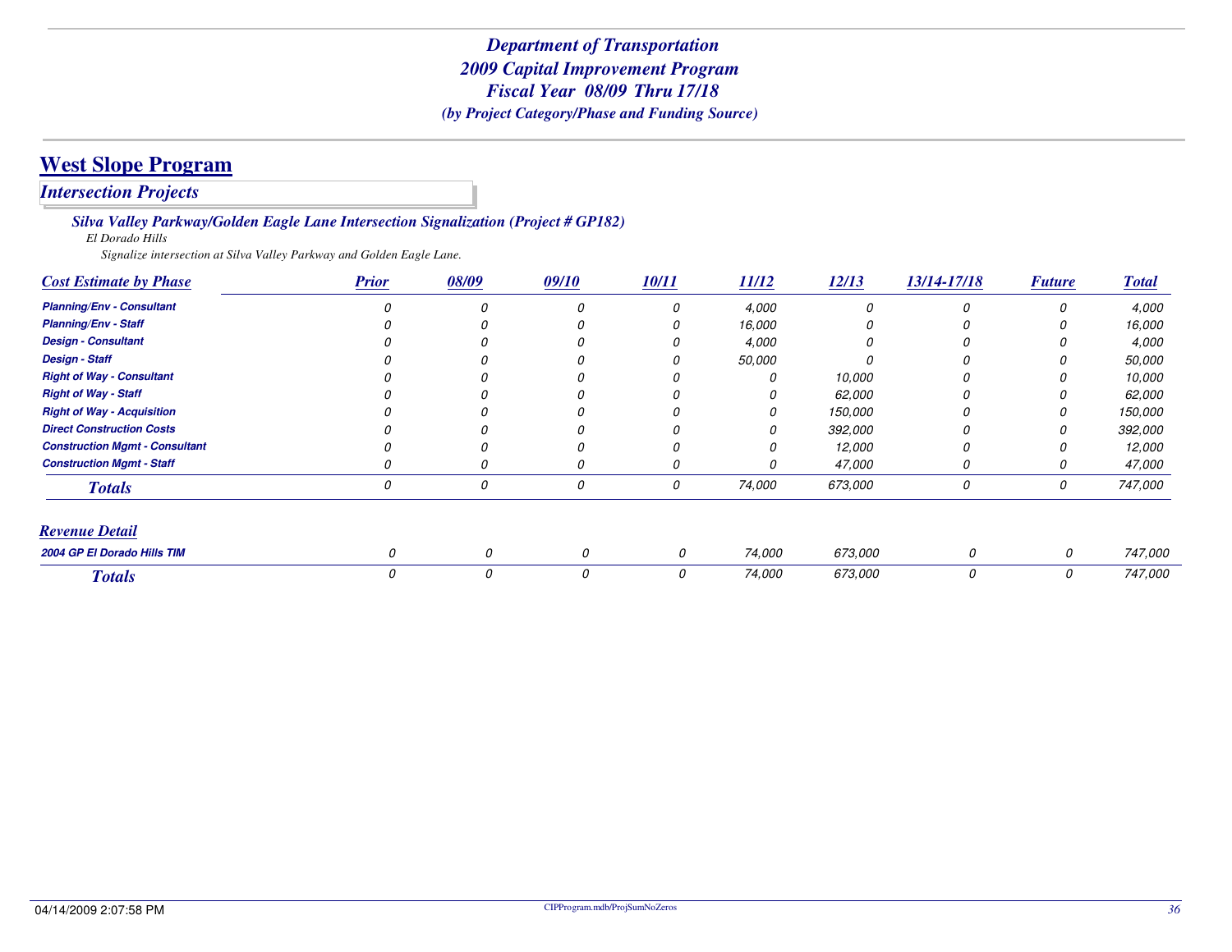*Intersection Projects*

*Silva Valley Parkway/Golden Eagle Lane Intersection Signalization (Project # GP182)*

*El Dorado Hills*

*Signalize intersection at Silva Valley Parkway and Golden Eagle Lane.*

| <b>Cost Estimate by Phase</b>         | <b>Prior</b> | 08/09 | 09/10 | 10/11 | 11/12  | 12/13   | 13/14-17/18 | <b>Future</b> | <b>Total</b> |
|---------------------------------------|--------------|-------|-------|-------|--------|---------|-------------|---------------|--------------|
| <b>Planning/Env - Consultant</b>      |              |       |       | O     | 4,000  |         |             | $\Omega$      | 4,000        |
| <b>Planning/Env - Staff</b>           |              |       |       |       | 16,000 |         |             |               | 16,000       |
| <b>Design - Consultant</b>            |              |       |       |       | 4,000  |         |             |               | 4,000        |
| <b>Design - Staff</b>                 |              |       |       |       | 50,000 |         |             |               | 50,000       |
| <b>Right of Way - Consultant</b>      |              |       |       |       | 0      | 10,000  |             |               | 10,000       |
| <b>Right of Way - Staff</b>           |              |       |       |       | 0      | 62,000  |             |               | 62,000       |
| <b>Right of Way - Acquisition</b>     |              |       |       |       | Ω      | 150,000 |             |               | 150,000      |
| <b>Direct Construction Costs</b>      |              |       |       |       |        | 392,000 |             |               | 392,000      |
| <b>Construction Mgmt - Consultant</b> |              |       |       |       |        | 12,000  |             |               | 12,000       |
| <b>Construction Mgmt - Staff</b>      |              |       |       |       | 0      | 47,000  |             |               | 47,000       |
| <b>Totals</b>                         | 0            |       | 0     | 0     | 74,000 | 673,000 | 0           | 0             | 747,000      |
| <b>Revenue Detail</b>                 |              |       |       |       |        |         |             |               |              |
| 2004 GP El Dorado Hills TIM           | $\Omega$     | 0     | 0     | 0     | 74,000 | 673,000 | 0           | 0             | 747,000      |
| <b>Totals</b>                         | 0            | 0     | 0     | 0     | 74,000 | 673,000 | 0           | 0             | 747,000      |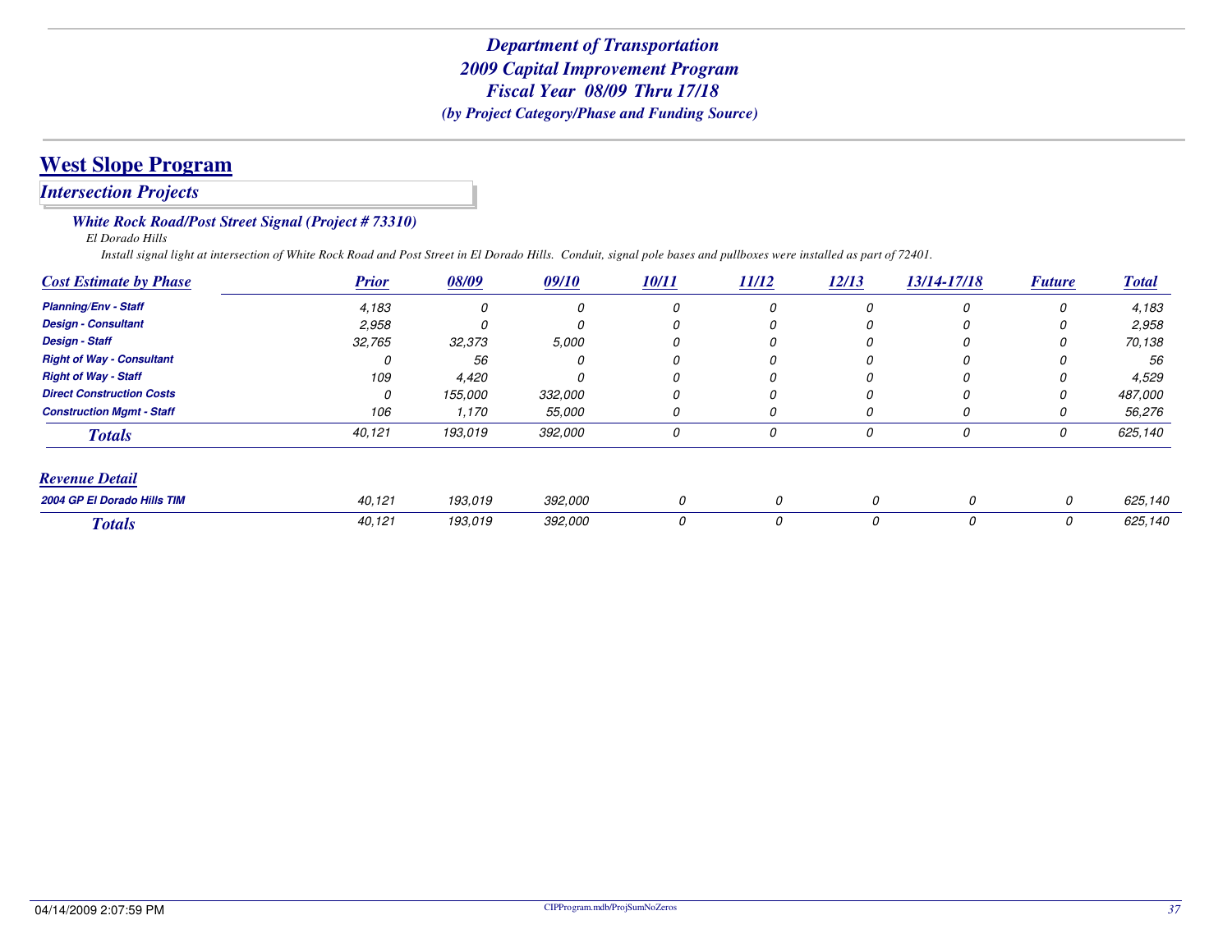# **West Slope Program**

*Intersection Projects*

#### *White Rock Road/Post Street Signal (Project # 73310)*

*El Dorado Hills*

*Install signal light at intersection of White Rock Road and Post Street in El Dorado Hills. Conduit, signal pole bases and pullboxes were installed as part of 72401.*

| <b>Cost Estimate by Phase</b>    | <b>Prior</b> | 08/09   | 09/10   | 10/11 | <u>11/12</u> | 12/13    | 13/14-17/18 | <b>Future</b> | <b>Total</b> |
|----------------------------------|--------------|---------|---------|-------|--------------|----------|-------------|---------------|--------------|
| <b>Planning/Env - Staff</b>      | 4,183        |         | 0       | 0     | 0            | 0        | 0           | 0             | 4,183        |
| <b>Design - Consultant</b>       | 2,958        |         | 0       |       | 0            |          | 0           | 0             | 2,958        |
| <b>Design - Staff</b>            | 32,765       | 32,373  | 5,000   | 0     | 0            |          | 0           | 0             | 70,138       |
| <b>Right of Way - Consultant</b> |              | 56      | 0       | 0     | 0            | 0        | 0           | 0             | 56           |
| <b>Right of Way - Staff</b>      | 109          | 4,420   |         |       |              |          | 0           | 0             | 4,529        |
| <b>Direct Construction Costs</b> | 0            | 155,000 | 332,000 | 0     | 0            | $\theta$ | 0           | 0             | 487,000      |
| <b>Construction Mgmt - Staff</b> | 106          | 1,170   | 55,000  | 0     | U            | O        | 0           | 0             | 56,276       |
| <b>Totals</b>                    | 40,121       | 193,019 | 392,000 | 0     | 0            | 0        | 0           | 0             | 625,140      |
| <b>Revenue Detail</b>            |              |         |         |       |              |          |             |               |              |
| 2004 GP El Dorado Hills TIM      | 40,121       | 193.019 | 392,000 | 0     | 0            | 0        | 0           | 0             | 625,140      |
| <b>Totals</b>                    | 40,121       | 193,019 | 392,000 | 0     | 0            | 0        | 0           | 0             | 625,140      |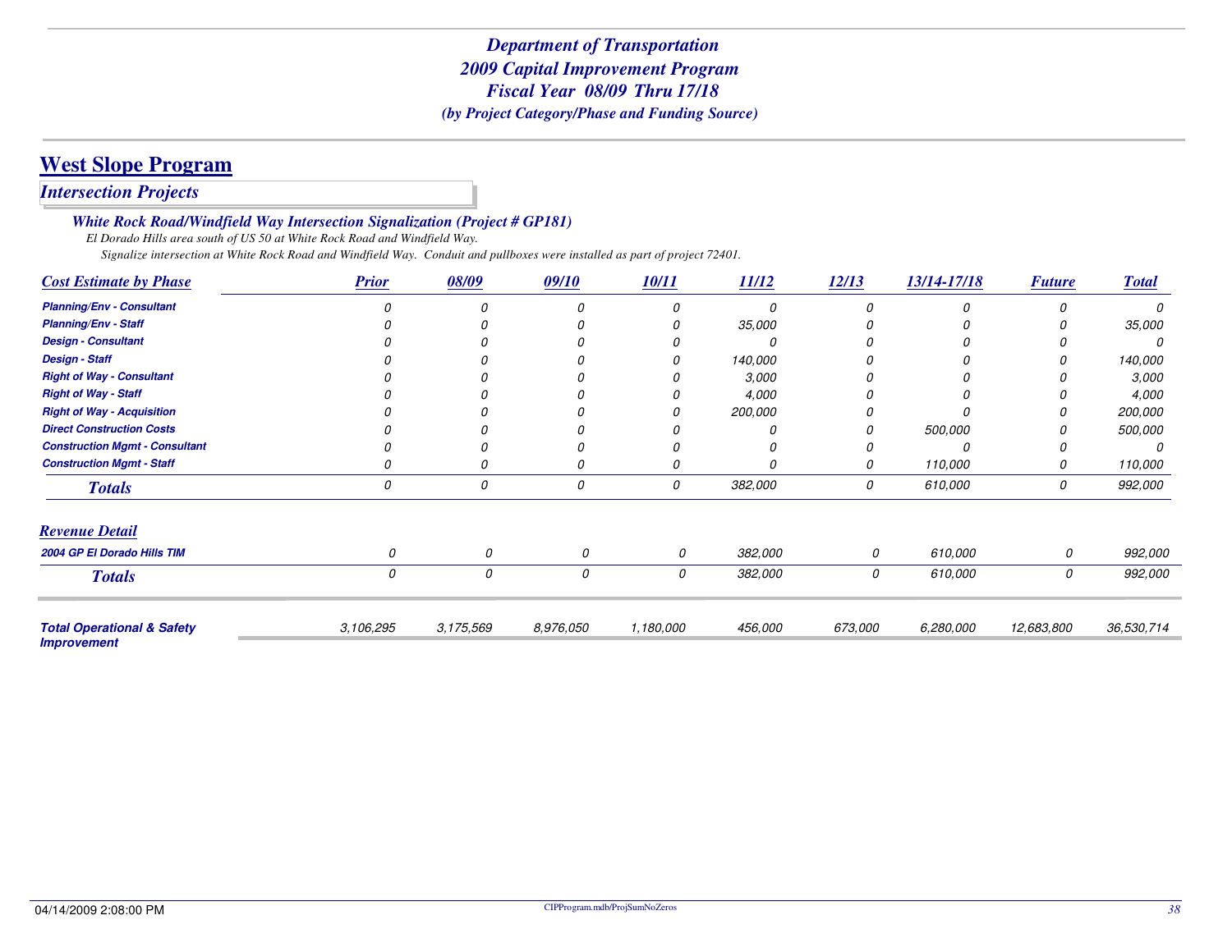# **West Slope Program**

*Intersection Projects*

*White Rock Road/Windfield Way Intersection Signalization (Project # GP181)*

*El Dorado Hills area south of US 50 at White Rock Road and Windfield Way.*

*Signalize intersection at White Rock Road and Windfield Way. Conduit and pullboxes were installed as part of project 72401.*

| <b>Cost Estimate by Phase</b>                               | <b>Prior</b> | 08/09     | 09/10     | 10/11     | 11/12   | 12/13   | 13/14-17/18 | <b>Future</b> | <b>Total</b> |
|-------------------------------------------------------------|--------------|-----------|-----------|-----------|---------|---------|-------------|---------------|--------------|
| <b>Planning/Env - Consultant</b>                            |              |           | n         |           |         |         |             |               |              |
| <b>Planning/Env - Staff</b>                                 |              |           |           |           | 35,000  |         |             |               | 35,000       |
| <b>Design - Consultant</b>                                  |              |           |           |           |         |         |             |               |              |
| <b>Design - Staff</b>                                       |              |           |           |           | 140,000 |         |             |               | 140,000      |
| <b>Right of Way - Consultant</b>                            |              |           |           |           | 3,000   |         |             |               | 3,000        |
| <b>Right of Way - Staff</b>                                 |              |           |           |           | 4,000   |         |             |               | 4,000        |
| <b>Right of Way - Acquisition</b>                           |              |           |           |           | 200,000 |         |             |               | 200,000      |
| <b>Direct Construction Costs</b>                            |              |           |           |           |         |         | 500,000     |               | 500,000      |
| <b>Construction Mgmt - Consultant</b>                       |              |           |           |           |         |         |             |               |              |
| <b>Construction Mgmt - Staff</b>                            |              |           | 0         | 0         |         | 0       | 110,000     | 0             | 110,000      |
| <b>Totals</b>                                               | 0            | 0         | 0         | 0         | 382,000 | 0       | 610,000     | 0             | 992,000      |
| <b>Revenue Detail</b>                                       |              |           |           |           |         |         |             |               |              |
| 2004 GP El Dorado Hills TIM                                 |              | 0         | 0         | 0         | 382,000 | 0       | 610,000     | 0             | 992,000      |
| <b>Totals</b>                                               | 0            | 0         | 0         | 0         | 382,000 | 0       | 610,000     | 0             | 992,000      |
| <b>Total Operational &amp; Safety</b><br><b>Improvement</b> | 3,106,295    | 3,175,569 | 8,976,050 | 1,180,000 | 456,000 | 673,000 | 6,280,000   | 12,683,800    | 36,530,714   |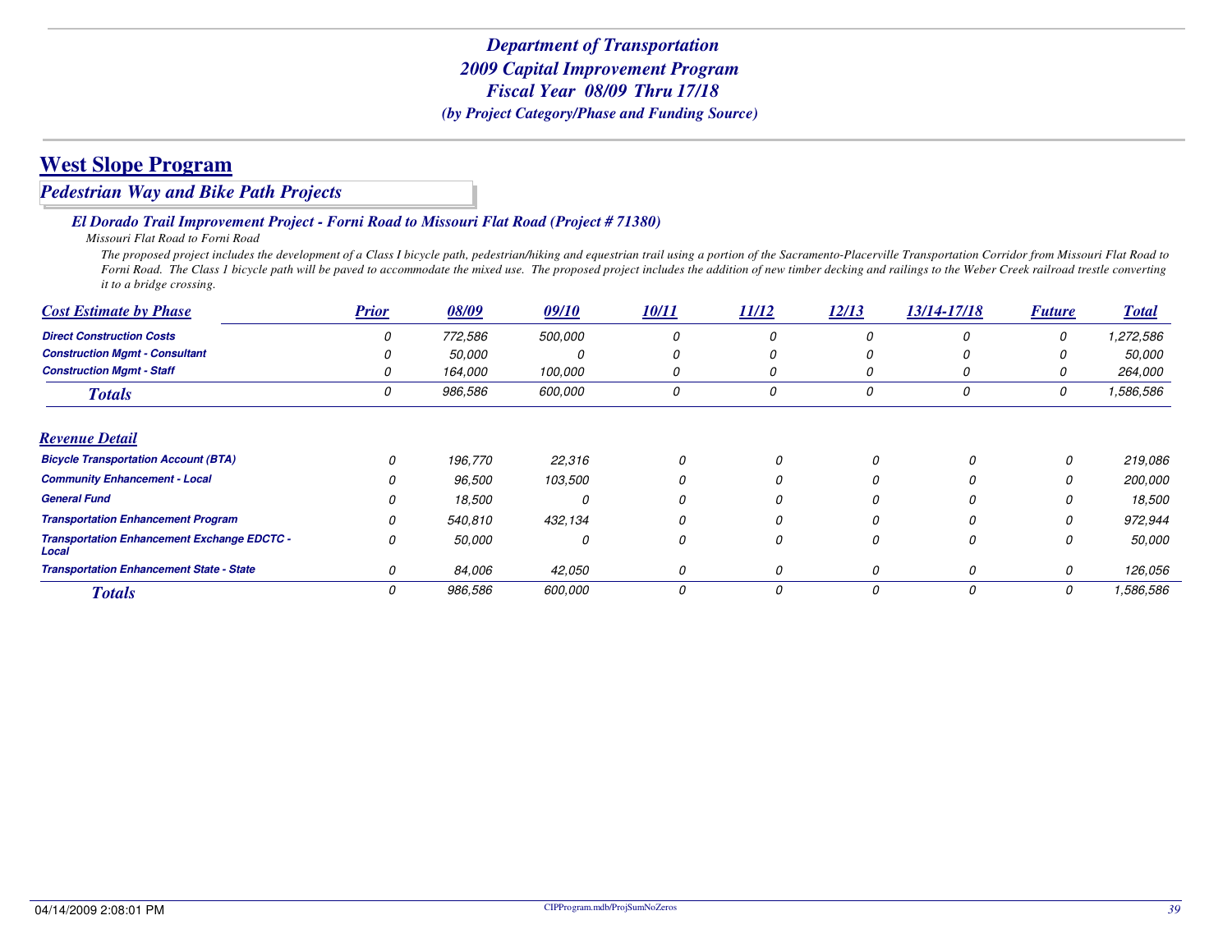#### *Pedestrian Way and Bike Path Projects*

#### *El Dorado Trail Improvement Project - Forni Road to Missouri Flat Road (Project # 71380)*

*Missouri Flat Road to Forni Road*

 *The proposed project includes the development of a Class I bicycle path, pedestrian/hiking and equestrian trail using a portion of the Sacramento-Placerville Transportation Corridor from Missouri Flat Road to Forni Road. The Class 1 bicycle path will be paved to accommodate the mixed use. The proposed project includes the addition of new timber decking and railings to the Weber Creek railroad trestle converting it to a bridge crossing.*

| <b>Cost Estimate by Phase</b>                               | <b>Prior</b> | 08/09         | 09/10          | <b>10/11</b> | 11/12    | 12/13    | 13/14-17/18 | <b>Future</b> | <u>Total</u>  |
|-------------------------------------------------------------|--------------|---------------|----------------|--------------|----------|----------|-------------|---------------|---------------|
| <b>Direct Construction Costs</b>                            |              | 772,586       | <i>500,000</i> | 0            |          | 0        | n           | 0             | 1,272,586     |
| <b>Construction Mgmt - Consultant</b>                       |              | <i>50,000</i> | 0              | 0            | U        | 0        |             | U             | <i>50,000</i> |
| <b>Construction Mgmt - Staff</b>                            |              | 164,000       | 100,000        | 0            | O        | 0        | 0           | 0             | 264,000       |
| <b>Totals</b>                                               |              | 986,586       | 600,000        | 0            | 0        | 0        | 0           | 0             | 1,586,586     |
| <b>Revenue Detail</b>                                       |              |               |                |              |          |          |             |               |               |
| <b>Bicycle Transportation Account (BTA)</b>                 | 0            | 196,770       | 22,316         | 0            | 0        | Ω        | 0           | 0             | 219,086       |
| <b>Community Enhancement - Local</b>                        | O            | 96,500        | 103,500        |              | $\Omega$ |          |             |               | 200,000       |
| <b>General Fund</b>                                         | 0            | 18,500        | 0              | 0            | 0        | 0        | 0           | 0             | 18,500        |
| <b>Transportation Enhancement Program</b>                   | 0            | 540,810       | 432,134        | 0            | 0        |          | O           | 0             | 972,944       |
| <b>Transportation Enhancement Exchange EDCTC -</b><br>Local | 0            | 50,000        | 0              | 0            | 0        | 0        | 0           | 0             | 50,000        |
| <b>Transportation Enhancement State - State</b>             | 0            | 84,006        | 42,050         | 0            | 0        |          | 0           | 0             | 126,056       |
| <b>Totals</b>                                               | 0            | 986,586       | 600,000        | 0            | 0        | $\Omega$ | 0           | 0             | 1,586,586     |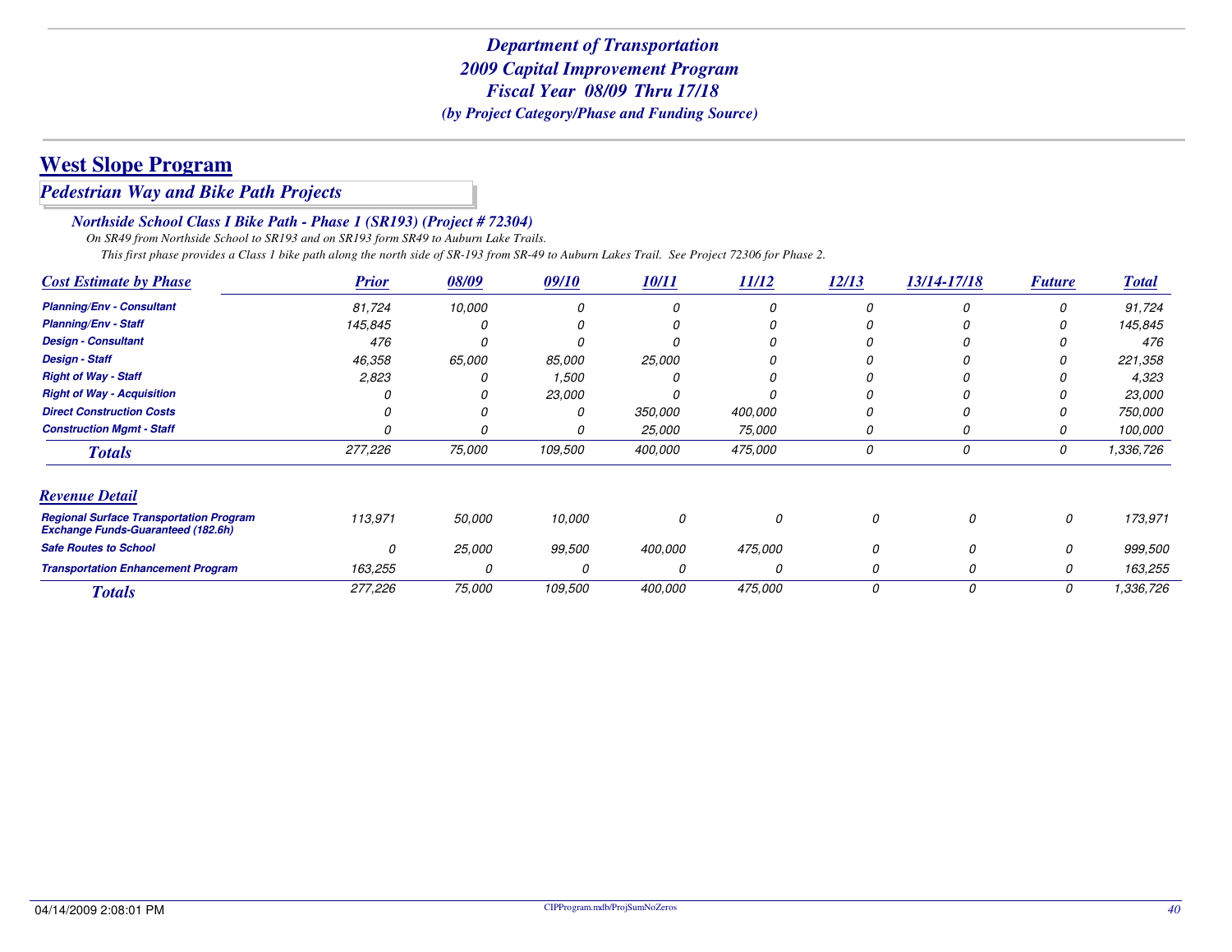# **West Slope Program**

#### *Pedestrian Way and Bike Path Projects*

#### *Northside School Class I Bike Path - Phase 1 (SR193) (Project # 72304)*

 *On SR49 from Northside School to SR193 and on SR193 form SR49 to Auburn Lake Trails.This first phase provides a Class 1 bike path along the north side of SR-193 from SR-49 to Auburn Lakes Trail. See Project 72306 for Phase 2.*

| <b>Cost Estimate by Phase</b>                                                               | <b>Prior</b> | 08/09  | 09/10   | 10/11   | 11/12    | 12/13    | 13/14-17/18 | <b>Future</b> | <b>Total</b> |
|---------------------------------------------------------------------------------------------|--------------|--------|---------|---------|----------|----------|-------------|---------------|--------------|
| <b>Planning/Env - Consultant</b>                                                            | 81,724       | 10,000 |         |         | 0        |          |             |               | 91,724       |
| <b>Planning/Env - Staff</b>                                                                 | 145,845      |        |         |         | 0        |          |             |               | 145,845      |
| <b>Design - Consultant</b>                                                                  | 476          |        |         |         | Ω        |          |             |               | 476          |
| <b>Design - Staff</b>                                                                       | 46,358       | 65,000 | 85,000  | 25,000  | 0        |          |             |               | 221,358      |
| <b>Right of Way - Staff</b>                                                                 | 2,823        |        | 1,500   |         | Ω        |          |             |               | 4,323        |
| <b>Right of Way - Acquisition</b>                                                           |              |        | 23,000  |         |          |          |             |               | 23,000       |
| <b>Direct Construction Costs</b>                                                            |              |        |         | 350,000 | 400,000  |          |             |               | 750,000      |
| <b>Construction Mgmt - Staff</b>                                                            |              |        |         | 25,000  | 75,000   |          |             |               | 100,000      |
| <b>Totals</b>                                                                               | 277,226      | 75,000 | 109,500 | 400,000 | 475,000  | 0        | 0           | 0             | 1,336,726    |
| <b>Revenue Detail</b>                                                                       |              |        |         |         |          |          |             |               |              |
| <b>Regional Surface Transportation Program</b><br><b>Exchange Funds-Guaranteed (182.6h)</b> | 113,971      | 50,000 | 10,000  | 0       | $\Omega$ | 0        | 0           | 0             | 173,971      |
| <b>Safe Routes to School</b>                                                                | 0            | 25,000 | 99,500  | 400,000 | 475,000  | $\Omega$ |             | 0             | 999,500      |
| <b>Transportation Enhancement Program</b>                                                   | 163,255      |        |         |         | O        | O        |             | 0             | 163,255      |
| <b>Totals</b>                                                                               | 277,226      | 75,000 | 109,500 | 400.000 | 475,000  | 0        | $\Omega$    | 0             | 1,336,726    |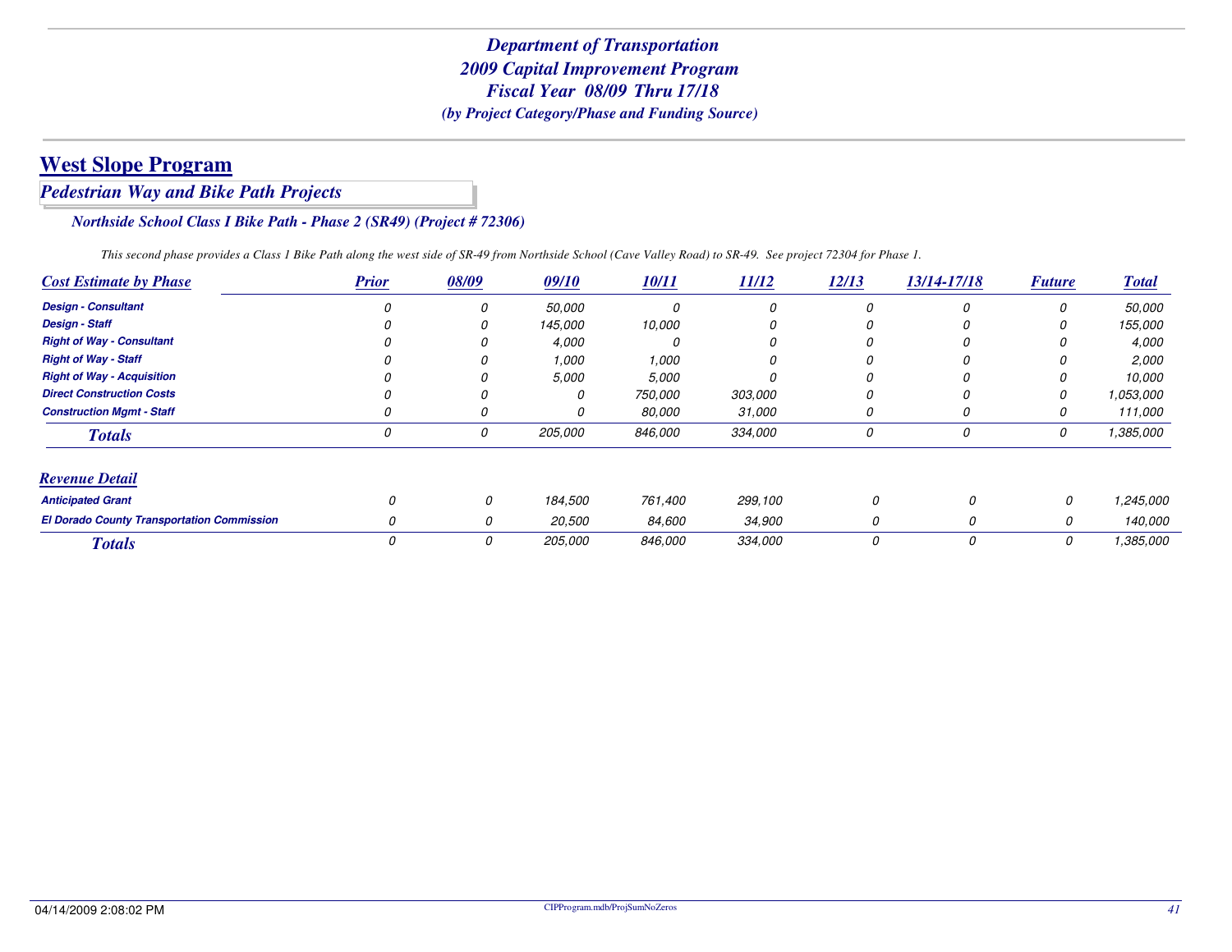# **West Slope Program**

#### *Pedestrian Way and Bike Path Projects*

#### *Northside School Class I Bike Path - Phase 2 (SR49) (Project # 72306)*

*This second phase provides a Class 1 Bike Path along the west side of SR-49 from Northside School (Cave Valley Road) to SR-49. See project 72304 for Phase 1.*

| <b>Cost Estimate by Phase</b>                     | <b>Prior</b> | 08/09    | 09/10   | <b>10/11</b> | 11/12   | 12/13    | 13/14-17/18 | <b>Future</b> | <b>Total</b>  |
|---------------------------------------------------|--------------|----------|---------|--------------|---------|----------|-------------|---------------|---------------|
| <b>Design - Consultant</b>                        |              | 0        | 50,000  |              |         |          |             |               | <i>50.000</i> |
| <b>Design - Staff</b>                             |              | 0        | 145,000 | 10,000       |         |          |             |               | 155,000       |
| <b>Right of Way - Consultant</b>                  |              |          | 4,000   |              |         |          |             |               | 4,000         |
| <b>Right of Way - Staff</b>                       |              |          | 1,000   | 1,000        |         |          |             |               | 2,000         |
| <b>Right of Way - Acquisition</b>                 |              |          | 5,000   | 5,000        |         |          |             |               | 10.000        |
| <b>Direct Construction Costs</b>                  |              |          | 0       | 750,000      | 303,000 |          |             |               | 1.053.000     |
| <b>Construction Mamt - Staff</b>                  |              |          | 0       | 80.000       | 31,000  |          |             |               | 111.000       |
| <b>Totals</b>                                     |              | 0        | 205,000 | 846,000      | 334,000 | 0        | 0           | 0             | 1,385,000     |
| <b>Revenue Detail</b>                             |              |          |         |              |         |          |             |               |               |
| <b>Anticipated Grant</b>                          |              | $\Omega$ | 184,500 | 761,400      | 299,100 | $\Omega$ | 0           | 0             | 1,245,000     |
| <b>El Dorado County Transportation Commission</b> | <sup>0</sup> |          | 20,500  | 84,600       | 34,900  | 0        | 0           | 0             | 140.000       |
| <b>Totals</b>                                     |              | 0        | 205,000 | 846,000      | 334,000 | 0        | 0           | 0             | 1,385,000     |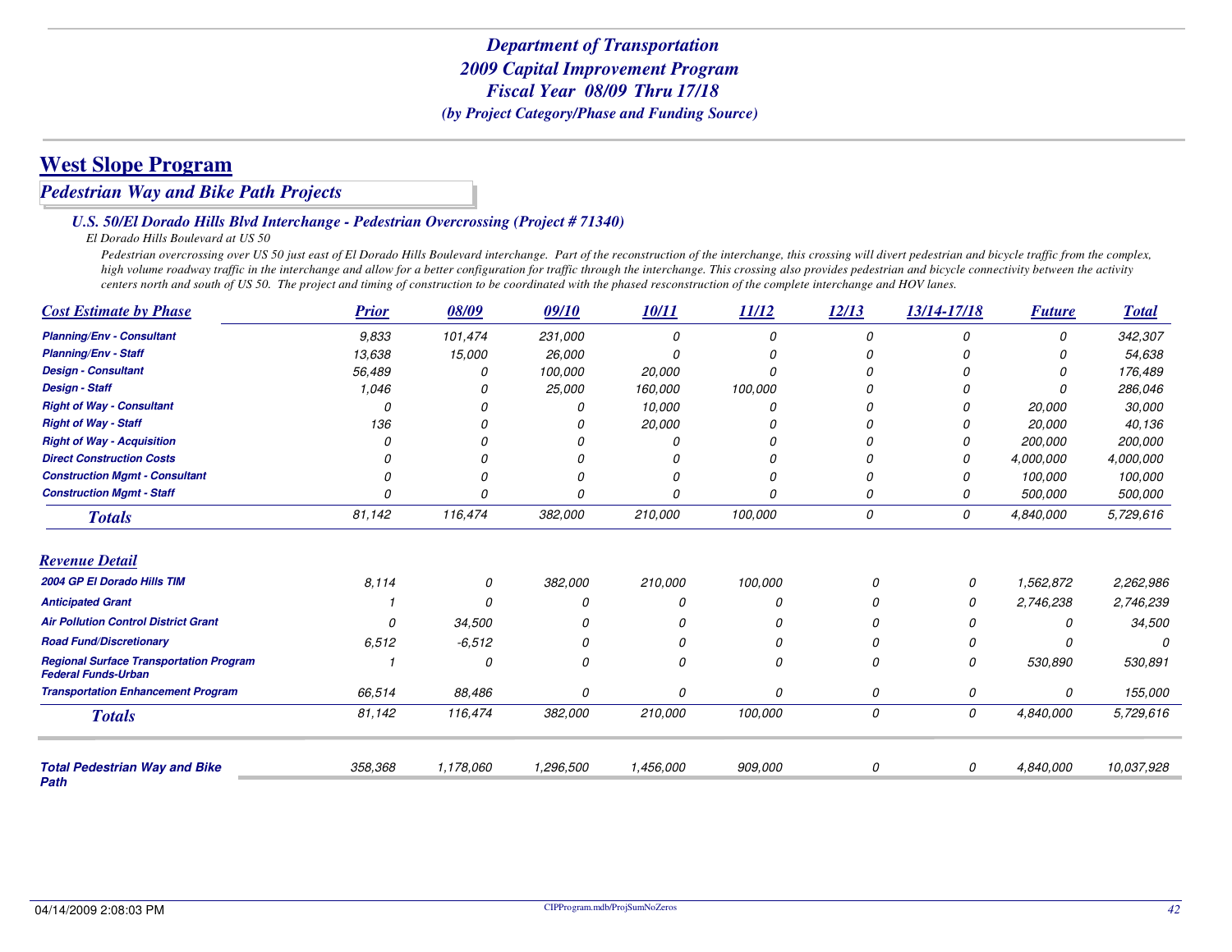# **West Slope Program**

#### *Pedestrian Way and Bike Path Projects*

#### *U.S. 50/El Dorado Hills Blvd Interchange - Pedestrian Overcrossing (Project # 71340)*

#### *El Dorado Hills Boulevard at US 50*

Pedestrian overcrossing over US 50 just east of El Dorado Hills Boulevard interchange. Part of the reconstruction of the interchange, this crossing will divert pedestrian and bicycle traffic from the complex, *high volume roadway traffic in the interchange and allow for a better configuration for traffic through the interchange. This crossing also provides pedestrian and bicycle connectivity between the activity centers north and south of US 50. The project and timing of construction to be coordinated with the phased resconstruction of the complete interchange and HOV lanes.*

| <b>Cost Estimate by Phase</b>                                                | <b>Prior</b> | 08/09     | 09/10     | 10/11     | 11/12    | 12/13 | 13/14-17/18 | <b>Future</b> | <b>Total</b> |
|------------------------------------------------------------------------------|--------------|-----------|-----------|-----------|----------|-------|-------------|---------------|--------------|
| <b>Planning/Env - Consultant</b>                                             | 9.833        | 101,474   | 231,000   |           | 0        | 0     | 0           | 0             | 342,307      |
| <b>Planning/Env - Staff</b>                                                  | 13,638       | 15,000    | 26,000    |           |          |       |             |               | 54,638       |
| <b>Design - Consultant</b>                                                   | 56,489       | 0         | 100,000   | 20,000    | O        |       | n           |               | 176,489      |
| <b>Design - Staff</b>                                                        | 1,046        |           | 25,000    | 160,000   | 100,000  |       |             |               | 286,046      |
| <b>Right of Way - Consultant</b>                                             |              |           |           | 10,000    | $\theta$ |       |             | 20,000        | 30,000       |
| <b>Right of Way - Staff</b>                                                  | 136          |           |           | 20,000    |          |       |             | 20,000        | 40,136       |
| <b>Right of Way - Acquisition</b>                                            |              |           |           |           |          |       | 0           | 200,000       | 200,000      |
| <b>Direct Construction Costs</b>                                             |              |           |           |           |          |       | N           | 4,000,000     | 4,000,000    |
| <b>Construction Mgmt - Consultant</b>                                        |              |           |           |           | O        |       |             | 100,000       | 100,000      |
| <b>Construction Mgmt - Staff</b>                                             |              | 0         |           |           | 0        | 0     | 0           | 500,000       | 500,000      |
| <b>Totals</b>                                                                | 81,142       | 116,474   | 382,000   | 210,000   | 100,000  | 0     | 0           | 4,840,000     | 5,729,616    |
| <b>Revenue Detail</b>                                                        |              |           |           |           |          |       |             |               |              |
| 2004 GP El Dorado Hills TIM                                                  | 8,114        | 0         | 382,000   | 210,000   | 100,000  | 0     | 0           | 1,562,872     | 2,262,986    |
| <b>Anticipated Grant</b>                                                     |              | O         |           | 0         | O        | n     |             | 2,746,238     | 2,746,239    |
| <b>Air Pollution Control District Grant</b>                                  | $\Omega$     | 34,500    |           | 0         | 0        | 0     |             | 0             | 34,500       |
| <b>Road Fund/Discretionary</b>                                               | 6,512        | $-6,512$  | 0         | 0         | 0        | 0     | $\Omega$    | Ω             |              |
| <b>Regional Surface Transportation Program</b><br><b>Federal Funds-Urban</b> |              | 0         | 0         | 0         | 0        | 0     | 0           | 530,890       | 530,891      |
| <b>Transportation Enhancement Program</b>                                    | 66,514       | 88,486    | 0         | 0         | 0        | 0     | 0           | 0             | 155,000      |
| <b>Totals</b>                                                                | 81,142       | 116,474   | 382,000   | 210,000   | 100,000  | 0     | 0           | 4,840,000     | 5,729,616    |
| <b>Total Pedestrian Way and Bike</b>                                         | 358,368      | 1,178,060 | 1,296,500 | 1,456,000 | 909,000  | 0     | 0           | 4,840,000     | 10.037.928   |
| Path                                                                         |              |           |           |           |          |       |             |               |              |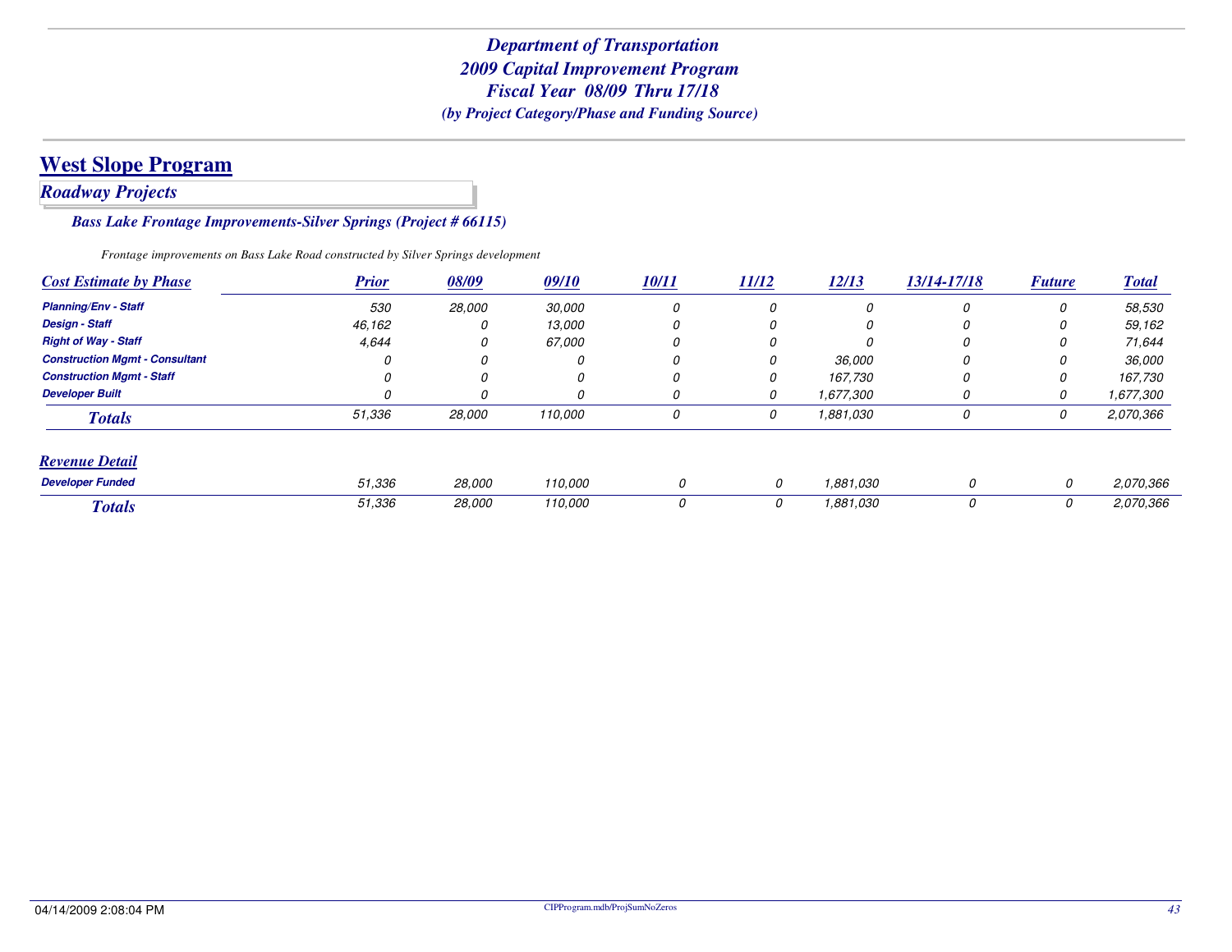## *Roadway Projects*

#### *Bass Lake Frontage Improvements-Silver Springs (Project # 66115)*

*Frontage improvements on Bass Lake Road constructed by Silver Springs development*

| <b>Cost Estimate by Phase</b>         | <b>Prior</b> | 08/09  | 09/10         | <b>10/11</b> | <b>11/12</b> | 12/13     | 13/14-17/18 | <b>Future</b> | <b>Total</b> |
|---------------------------------------|--------------|--------|---------------|--------------|--------------|-----------|-------------|---------------|--------------|
| <b>Planning/Env - Staff</b>           | 530          | 28,000 | <i>30.000</i> | 0            | 0            | $\Omega$  | 0           | 0             | 58,530       |
| <b>Design - Staff</b>                 | 46,162       |        | 13.000        | 0            | 0            | 0         | 0           | 0             | 59,162       |
| <b>Right of Way - Staff</b>           | 4,644        |        | <i>67.000</i> | 0            | 0            |           | 0           | 0             | 71.644       |
| <b>Construction Mgmt - Consultant</b> |              |        | 0             | 0            | 0            | 36,000    | 0           | 0             | 36,000       |
| <b>Construction Mamt - Staff</b>      |              | 0      | 0             | 0            | 0            | 167.730   | 0           | 0             | 167,730      |
| <b>Developer Built</b>                |              |        | 0             | 0            | 0            | 1,677,300 | 0           | 0             | 1,677,300    |
| <b>Totals</b>                         | 51,336       | 28,000 | 110,000       | 0            | 0            | 1,881,030 | 0           | 0             | 2,070,366    |
| <b>Revenue Detail</b>                 |              |        |               |              |              |           |             |               |              |
| <b>Developer Funded</b>               | 51,336       | 28,000 | 110,000       | 0            | 0            | 1,881,030 | 0           | 0             | 2,070,366    |
| <b>Totals</b>                         | 51,336       | 28,000 | 110,000       | 0            | 0            | 1,881,030 | 0           | 0             | 2,070,366    |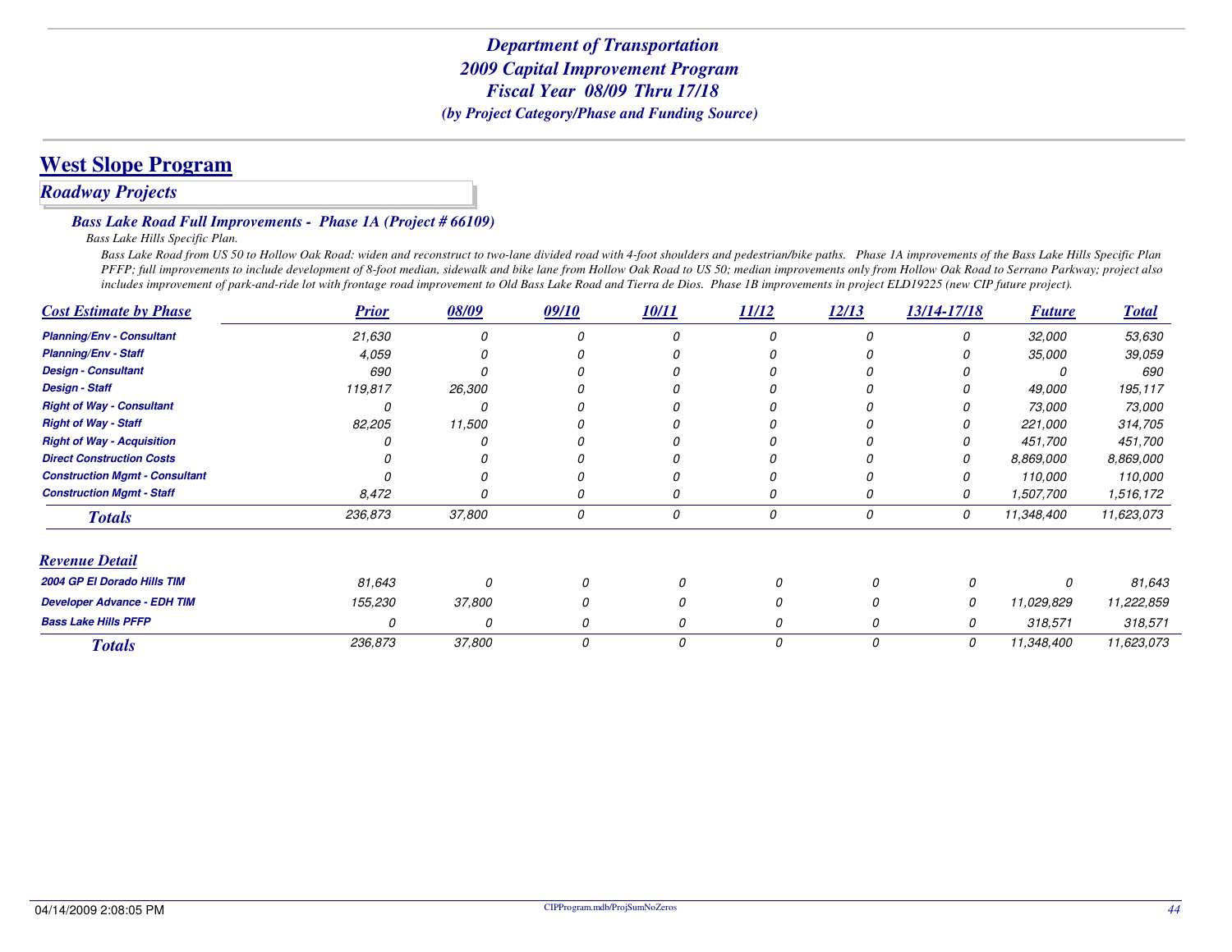# **West Slope Program**

### *Roadway Projects*

#### *Bass Lake Road Full Improvements - Phase 1A (Project # 66109)*

*Bass Lake Hills Specific Plan.*

Bass Lake Road from US 50 to Hollow Oak Road: widen and reconstruct to two-lane divided road with 4-foot shoulders and pedestrian/bike paths. Phase 1A improvements of the Bass Lake Hills Specific Plan *PFFP; full improvements to include development of 8-foot median, sidewalk and bike lane from Hollow Oak Road to US 50; median improvements only from Hollow Oak Road to Serrano Parkway; project also includes improvement of park-and-ride lot with frontage road improvement to Old Bass Lake Road and Tierra de Dios. Phase 1B improvements in project ELD19225 (new CIP future project).*

| <b>Cost Estimate by Phase</b>         | <b>Prior</b> | 08/09  | 09/10 | 10/11 | 11/12    | 12/13 | 13/14-17/18 | <b>Future</b> | <b>Total</b> |
|---------------------------------------|--------------|--------|-------|-------|----------|-------|-------------|---------------|--------------|
| <b>Planning/Env - Consultant</b>      | 21,630       |        |       |       |          |       | 0           | 32,000        | 53,630       |
| <b>Planning/Env - Staff</b>           | 4,059        |        |       |       |          |       |             | 35,000        | 39,059       |
| <b>Design - Consultant</b>            | 690          |        |       |       |          |       |             |               | 690          |
| <b>Design - Staff</b>                 | 119,817      | 26,300 |       |       |          |       |             | 49,000        | 195,117      |
| <b>Right of Way - Consultant</b>      |              |        |       |       |          |       |             | 73,000        | 73,000       |
| <b>Right of Way - Staff</b>           | 82,205       | 11,500 |       |       |          |       |             | 221,000       | 314,705      |
| <b>Right of Way - Acquisition</b>     |              |        |       |       |          |       |             | 451,700       | 451,700      |
| <b>Direct Construction Costs</b>      |              |        |       |       |          |       |             | 8,869,000     | 8,869,000    |
| <b>Construction Mgmt - Consultant</b> |              |        |       |       |          |       |             | 110,000       | 110,000      |
| <b>Construction Mgmt - Staff</b>      | 8,472        |        | 0     | 0     | 0        |       | 0           | 1,507,700     | 1,516,172    |
| <b>Totals</b>                         | 236,873      | 37,800 | 0     | 0     | 0        | 0     | 0           | 11,348,400    | 11,623,073   |
| <b>Revenue Detail</b>                 |              |        |       |       |          |       |             |               |              |
| 2004 GP El Dorado Hills TIM           | 81,643       | O      | 0     | 0     |          | 0     |             | 0             | 81,643       |
| <b>Developer Advance - EDH TIM</b>    | 155,230      | 37,800 | 0     | 0     |          | 0     | 0           | 11,029,829    | 11,222,859   |
| <b>Bass Lake Hills PFFP</b>           | O            | 0      | 0     | 0     |          | 0     | 0           | 318,571       | 318,571      |
| <b>Totals</b>                         | 236,873      | 37,800 | 0     | 0     | $\Omega$ | 0     | 0           | 11,348,400    | 11,623,073   |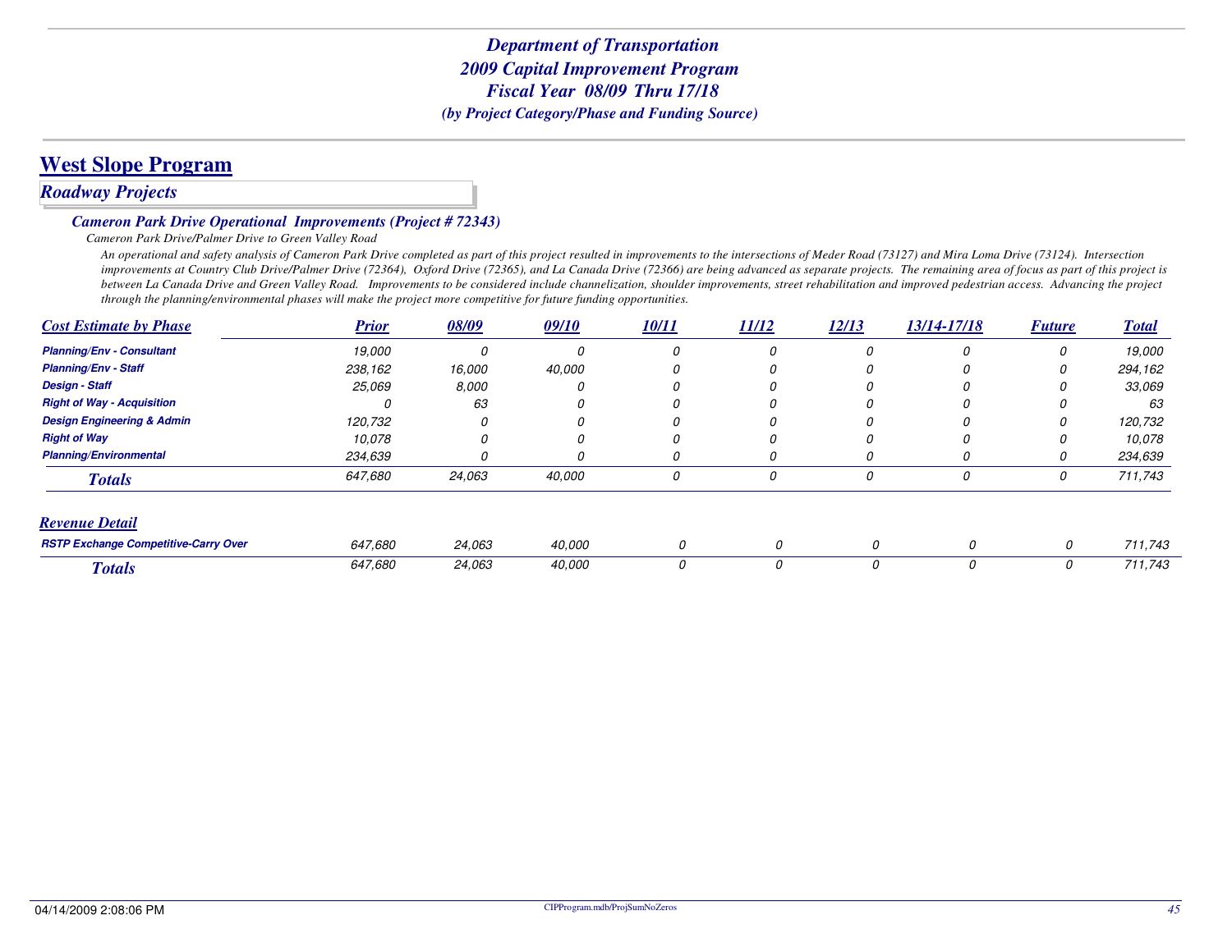# **West Slope Program**

### *Roadway Projects*

#### *Cameron Park Drive Operational Improvements (Project # 72343)*

#### *Cameron Park Drive/Palmer Drive to Green Valley Road*

 *An operational and safety analysis of Cameron Park Drive completed as part of this project resulted in improvements to the intersections of Meder Road (73127) and Mira Loma Drive (73124). Intersection improvements at Country Club Drive/Palmer Drive (72364), Oxford Drive (72365), and La Canada Drive (72366) are being advanced as separate projects. The remaining area of focus as part of this project is between La Canada Drive and Green Valley Road. Improvements to be considered include channelization, shoulder improvements, street rehabilitation and improved pedestrian access. Advancing the project through the planning/environmental phases will make the project more competitive for future funding opportunities.*

| <b>Cost Estimate by Phase</b>               | <b>Prior</b> | 08/09  | 09/10  | 10/11 | 11/12 | 12/13 | 13/14-17/18 | <b>Future</b> | <b>Total</b> |
|---------------------------------------------|--------------|--------|--------|-------|-------|-------|-------------|---------------|--------------|
| <b>Planning/Env - Consultant</b>            | 19,000       | 0      | n      | O     | 0     |       | 0           | 0             | 19,000       |
| <b>Planning/Env - Staff</b>                 | 238,162      | 16,000 | 40,000 |       |       |       |             | 0             | 294,162      |
| <b>Design - Staff</b>                       | 25,069       | 8,000  | 0      | O     | 0     |       | n           | 0             | 33.069       |
| <b>Right of Way - Acquisition</b>           | 11           | 63     |        |       |       |       |             |               | 63           |
| <b>Design Engineering &amp; Admin</b>       | 120,732      | Ω      | 0      |       | Ω     |       | n           | 0             | 120,732      |
| <b>Right of Way</b>                         | 10,078       |        |        |       |       |       | N           | 0             | 10,078       |
| <b>Planning/Environmental</b>               | 234,639      | 0      | 0      | O     | 0     |       | 0           | 0             | 234,639      |
| <b>Totals</b>                               | 647.680      | 24,063 | 40,000 | 0     | 0     | 0     | 0           | 0             | 711,743      |
| <b>Revenue Detail</b>                       |              |        |        |       |       |       |             |               |              |
| <b>RSTP Exchange Competitive-Carry Over</b> | 647.680      | 24,063 | 40.000 | 0     |       | 0     | 0           | 0             | 711,743      |
| <b>Totals</b>                               | 647,680      | 24,063 | 40,000 | 0     |       | 0     | 0           | 0             | 711,743      |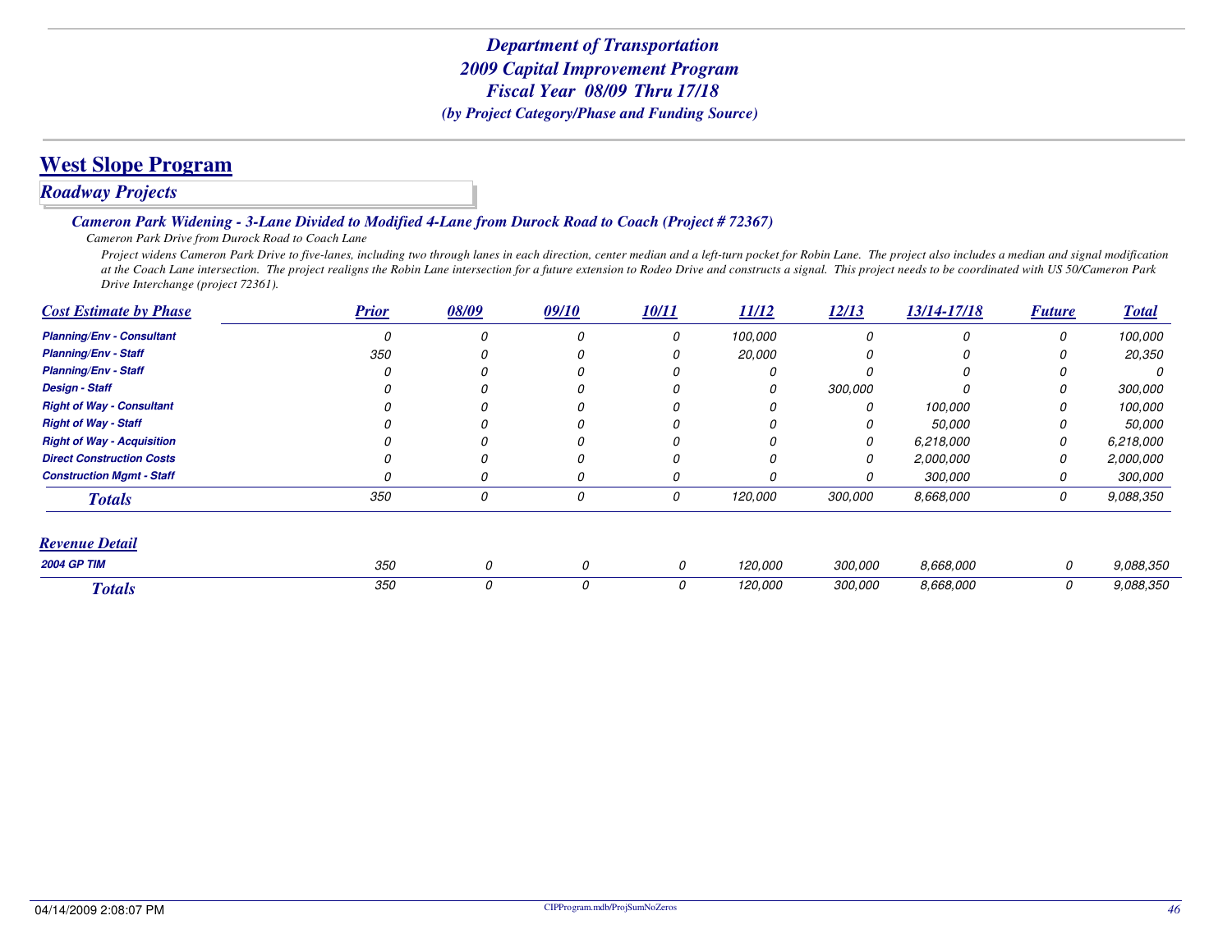# **West Slope Program**

### *Roadway Projects*

#### *Cameron Park Widening - 3-Lane Divided to Modified 4-Lane from Durock Road to Coach (Project # 72367)*

*Cameron Park Drive from Durock Road to Coach Lane*

 *Project widens Cameron Park Drive to five-lanes, including two through lanes in each direction, center median and a left-turn pocket for Robin Lane. The project also includes a median and signal modification at the Coach Lane intersection. The project realigns the Robin Lane intersection for a future extension to Rodeo Drive and constructs a signal. This project needs to be coordinated with US 50/Cameron Park Drive Interchange (project 72361).*

| <b>Cost Estimate by Phase</b>     | <b>Prior</b> | 08/09 | 09/10 | 10/11 | 11/12         | 12/13   | 13/14-17/18 | <b>Future</b> | <b>Total</b>   |
|-----------------------------------|--------------|-------|-------|-------|---------------|---------|-------------|---------------|----------------|
| <b>Planning/Env - Consultant</b>  |              |       | 0     | 0     | 100,000       |         |             | 0             | 100,000        |
| <b>Planning/Env - Staff</b>       | 350          |       |       | 0     | <i>20.000</i> |         |             |               | 20,350         |
| <b>Planning/Env - Staff</b>       |              |       |       |       | 0             |         |             |               | <sup>0</sup>   |
| <b>Design - Staff</b>             |              |       |       |       | 0             | 300.000 |             |               | 300.000        |
| <b>Right of Way - Consultant</b>  |              |       |       |       | 0             |         | 100,000     |               | 100,000        |
| <b>Right of Way - Staff</b>       |              |       |       |       |               |         | 50,000      |               | 50,000         |
| <b>Right of Way - Acquisition</b> |              |       |       | 0     | 0             | 0       | 6,218,000   | 0             | 6,218,000      |
| <b>Direct Construction Costs</b>  |              |       |       | O     | 0             |         | 2,000,000   | 0             | 2,000,000      |
| <b>Construction Mgmt - Staff</b>  |              |       | 0     | 0     | 0             |         | 300,000     | 0             | <i>300,000</i> |
| <b>Totals</b>                     | 350          | 0     | 0     | 0     | 120,000       | 300,000 | 8,668,000   | 0             | 9,088,350      |
| <b>Revenue Detail</b>             |              |       |       |       |               |         |             |               |                |
| <b>2004 GP TIM</b>                | 350          | 0     | 0     | 0     | 120,000       | 300,000 | 8,668,000   | 0             | 9,088,350      |
| <b>Totals</b>                     | 350          | 0     | 0     | 0     | 120,000       | 300,000 | 8,668,000   | 0             | 9.088.350      |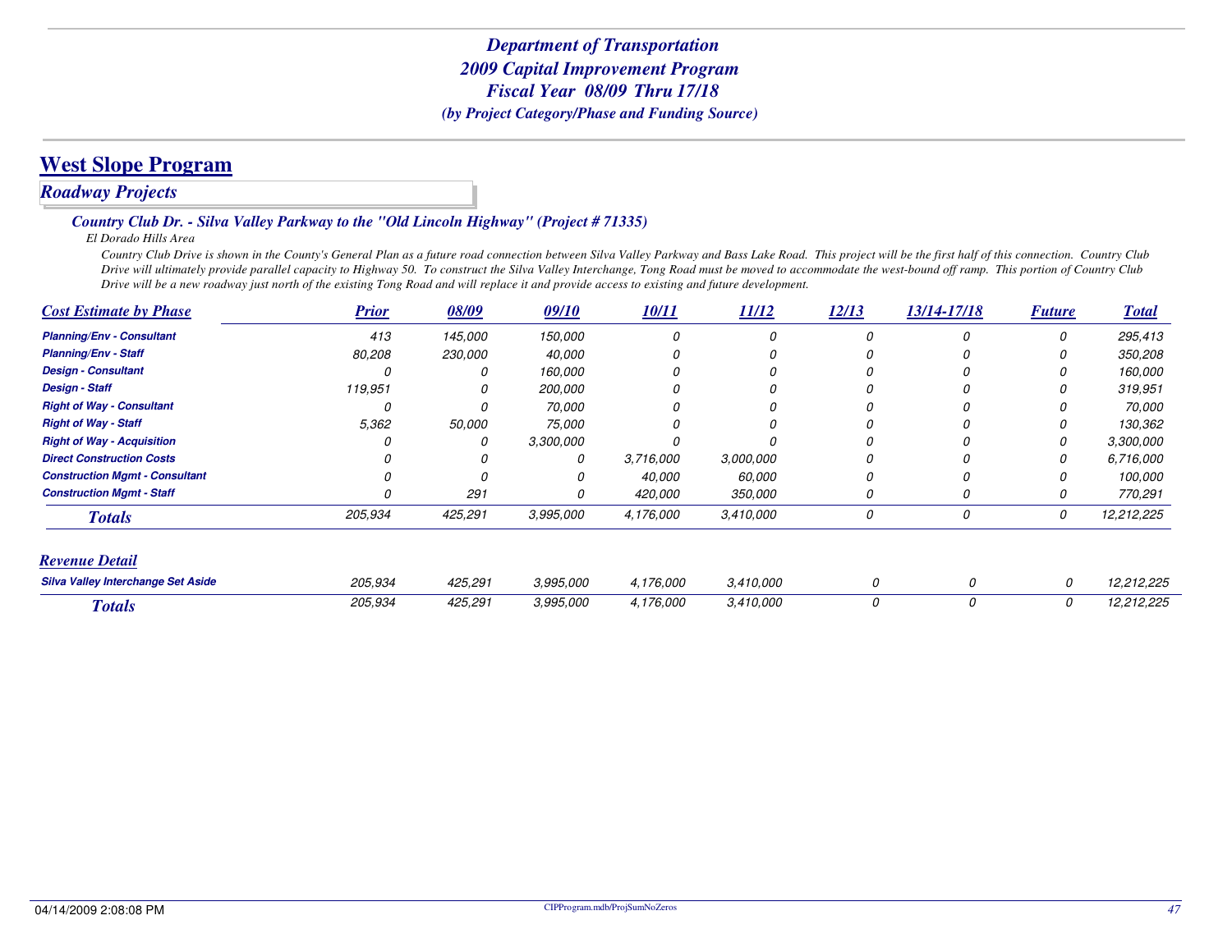# *Roadway Projects*

#### *Country Club Dr. - Silva Valley Parkway to the "Old Lincoln Highway" (Project # 71335)*

*El Dorado Hills Area*

 *Country Club Drive is shown in the County's General Plan as a future road connection between Silva Valley Parkway and Bass Lake Road. This project will be the first half of this connection. Country Club Drive will ultimately provide parallel capacity to Highway 50. To construct the Silva Valley Interchange, Tong Road must be moved to accommodate the west-bound off ramp. This portion of Country Club Drive will be a new roadway just north of the existing Tong Road and will replace it and provide access to existing and future development.*

| <b>Cost Estimate by Phase</b>             | <b>Prior</b> | 08/09   | 09/10     | 10/11     | 11/12     | 12/13    | 13/14-17/18 | <b>Future</b> | <b>Total</b> |
|-------------------------------------------|--------------|---------|-----------|-----------|-----------|----------|-------------|---------------|--------------|
| <b>Planning/Env - Consultant</b>          | 413          | 145,000 | 150,000   | 0         | 0         | $\Omega$ | 0           | 0             | 295,413      |
| <b>Planning/Env - Staff</b>               | 80,208       | 230,000 | 40,000    |           | 0         |          |             |               | 350,208      |
| <b>Design - Consultant</b>                |              |         | 160,000   |           | 0         |          |             |               | 160,000      |
| <b>Design - Staff</b>                     | 119,951      |         | 200,000   |           | 0         |          |             |               | 319,951      |
| <b>Right of Way - Consultant</b>          |              |         | 70,000    |           | 0         |          |             |               | 70,000       |
| <b>Right of Way - Staff</b>               | 5,362        | 50,000  | 75,000    |           | 0         |          |             |               | 130,362      |
| <b>Right of Way - Acquisition</b>         |              | 0       | 3,300,000 |           | Ω         |          |             | 0             | 3,300,000    |
| <b>Direct Construction Costs</b>          |              |         | 0         | 3,716,000 | 3,000,000 |          |             | 0             | 6,716,000    |
| <b>Construction Mgmt - Consultant</b>     |              |         | 0         | 40,000    | 60,000    |          |             |               | 100,000      |
| <b>Construction Mgmt - Staff</b>          | N            | 291     |           | 420,000   | 350,000   |          |             | O             | 770,291      |
| <b>Totals</b>                             | 205,934      | 425,291 | 3,995,000 | 4,176,000 | 3,410,000 | 0        | 0           | 0             | 12,212,225   |
| <b>Revenue Detail</b>                     |              |         |           |           |           |          |             |               |              |
| <b>Silva Valley Interchange Set Aside</b> | 205,934      | 425,291 | 3,995,000 | 4,176,000 | 3,410,000 | 0        | 0           | 0             | 12,212,225   |
| <b>Totals</b>                             | 205,934      | 425,291 | 3,995,000 | 4,176,000 | 3,410,000 | 0        | 0           | 0             | 12,212,225   |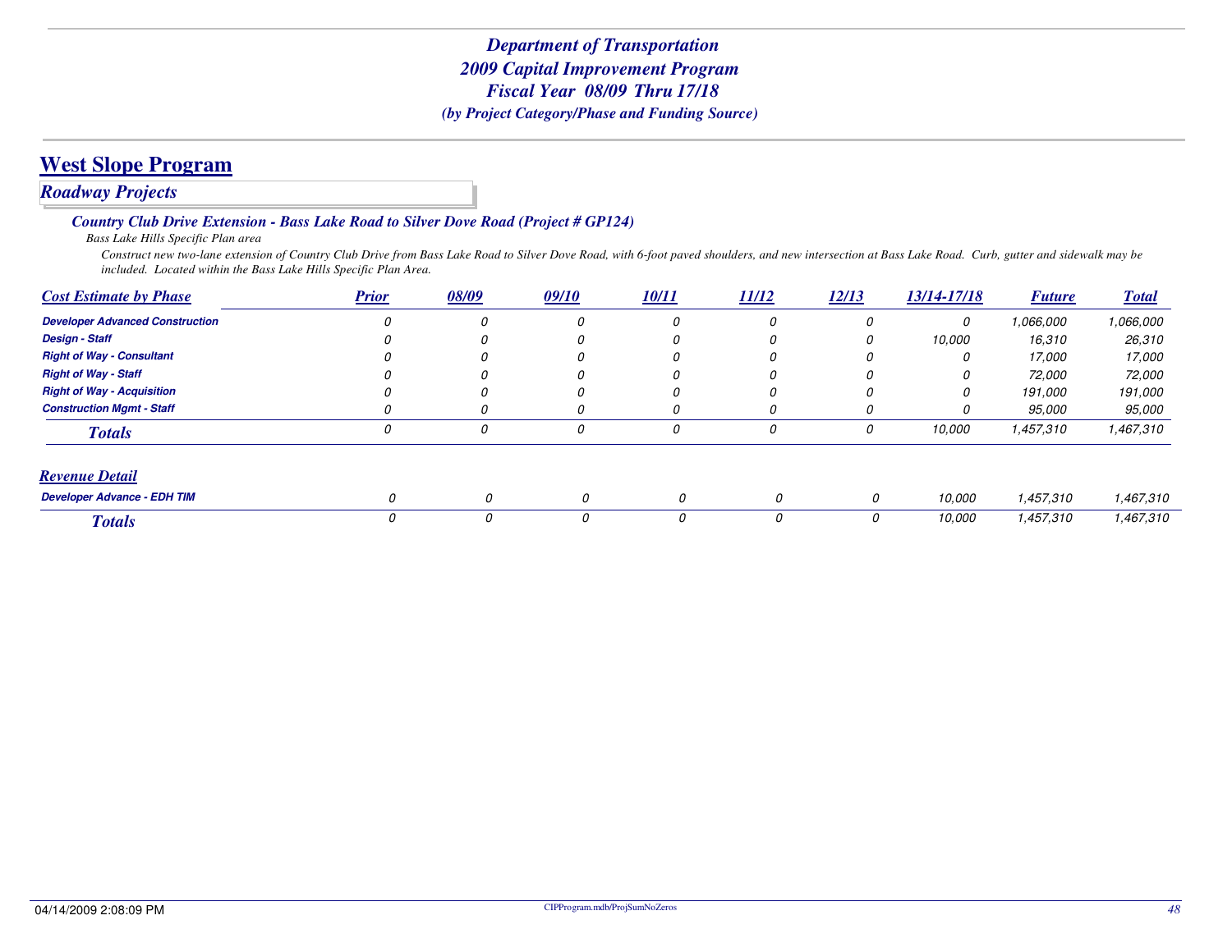### *Roadway Projects*

*Country Club Drive Extension - Bass Lake Road to Silver Dove Road (Project # GP124)*

*Bass Lake Hills Specific Plan area*

 *Construct new two-lane extension of Country Club Drive from Bass Lake Road to Silver Dove Road, with 6-foot paved shoulders, and new intersection at Bass Lake Road. Curb, gutter and sidewalk may be included. Located within the Bass Lake Hills Specific Plan Area.*

| <b>Cost Estimate by Phase</b>          | <b>Prior</b> | 08/09 | 09/10 | 10/11    | 11/12 | 12/13 | 13/14-17/18 | <b>Future</b> | <b>Total</b>  |
|----------------------------------------|--------------|-------|-------|----------|-------|-------|-------------|---------------|---------------|
| <b>Developer Advanced Construction</b> |              |       | 0     | 0        | 0     |       | 0           | 1.066.000     | 1,066,000     |
| <b>Design - Staff</b>                  |              |       | 0     | 0        | U     | U     | 10,000      | 16,310        | 26,310        |
| <b>Right of Way - Consultant</b>       |              |       |       | O        | U     |       |             | 17,000        | 17,000        |
| <b>Right of Way - Staff</b>            |              |       |       | $\Omega$ | Ω     |       | O           | 72,000        | 72,000        |
| <b>Right of Way - Acquisition</b>      |              |       | 0     | 0        | 0     |       | 0           | 191,000       | 191,000       |
| <b>Construction Mamt - Staff</b>       |              |       | 0     | 0        | 0     |       | 0           | 95,000        | <i>95.000</i> |
| <b>Totals</b>                          | 0            | 0     | 0     | 0        | 0     | 0     | 10,000      | 1,457,310     | 1,467,310     |
| <b>Revenue Detail</b>                  |              |       |       |          |       |       |             |               |               |
| <b>Developer Advance - EDH TIM</b>     | 0            | 0     | 0     | 0        |       | 0     | 10,000      | 1,457,310     | 1,467,310     |
| <b>Totals</b>                          |              | 0     | 0     | 0        |       | 0     | 10,000      | 1,457,310     | 1,467,310     |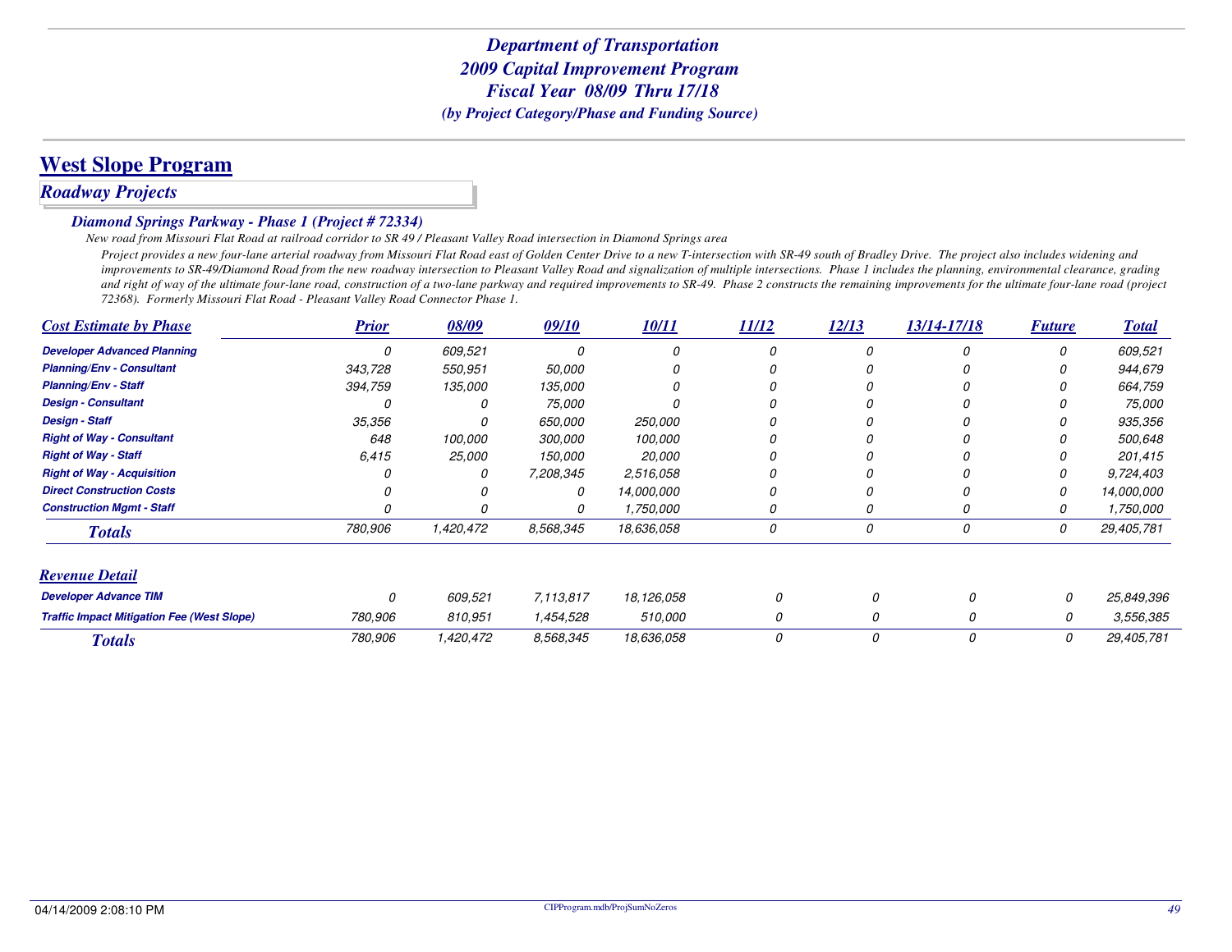# **West Slope Program**

# *Roadway Projects*

#### *Diamond Springs Parkway - Phase 1 (Project # 72334)*

*New road from Missouri Flat Road at railroad corridor to SR 49 / Pleasant Valley Road intersection in Diamond Springs area*

 *Project provides a new four-lane arterial roadway from Missouri Flat Road east of Golden Center Drive to a new T-intersection with SR-49 south of Bradley Drive. The project also includes widening and improvements to SR-49/Diamond Road from the new roadway intersection to Pleasant Valley Road and signalization of multiple intersections. Phase 1 includes the planning, environmental clearance, grading* and right of way of the ultimate four-lane road, construction of a two-lane parkway and required improvements to SR-49. Phase 2 constructs the remaining improvements for the ultimate four-lane road (project *72368). Formerly Missouri Flat Road - Pleasant Valley Road Connector Phase 1.*

| <b>Cost Estimate by Phase</b>                     | <b>Prior</b> | 08/09     | 09/10     | 10/11      | 11/12 | 12/13 | 13/14-17/18 | <b>Future</b> | <b>Total</b> |
|---------------------------------------------------|--------------|-----------|-----------|------------|-------|-------|-------------|---------------|--------------|
| <b>Developer Advanced Planning</b>                | 0            | 609,521   | 0         | 0          | 0     | 0     | 0           | 0             | 609,521      |
| <b>Planning/Env - Consultant</b>                  | 343,728      | 550,951   | 50,000    | 0          |       |       |             | O             | 944,679      |
| <b>Planning/Env - Staff</b>                       | 394,759      | 135,000   | 135,000   | 0          |       |       |             | 0             | 664,759      |
| <b>Design - Consultant</b>                        |              |           | 75,000    |            |       |       |             | 0             | 75,000       |
| <b>Design - Staff</b>                             | 35,356       |           | 650,000   | 250,000    |       |       |             | 0             | 935,356      |
| <b>Right of Way - Consultant</b>                  | 648          | 100,000   | 300,000   | 100,000    |       |       |             |               | 500.648      |
| <b>Right of Way - Staff</b>                       | 6.415        | 25,000    | 150,000   | 20,000     |       |       |             | O             | 201,415      |
| <b>Right of Way - Acquisition</b>                 |              | 0         | 7,208,345 | 2,516,058  |       |       |             | 0             | 9,724,403    |
| <b>Direct Construction Costs</b>                  |              |           | 0         | 14,000,000 |       |       |             | 0             | 14,000,000   |
| <b>Construction Mgmt - Staff</b>                  |              |           |           | 1,750,000  | 0     |       |             | 0             | 1,750,000    |
| <b>Totals</b>                                     | 780,906      | 1,420,472 | 8,568,345 | 18,636,058 | 0     | 0     | 0           | 0             | 29,405,781   |
| <b>Revenue Detail</b>                             |              |           |           |            |       |       |             |               |              |
| <b>Developer Advance TIM</b>                      | 0            | 609,521   | 7,113,817 | 18,126,058 | 0     | 0     | 0           | 0             | 25,849,396   |
| <b>Traffic Impact Mitigation Fee (West Slope)</b> | 780,906      | 810,951   | 1,454,528 | 510,000    | 0     | 0     | 0           | 0             | 3,556,385    |
| <b>Totals</b>                                     | 780,906      | 1,420,472 | 8,568,345 | 18,636,058 | 0     | 0     | 0           | 0             | 29,405,781   |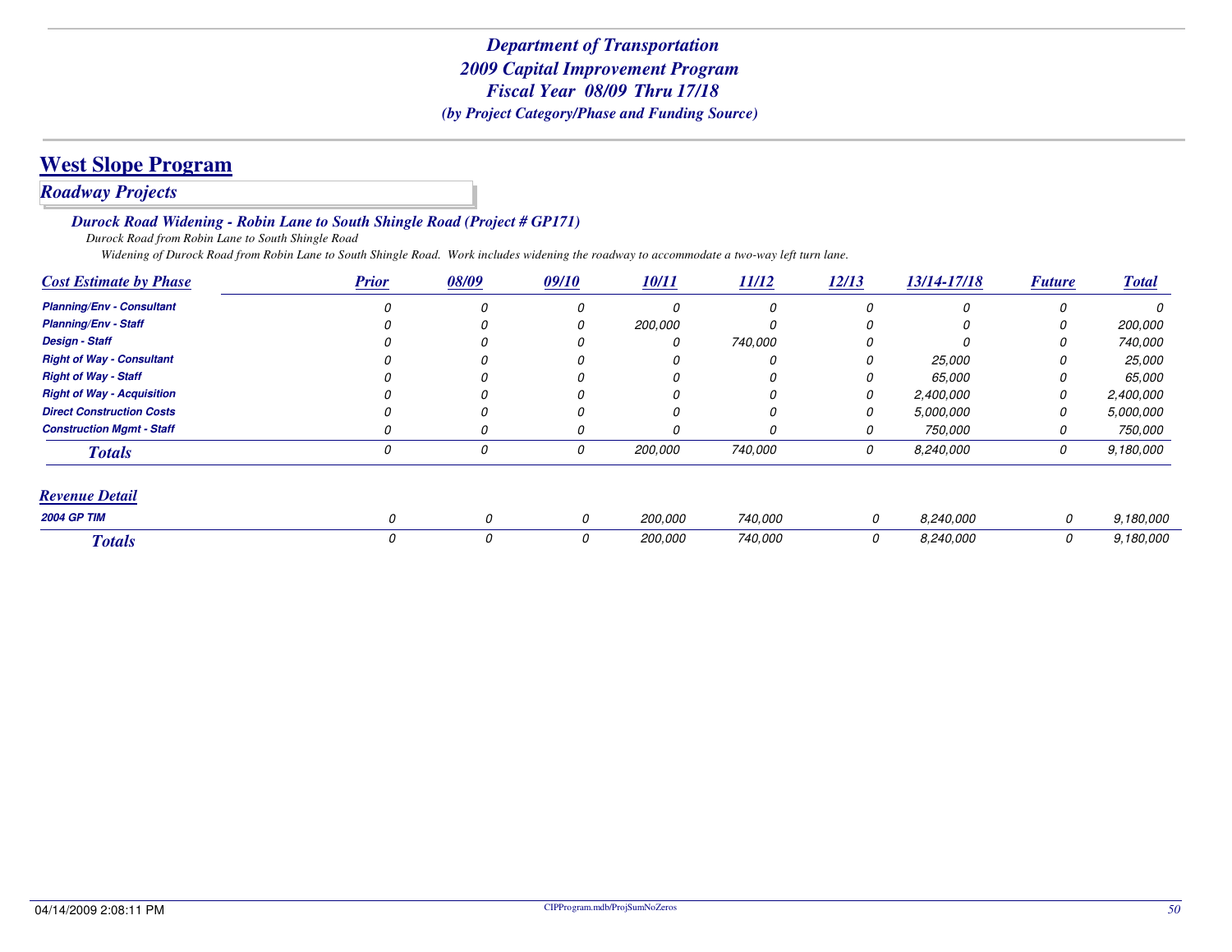# *Roadway Projects*

*Durock Road Widening - Robin Lane to South Shingle Road (Project # GP171)*

*Durock Road from Robin Lane to South Shingle Road*

*Widening of Durock Road from Robin Lane to South Shingle Road. Work includes widening the roadway to accommodate a two-way left turn lane.*

| <b>Cost Estimate by Phase</b>     | <b>Prior</b> | 08/09 | 09/10 | 10/11          | 11/12   | 12/13 | 13/14-17/18 | <b>Future</b> | <b>Total</b>   |
|-----------------------------------|--------------|-------|-------|----------------|---------|-------|-------------|---------------|----------------|
| <b>Planning/Env - Consultant</b>  |              |       |       | 0              |         |       |             |               | <sup>0</sup>   |
| <b>Planning/Env - Staff</b>       |              |       |       | <i>200,000</i> |         |       |             | 0             | <i>200.000</i> |
| <b>Design - Staff</b>             |              |       |       | 0              | 740,000 |       |             |               | 740,000        |
| <b>Right of Way - Consultant</b>  |              |       |       | 0              |         |       | 25,000      | 0             | <i>25,000</i>  |
| <b>Right of Way - Staff</b>       |              |       |       | 0              |         |       | 65.000      | 0             | 65,000         |
| <b>Right of Way - Acquisition</b> |              |       |       | 0              |         |       | 2,400,000   | 0             | 2,400,000      |
| <b>Direct Construction Costs</b>  |              |       |       | 0              |         |       | 5,000,000   | 0             | 5,000,000      |
| <b>Construction Mgmt - Staff</b>  |              |       |       | 0              |         |       | 750,000     | 0             | 750,000        |
| <b>Totals</b>                     | O            | 0     | 0     | 200,000        | 740,000 | 0     | 8,240,000   | 0             | 9,180,000      |
| <b>Revenue Detail</b>             |              |       |       |                |         |       |             |               |                |
| <b>2004 GP TIM</b>                | 0            | 0     | 0     | 200,000        | 740,000 | 0     | 8,240,000   | 0             | 9,180,000      |
| <b>Totals</b>                     |              | 0     | 0     | <i>200,000</i> | 740,000 | 0     | 8,240,000   | 0             | 9,180,000      |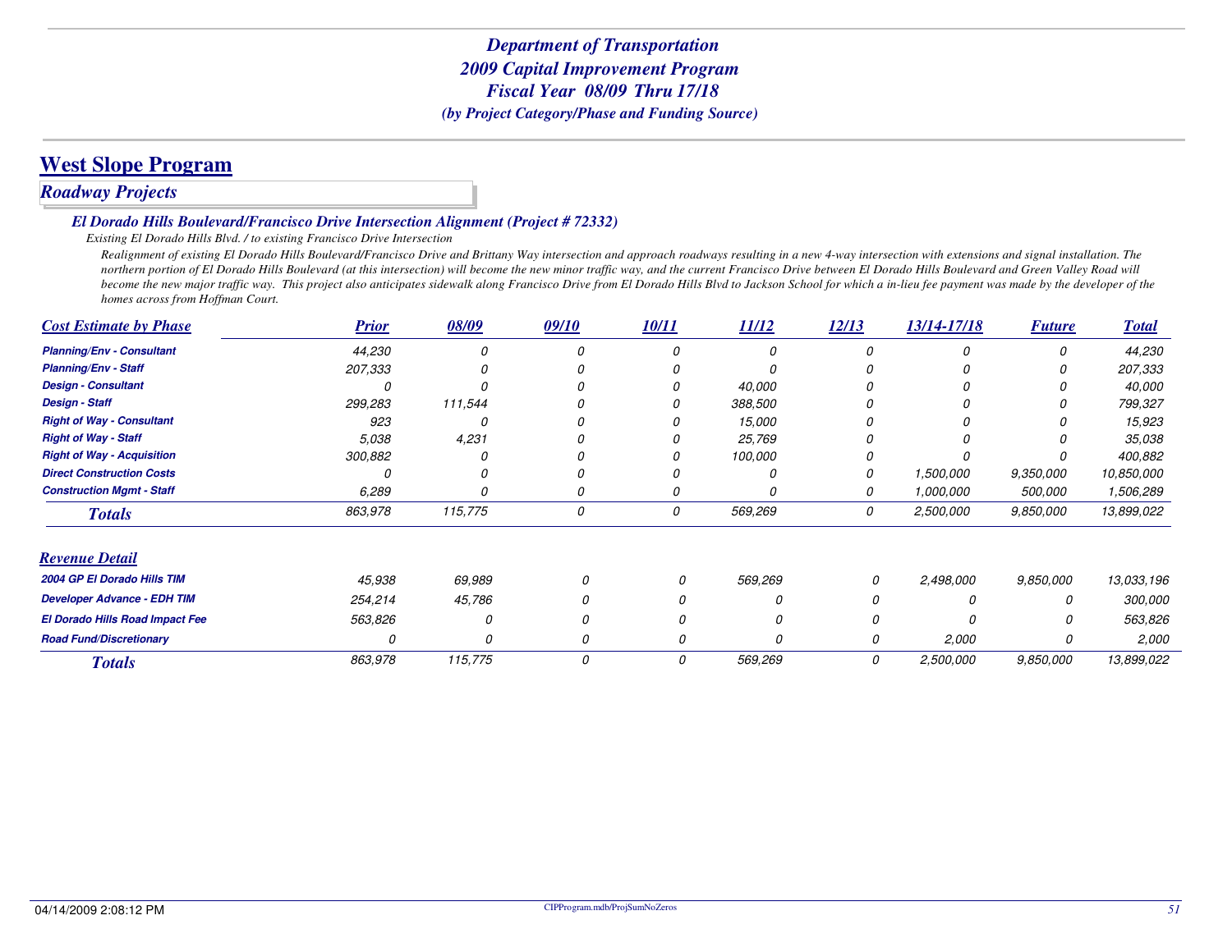# **West Slope Program**

# *Roadway Projects*

#### *El Dorado Hills Boulevard/Francisco Drive Intersection Alignment (Project # 72332)*

#### *Existing El Dorado Hills Blvd. / to existing Francisco Drive Intersection*

 *Realignment of existing El Dorado Hills Boulevard/Francisco Drive and Brittany Way intersection and approach roadways resulting in a new 4-way intersection with extensions and signal installation. The northern portion of El Dorado Hills Boulevard (at this intersection) will become the new minor traffic way, and the current Francisco Drive between El Dorado Hills Boulevard and Green Valley Road will become the new major traffic way. This project also anticipates sidewalk along Francisco Drive from El Dorado Hills Blvd to Jackson School for which a in-lieu fee payment was made by the developer of thehomes across from Hoffman Court.*

| <b>Cost Estimate by Phase</b>      | <b>Prior</b> | 08/09    | 09/10 | 10/11 | 11/12    | 12/13 | 13/14-17/18 | <b>Future</b> | <b>Total</b> |
|------------------------------------|--------------|----------|-------|-------|----------|-------|-------------|---------------|--------------|
| <b>Planning/Env - Consultant</b>   | 44,230       |          |       |       |          | n     |             | n             | 44,230       |
| <b>Planning/Env - Staff</b>        | 207,333      |          |       |       |          |       |             |               | 207,333      |
| <b>Design - Consultant</b>         |              |          |       |       | 40,000   |       |             |               | 40,000       |
| <b>Design - Staff</b>              | 299,283      | 111,544  |       |       | 388,500  |       |             |               | 799,327      |
| <b>Right of Way - Consultant</b>   | 923          |          |       |       | 15,000   |       |             |               | 15,923       |
| <b>Right of Way - Staff</b>        | 5.038        | 4,231    |       |       | 25,769   |       |             |               | 35,038       |
| <b>Right of Way - Acquisition</b>  | 300,882      |          |       |       | 100,000  |       |             |               | 400,882      |
| <b>Direct Construction Costs</b>   |              |          |       |       |          |       | 1,500,000   | 9,350,000     | 10,850,000   |
| <b>Construction Mgmt - Staff</b>   | 6,289        |          | 0     |       |          | 0     | 1,000,000   | 500,000       | 1,506,289    |
| <b>Totals</b>                      | 863,978      | 115,775  | 0     | 0     | 569,269  | 0     | 2,500,000   | 9,850,000     | 13,899,022   |
| <b>Revenue Detail</b>              |              |          |       |       |          |       |             |               |              |
| 2004 GP El Dorado Hills TIM        | 45,938       | 69,989   |       | 0     | 569,269  | 0     | 2,498,000   | 9,850,000     | 13,033,196   |
| <b>Developer Advance - EDH TIM</b> | 254,214      | 45,786   |       |       | Ω        |       |             |               | 300,000      |
| El Dorado Hills Road Impact Fee    | 563,826      | $\Omega$ | 0     |       | $\Omega$ |       |             |               | 563,826      |
| <b>Road Fund/Discretionary</b>     |              | O        | 0     | 0     | 0        | 0     | 2,000       |               | 2,000        |
| <b>Totals</b>                      | 863,978      | 115,775  | 0     | 0     | 569,269  | 0     | 2,500,000   | 9.850,000     | 13,899,022   |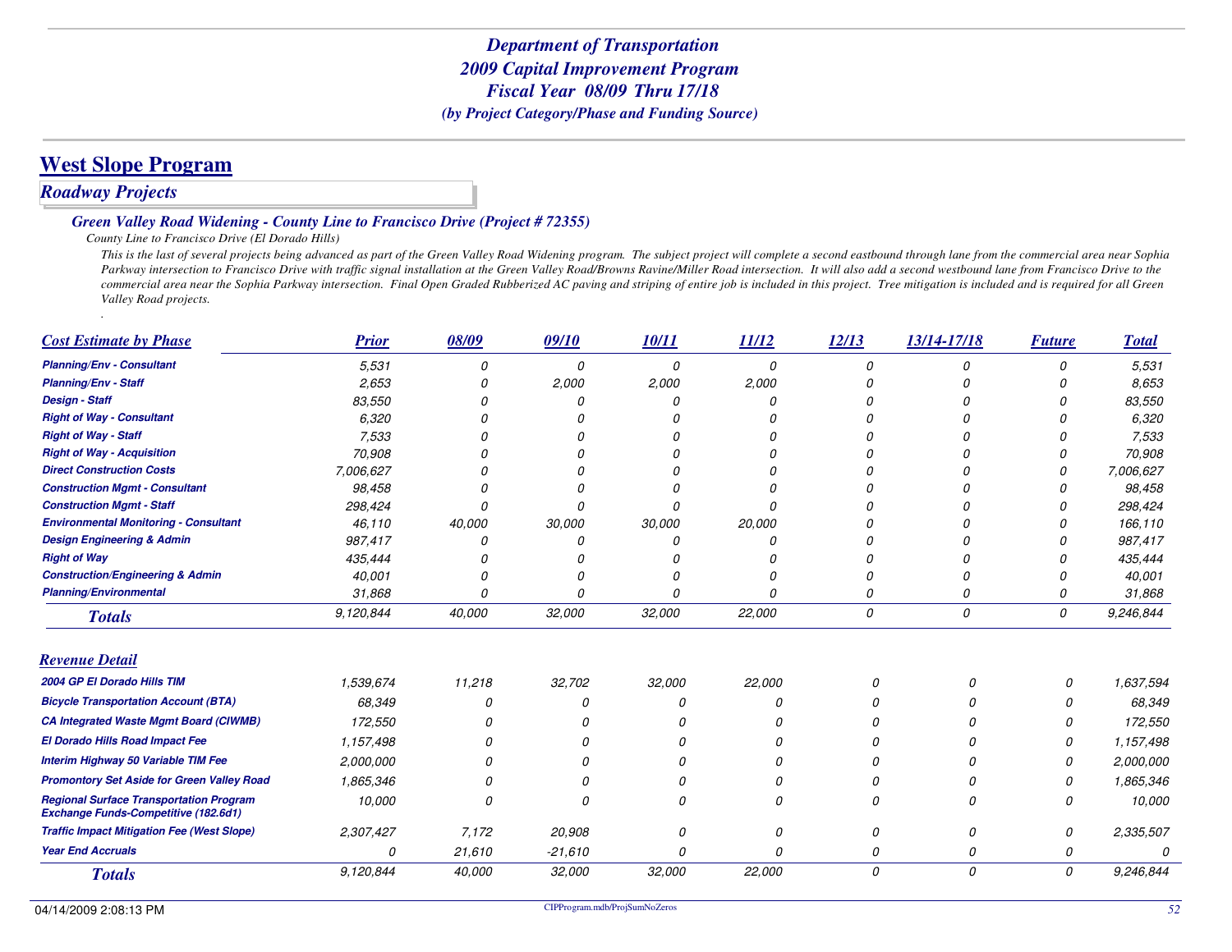# **West Slope Program**

# *Roadway Projects*

#### *Green Valley Road Widening - County Line to Francisco Drive (Project # 72355)*

#### *County Line to Francisco Drive (El Dorado Hills)*

 *This is the last of several projects being advanced as part of the Green Valley Road Widening program. The subject project will complete a second eastbound through lane from the commercial area near Sophia* Parkway intersection to Francisco Drive with traffic signal installation at the Green Valley Road/Browns Ravine/Miller Road intersection. It will also add a second westbound lane from Francisco Drive to the *commercial area near the Sophia Parkway intersection. Final Open Graded Rubberized AC paving and striping of entire job is included in this project. Tree mitigation is included and is required for all Green Valley Road projects.*

| <b>Cost Estimate by Phase</b>                                                                 | <b>Prior</b> | 08/09  | 09/10     | 10/11  | 11/12  | 12/13    | 13/14-17/18 | <b>Future</b> | <b>Total</b> |
|-----------------------------------------------------------------------------------------------|--------------|--------|-----------|--------|--------|----------|-------------|---------------|--------------|
| <b>Planning/Env - Consultant</b>                                                              | 5.531        |        | 0         | 0      | 0      | $\Omega$ | n           | N             | 5.531        |
| <b>Planning/Env - Staff</b>                                                                   | 2,653        |        | 2,000     | 2,000  | 2,000  |          |             |               | 8,653        |
| <b>Design - Staff</b>                                                                         | 83,550       |        |           |        |        |          |             |               | 83,550       |
| <b>Right of Way - Consultant</b>                                                              | 6,320        |        |           |        |        |          |             |               | 6,320        |
| <b>Right of Way - Staff</b>                                                                   | 7,533        |        |           |        |        |          |             |               | 7,533        |
| <b>Right of Way - Acquisition</b>                                                             | 70,908       |        |           |        |        |          |             |               | 70,908       |
| <b>Direct Construction Costs</b>                                                              | 7,006,627    |        |           |        |        |          |             |               | 7,006,627    |
| <b>Construction Mgmt - Consultant</b>                                                         | 98,458       |        |           |        |        |          |             |               | 98,458       |
| <b>Construction Mgmt - Staff</b>                                                              | 298,424      |        |           | n      |        |          |             |               | 298,424      |
| <b>Environmental Monitoring - Consultant</b>                                                  | 46,110       | 40,000 | 30,000    | 30,000 | 20,000 |          |             |               | 166,110      |
| <b>Design Engineering &amp; Admin</b>                                                         | 987,417      |        |           |        |        |          |             |               | 987,417      |
| <b>Right of Way</b>                                                                           | 435,444      |        |           |        |        |          |             |               | 435,444      |
| <b>Construction/Engineering &amp; Admin</b>                                                   | 40,001       |        |           | n      |        |          |             | n             | 40,001       |
| <b>Planning/Environmental</b>                                                                 | 31,868       |        |           | n      |        | O        | $\Omega$    | N             | 31,868       |
| <b>Totals</b>                                                                                 | 9,120,844    | 40,000 | 32,000    | 32,000 | 22,000 | 0        | 0           | 0             | 9,246,844    |
| <b>Revenue Detail</b>                                                                         |              |        |           |        |        |          |             |               |              |
| 2004 GP El Dorado Hills TIM                                                                   | 1,539,674    | 11,218 | 32,702    | 32,000 | 22,000 | $\Omega$ | N           | 0             | 1,637,594    |
| <b>Bicycle Transportation Account (BTA)</b>                                                   | 68,349       | O      | Ω         |        | n      |          |             |               | 68,349       |
| <b>CA Integrated Waste Mgmt Board (CIWMB)</b>                                                 | 172,550      |        |           |        |        |          |             |               | 172,550      |
| El Dorado Hills Road Impact Fee                                                               | 1,157,498    |        | O         |        | n      |          |             | n             | 1,157,498    |
| Interim Highway 50 Variable TIM Fee                                                           | 2,000,000    |        | n         |        |        |          |             |               | 2,000,000    |
| <b>Promontory Set Aside for Green Valley Road</b>                                             | 1,865,346    |        |           |        |        |          |             |               | 1,865,346    |
| <b>Regional Surface Transportation Program</b><br><b>Exchange Funds-Competitive (182.6d1)</b> | 10,000       | ſ      | n         |        | n      | n        | n           |               | 10,000       |
| <b>Traffic Impact Mitigation Fee (West Slope)</b>                                             | 2,307,427    | 7,172  | 20,908    |        | 0      | $\Omega$ | 0           | 0             | 2,335,507    |
| <b>Year End Accruals</b>                                                                      | 0            | 21,610 | $-21,610$ |        | n      | $\Omega$ | 0           | 0             | Ω            |
| <b>Totals</b>                                                                                 | 9,120,844    | 40,000 | 32,000    | 32,000 | 22,000 | 0        | 0           | 0             | 9,246,844    |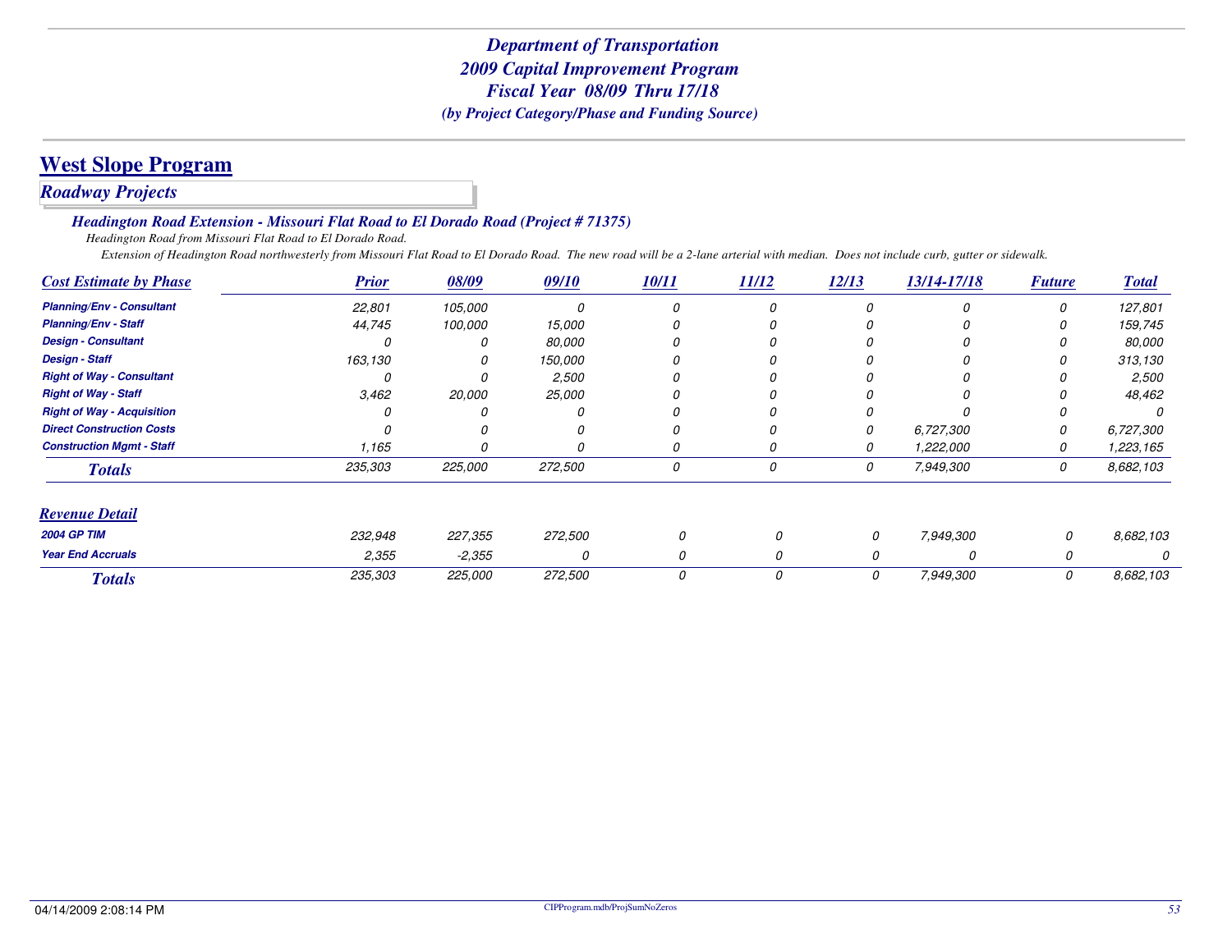# **West Slope Program**

# *Roadway Projects*

#### *Headington Road Extension - Missouri Flat Road to El Dorado Road (Project # 71375)*

*Headington Road from Missouri Flat Road to El Dorado Road.*

*Extension of Headington Road northwesterly from Missouri Flat Road to El Dorado Road. The new road will be a 2-lane arterial with median. Does not include curb, gutter or sidewalk.*

| <b>Cost Estimate by Phase</b>     | <b>Prior</b> | 08/09    | 09/10   | 10/11 | 11/12 | 12/13 | 13/14-17/18 | <b>Future</b> | <b>Total</b> |
|-----------------------------------|--------------|----------|---------|-------|-------|-------|-------------|---------------|--------------|
| <b>Planning/Env - Consultant</b>  | 22,801       | 105,000  | O       | 0     | 0     |       | n           | 0             | 127,801      |
| <b>Planning/Env - Staff</b>       | 44,745       | 100,000  | 15,000  |       |       |       |             |               | 159,745      |
| <b>Design - Consultant</b>        |              |          | 80,000  |       |       |       |             |               | 80,000       |
| <b>Design - Staff</b>             | 163,130      |          | 150,000 |       |       |       |             |               | 313,130      |
| <b>Right of Way - Consultant</b>  |              |          | 2,500   | 0     |       |       |             |               | 2,500        |
| <b>Right of Way - Staff</b>       | 3,462        | 20,000   | 25,000  |       |       |       |             |               | 48,462       |
| <b>Right of Way - Acquisition</b> |              |          |         |       |       |       |             |               |              |
| <b>Direct Construction Costs</b>  |              |          |         |       |       |       | 6,727,300   |               | 6,727,300    |
| <b>Construction Mgmt - Staff</b>  | 1,165        |          |         |       |       |       | 1,222,000   |               | 1,223,165    |
| <b>Totals</b>                     | 235,303      | 225,000  | 272,500 | 0     | 0     | 0     | 7,949,300   | 0             | 8,682,103    |
| <b>Revenue Detail</b>             |              |          |         |       |       |       |             |               |              |
| <b>2004 GP TIM</b>                | 232,948      | 227,355  | 272,500 | 0     |       | 0     | 7,949,300   | 0             | 8.682,103    |
| <b>Year End Accruals</b>          | 2,355        | $-2,355$ | O       |       |       |       |             |               |              |
| <b>Totals</b>                     | 235,303      | 225,000  | 272,500 | 0     | 0     | 0     | 7,949,300   | 0             | 8,682,103    |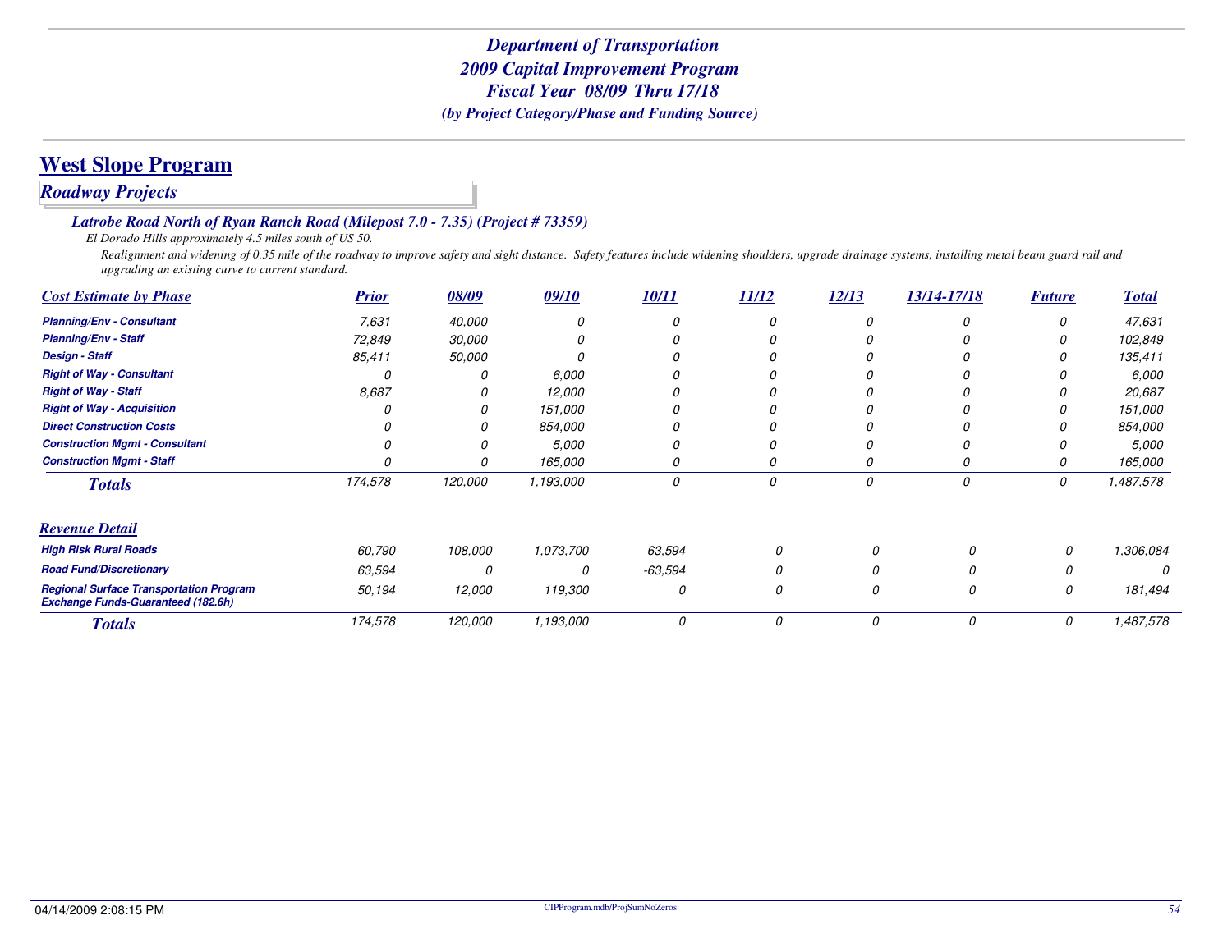# **West Slope Program**

### *Roadway Projects*

#### *Latrobe Road North of Ryan Ranch Road (Milepost 7.0 - 7.35) (Project # 73359)*

*El Dorado Hills approximately 4.5 miles south of US 50.*

Realignment and widening of 0.35 mile of the roadway to improve safety and sight distance. Safety features include widening shoulders, upgrade drainage systems, installing metal beam guard rail and *upgrading an existing curve to current standard.*

| <b>Cost Estimate by Phase</b>                                                               | <b>Prior</b> | 08/09   | 09/10     | 10/11   | 11/12 | 12/13 | 13/14-17/18 | <b>Future</b> | <b>Total</b> |
|---------------------------------------------------------------------------------------------|--------------|---------|-----------|---------|-------|-------|-------------|---------------|--------------|
| <b>Planning/Env - Consultant</b>                                                            | 7,631        | 40,000  |           |         | 0     |       | 0           |               | 47,631       |
| <b>Planning/Env - Staff</b>                                                                 | 72,849       | 30,000  |           |         |       |       |             |               | 102,849      |
| <b>Design - Staff</b>                                                                       | 85,411       | 50,000  |           |         |       |       |             |               | 135,411      |
| <b>Right of Way - Consultant</b>                                                            |              |         | 6,000     |         |       |       |             |               | 6,000        |
| <b>Right of Way - Staff</b>                                                                 | 8,687        |         | 12,000    |         |       |       |             |               | 20,687       |
| <b>Right of Way - Acquisition</b>                                                           |              |         | 151,000   |         |       |       |             |               | 151,000      |
| <b>Direct Construction Costs</b>                                                            |              |         | 854,000   |         |       |       |             |               | 854,000      |
| <b>Construction Mgmt - Consultant</b>                                                       |              |         | 5,000     | 0       |       |       |             |               | 5,000        |
| <b>Construction Mgmt - Staff</b>                                                            |              |         | 165,000   | 0       | 0     |       | 0           |               | 165,000      |
| <b>Totals</b>                                                                               | 174,578      | 120,000 | 1,193,000 | 0       | 0     | 0     | 0           | 0             | 1,487,578    |
| <b>Revenue Detail</b>                                                                       |              |         |           |         |       |       |             |               |              |
| <b>High Risk Rural Roads</b>                                                                | 60,790       | 108,000 | 1,073,700 | 63,594  |       |       |             | 0             | 1,306,084    |
| <b>Road Fund/Discretionary</b>                                                              | 63,594       | 0       | 0         | -63,594 |       |       |             |               |              |
| <b>Regional Surface Transportation Program</b><br><b>Exchange Funds-Guaranteed (182.6h)</b> | 50,194       | 12,000  | 119,300   | 0       | 0     | 0     | 0           | 0             | 181,494      |
| <b>Totals</b>                                                                               | 174,578      | 120,000 | 1,193,000 | 0       | 0     | 0     | 0           | 0             | 1,487,578    |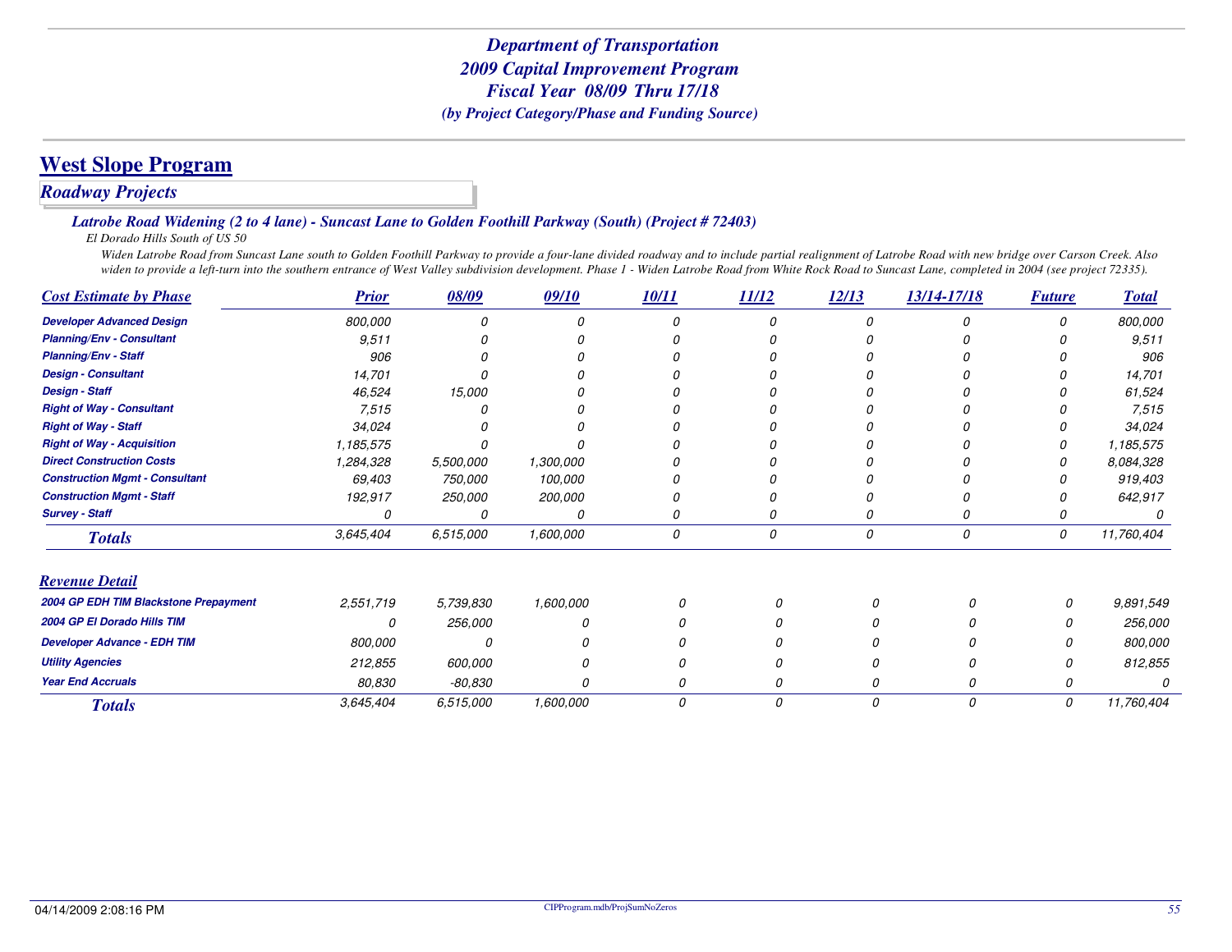# **West Slope Program**

### *Roadway Projects*

#### *Latrobe Road Widening (2 to 4 lane) - Suncast Lane to Golden Foothill Parkway (South) (Project # 72403)*

*El Dorado Hills South of US 50*

 *Widen Latrobe Road from Suncast Lane south to Golden Foothill Parkway to provide a four-lane divided roadway and to include partial realignment of Latrobe Road with new bridge over Carson Creek. Also* widen to provide a left-turn into the southern entrance of West Valley subdivision development. Phase 1 - Widen Latrobe Road from White Rock Road to Suncast Lane, completed in 2004 (see project 72335).

| <b>Cost Estimate by Phase</b>         | <b>Prior</b> | 08/09          | 09/10     | 10/11 | 11/12 | 12/13    | 13/14-17/18 | <b>Future</b> | <b>Total</b> |
|---------------------------------------|--------------|----------------|-----------|-------|-------|----------|-------------|---------------|--------------|
| <b>Developer Advanced Design</b>      | 800,000      |                |           |       |       |          |             | O             | 800,000      |
| <b>Planning/Env - Consultant</b>      | 9,511        |                |           |       |       |          |             |               | 9,511        |
| <b>Planning/Env - Staff</b>           | 906          |                |           |       |       |          |             |               | 906          |
| <b>Design - Consultant</b>            | 14,701       |                |           |       |       |          |             |               | 14,701       |
| <b>Design - Staff</b>                 | 46,524       | 15,000         |           |       |       |          |             |               | 61,524       |
| <b>Right of Way - Consultant</b>      | 7,515        |                |           |       |       |          |             |               | 7,515        |
| <b>Right of Way - Staff</b>           | 34,024       |                |           |       |       |          |             |               | 34,024       |
| <b>Right of Way - Acquisition</b>     | 1,185,575    |                |           |       |       |          |             |               | 1,185,575    |
| <b>Direct Construction Costs</b>      | 1,284,328    | 5,500,000      | 1,300,000 |       |       |          |             |               | 8,084,328    |
| <b>Construction Mgmt - Consultant</b> | 69,403       | 750,000        | 100,000   |       |       |          |             |               | 919,403      |
| <b>Construction Mgmt - Staff</b>      | 192,917      | <i>250,000</i> | 200,000   |       |       |          |             |               | 642,917      |
| <b>Survey - Staff</b>                 |              |                | O         | 0     |       |          |             |               |              |
| <b>Totals</b>                         | 3,645,404    | 6,515,000      | 1,600,000 | 0     | 0     | 0        | 0           | 0             | 11,760,404   |
| <b>Revenue Detail</b>                 |              |                |           |       |       |          |             |               |              |
| 2004 GP EDH TIM Blackstone Prepayment | 2,551,719    | 5,739,830      | 1,600,000 |       |       | $\Omega$ |             | 0             | 9,891,549    |
| 2004 GP El Dorado Hills TIM           | 0            | 256,000        |           |       |       |          |             | 0             | 256,000      |
| <b>Developer Advance - EDH TIM</b>    | 800,000      |                |           |       |       |          |             | N             | 800,000      |
| <b>Utility Agencies</b>               | 212,855      | 600,000        |           |       |       |          |             | N             | 812,855      |
| <b>Year End Accruals</b>              | 80,830       | $-80,830$      | O         |       |       | 0        |             | 0             |              |
| <b>Totals</b>                         | 3,645,404    | 6,515,000      | 1,600,000 | 0     | 0     | 0        | 0           | 0             | 11,760,404   |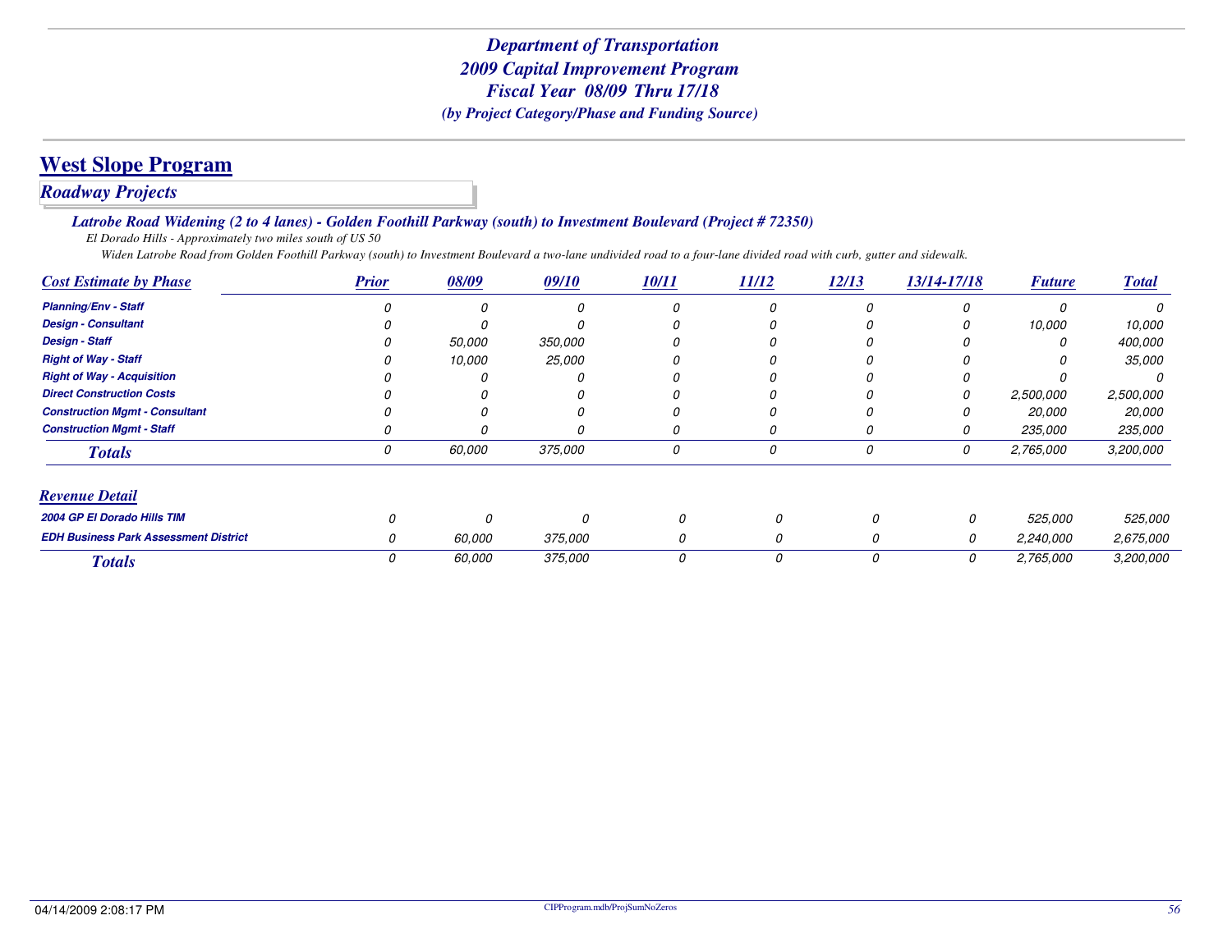# **West Slope Program**

### *Roadway Projects*

#### *Latrobe Road Widening (2 to 4 lanes) - Golden Foothill Parkway (south) to Investment Boulevard (Project # 72350)*

*El Dorado Hills - Approximately two miles south of US 50*

*Widen Latrobe Road from Golden Foothill Parkway (south) to Investment Boulevard a two-lane undivided road to a four-lane divided road with curb, gutter and sidewalk.*

| <b>Cost Estimate by Phase</b>                | <b>Prior</b> | 08/09  | 09/10          | <b>10/11</b> | <u>11/12</u> | 12/13    | 13/14-17/18 | <b>Future</b> | <b>Total</b> |
|----------------------------------------------|--------------|--------|----------------|--------------|--------------|----------|-------------|---------------|--------------|
| <b>Planning/Env - Staff</b>                  |              | Ω      |                |              | 0            |          |             |               |              |
| <b>Design - Consultant</b>                   |              |        |                |              |              |          |             | 10,000        | 10,000       |
| <b>Design - Staff</b>                        |              | 50,000 | 350,000        |              |              |          |             |               | 400,000      |
| <b>Right of Way - Staff</b>                  |              | 10,000 | 25,000         |              |              |          |             |               | 35,000       |
| <b>Right of Way - Acquisition</b>            |              |        |                |              |              |          |             |               |              |
| <b>Direct Construction Costs</b>             |              |        |                |              |              |          |             | 2,500,000     | 2,500,000    |
| <b>Construction Mgmt - Consultant</b>        |              |        |                |              |              |          |             | <i>20.000</i> | 20,000       |
| <b>Construction Mamt - Staff</b>             |              |        |                |              | 0            |          |             | 235,000       | 235,000      |
| <b>Totals</b>                                |              | 60.000 | 375,000        | 0            | 0            |          | 0           | 2,765,000     | 3,200,000    |
| <b>Revenue Detail</b>                        |              |        |                |              |              |          |             |               |              |
| 2004 GP El Dorado Hills TIM                  |              |        | <sup>0</sup>   | O            |              | $\Omega$ | 0           | 525,000       | 525,000      |
| <b>EDH Business Park Assessment District</b> |              | 60.000 | <i>375,000</i> |              |              | 0        | 0           | 2,240,000     | 2,675,000    |
| <b>Totals</b>                                |              | 60.000 | 375,000        | 0            |              | 0        | 0           | 2,765,000     | 3,200,000    |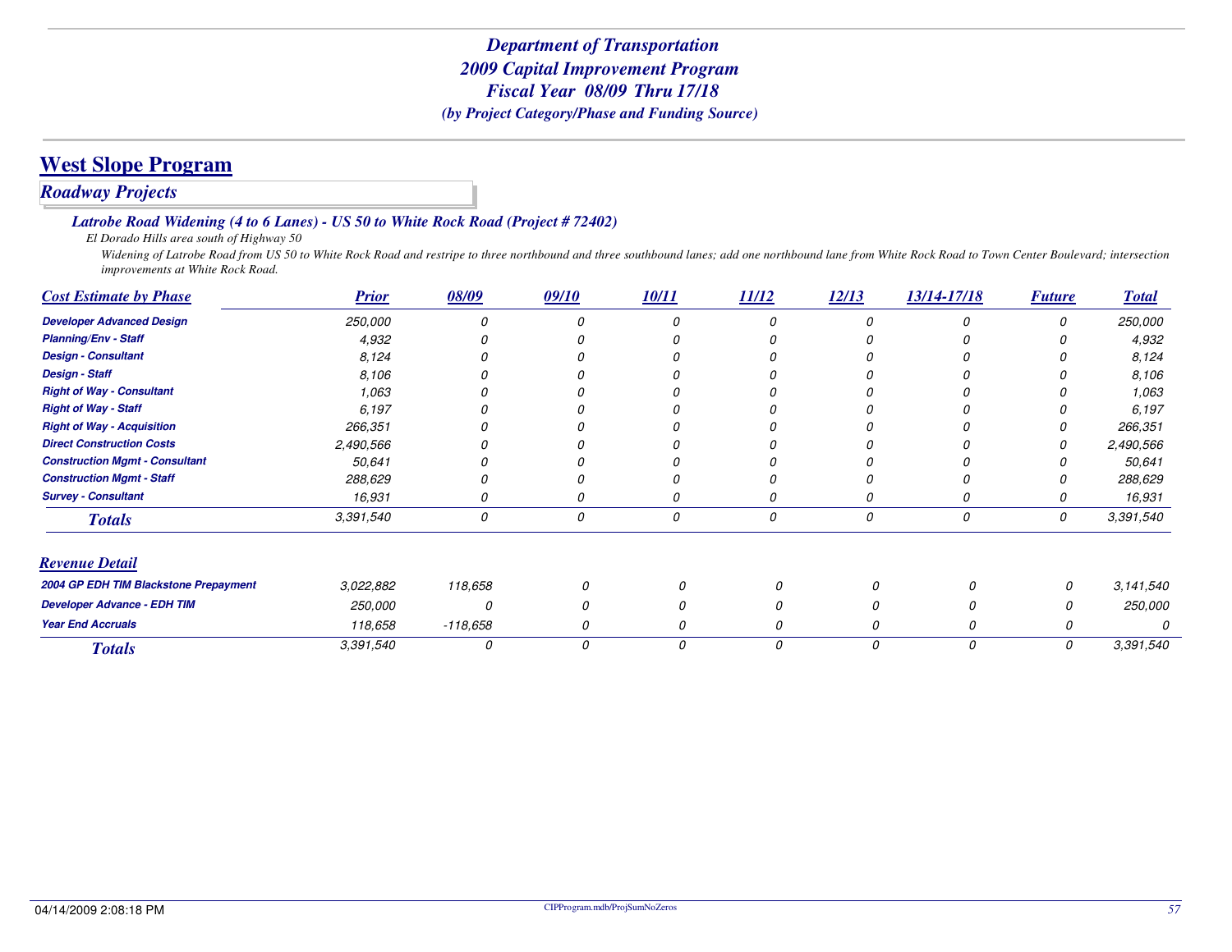### *Roadway Projects*

#### *Latrobe Road Widening (4 to 6 Lanes) - US 50 to White Rock Road (Project # 72402)*

*El Dorado Hills area south of Highway 50*

 *Widening of Latrobe Road from US 50 to White Rock Road and restripe to three northbound and three southbound lanes; add one northbound lane from White Rock Road to Town Center Boulevard; intersection improvements at White Rock Road.*

| <b>Cost Estimate by Phase</b>         | <b>Prior</b> | 08/09      | 09/10 | 10/11 | 11/12 | 12/13 | 13/14-17/18 | <b>Future</b> | <b>Total</b>   |
|---------------------------------------|--------------|------------|-------|-------|-------|-------|-------------|---------------|----------------|
| <b>Developer Advanced Design</b>      | 250,000      |            |       |       |       |       |             |               | <i>250,000</i> |
| <b>Planning/Env - Staff</b>           | 4,932        |            |       |       |       |       |             |               | 4,932          |
| <b>Design - Consultant</b>            | 8,124        |            |       |       |       |       |             |               | 8,124          |
| <b>Design - Staff</b>                 | 8,106        |            |       |       |       |       |             |               | 8,106          |
| <b>Right of Way - Consultant</b>      | 1,063        |            |       |       |       |       |             |               | 1,063          |
| <b>Right of Way - Staff</b>           | 6,197        |            |       |       |       |       |             |               | 6,197          |
| <b>Right of Way - Acquisition</b>     | 266,351      |            |       |       |       |       |             |               | 266,351        |
| <b>Direct Construction Costs</b>      | 2,490,566    |            |       |       |       |       |             |               | 2,490,566      |
| <b>Construction Mgmt - Consultant</b> | 50,641       |            |       |       |       |       |             |               | 50,641         |
| <b>Construction Mgmt - Staff</b>      | 288,629      |            |       |       |       |       |             |               | 288,629        |
| <b>Survey - Consultant</b>            | 16,931       |            |       |       |       |       |             |               | 16,931         |
| <b>Totals</b>                         | 3,391,540    | 0          | 0     | 0     | 0     | 0     | 0           | 0             | 3,391,540      |
| <b>Revenue Detail</b>                 |              |            |       |       |       |       |             |               |                |
| 2004 GP EDH TIM Blackstone Prepayment | 3,022,882    | 118,658    |       |       |       | 0     |             | 0             | 3,141,540      |
| <b>Developer Advance - EDH TIM</b>    | 250,000      | 0          |       |       |       |       |             | 0             | 250,000        |
| <b>Year End Accruals</b>              | 118,658      | $-118,658$ |       |       |       |       |             | 0             |                |
| <b>Totals</b>                         | 3,391,540    | 0          | 0     | 0     | 0     | 0     | 0           | 0             | 3,391,540      |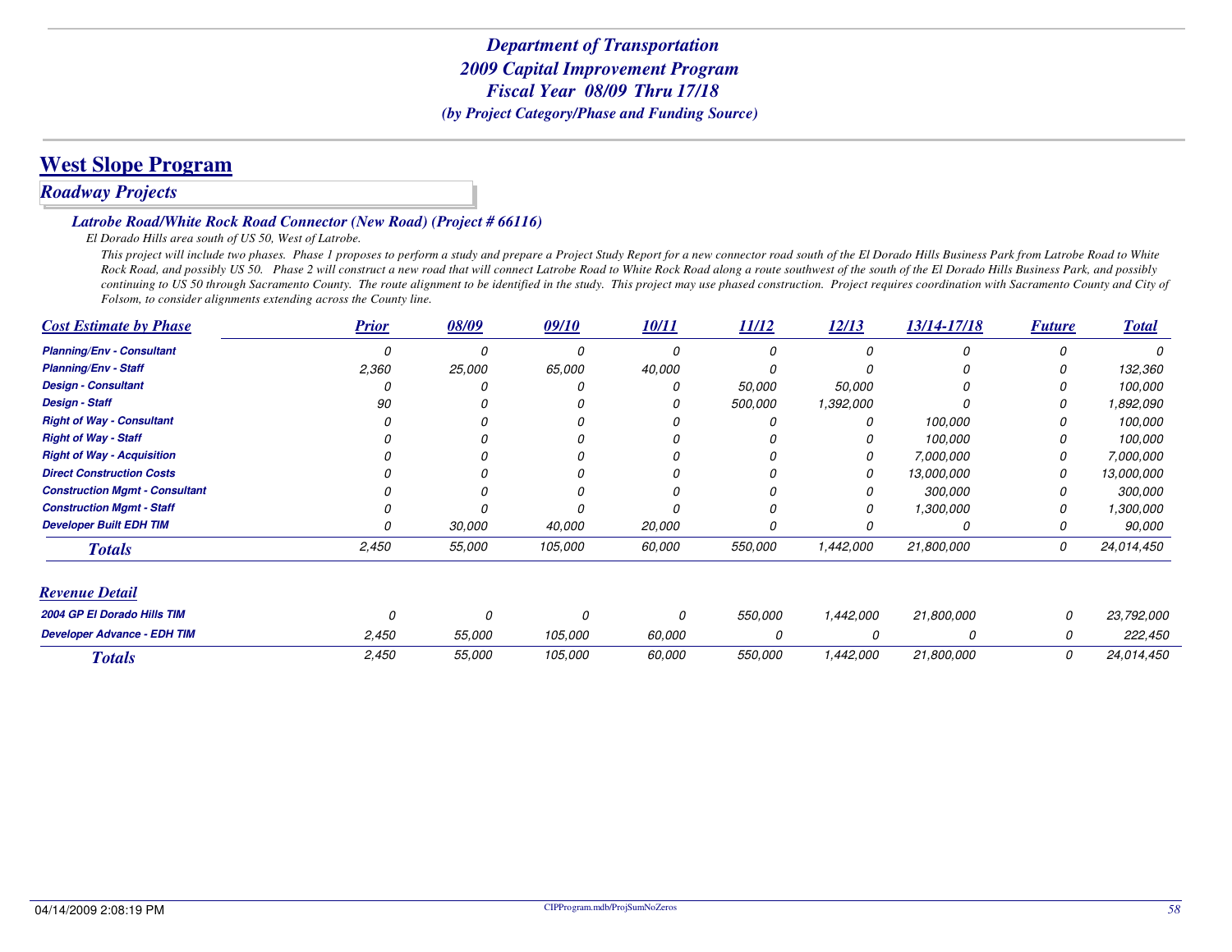# **West Slope Program**

### *Roadway Projects*

#### *Latrobe Road/White Rock Road Connector (New Road) (Project # 66116)*

*El Dorado Hills area south of US 50, West of Latrobe.*

 *This project will include two phases. Phase 1 proposes to perform a study and prepare a Project Study Report for a new connector road south of the El Dorado Hills Business Park from Latrobe Road to White Rock Road, and possibly US 50. Phase 2 will construct a new road that will connect Latrobe Road to White Rock Road along a route southwest of the south of the El Dorado Hills Business Park, and possibly continuing to US 50 through Sacramento County. The route alignment to be identified in the study. This project may use phased construction. Project requires coordination with Sacramento County and City of Folsom, to consider alignments extending across the County line.*

| <b>Cost Estimate by Phase</b>         | <b>Prior</b> | 08/09    | 09/10   | 10/11  | 11/12   | 12/13     | 13/14-17/18 | <b>Future</b> | <b>Total</b> |
|---------------------------------------|--------------|----------|---------|--------|---------|-----------|-------------|---------------|--------------|
| <b>Planning/Env - Consultant</b>      |              | n        |         |        | n       | $\Omega$  |             |               |              |
| <b>Planning/Env - Staff</b>           | 2,360        | 25,000   | 65,000  | 40,000 |         |           |             |               | 132,360      |
| <b>Design - Consultant</b>            |              |          |         |        | 50,000  | 50,000    |             |               | 100,000      |
| <b>Design - Staff</b>                 | 90           |          |         |        | 500,000 | 1,392,000 |             |               | 1,892,090    |
| <b>Right of Way - Consultant</b>      |              |          |         |        |         | 0         | 100,000     |               | 100,000      |
| <b>Right of Way - Staff</b>           |              |          |         |        |         |           | 100,000     |               | 100,000      |
| <b>Right of Way - Acquisition</b>     |              |          |         |        |         | 0         | 7,000,000   |               | 7,000,000    |
| <b>Direct Construction Costs</b>      |              |          |         |        |         |           | 13,000,000  |               | 13,000,000   |
| <b>Construction Mgmt - Consultant</b> |              |          |         |        |         |           | 300,000     |               | 300,000      |
| <b>Construction Mgmt - Staff</b>      |              |          |         |        |         |           | 1,300,000   |               | 1,300,000    |
| <b>Developer Built EDH TIM</b>        |              | 30,000   | 40,000  | 20,000 |         |           |             |               | 90,000       |
| <b>Totals</b>                         | 2,450        | 55,000   | 105,000 | 60,000 | 550,000 | 1,442,000 | 21,800,000  | 0             | 24,014,450   |
| <b>Revenue Detail</b>                 |              |          |         |        |         |           |             |               |              |
| 2004 GP El Dorado Hills TIM           | 0            | $\Omega$ | Ω       | 0      | 550,000 | 1,442,000 | 21,800,000  | 0             | 23,792,000   |
| <b>Developer Advance - EDH TIM</b>    | 2,450        | 55,000   | 105,000 | 60,000 | 0       | O         | 0           | 0             | 222,450      |
| <b>Totals</b>                         | 2,450        | 55,000   | 105,000 | 60,000 | 550,000 | 1,442,000 | 21,800,000  | 0             | 24,014,450   |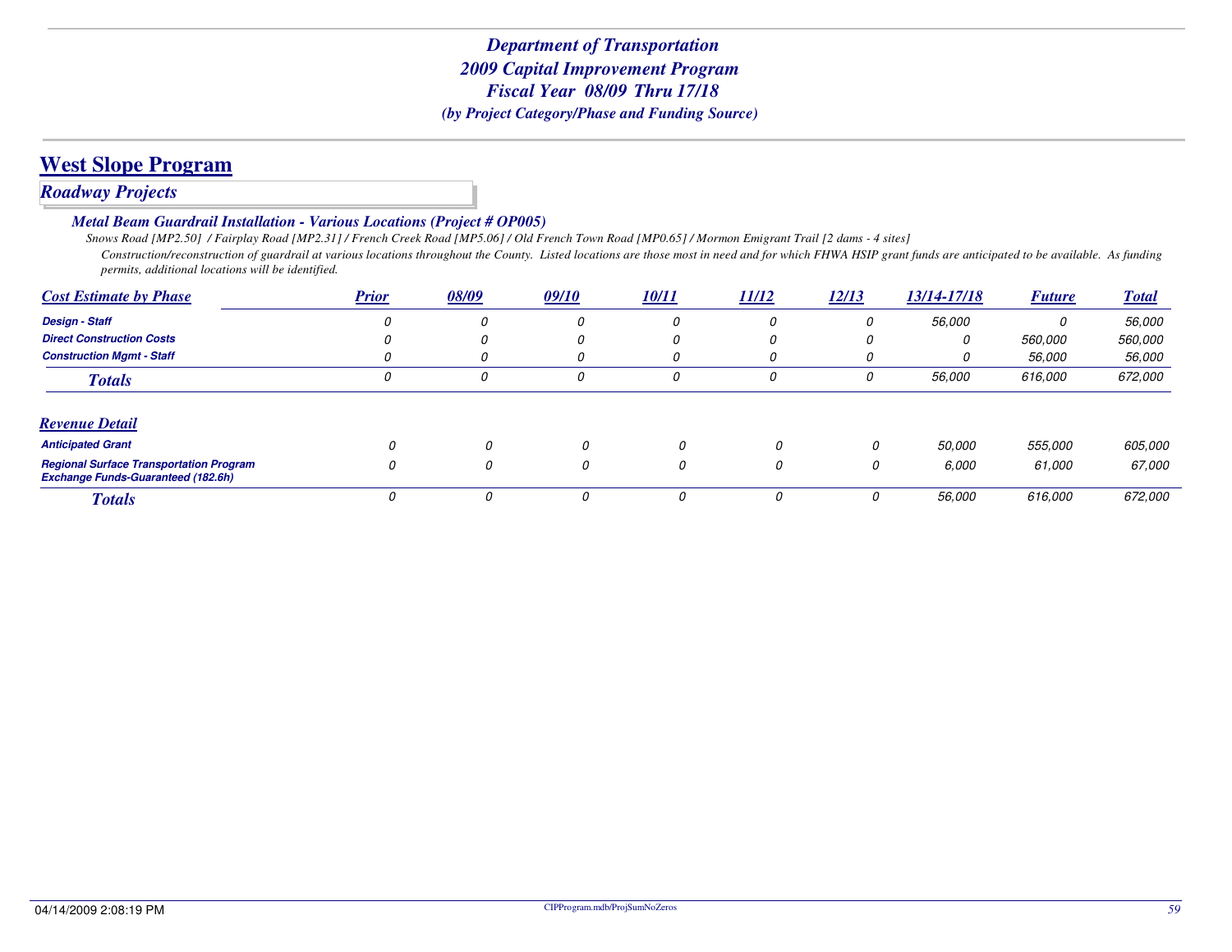### *Roadway Projects*

*Metal Beam Guardrail Installation - Various Locations (Project # OP005)*

 *Snows Road [MP2.50] / Fairplay Road [MP2.31] / French Creek Road [MP5.06] / Old French Town Road [MP0.65] / Mormon Emigrant Trail [2 dams - 4 sites] Construction/reconstruction of guardrail at various locations throughout the County. Listed locations are those most in need and for which FHWA HSIP grant funds are anticipated to be available. As funding permits, additional locations will be identified.*

| <b>Cost Estimate by Phase</b>                                                               | <b>Prior</b> | 08/09        | 09/10 | <u>10/11</u> | 11/12    | 12/13 | 13/14-17/18   | <b>Future</b>  | <b>Total</b>   |
|---------------------------------------------------------------------------------------------|--------------|--------------|-------|--------------|----------|-------|---------------|----------------|----------------|
| <b>Design - Staff</b>                                                                       |              | 0            | 0     | 0            |          | 0     | 56,000        | 0              | <i>56.000</i>  |
| <b>Direct Construction Costs</b>                                                            |              | U            | 0     |              |          | 0     | 0             | 560.000        | <i>560.000</i> |
| <b>Construction Mamt - Staff</b>                                                            |              | O            | 0     |              |          | 0     | 0             | 56,000         | <i>56.000</i>  |
| <b>Totals</b>                                                                               |              | 0            | 0     | 0            | 0        | 0     | 56,000        | 616,000        | 672,000        |
| <b>Revenue Detail</b>                                                                       |              |              |       |              |          |       |               |                |                |
| <b>Anticipated Grant</b>                                                                    |              | $\Omega$     | 0     | 0            | $\Omega$ | 0     | <i>50.000</i> | <i>555.000</i> | 605,000        |
| <b>Regional Surface Transportation Program</b><br><b>Exchange Funds-Guaranteed (182.6h)</b> |              | <sup>0</sup> | 0     | 0            | 0        | 0     | 6.000         | 61,000         | 67,000         |
| <b>Totals</b>                                                                               |              | n            |       |              | $\Omega$ |       | 56,000        | 616,000        | 672,000        |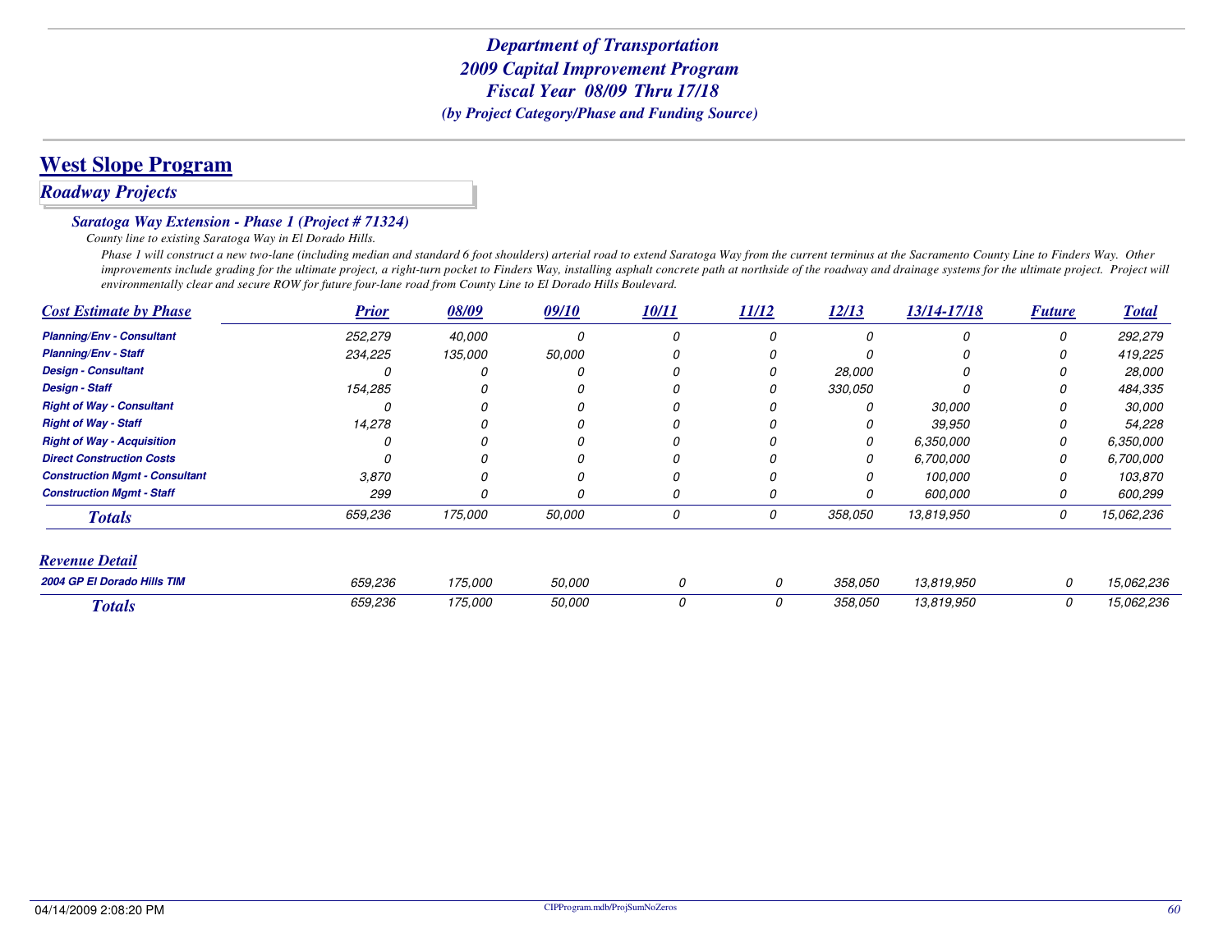# **West Slope Program**

### *Roadway Projects*

#### *Saratoga Way Extension - Phase 1 (Project # 71324)*

*County line to existing Saratoga Way in El Dorado Hills.*

 *Phase 1 will construct a new two-lane (including median and standard 6 foot shoulders) arterial road to extend Saratoga Way from the current terminus at the Sacramento County Line to Finders Way. Other improvements include grading for the ultimate project, a right-turn pocket to Finders Way, installing asphalt concrete path at northside of the roadway and drainage systems for the ultimate project. Project will environmentally clear and secure ROW for future four-lane road from County Line to El Dorado Hills Boulevard.*

| <b>Cost Estimate by Phase</b>         | <b>Prior</b> | 08/09   | 09/10  | <b>10/11</b> | $\frac{11/12}{1}$ | 12/13   | 13/14-17/18 | <b>Future</b> | <b>Total</b> |
|---------------------------------------|--------------|---------|--------|--------------|-------------------|---------|-------------|---------------|--------------|
| <b>Planning/Env - Consultant</b>      | 252,279      | 40,000  |        | 0            |                   | 0       | 0           | 0             | 292,279      |
| <b>Planning/Env - Staff</b>           | 234,225      | 135,000 | 50,000 |              |                   |         |             |               | 419,225      |
| <b>Design - Consultant</b>            |              |         |        |              |                   | 28,000  |             |               | 28,000       |
| <b>Design - Staff</b>                 | 154,285      |         |        |              |                   | 330,050 |             |               | 484,335      |
| <b>Right of Way - Consultant</b>      |              |         |        |              |                   |         | 30,000      |               | 30,000       |
| <b>Right of Way - Staff</b>           | 14,278       |         |        |              |                   |         | 39,950      |               | 54,228       |
| <b>Right of Way - Acquisition</b>     |              |         |        | 0            |                   | 0       | 6,350,000   | 0             | 6,350,000    |
| <b>Direct Construction Costs</b>      |              |         |        | 0            |                   | 0       | 6,700,000   | 0             | 6,700,000    |
| <b>Construction Mgmt - Consultant</b> | 3.870        | Ω       |        | N            |                   | Ω       | 100,000     | O             | 103,870      |
| <b>Construction Mgmt - Staff</b>      | 299          | Ω       |        | 0            |                   |         | 600,000     | 0             | 600,299      |
| <b>Totals</b>                         | 659,236      | 175,000 | 50,000 | 0            | 0                 | 358,050 | 13,819,950  | 0             | 15,062,236   |
| Revenue Detail                        |              |         |        |              |                   |         |             |               |              |
| 2004 GP El Dorado Hills TIM           | 659,236      | 175,000 | 50,000 | 0            | 0                 | 358.050 | 13,819,950  | 0             | 15,062,236   |
| <b>Totals</b>                         | 659,236      | 175,000 | 50,000 | 0            | 0                 | 358,050 | 13,819,950  | 0             | 15,062,236   |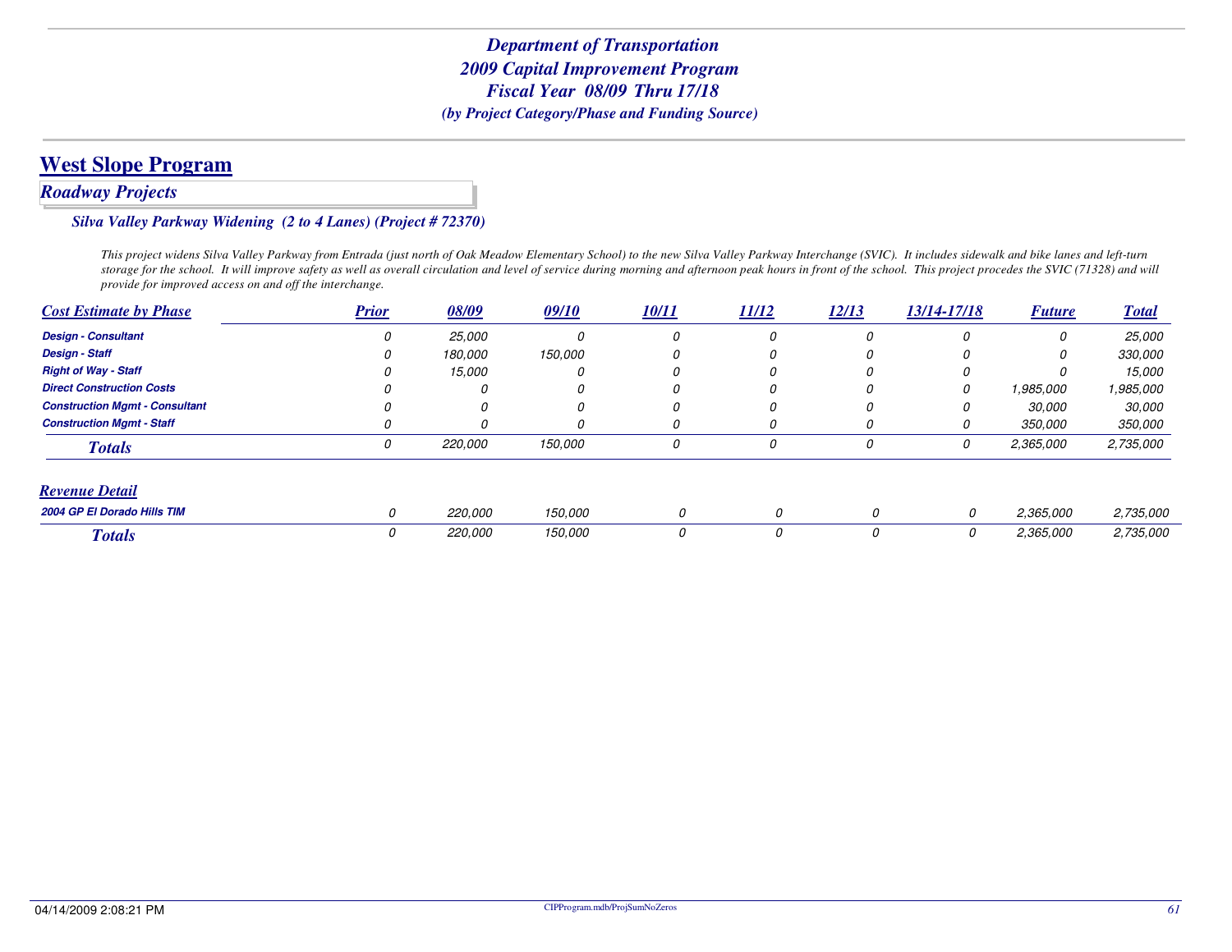# **West Slope Program**

### *Roadway Projects*

#### *Silva Valley Parkway Widening (2 to 4 Lanes) (Project # 72370)*

*This project widens Silva Valley Parkway from Entrada (just north of Oak Meadow Elementary School) to the new Silva Valley Parkway Interchange (SVIC). It includes sidewalk and bike lanes and left-turn storage for the school. It will improve safety as well as overall circulation and level of service during morning and afternoon peak hours in front of the school. This project procedes the SVIC (71328) and will provide for improved access on and off the interchange.*

| <b>Cost Estimate by Phase</b>         | <b>Prior</b> | 08/09   | 09/10   | <b>10/11</b> | 11/12 | 12/13  | 13/14-17/18 | <b>Future</b>  | <b>Total</b>   |
|---------------------------------------|--------------|---------|---------|--------------|-------|--------|-------------|----------------|----------------|
| <b>Design - Consultant</b>            |              | 25,000  | 0       |              | 0     | 0      | 0           | 0              | 25,000         |
| <b>Design - Staff</b>                 |              | 180.000 | 150,000 |              | O     | O      | 0           |                | <i>330,000</i> |
| <b>Right of Way - Staff</b>           |              | 15,000  | 0       |              | 0     | 0      | 0           | U              | 15.000         |
| <b>Direct Construction Costs</b>      |              |         | 0       | N            |       |        | 0           | 1,985,000      | 1,985,000      |
| <b>Construction Mamt - Consultant</b> |              | $\eta$  | 0       | 0            | 0     | $\eta$ | 0           | 30,000         | <i>30.000</i>  |
| <b>Construction Mamt - Staff</b>      |              | 0       | 0       |              | 0     | 0      | 0           | <i>350,000</i> | <i>350,000</i> |
| <b>Totals</b>                         | 0            | 220,000 | 150,000 | 0            | 0     | 0      | 0           | 2,365,000      | 2,735,000      |
| <b>Revenue Detail</b>                 |              |         |         |              |       |        |             |                |                |
| 2004 GP El Dorado Hills TIM           | 0            | 220.000 | 150,000 | 0            | 0     | 0      | 0           | 2,365,000      | 2,735,000      |
| <b>Totals</b>                         | 0            | 220,000 | 150,000 | 0            | 0     | 0      | 0           | 2,365,000      | 2,735,000      |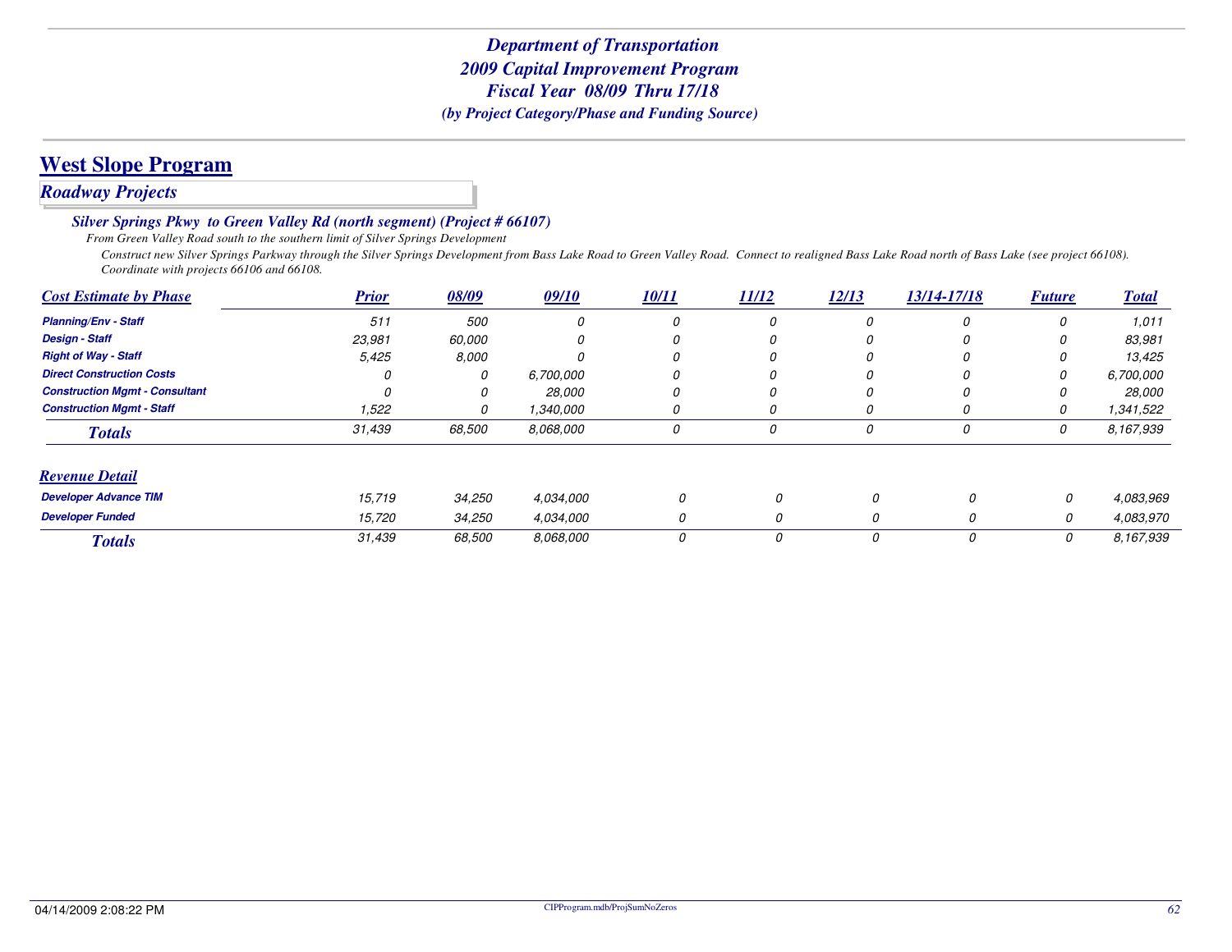# **West Slope Program**

# *Roadway Projects*

*Silver Springs Pkwy to Green Valley Rd (north segment) (Project # 66107)*

*From Green Valley Road south to the southern limit of Silver Springs Development*

 *Construct new Silver Springs Parkway through the Silver Springs Development from Bass Lake Road to Green Valley Road. Connect to realigned Bass Lake Road north of Bass Lake (see project 66108). Coordinate with projects 66106 and 66108.*

| <b>Cost Estimate by Phase</b>         | <b>Prior</b> | 08/09  | 09/10        | 10/11 | 11/12 | 12/13 | 13/14-17/18 | <b>Future</b> | <b>Total</b>  |
|---------------------------------------|--------------|--------|--------------|-------|-------|-------|-------------|---------------|---------------|
| <b>Planning/Env - Staff</b>           | 511          | 500    | 0            | 0     | U     | 0     | 0           | 0             | 1.011         |
| <b>Design - Staff</b>                 | 23,981       | 60.000 |              |       |       |       |             | 0             | 83,981        |
| <b>Right of Way - Staff</b>           | 5,425        | 8.000  | <sup>0</sup> | 0     | 0     | 0     | 0           | 0             | 13,425        |
| <b>Direct Construction Costs</b>      |              | 0      | 6,700,000    |       |       |       |             | 0             | 6,700,000     |
| <b>Construction Mgmt - Consultant</b> | n            |        | 28,000       | 0     | 0     | 0     | 0           | 0             | <i>28.000</i> |
| <b>Construction Mgmt - Staff</b>      | 1,522        | O      | 1,340,000    | 0     | U     |       | U           | 0             | 1,341,522     |
| <b>Totals</b>                         | 31,439       | 68,500 | 8.068.000    | 0     | 0     | 0     | 0           | 0             | 8,167,939     |
| <b>Revenue Detail</b>                 |              |        |              |       |       |       |             |               |               |
| <b>Developer Advance TIM</b>          | 15,719       | 34,250 | 4.034.000    | 0     | 0     | 0     | 0           | 0             | 4,083,969     |
| <b>Developer Funded</b>               | 15,720       | 34,250 | 4.034.000    | 0     | 0     | 0     | 0           | 0             | 4,083,970     |
| <b>Totals</b>                         | 31,439       | 68,500 | 8.068.000    | 0     | 0     | 0     | 0           | 0             | 8.167.939     |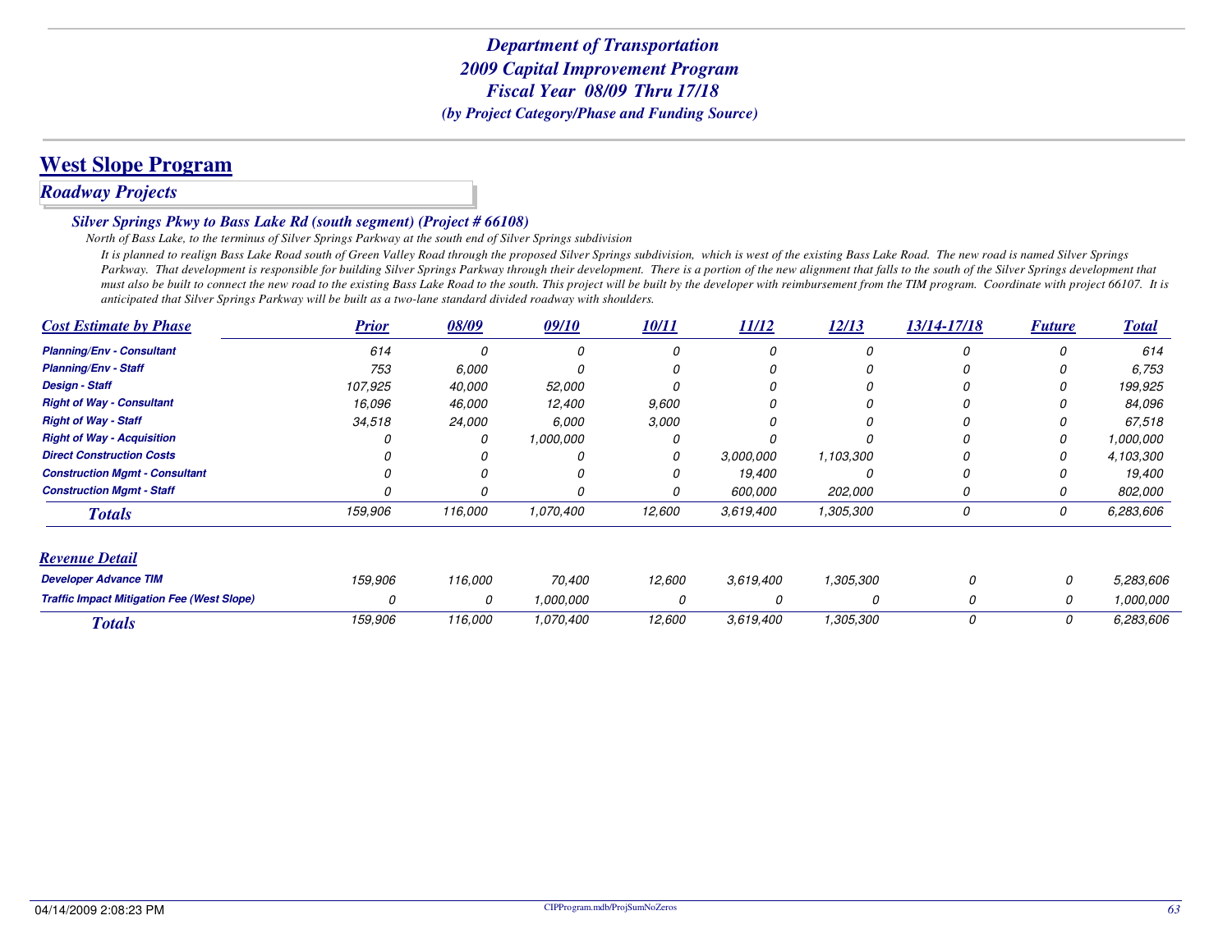# **West Slope Program**

# *Roadway Projects*

#### *Silver Springs Pkwy to Bass Lake Rd (south segment) (Project # 66108)*

*North of Bass Lake, to the terminus of Silver Springs Parkway at the south end of Silver Springs subdivision*

 *It is planned to realign Bass Lake Road south of Green Valley Road through the proposed Silver Springs subdivision, which is west of the existing Bass Lake Road. The new road is named Silver Springs* Parkway. That development is responsible for building Silver Springs Parkway through their development. There is a portion of the new alignment that falls to the south of the Silver Springs development that *must also be built to connect the new road to the existing Bass Lake Road to the south. This project will be built by the developer with reimbursement from the TIM program. Coordinate with project 66107. It is anticipated that Silver Springs Parkway will be built as a two-lane standard divided roadway with shoulders.*

| <b>Cost Estimate by Phase</b>                     | <b>Prior</b> | 08/09   | 09/10     | 10/11  | 11/12     | 12/13     | 13/14-17/18 | <b>Future</b> | <b>Total</b> |
|---------------------------------------------------|--------------|---------|-----------|--------|-----------|-----------|-------------|---------------|--------------|
| <b>Planning/Env - Consultant</b>                  | 614          |         |           |        |           | 0         |             | Ω             | 614          |
| <b>Planning/Env - Staff</b>                       | 753          | 6,000   |           |        |           |           |             |               | 6,753        |
| <b>Design - Staff</b>                             | 107,925      | 40,000  | 52,000    |        |           |           |             |               | 199,925      |
| <b>Right of Way - Consultant</b>                  | 16.096       | 46,000  | 12,400    | 9,600  |           |           |             |               | 84.096       |
| <b>Right of Way - Staff</b>                       | 34,518       | 24,000  | 6,000     | 3,000  |           |           |             |               | 67,518       |
| <b>Right of Way - Acquisition</b>                 |              |         | 1,000,000 |        |           |           |             |               | 1,000,000    |
| <b>Direct Construction Costs</b>                  |              |         |           | 0      | 3.000.000 | 1,103,300 |             |               | 4,103,300    |
| <b>Construction Mgmt - Consultant</b>             |              |         |           |        | 19,400    |           |             |               | 19,400       |
| <b>Construction Mamt - Staff</b>                  |              |         |           | 0      | 600,000   | 202,000   | 0           | 0             | 802,000      |
| <b>Totals</b>                                     | 159,906      | 116,000 | 1,070,400 | 12,600 | 3,619,400 | 1,305,300 | 0           | 0             | 6,283,606    |
| <b>Revenue Detail</b>                             |              |         |           |        |           |           |             |               |              |
| <b>Developer Advance TIM</b>                      | 159,906      | 116,000 | 70,400    | 12,600 | 3,619,400 | 1,305,300 |             | 0             | 5,283,606    |
| <b>Traffic Impact Mitigation Fee (West Slope)</b> | 0            | 0       | 1,000,000 |        |           | 0         | 0           | 0             | 1,000,000    |
| <b>Totals</b>                                     | 159,906      | 116,000 | 1,070,400 | 12,600 | 3,619,400 | 1,305,300 | 0           | 0             | 6,283,606    |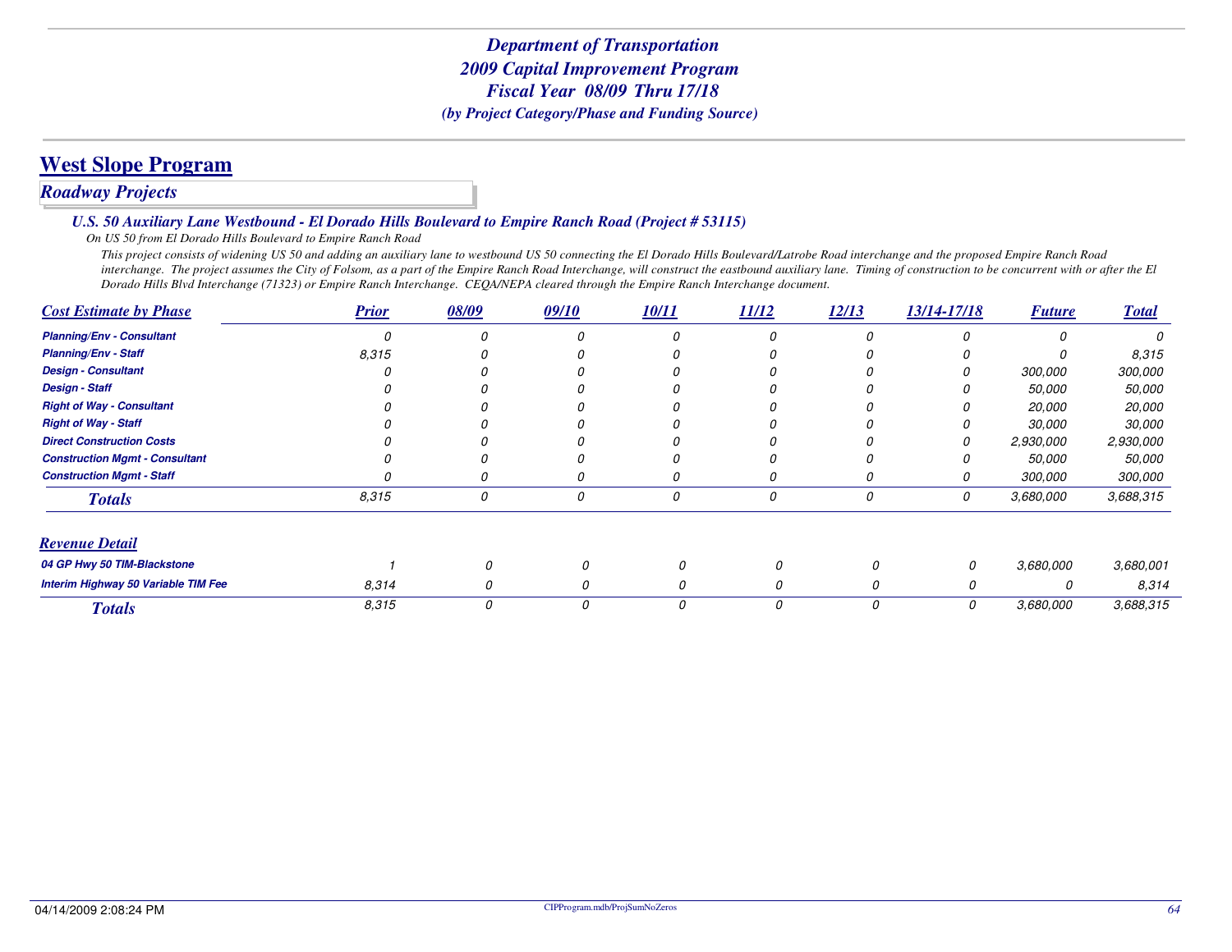# **West Slope Program**

# *Roadway Projects*

#### *U.S. 50 Auxiliary Lane Westbound - El Dorado Hills Boulevard to Empire Ranch Road (Project # 53115)*

*On US 50 from El Dorado Hills Boulevard to Empire Ranch Road*

 *This project consists of widening US 50 and adding an auxiliary lane to westbound US 50 connecting the El Dorado Hills Boulevard/Latrobe Road interchange and the proposed Empire Ranch Road interchange. The project assumes the City of Folsom, as a part of the Empire Ranch Road Interchange, will construct the eastbound auxiliary lane. Timing of construction to be concurrent with or after the El Dorado Hills Blvd Interchange (71323) or Empire Ranch Interchange. CEQA/NEPA cleared through the Empire Ranch Interchange document.*

| <b>Cost Estimate by Phase</b>         | <b>Prior</b> | 08/09 | 09/10 | 10/11 | 11/12    | 12/13 | 13/14-17/18 | <b>Future</b> | <b>Total</b> |
|---------------------------------------|--------------|-------|-------|-------|----------|-------|-------------|---------------|--------------|
| <b>Planning/Env - Consultant</b>      | Ω            |       |       | O     |          |       |             | n             | O            |
| <b>Planning/Env - Staff</b>           | 8,315        |       |       |       |          |       |             | Ω             | 8,315        |
| <b>Design - Consultant</b>            |              |       |       |       |          |       |             | 300,000       | 300,000      |
| <b>Design - Staff</b>                 |              |       |       |       |          |       |             | 50,000        | 50,000       |
| <b>Right of Way - Consultant</b>      |              |       |       |       |          |       |             | 20,000        | 20,000       |
| <b>Right of Way - Staff</b>           |              |       |       |       |          |       |             | <i>30,000</i> | 30,000       |
| <b>Direct Construction Costs</b>      |              |       |       |       |          |       | 0           | 2,930,000     | 2,930,000    |
| <b>Construction Mgmt - Consultant</b> |              |       |       |       |          |       |             | <i>50,000</i> | 50,000       |
| <b>Construction Mgmt - Staff</b>      |              |       |       | 0     | 0        |       | 0           | 300,000       | 300,000      |
| <b>Totals</b>                         | 8,315        | 0     | 0     | 0     | 0        | 0     | 0           | 3,680,000     | 3,688,315    |
| <b>Revenue Detail</b>                 |              |       |       |       |          |       |             |               |              |
| 04 GP Hwy 50 TIM-Blackstone           |              |       | 0     | 0     |          | 0     | 0           | 3,680,000     | 3,680,001    |
| Interim Highway 50 Variable TIM Fee   | 8,314        | 0     | 0     | 0     |          | 0     | 0           | 0             | 8,314        |
| <b>Totals</b>                         | 8.315        | 0     | 0     | 0     | $\Omega$ | 0     | 0           | 3.680.000     | 3,688,315    |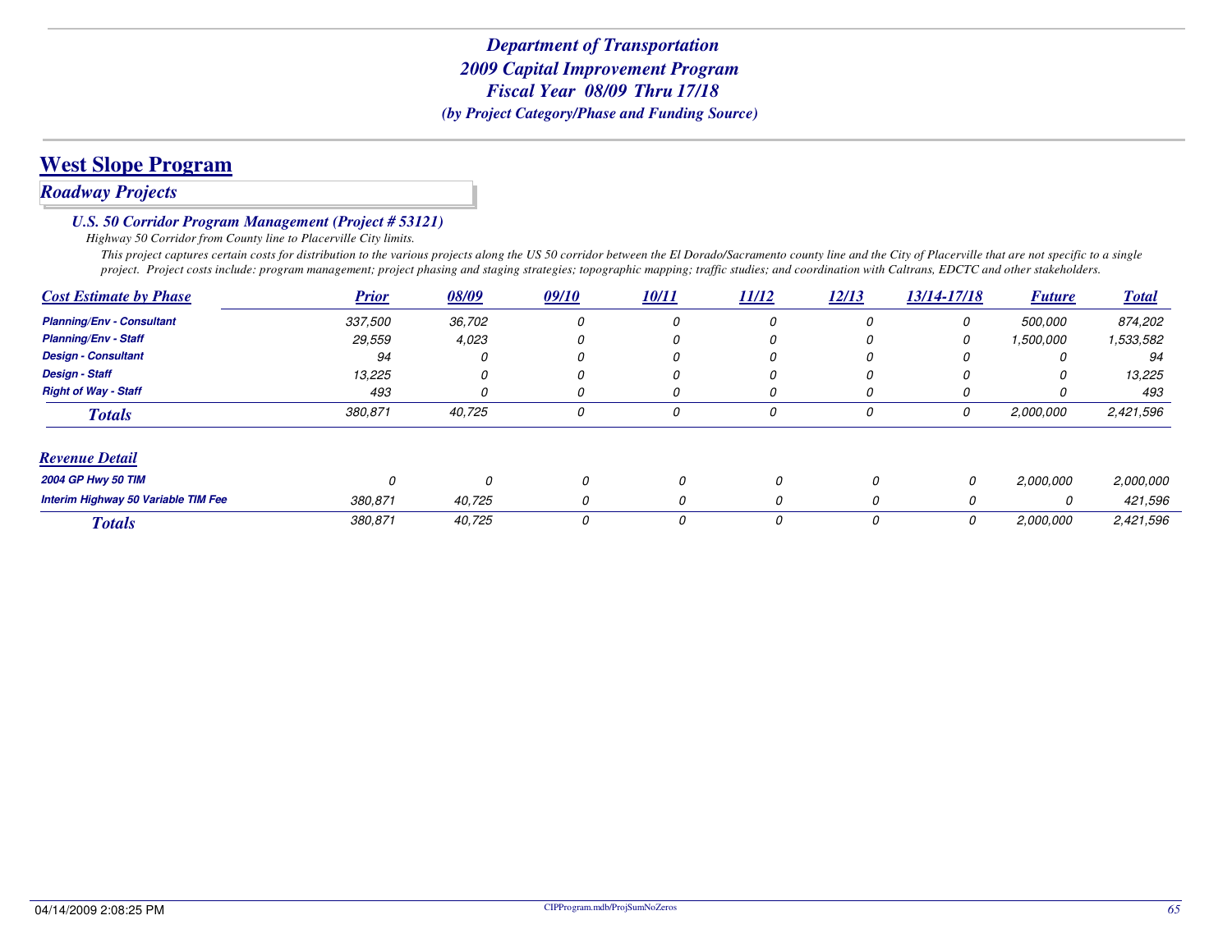# **West Slope Program**

## *Roadway Projects*

#### *U.S. 50 Corridor Program Management (Project # 53121)*

*Highway 50 Corridor from County line to Placerville City limits.*

 *This project captures certain costs for distribution to the various projects along the US 50 corridor between the El Dorado/Sacramento county line and the City of Placerville that are not specific to a single project. Project costs include: program management; project phasing and staging strategies; topographic mapping; traffic studies; and coordination with Caltrans, EDCTC and other stakeholders.*

| <b>Cost Estimate by Phase</b>       | <b>Prior</b> | 08/09  | 09/10 | <b>10/11</b> | <u>11/12</u> | 12/13 | 13/14-17/18 | <b>Future</b> | <b>Total</b> |
|-------------------------------------|--------------|--------|-------|--------------|--------------|-------|-------------|---------------|--------------|
| <b>Planning/Env - Consultant</b>    | 337,500      | 36,702 | 0     | 0            | 0            | O     | 0           | 500,000       | 874,202      |
| <b>Planning/Env - Staff</b>         | 29,559       | 4,023  |       | 0            | U            |       | 0           | 1,500,000     | 1,533,582    |
| <b>Design - Consultant</b>          | 94           |        |       | 0            | 0            |       | O           |               | 94           |
| <b>Design - Staff</b>               | 13,225       |        |       |              |              |       | $\Omega$    | $\Omega$      | 13,225       |
| <b>Right of Way - Staff</b>         | 493          |        | 0     | 0            | U            | O     | O           | U             | 493          |
| <b>Totals</b>                       | 380,871      | 40,725 | 0     | 0            | 0            | 0     | 0           | 2,000,000     | 2,421,596    |
| <b>Revenue Detail</b>               |              |        |       |              |              |       |             |               |              |
| <b>2004 GP Hwy 50 TIM</b>           | 0            | 0      | 0     | 0            | 0            | 0     | 0           | 2,000,000     | 2,000,000    |
| Interim Highway 50 Variable TIM Fee | 380,871      | 40,725 | 0     | 0            | 0            | 0     | 0           | 0             | 421,596      |
| <b>Totals</b>                       | 380,871      | 40,725 | 0     | 0            | 0            | 0     | 0           | 2,000,000     | 2,421,596    |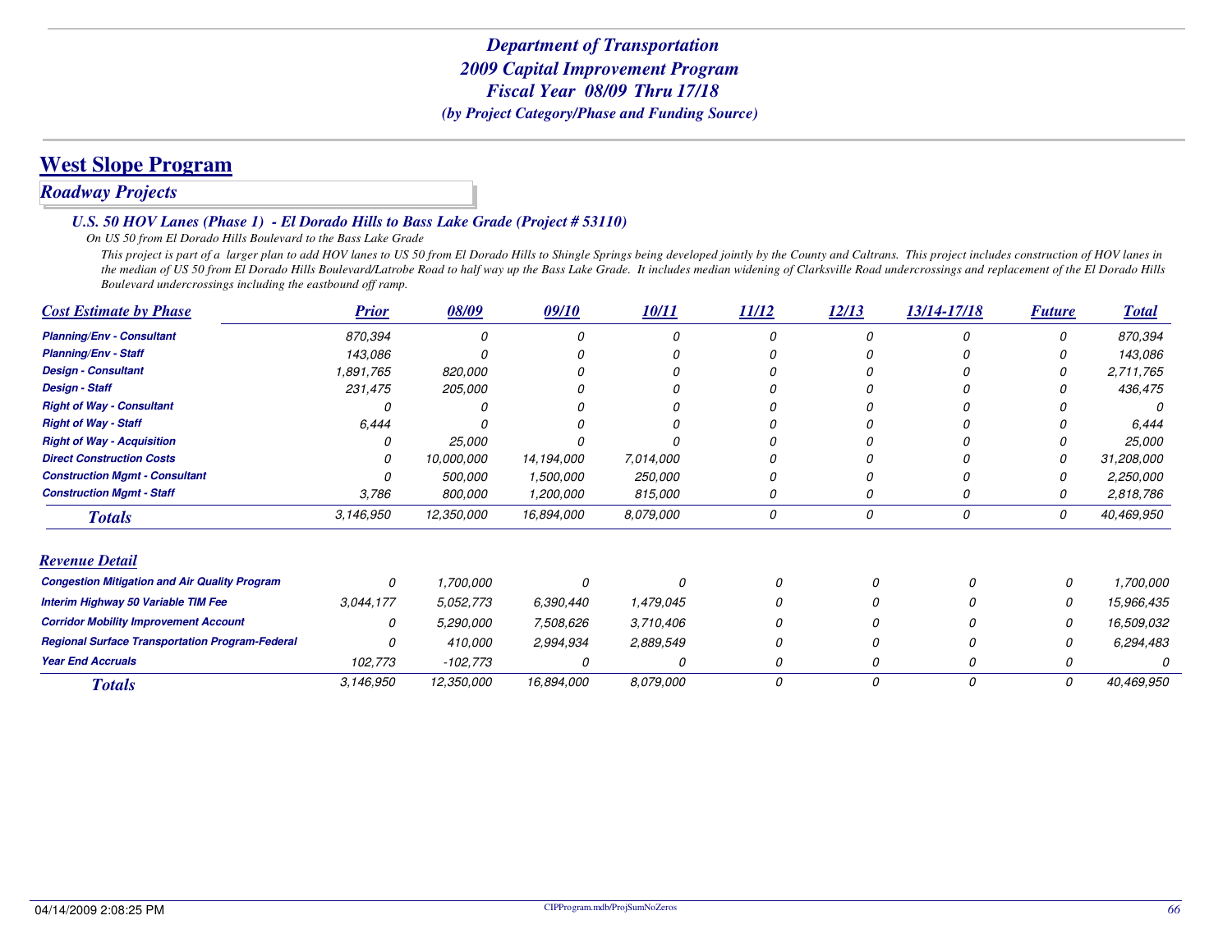# **West Slope Program**

# *Roadway Projects*

#### *U.S. 50 HOV Lanes (Phase 1) - El Dorado Hills to Bass Lake Grade (Project # 53110)*

#### *On US 50 from El Dorado Hills Boulevard to the Bass Lake Grade*

 *This project is part of a larger plan to add HOV lanes to US 50 from El Dorado Hills to Shingle Springs being developed jointly by the County and Caltrans. This project includes construction of HOV lanes in the median of US 50 from El Dorado Hills Boulevard/Latrobe Road to half way up the Bass Lake Grade. It includes median widening of Clarksville Road undercrossings and replacement of the El Dorado Hills Boulevard undercrossings including the eastbound off ramp.*

| <b>Cost Estimate by Phase</b>                          | <b>Prior</b> | 08/09      | 09/10      | 10/11     | 11/12 | 12/13    | 13/14-17/18 | <b>Future</b> | <b>Total</b> |
|--------------------------------------------------------|--------------|------------|------------|-----------|-------|----------|-------------|---------------|--------------|
| <b>Planning/Env - Consultant</b>                       | 870,394      | 0          |            |           |       | $\Omega$ |             |               | 870,394      |
| <b>Planning/Env - Staff</b>                            | 143,086      |            |            |           |       |          |             |               | 143,086      |
| <b>Design - Consultant</b>                             | 1,891,765    | 820,000    |            |           |       |          |             |               | 2,711,765    |
| <b>Design - Staff</b>                                  | 231,475      | 205,000    |            |           |       |          |             |               | 436,475      |
| <b>Right of Way - Consultant</b>                       |              |            |            |           |       |          |             |               |              |
| <b>Right of Way - Staff</b>                            | 6,444        |            |            |           |       |          |             |               | 6,444        |
| <b>Right of Way - Acquisition</b>                      |              | 25,000     |            |           |       |          |             |               | 25,000       |
| <b>Direct Construction Costs</b>                       |              | 10,000,000 | 14,194,000 | 7,014,000 |       |          |             |               | 31,208,000   |
| <b>Construction Mgmt - Consultant</b>                  |              | 500,000    | 1,500,000  | 250,000   |       |          |             |               | 2,250,000    |
| <b>Construction Mgmt - Staff</b>                       | 3,786        | 800,000    | 1,200,000  | 815,000   |       |          |             |               | 2,818,786    |
| <b>Totals</b>                                          | 3,146,950    | 12,350,000 | 16,894,000 | 8,079,000 | 0     | 0        | 0           | 0             | 40,469,950   |
| <b>Revenue Detail</b>                                  |              |            |            |           |       |          |             |               |              |
| <b>Congestion Mitigation and Air Quality Program</b>   | 0            | 1,700,000  |            |           |       |          |             |               | 1,700,000    |
| Interim Highway 50 Variable TIM Fee                    | 3,044,177    | 5,052,773  | 6,390,440  | 1,479,045 |       |          |             |               | 15,966,435   |
| <b>Corridor Mobility Improvement Account</b>           | 0            | 5,290,000  | 7,508,626  | 3,710,406 |       |          |             |               | 16,509,032   |
| <b>Regional Surface Transportation Program-Federal</b> |              | 410,000    | 2,994,934  | 2,889,549 |       |          |             |               | 6,294,483    |
| <b>Year End Accruals</b>                               | 102,773      | $-102,773$ | 0          |           |       |          |             |               |              |
| <b>Totals</b>                                          | 3,146,950    | 12,350,000 | 16,894,000 | 8,079,000 | 0     | 0        | 0           | 0             | 40,469,950   |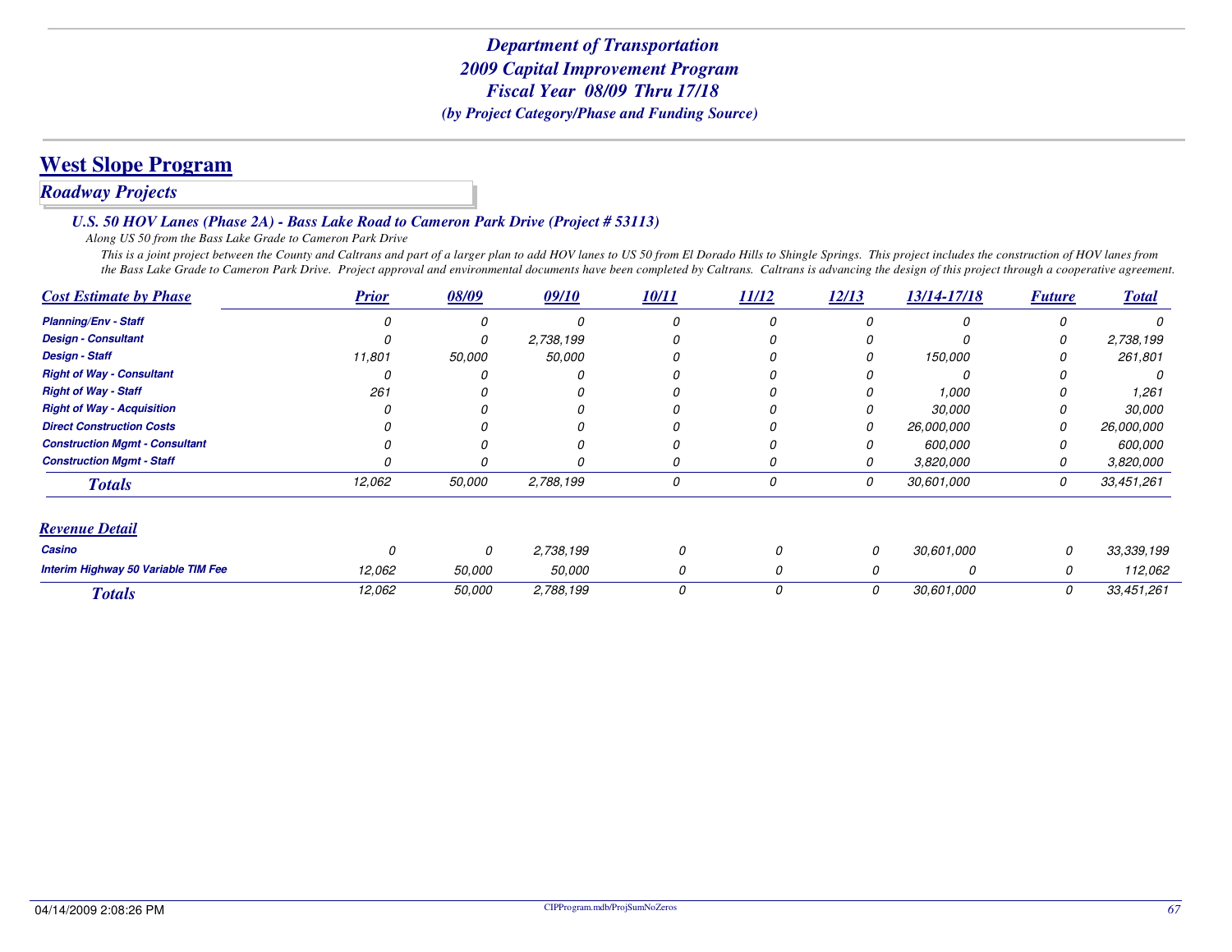# **West Slope Program**

### *Roadway Projects*

#### *U.S. 50 HOV Lanes (Phase 2A) - Bass Lake Road to Cameron Park Drive (Project # 53113)*

*Along US 50 from the Bass Lake Grade to Cameron Park Drive*

 *This is a joint project between the County and Caltrans and part of a larger plan to add HOV lanes to US 50 from El Dorado Hills to Shingle Springs. This project includes the construction of HOV lanes from the Bass Lake Grade to Cameron Park Drive. Project approval and environmental documents have been completed by Caltrans. Caltrans is advancing the design of this project through a cooperative agreement.*

| <b>Cost Estimate by Phase</b>         | <b>Prior</b> | 08/09         | 09/10     | 10/11 | 11/12 | 12/13 | 13/14-17/18 | <b>Future</b> | <b>Total</b> |
|---------------------------------------|--------------|---------------|-----------|-------|-------|-------|-------------|---------------|--------------|
| <b>Planning/Env - Staff</b>           |              |               |           | 0     |       |       |             | O             |              |
| <b>Design - Consultant</b>            |              |               | 2,738,199 |       |       |       |             | 0             | 2,738,199    |
| <b>Design - Staff</b>                 | 11,801       | 50,000        | 50,000    | 0     |       |       | 150,000     |               | 261,801      |
| <b>Right of Way - Consultant</b>      |              |               |           |       |       |       |             |               | 0            |
| <b>Right of Way - Staff</b>           | 261          |               |           |       |       |       | 1,000       |               | 1,261        |
| <b>Right of Way - Acquisition</b>     |              |               |           |       |       |       | 30,000      |               | 30,000       |
| <b>Direct Construction Costs</b>      |              |               |           |       |       |       | 26,000,000  | 0             | 26,000,000   |
| <b>Construction Mgmt - Consultant</b> |              |               |           |       |       |       | 600,000     |               | 600,000      |
| <b>Construction Mgmt - Staff</b>      |              |               |           | 0     | 0     |       | 3,820,000   | 0             | 3,820,000    |
| <b>Totals</b>                         | 12,062       | 50,000        | 2,788,199 | 0     | 0     | 0     | 30,601,000  | 0             | 33,451,261   |
| <b>Revenue Detail</b>                 |              |               |           |       |       |       |             |               |              |
| Casino                                |              | 0             | 2,738,199 | 0     |       | 0     | 30,601,000  | 0             | 33,339,199   |
| Interim Highway 50 Variable TIM Fee   | 12,062       | <i>50,000</i> | 50,000    | 0     |       |       | O           | 0             | 112,062      |
| <b>Totals</b>                         | 12,062       | 50,000        | 2,788,199 | 0     |       | 0     | 30,601,000  | 0             | 33,451,261   |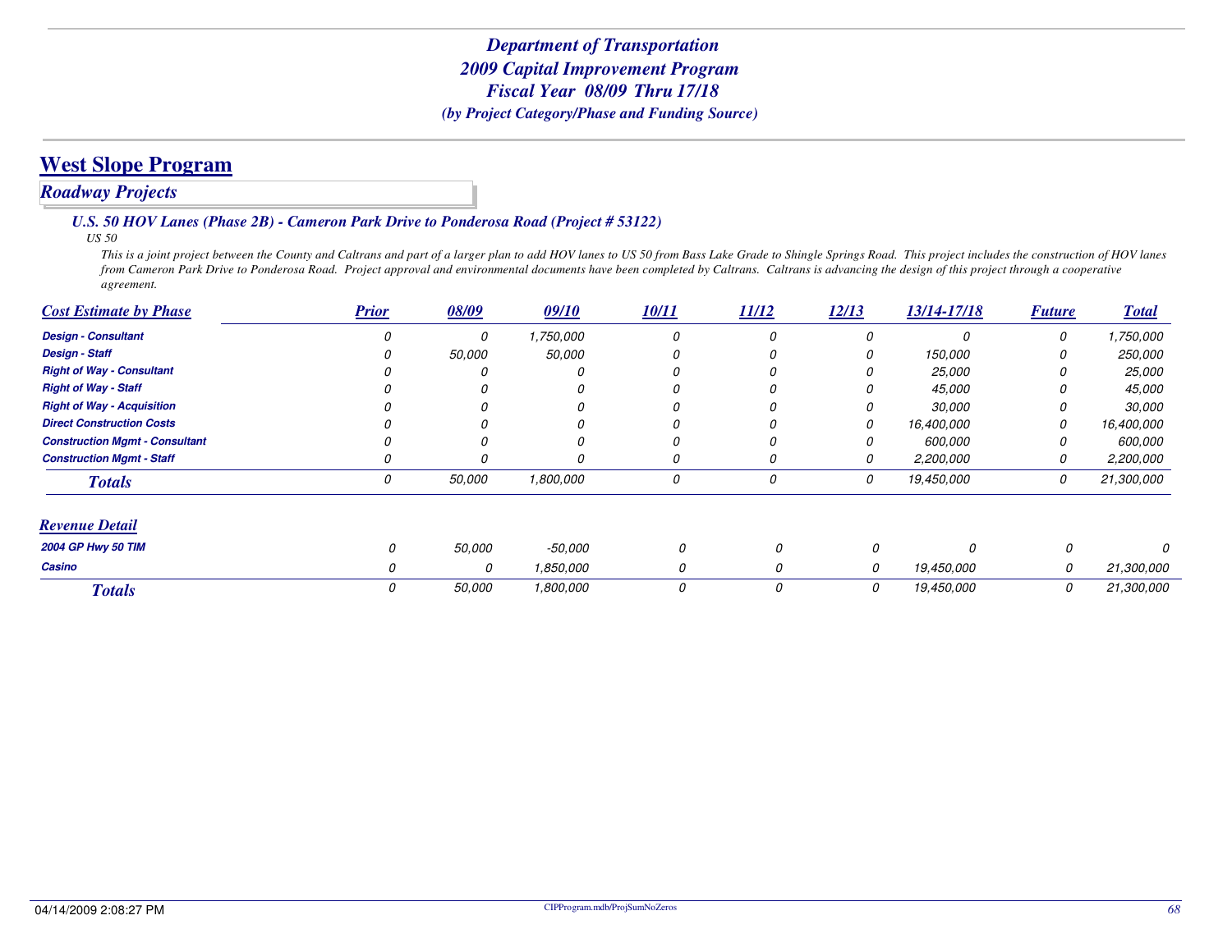### *Roadway Projects*

#### *U.S. 50 HOV Lanes (Phase 2B) - Cameron Park Drive to Ponderosa Road (Project # 53122)*

*US 50*

 *This is a joint project between the County and Caltrans and part of a larger plan to add HOV lanes to US 50 from Bass Lake Grade to Shingle Springs Road. This project includes the construction of HOV lanes from Cameron Park Drive to Ponderosa Road. Project approval and environmental documents have been completed by Caltrans. Caltrans is advancing the design of this project through a cooperative agreement.*

| <b>Cost Estimate by Phase</b>         | <b>Prior</b> | 08/09  | 09/10         | 10/11 | 11/12 | 12/13 | 13/14-17/18   | <b>Future</b> | <b>Total</b>   |
|---------------------------------------|--------------|--------|---------------|-------|-------|-------|---------------|---------------|----------------|
| <b>Design - Consultant</b>            |              | 0      | 1,750,000     | 0     |       | 0     | $\Omega$      | 0             | 1,750,000      |
| <b>Design - Staff</b>                 |              | 50,000 | <i>50,000</i> |       |       | 0     | 150,000       |               | <i>250,000</i> |
| <b>Right of Way - Consultant</b>      |              |        | Ω             |       |       |       | <i>25,000</i> |               | <i>25,000</i>  |
| <b>Right of Way - Staff</b>           |              |        |               |       |       |       | 45,000        |               | 45,000         |
| <b>Right of Way - Acquisition</b>     |              |        |               |       |       |       | 30,000        |               | 30,000         |
| <b>Direct Construction Costs</b>      |              |        |               |       |       | 0     | 16,400,000    | 0             | 16,400,000     |
| <b>Construction Mgmt - Consultant</b> |              |        |               | 0     |       | 0     | 600.000       | 0             | 600,000        |
| <b>Construction Mgmt - Staff</b>      |              |        | $\Omega$      | 0     |       | 0     | 2,200,000     | 0             | 2,200,000      |
| <b>Totals</b>                         |              | 50,000 | 1,800,000     | 0     | 0     | 0     | 19,450,000    | 0             | 21,300,000     |
| <b>Revenue Detail</b>                 |              |        |               |       |       |       |               |               |                |
| 2004 GP Hwy 50 TIM                    | $\Omega$     | 50,000 | -50.000       | 0     | 0     | 0     | 0             | $\Omega$      |                |
| Casino                                | Ω            | 0      | 1,850,000     | 0     | 0     | 0     | 19,450,000    | 0             | 21,300,000     |
| <b>Totals</b>                         | 0            | 50,000 | 1,800,000     | 0     | 0     | 0     | 19,450,000    | 0             | 21,300,000     |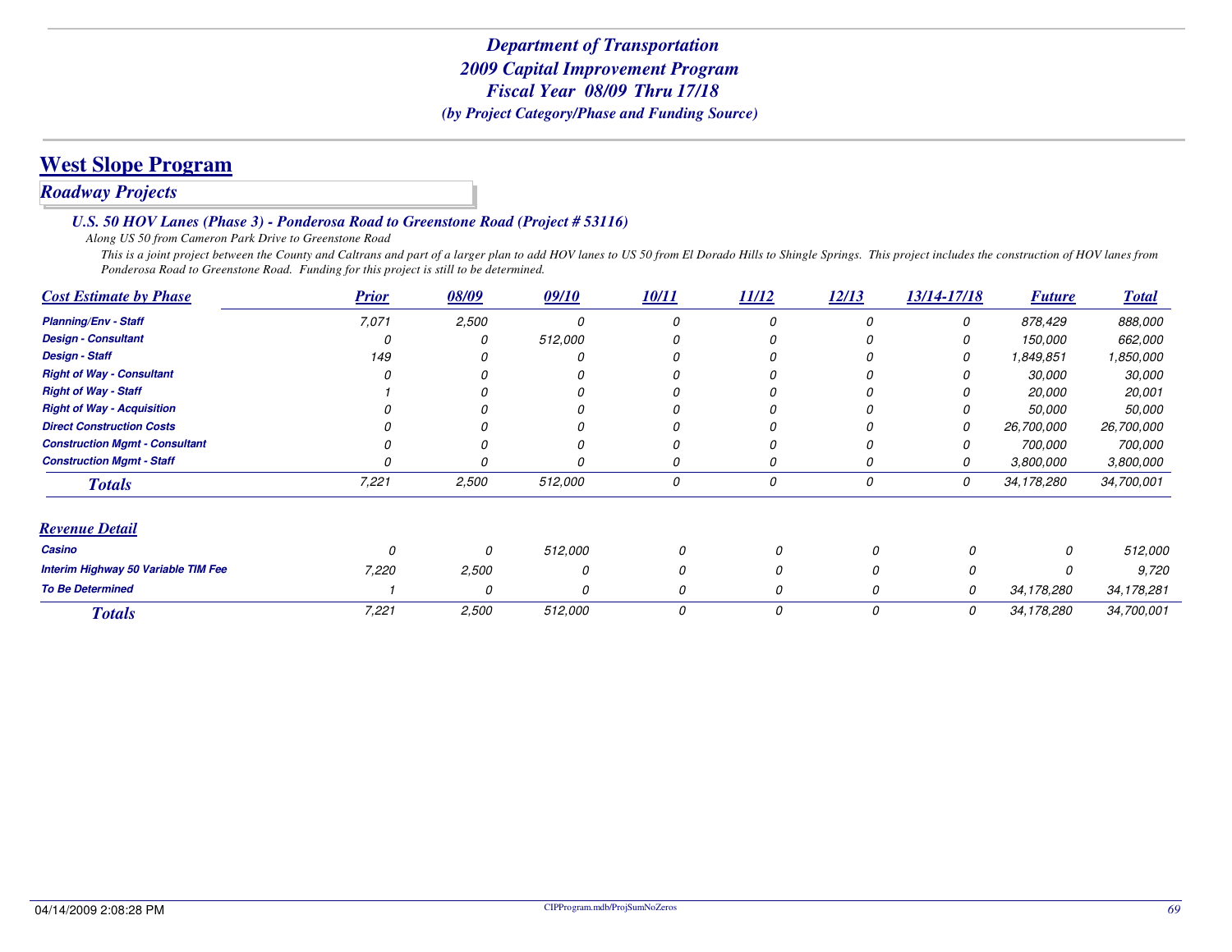# **West Slope Program**

## *Roadway Projects*

#### *U.S. 50 HOV Lanes (Phase 3) - Ponderosa Road to Greenstone Road (Project # 53116)*

*Along US 50 from Cameron Park Drive to Greenstone Road*

 *This is a joint project between the County and Caltrans and part of a larger plan to add HOV lanes to US 50 from El Dorado Hills to Shingle Springs. This project includes the construction of HOV lanes from Ponderosa Road to Greenstone Road. Funding for this project is still to be determined.*

| <b>Cost Estimate by Phase</b>         | <b>Prior</b> | 08/09 | 09/10   | 10/11 | 11/12 | 12/13    | 13/14-17/18 | <b>Future</b> | <b>Total</b> |
|---------------------------------------|--------------|-------|---------|-------|-------|----------|-------------|---------------|--------------|
| <b>Planning/Env - Staff</b>           | 7,071        | 2,500 |         | 0     | 0     |          | 0           | 878,429       | 888,000      |
| <b>Design - Consultant</b>            |              |       | 512,000 |       |       |          |             | 150,000       | 662,000      |
| <b>Design - Staff</b>                 | 149          |       |         |       |       |          | 0           | 1,849,851     | 1,850,000    |
| <b>Right of Way - Consultant</b>      |              |       |         |       |       |          |             | 30,000        | 30,000       |
| <b>Right of Way - Staff</b>           |              |       |         |       |       |          |             | 20,000        | 20,001       |
| <b>Right of Way - Acquisition</b>     |              |       |         |       |       |          |             | 50,000        | 50,000       |
| <b>Direct Construction Costs</b>      |              |       |         |       |       |          |             | 26,700,000    | 26,700,000   |
| <b>Construction Mgmt - Consultant</b> |              |       |         |       |       |          |             | 700,000       | 700,000      |
| <b>Construction Mgmt - Staff</b>      |              |       |         |       |       |          |             | 3,800,000     | 3,800,000    |
| <b>Totals</b>                         | 7,221        | 2,500 | 512,000 | 0     | 0     | 0        | 0           | 34,178,280    | 34,700,001   |
| <b>Revenue Detail</b>                 |              |       |         |       |       |          |             |               |              |
| Casino                                | n            | 0     | 512,000 | 0     |       | $\Omega$ | n           | 0             | 512,000      |
| Interim Highway 50 Variable TIM Fee   | 7,220        | 2,500 |         | 0     |       |          | 0           |               | 9,720        |
| <b>To Be Determined</b>               |              | 0     |         | 0     |       | 0        | 0           | 34,178,280    | 34, 178, 281 |
| <b>Totals</b>                         | 7,221        | 2,500 | 512,000 | 0     | 0     | 0        | 0           | 34,178,280    | 34,700,001   |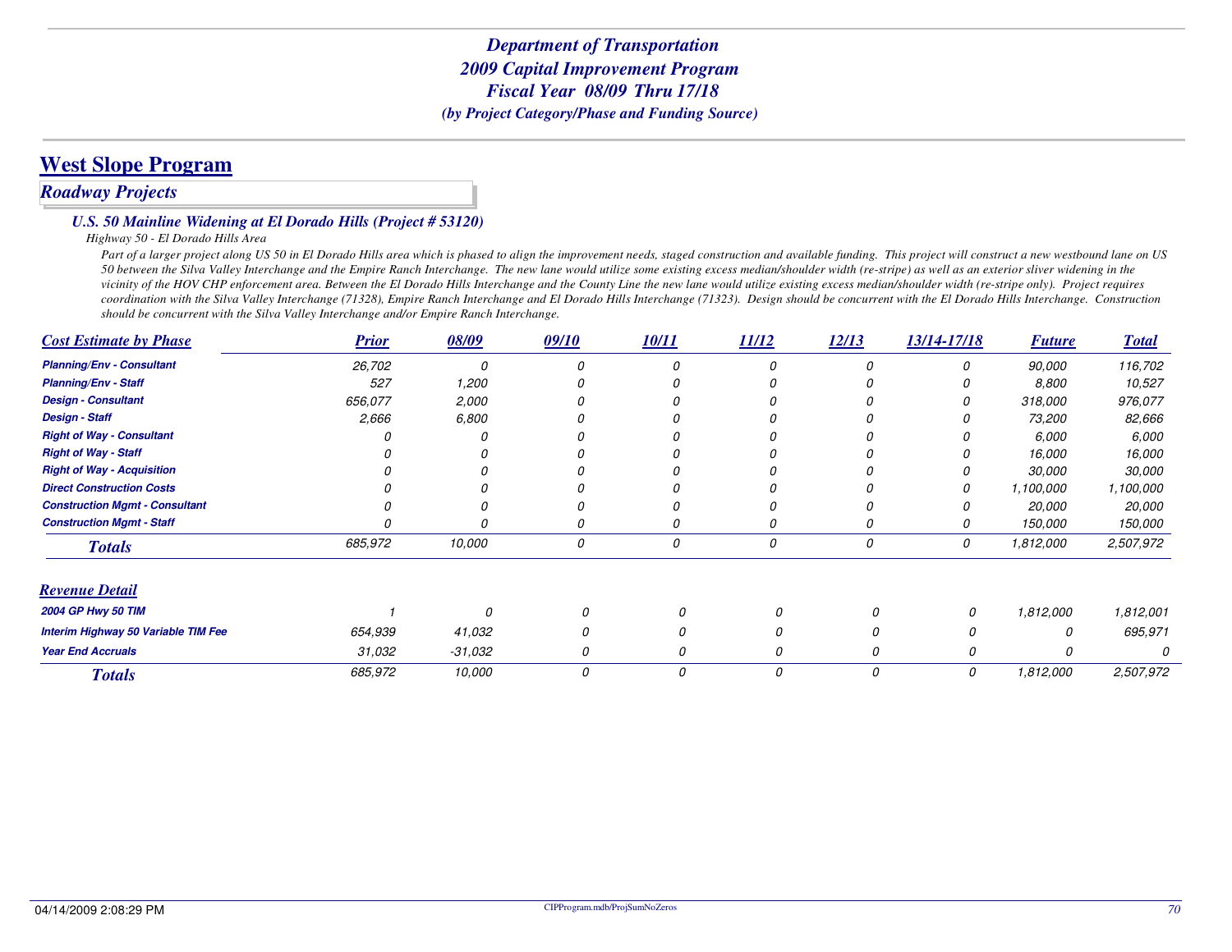# **West Slope Program**

#### *Roadway Projects*

#### *U.S. 50 Mainline Widening at El Dorado Hills (Project # 53120)*

*Highway 50 - El Dorado Hills Area*

Part of a larger project along US 50 in El Dorado Hills area which is phased to align the improvement needs, staged construction and available funding. This project will construct a new westbound lane on US *50 between the Silva Valley Interchange and the Empire Ranch Interchange. The new lane would utilize some existing excess median/shoulder width (re-stripe) as well as an exterior sliver widening in the vicinity of the HOV CHP enforcement area. Between the El Dorado Hills Interchange and the County Line the new lane would utilize existing excess median/shoulder width (re-stripe only). Project requires coordination with the Silva Valley Interchange (71328), Empire Ranch Interchange and El Dorado Hills Interchange (71323). Design should be concurrent with the El Dorado Hills Interchange. Construction should be concurrent with the Silva Valley Interchange and/or Empire Ranch Interchange.*

| <b>Cost Estimate by Phase</b>         | <b>Prior</b> | 08/09   | 09/10 | 10/11 | 11/12 | 12/13 | 13/14-17/18 | <b>Future</b>       | <b>Total</b>        |
|---------------------------------------|--------------|---------|-------|-------|-------|-------|-------------|---------------------|---------------------|
| <b>Planning/Env - Consultant</b>      | 26,702       | n       |       |       | 0     | n     |             | 90,000              | 116,702             |
| <b>Planning/Env - Staff</b>           | 527          | 1,200   |       |       |       |       |             | 8,800               | 10,527              |
| <b>Design - Consultant</b>            | 656.077      | 2,000   |       |       |       |       |             | 318,000             | 976,077             |
| <b>Design - Staff</b>                 | 2,666        | 6,800   |       |       | Ω     |       |             | 73,200              | 82,666              |
| <b>Right of Way - Consultant</b>      |              |         |       |       |       |       |             | 6,000               | 6,000               |
| <b>Right of Way - Staff</b>           |              |         |       |       |       |       |             | 16,000              | 16,000              |
| <b>Right of Way - Acquisition</b>     |              |         |       |       |       |       |             | 30,000              | <i>30,000</i>       |
| <b>Direct Construction Costs</b>      |              |         |       |       |       |       |             | 1,100,000<br>20,000 | 1,100,000<br>20,000 |
| <b>Construction Mgmt - Consultant</b> |              |         |       |       |       |       |             |                     |                     |
| <b>Construction Mgmt - Staff</b>      |              |         |       |       | 0     |       |             | 150,000             | 150,000             |
| <b>Totals</b>                         | 685,972      | 10,000  | 0     | 0     | 0     | 0     | 0           | 1,812,000           | 2,507,972           |
| <b>Revenue Detail</b>                 |              |         |       |       |       |       |             |                     |                     |
| 2004 GP Hwy 50 TIM                    |              | Ω       |       | 0     | 0     |       | 0           | 1,812,000           | 1,812,001           |
| Interim Highway 50 Variable TIM Fee   | 654,939      | 41,032  |       | 0     |       |       |             | 0                   | 695,971             |
| <b>Year End Accruals</b>              | 31,032       | -31,032 | 0     | 0     | 0     | 0     |             |                     |                     |
| <b>Totals</b>                         | 685,972      | 10,000  | 0     | 0     | 0     | 0     | 0           | 1,812,000           | 2,507,972           |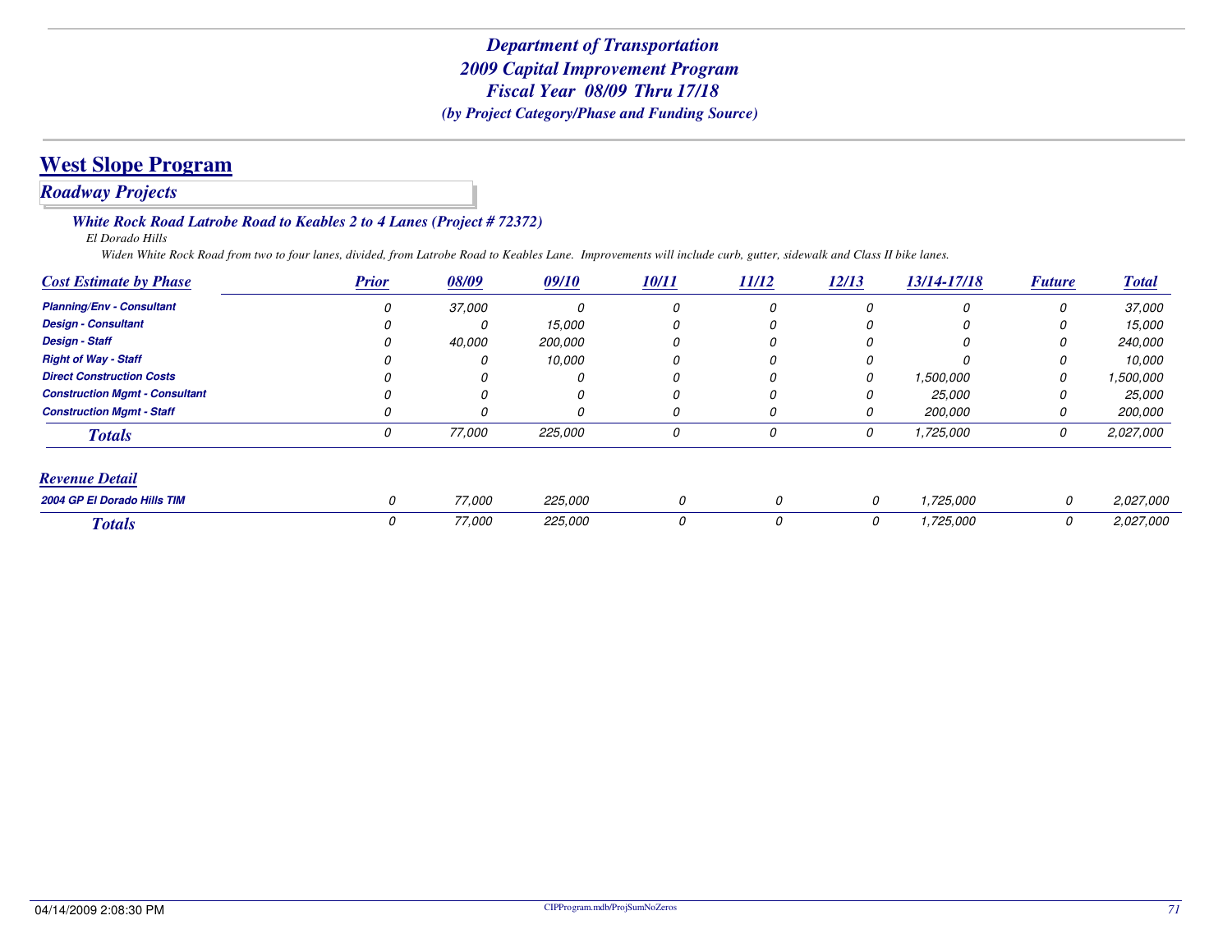### *Roadway Projects*

#### *White Rock Road Latrobe Road to Keables 2 to 4 Lanes (Project # 72372)*

*El Dorado Hills*

*Widen White Rock Road from two to four lanes, divided, from Latrobe Road to Keables Lane. Improvements will include curb, gutter, sidewalk and Class II bike lanes.*

| <b>Cost Estimate by Phase</b>         | <b>Prior</b> | 08/09         | 09/10    | 10/11 | 11/12 | 12/13 | 13/14-17/18 | <b>Future</b> | <b>Total</b>   |
|---------------------------------------|--------------|---------------|----------|-------|-------|-------|-------------|---------------|----------------|
| <b>Planning/Env - Consultant</b>      |              | <i>37.000</i> | $\Omega$ | 0     | 0     |       | O           | 0             | 37,000         |
| <b>Design - Consultant</b>            |              | 0             | 15,000   |       | 0     |       |             | 0             | <i>15.000</i>  |
| <b>Design - Staff</b>                 |              | 40.000        | 200,000  | 0     | 0     |       |             | 0             | 240,000        |
| <b>Right of Way - Staff</b>           |              | Ω             | 10,000   | 0     |       |       |             | 0             | 10,000         |
| <b>Direct Construction Costs</b>      |              |               |          |       |       |       | 1,500,000   | 0             | 1,500,000      |
| <b>Construction Mgmt - Consultant</b> |              | $\theta$      |          | 0     |       |       | 25,000      | 0             | 25,000         |
| <b>Construction Mgmt - Staff</b>      |              | 0             |          | 0     | U     |       | 200,000     | 0             | <i>200.000</i> |
| <b>Totals</b>                         | 0            | 77,000        | 225,000  | 0     | 0     | 0     | 1,725,000   | 0             | 2.027.000      |
| <b>Revenue Detail</b>                 |              |               |          |       |       |       |             |               |                |
| 2004 GP El Dorado Hills TIM           | 0            | 77,000        | 225,000  | 0     | 0     | 0     | 1,725,000   | 0             | 2,027,000      |
| <b>Totals</b>                         |              | 77,000        | 225,000  | 0     | 0     | 0     | 1,725,000   | 0             | 2,027,000      |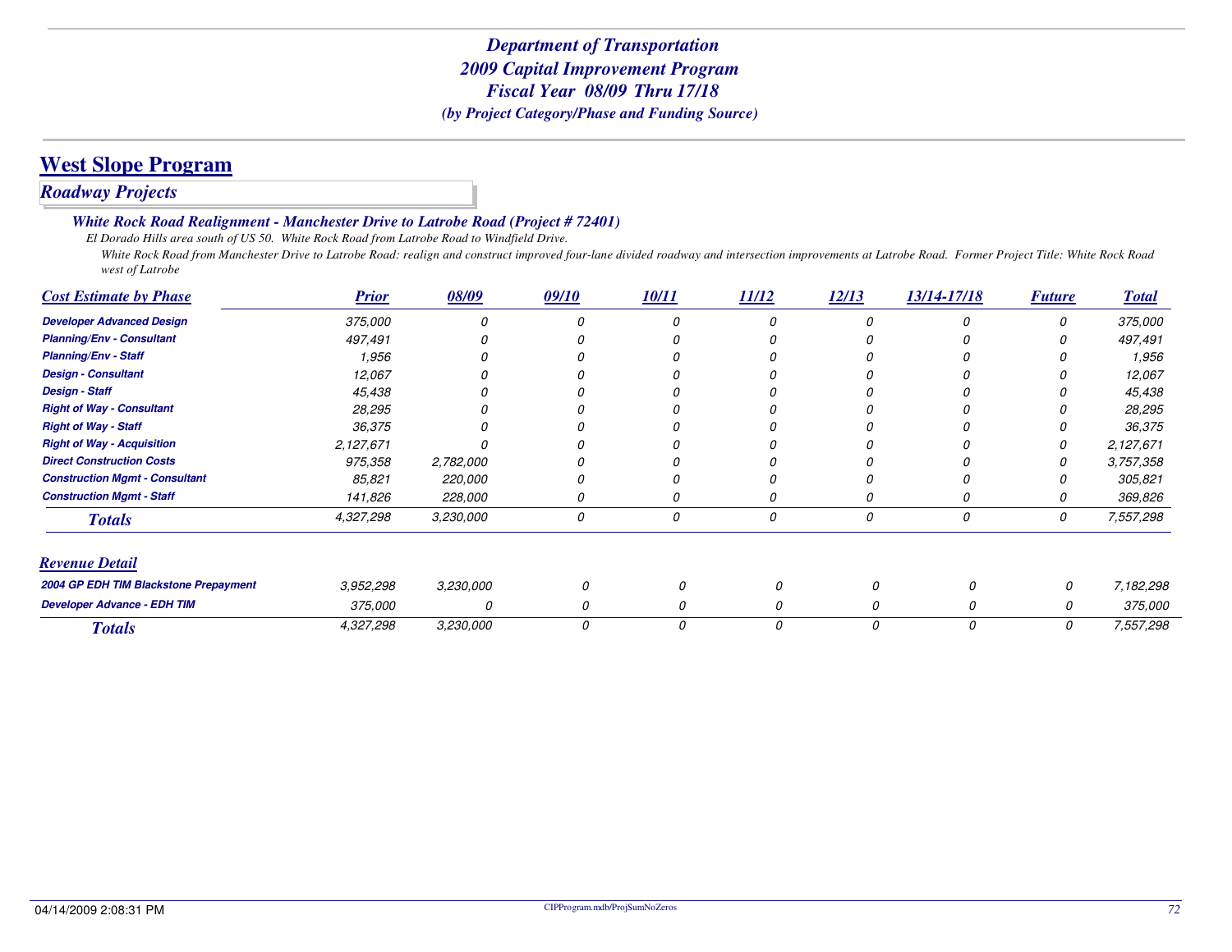# **West Slope Program**

### *Roadway Projects*

#### *White Rock Road Realignment - Manchester Drive to Latrobe Road (Project # 72401)*

*El Dorado Hills area south of US 50. White Rock Road from Latrobe Road to Windfield Drive.*

 *White Rock Road from Manchester Drive to Latrobe Road: realign and construct improved four-lane divided roadway and intersection improvements at Latrobe Road. Former Project Title: White Rock Road west of Latrobe*

| <b>Cost Estimate by Phase</b>         | <b>Prior</b> | 08/09     | 09/10 | 10/11 | 11/12 | 12/13 | 13/14-17/18   | <b>Future</b> | <b>Total</b> |
|---------------------------------------|--------------|-----------|-------|-------|-------|-------|---------------|---------------|--------------|
| <b>Developer Advanced Design</b>      | 375,000      |           |       |       |       |       |               | O             | 375,000      |
| <b>Planning/Env - Consultant</b>      | 497,491      |           |       |       |       |       |               |               | 497,491      |
| <b>Planning/Env - Staff</b>           | 1,956        |           |       |       |       |       |               |               | 1,956        |
| <b>Design - Consultant</b>            | 12,067       |           |       |       |       |       |               |               | 12,067       |
| <b>Design - Staff</b>                 | 45,438       |           |       |       |       |       |               |               | 45,438       |
| <b>Right of Way - Consultant</b>      | 28,295       |           |       |       |       |       |               |               | 28,295       |
| <b>Right of Way - Staff</b>           | 36,375       |           |       |       |       |       |               |               | 36,375       |
| <b>Right of Way - Acquisition</b>     | 2,127,671    |           |       |       |       |       |               | O             | 2,127,671    |
| <b>Direct Construction Costs</b>      | 975,358      | 2,782,000 |       |       |       |       |               |               | 3,757,358    |
| <b>Construction Mgmt - Consultant</b> | 85,821       | 220,000   |       |       |       |       |               |               | 305,821      |
| <b>Construction Mgmt - Staff</b>      | 141,826      | 228,000   |       | 0     |       |       |               | O             | 369,826      |
| <b>Totals</b>                         | 4,327,298    | 3,230,000 | 0     | 0     | 0     |       | 0             | 0             | 7,557,298    |
| <b>Revenue Detail</b>                 |              |           |       |       |       |       |               |               |              |
| 2004 GP EDH TIM Blackstone Prepayment | 3,952,298    | 3,230,000 | 0     | 0     |       | 0     |               | 0             | 7,182,298    |
| <b>Developer Advance - EDH TIM</b>    | 375,000      | 0         | 0     | 0     |       | 0     | $\Omega$      | 0             | 375,000      |
| <b>Totals</b>                         | 4,327,298    | 3,230,000 | 0     | 0     |       | 0     | $\mathcal{O}$ | 0             | 7,557,298    |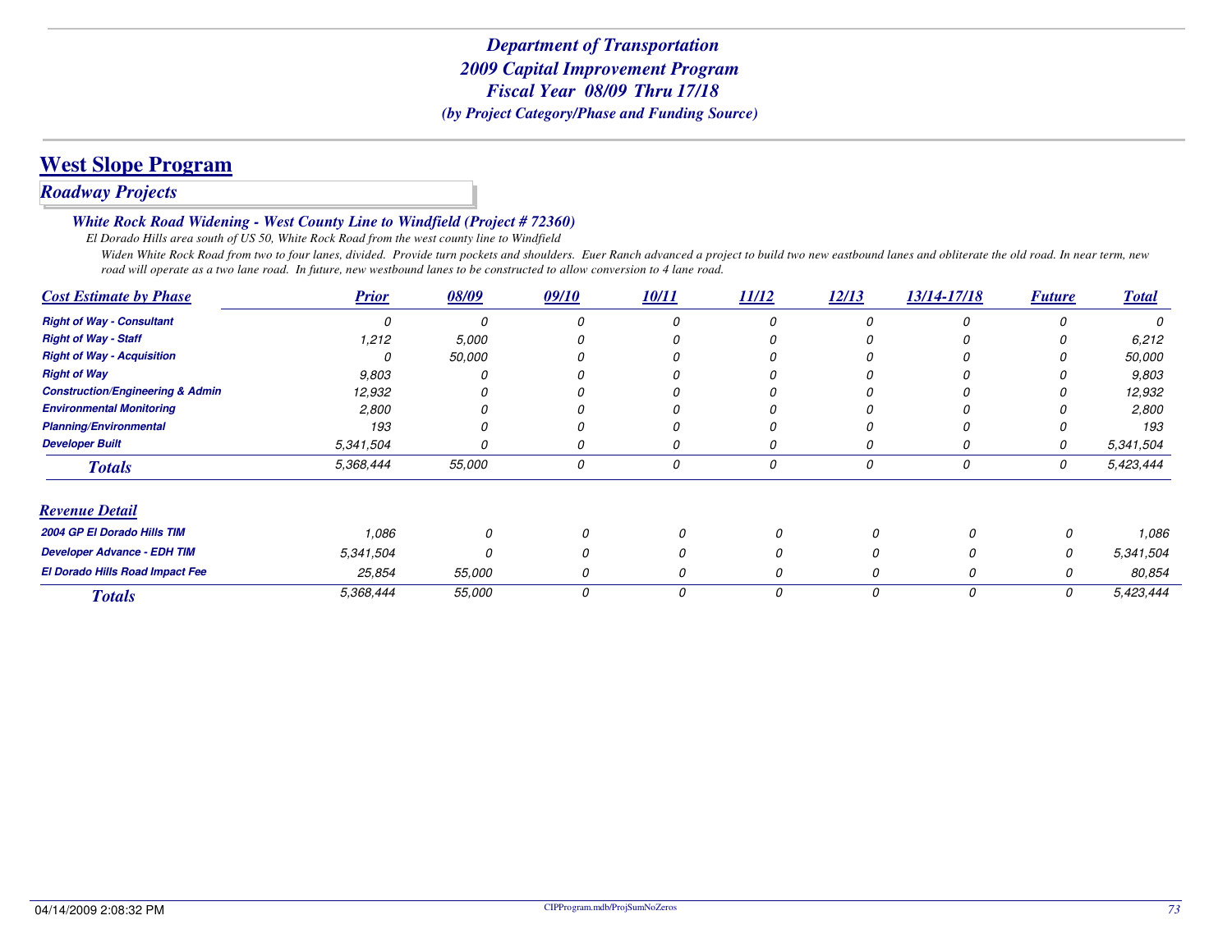### **West Slope Program**

#### *Roadway Projects*

#### *White Rock Road Widening - West County Line to Windfield (Project # 72360)*

*El Dorado Hills area south of US 50, White Rock Road from the west county line to Windfield*

 *Widen White Rock Road from two to four lanes, divided. Provide turn pockets and shoulders. Euer Ranch advanced a project to build two new eastbound lanes and obliterate the old road. In near term, new road will operate as a two lane road. In future, new westbound lanes to be constructed to allow conversion to 4 lane road.*

| <b>Cost Estimate by Phase</b>               | <b>Prior</b> | 08/09  | 09/10 | 10/11 | 11/12 | 12/13 | 13/14-17/18 | <b>Future</b> | <b>Total</b> |
|---------------------------------------------|--------------|--------|-------|-------|-------|-------|-------------|---------------|--------------|
| <b>Right of Way - Consultant</b>            |              |        |       | O     | Ω     |       |             |               | Ω            |
| <b>Right of Way - Staff</b>                 | 1,212        | 5,000  |       |       |       |       |             |               | 6,212        |
| <b>Right of Way - Acquisition</b>           |              | 50,000 |       |       |       |       |             |               | 50,000       |
| <b>Right of Way</b>                         | 9,803        |        |       |       |       |       |             |               | 9,803        |
| <b>Construction/Engineering &amp; Admin</b> | 12,932       |        |       |       |       |       |             |               | 12,932       |
| <b>Environmental Monitoring</b>             | 2,800        |        |       |       |       |       |             |               | 2,800        |
| <b>Planning/Environmental</b>               | 193          |        |       |       |       |       |             |               | 193          |
| <b>Developer Built</b>                      | 5,341,504    |        |       | O     |       |       |             | O             | 5,341,504    |
| <b>Totals</b>                               | 5,368,444    | 55,000 | 0     | 0     | 0     | 0     | 0           | 0             | 5,423,444    |
| <b>Revenue Detail</b>                       |              |        |       |       |       |       |             |               |              |
| 2004 GP El Dorado Hills TIM                 | 1,086        | 0      |       |       |       | n     |             | 0             | 1,086        |
| <b>Developer Advance - EDH TIM</b>          | 5,341,504    | n      |       |       |       |       |             | 0             | 5,341,504    |
| El Dorado Hills Road Impact Fee             | 25,854       | 55,000 |       |       |       |       |             | 0             | 80,854       |
| <b>Totals</b>                               | 5,368,444    | 55,000 | 0     | 0     |       | 0     | 0           | 0             | 5,423,444    |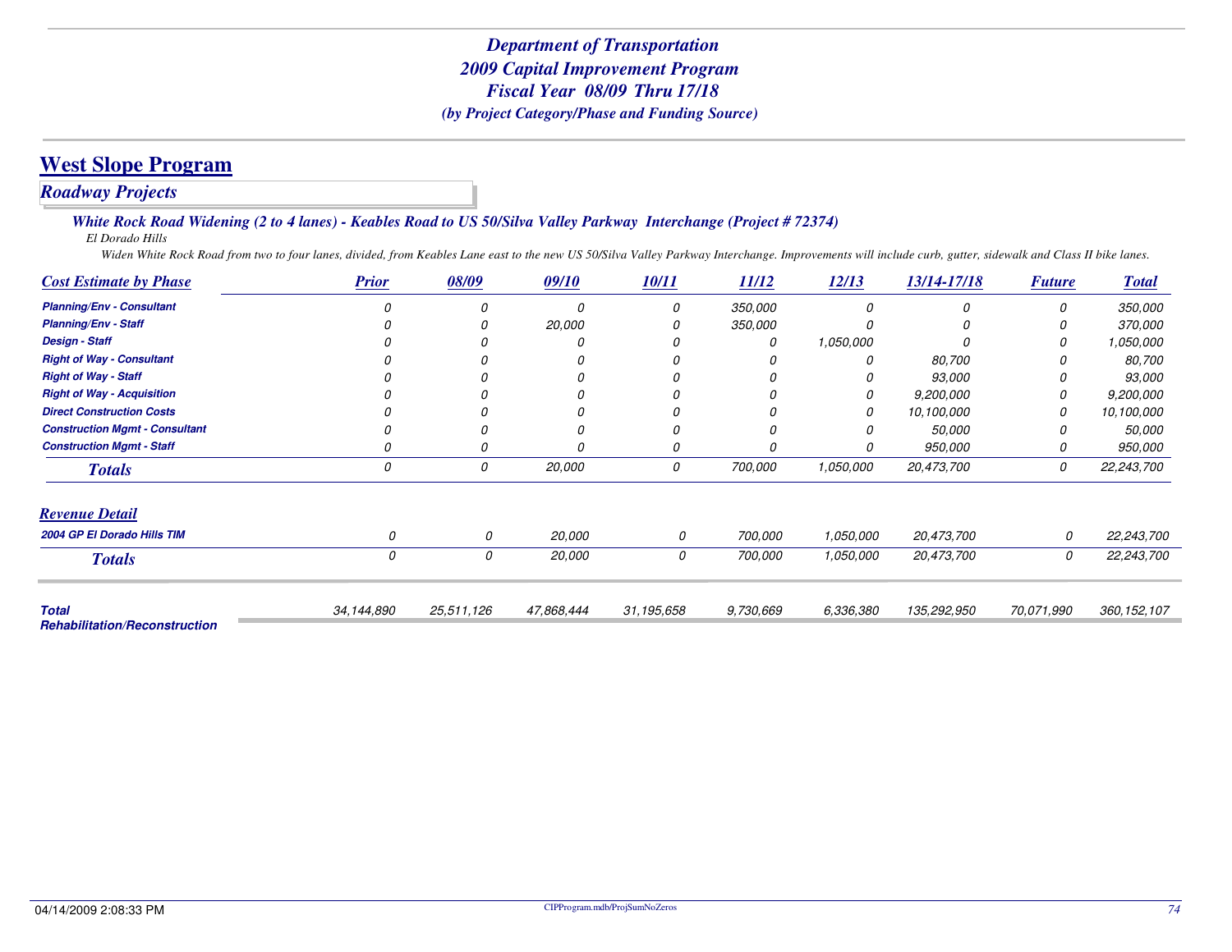### **West Slope Program**

#### *Roadway Projects*

#### *White Rock Road Widening (2 to 4 lanes) - Keables Road to US 50/Silva Valley Parkway Interchange (Project # 72374)*

*El Dorado Hills*

*Widen White Rock Road from two to four lanes, divided, from Keables Lane east to the new US 50/Silva Valley Parkway Interchange. Improvements will include curb, gutter, sidewalk and Class II bike lanes.*

| <b>Cost Estimate by Phase</b>                        | <b>Prior</b> | 08/09      | 09/10      | 10/11      | 11/12     | 12/13     | 13/14-17/18 | <b>Future</b> | <b>Total</b>  |
|------------------------------------------------------|--------------|------------|------------|------------|-----------|-----------|-------------|---------------|---------------|
| <b>Planning/Env - Consultant</b>                     |              | 0          | O          | 0          | 350,000   |           | $\Omega$    | 0             | 350,000       |
| <b>Planning/Env - Staff</b>                          |              |            | 20,000     |            | 350,000   |           |             | O             | 370,000       |
| <b>Design - Staff</b>                                |              |            |            |            | 0         | 1,050,000 |             |               | 1,050,000     |
| <b>Right of Way - Consultant</b>                     |              |            |            |            | 0         |           | 80,700      |               | 80,700        |
| <b>Right of Way - Staff</b>                          |              |            |            |            | O         |           | 93,000      |               | 93,000        |
| <b>Right of Way - Acquisition</b>                    |              |            |            |            |           | 0         | 9,200,000   |               | 9,200,000     |
| <b>Direct Construction Costs</b>                     |              |            |            |            | n         | 0         | 10,100,000  | 0             | 10,100,000    |
| <b>Construction Mgmt - Consultant</b>                |              |            |            |            | $\Omega$  |           | 50,000      | O             | 50,000        |
| <b>Construction Mgmt - Staff</b>                     |              |            |            |            | 0         |           | 950,000     | 0             | 950,000       |
| <b>Totals</b>                                        | 0            | 0          | 20,000     | 0          | 700,000   | 1,050,000 | 20,473,700  | 0             | 22,243,700    |
| <b>Revenue Detail</b>                                |              |            |            |            |           |           |             |               |               |
| 2004 GP El Dorado Hills TIM                          | n            | 0          | 20,000     | 0          | 700,000   | 1,050,000 | 20,473,700  | 0             | 22,243,700    |
| <b>Totals</b>                                        | 0            | 0          | 20,000     | 0          | 700,000   | 1,050,000 | 20,473,700  | 0             | 22,243,700    |
|                                                      |              |            |            |            |           |           |             |               |               |
| <b>Total</b><br><b>Rehabilitation/Reconstruction</b> | 34,144,890   | 25,511,126 | 47,868,444 | 31,195,658 | 9,730,669 | 6,336,380 | 135,292,950 | 70.071.990    | 360, 152, 107 |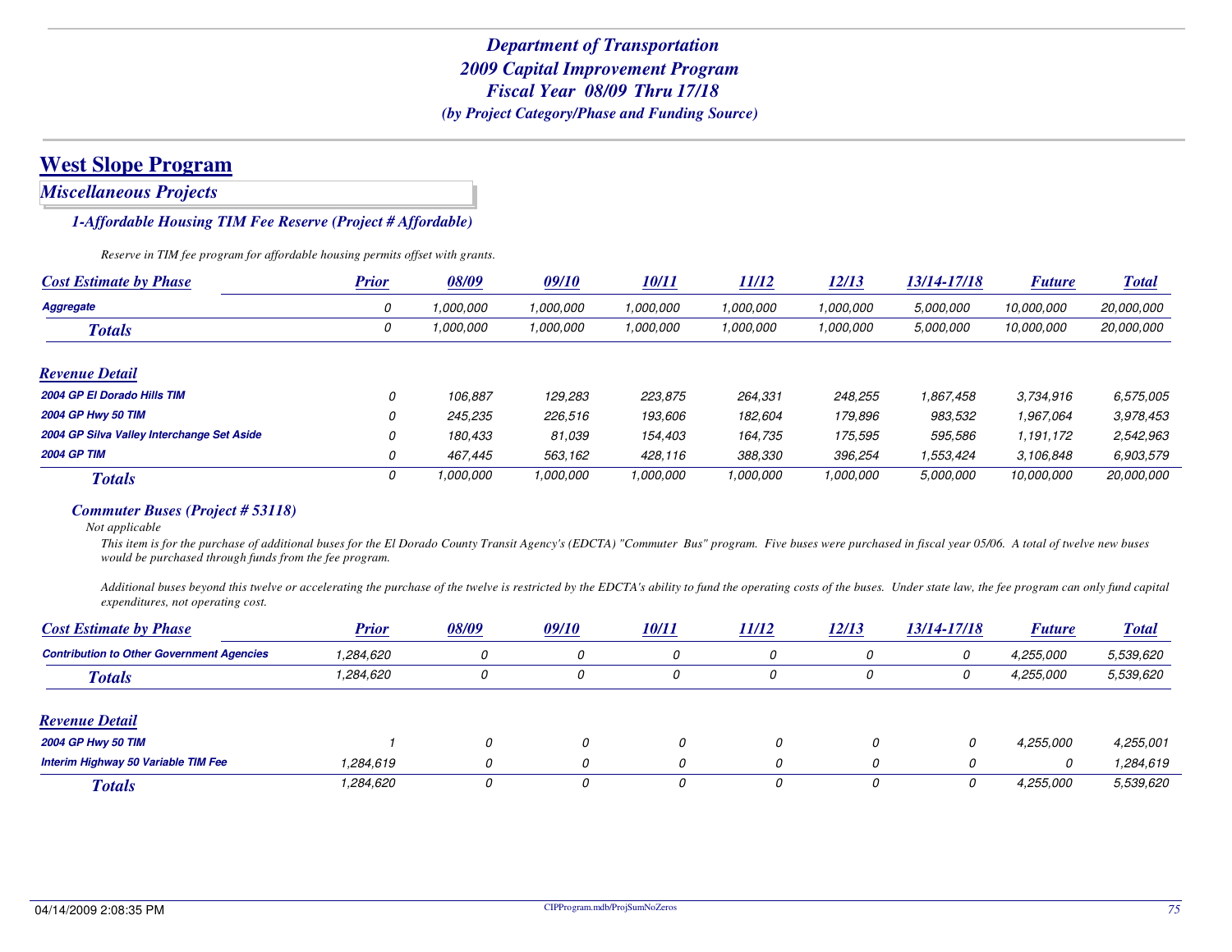*Miscellaneous Projects*

#### *1-Affordable Housing TIM Fee Reserve (Project # Affordable)*

*Reserve in TIM fee program for affordable housing permits offset with grants.*

| <b>Cost Estimate by Phase</b>              | <b>Prior</b> | 08/09     | 09/10     | <b>10/11</b> | <b>11/12</b> | 12/13     | <i>13/14-17/18</i> | <b>Future</b> | <b>Total</b>      |
|--------------------------------------------|--------------|-----------|-----------|--------------|--------------|-----------|--------------------|---------------|-------------------|
| Aggregate                                  | 0            | .000.000  | 1.000.000 | 1,000,000    | 1,000,000    | 1,000,000 | 5,000,000          | 10.000.000    | 20,000,000        |
| <b>Totals</b>                              | 0            | 1,000,000 | 1.000.000 | 1,000,000    | 1,000,000    | 1,000,000 | 5,000,000          | 10,000,000    | 20,000,000        |
| <b>Revenue Detail</b>                      |              |           |           |              |              |           |                    |               |                   |
| 2004 GP El Dorado Hills TIM                | 0            | 106.887   | 129,283   | 223,875      | 264,331      | 248,255   | 1,867,458          | 3,734,916     | 6,575,005         |
| <b>2004 GP Hwy 50 TIM</b>                  | 0            | 245,235   | 226,516   | 193,606      | 182,604      | 179,896   | 983.532            | 1,967,064     | 3,978,453         |
| 2004 GP Silva Valley Interchange Set Aside | 0            | 180,433   | 81.039    | 154,403      | 164.735      | 175.595   | 595,586            | 1,191,172     | 2,542,963         |
| <b>2004 GP TIM</b>                         | 0            | 467.445   | 563,162   | 428,116      | 388,330      | 396,254   | 1,553,424          | 3.106.848     | 6,903,579         |
| <b>Totals</b>                              | 0            | 1.000.000 | 1,000,000 | 1,000,000    | 1.000.000    | 1,000,000 | 5,000,000          | 10.000.000    | <i>20,000,000</i> |

#### *Commuter Buses (Project # 53118)*

*Not applicable*

 *This item is for the purchase of additional buses for the El Dorado County Transit Agency's (EDCTA) "Commuter Bus" program. Five buses were purchased in fiscal year 05/06. A total of twelve new buses would be purchased through funds from the fee program.*

*Additional buses beyond this twelve or accelerating the purchase of the twelve is restricted by the EDCTA's ability to fund the operating costs of the buses. Under state law, the fee program can only fund capital expenditures, not operating cost.*

| <b>Cost Estimate by Phase</b>                    | <b>Prior</b> | 08/09 | 09/10    | <u>10/11</u> | <b>11/12</b> | 12/13 | 13/14-17/18 | <b>Future</b> | <b>Total</b> |
|--------------------------------------------------|--------------|-------|----------|--------------|--------------|-------|-------------|---------------|--------------|
| <b>Contribution to Other Government Agencies</b> | 1,284,620    | 0     |          |              | 0            |       |             | 4,255,000     | 5,539,620    |
| <b>Totals</b>                                    | 1,284,620    | 0     | 0        |              | 0            | 0     |             | 4,255,000     | 5,539,620    |
| <b>Revenue Detail</b>                            |              |       |          |              |              |       |             |               |              |
| <b>2004 GP Hwy 50 TIM</b>                        |              | 0     | 0        | 0            | 0            | 0     |             | 4,255,000     | 4,255,001    |
| Interim Highway 50 Variable TIM Fee              | 1.284.619    | 0     | $\Omega$ | 0            |              |       |             | 0             | 1,284,619    |
| <b>Totals</b>                                    | 1,284,620    | 0     | Ω        | 0            |              |       |             | 4,255,000     | 5,539,620    |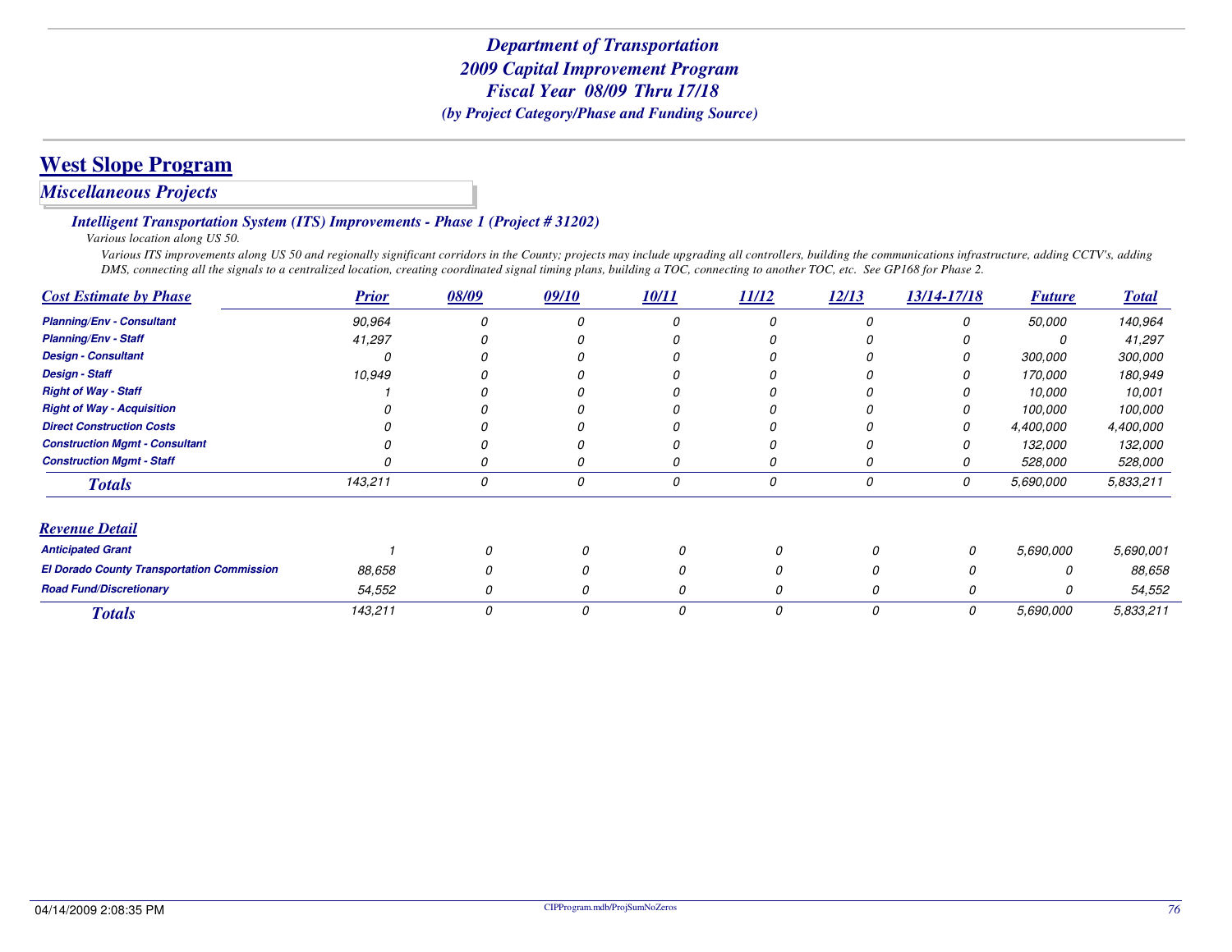#### *Miscellaneous Projects*

*Intelligent Transportation System (ITS) Improvements - Phase 1 (Project # 31202)*

*Various location along US 50.*

 *Various ITS improvements along US 50 and regionally significant corridors in the County; projects may include upgrading all controllers, building the communications infrastructure, adding CCTV's, adding DMS, connecting all the signals to a centralized location, creating coordinated signal timing plans, building a TOC, connecting to another TOC, etc. See GP168 for Phase 2.*

| <b>Cost Estimate by Phase</b>                     | <b>Prior</b> | 08/09 | 09/10 | 10/11 | 11/12 | 12/13 | 13/14-17/18 | <b>Future</b> | <b>Total</b> |
|---------------------------------------------------|--------------|-------|-------|-------|-------|-------|-------------|---------------|--------------|
| <b>Planning/Env - Consultant</b>                  | 90,964       |       |       | O     |       |       |             | 50,000        | 140,964      |
| <b>Planning/Env - Staff</b>                       | 41,297       |       |       | 0     |       |       |             |               | 41,297       |
| <b>Design - Consultant</b>                        |              |       |       | O     |       |       |             | 300,000       | 300,000      |
| <b>Design - Staff</b>                             | 10,949       |       |       |       |       |       |             | 170,000       | 180,949      |
| <b>Right of Way - Staff</b>                       |              |       |       |       |       |       |             | 10,000        | 10,001       |
| <b>Right of Way - Acquisition</b>                 |              |       |       |       |       |       |             | 100,000       | 100,000      |
| <b>Direct Construction Costs</b>                  |              |       |       |       |       |       |             | 4,400,000     | 4,400,000    |
| <b>Construction Mgmt - Consultant</b>             |              |       |       |       |       |       |             | 132,000       | 132,000      |
| <b>Construction Mgmt - Staff</b>                  |              |       |       | 0     |       |       |             | 528,000       | 528,000      |
| <b>Totals</b>                                     | 143,211      | 0     | 0     | 0     | 0     | 0     | 0           | 5,690,000     | 5,833,211    |
| <b>Revenue Detail</b>                             |              |       |       |       |       |       |             |               |              |
| <b>Anticipated Grant</b>                          |              |       | 0     |       |       |       | 0           | 5,690,000     | 5,690,001    |
| <b>El Dorado County Transportation Commission</b> | 88,658       |       | 0     |       |       |       |             |               | 88,658       |
| <b>Road Fund/Discretionary</b>                    | 54,552       | 0     | 0     | 0     |       |       | 0           | 0             | 54,552       |
| <b>Totals</b>                                     | 143,211      | 0     | 0     | 0     | 0     | 0     | 0           | 5,690,000     | 5,833,211    |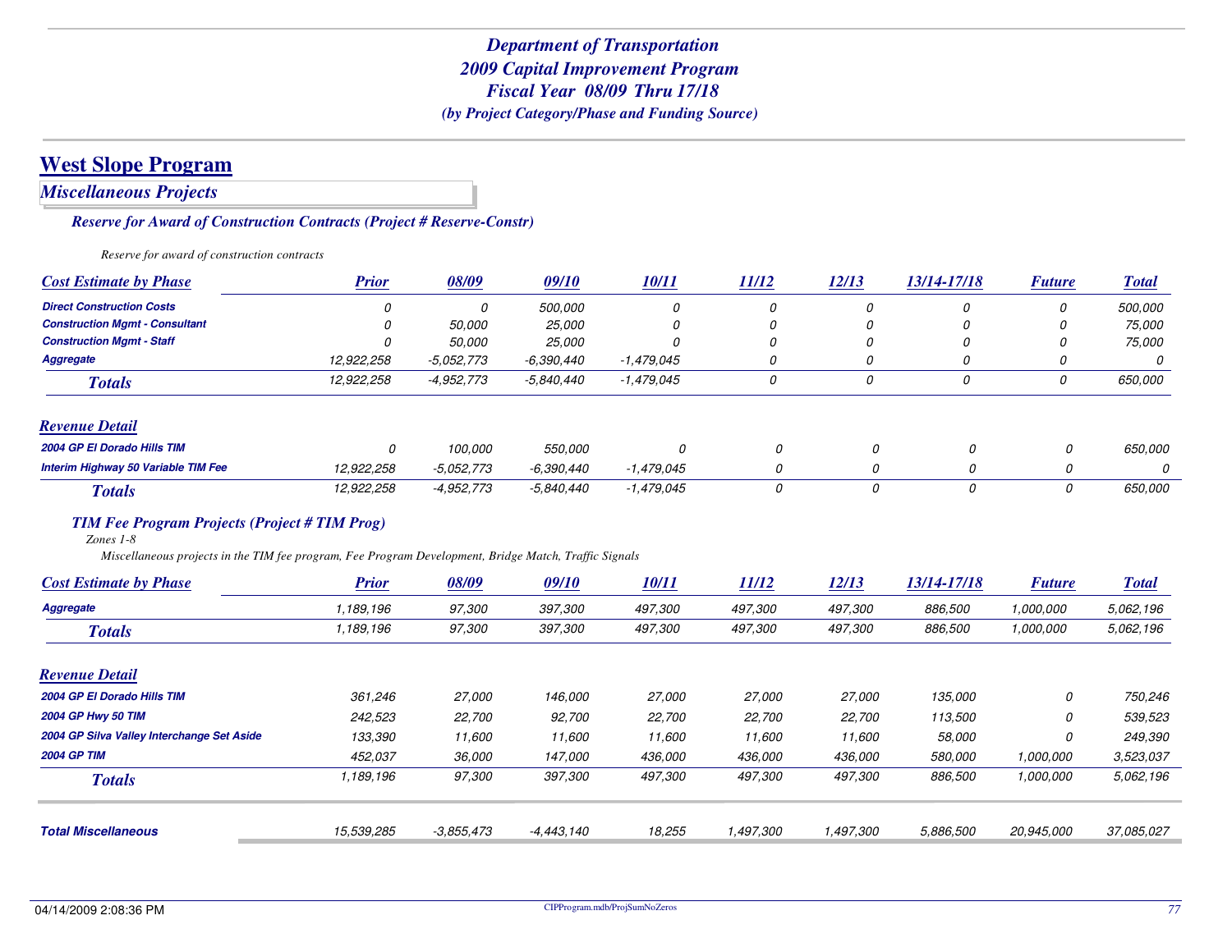*Miscellaneous Projects*

*Reserve for Award of Construction Contracts (Project # Reserve-Constr)*

*Reserve for award of construction contracts*

| <b>Cost Estimate by Phase</b>                                                                                                                                                                               | <b>Prior</b> | 08/09        | <i>09/10</i> | 10/11        | 11/12        | 12/13     | 13/14-17/18 | <b>Future</b> | <b>Total</b> |
|-------------------------------------------------------------------------------------------------------------------------------------------------------------------------------------------------------------|--------------|--------------|--------------|--------------|--------------|-----------|-------------|---------------|--------------|
| <b>Direct Construction Costs</b>                                                                                                                                                                            | 0            | 0            | 500,000      | 0            | 0            | 0         | 0           | 0             | 500,000      |
| <b>Construction Mamt - Consultant</b>                                                                                                                                                                       |              | 50,000       | 25,000       |              |              | 0         | 0           |               | 75,000       |
| <b>Construction Mgmt - Staff</b>                                                                                                                                                                            | Ω            | 50,000       | 25,000       | $\Omega$     | 0            | 0         | 0           | n             | 75,000       |
| <b>Aggregate</b>                                                                                                                                                                                            | 12,922,258   | $-5,052,773$ | $-6,390,440$ | $-1,479,045$ | 0            | 0         | 0           | $\Omega$      | 0            |
| <b>Totals</b>                                                                                                                                                                                               | 12,922,258   | $-4,952,773$ | $-5,840,440$ | $-1,479,045$ | 0            | 0         | 0           | 0             | 650,000      |
| <b>Revenue Detail</b>                                                                                                                                                                                       |              |              |              |              |              |           |             |               |              |
| 2004 GP El Dorado Hills TIM                                                                                                                                                                                 | 0            | 100,000      | 550,000      | 0            | 0            | 0         | 0           | 0             | 650,000      |
| <b>Interim Highway 50 Variable TIM Fee</b>                                                                                                                                                                  | 12,922,258   | $-5,052,773$ | $-6,390,440$ | $-1,479,045$ | 0            | 0         | 0           | 0             | 0            |
| <b>Totals</b>                                                                                                                                                                                               | 12,922,258   | $-4.952.773$ | $-5,840,440$ | $-1,479,045$ | 0            | 0         | 0           | 0             | 650,000      |
| <b>TIM Fee Program Projects (Project # TIM Prog)</b><br>Zones 1-8<br>Miscellaneous projects in the TIM fee program, Fee Program Development, Bridge Match, Traffic Signals<br><b>Cost Estimate by Phase</b> | <b>Prior</b> | 08/09        | 09/10        | 10/11        | <u>11/12</u> | 12/13     | 13/14-17/18 | <b>Future</b> | <b>Total</b> |
| <b>Aggregate</b>                                                                                                                                                                                            | 1,189,196    | 97,300       | 397,300      | 497,300      | 497,300      | 497,300   | 886,500     | 1.000.000     | 5,062,196    |
| <b>Totals</b>                                                                                                                                                                                               | 1,189,196    | 97,300       | 397,300      | 497,300      | 497,300      | 497,300   | 886,500     | 1,000,000     | 5,062,196    |
| <b>Revenue Detail</b>                                                                                                                                                                                       |              |              |              |              |              |           |             |               |              |
| 2004 GP El Dorado Hills TIM                                                                                                                                                                                 | 361,246      | 27,000       | 146,000      | 27,000       | 27,000       | 27,000    | 135,000     | 0             | 750,246      |
| 2004 GP Hwy 50 TIM                                                                                                                                                                                          | 242,523      | 22,700       | 92,700       | 22,700       | 22,700       | 22,700    | 113,500     | 0             | 539,523      |
| 2004 GP Silva Valley Interchange Set Aside                                                                                                                                                                  | 133,390      | 11,600       | 11,600       | 11,600       | 11,600       | 11,600    | 58,000      | 0             | 249,390      |
| <b>2004 GP TIM</b>                                                                                                                                                                                          | 452,037      | 36,000       | 147,000      | 436,000      | 436,000      | 436,000   | 580,000     | 1,000,000     | 3.523.037    |
| <b>Totals</b>                                                                                                                                                                                               | 1,189,196    | 97,300       | 397,300      | 497,300      | 497,300      | 497,300   | 886,500     | 1,000,000     | 5,062,196    |
| <b>Total Miscellaneous</b>                                                                                                                                                                                  | 15,539,285   | $-3.855.473$ | $-4,443,140$ | 18,255       | 1,497,300    | 1,497,300 | 5,886,500   | 20,945,000    | 37,085,027   |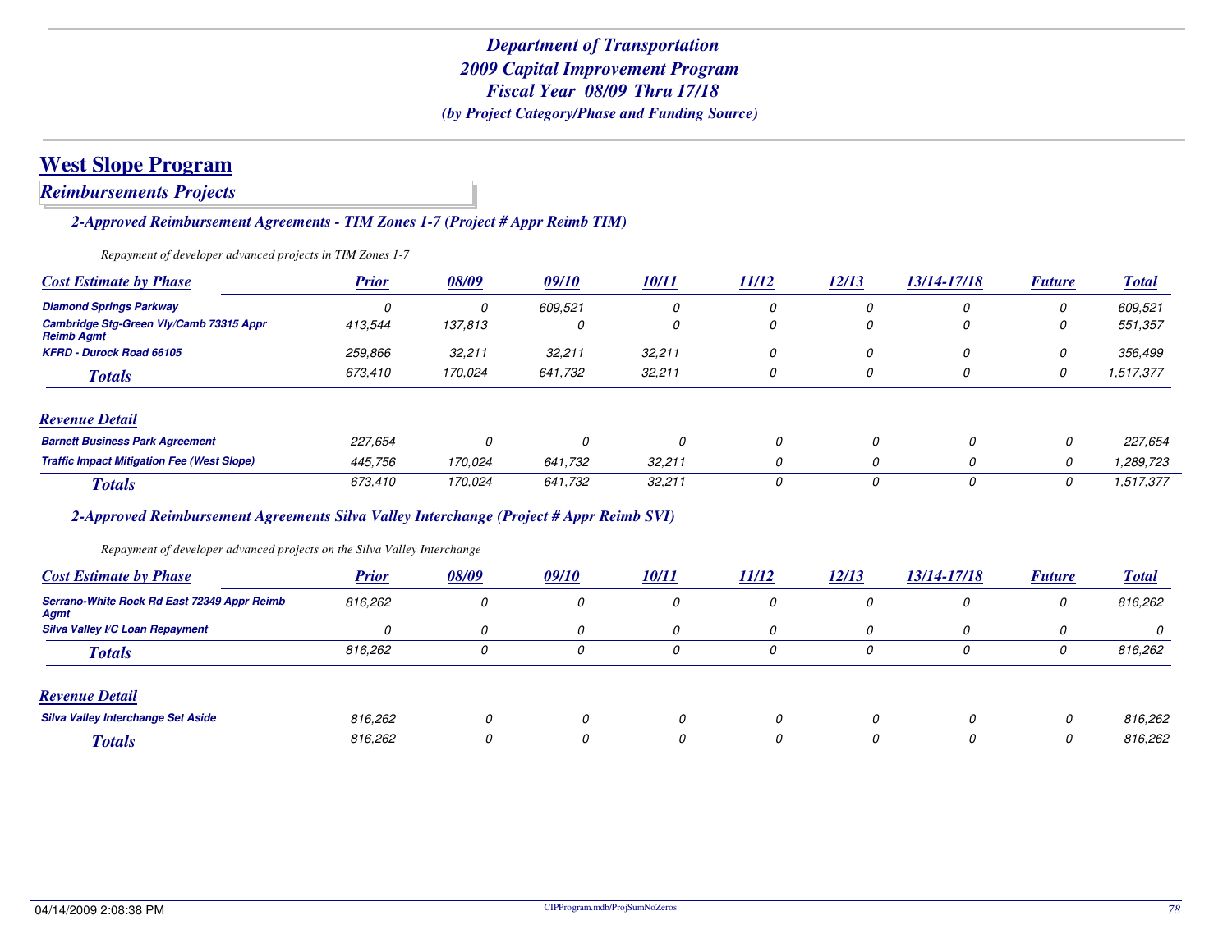*Reimbursements Projects*

*2-Approved Reimbursement Agreements - TIM Zones 1-7 (Project # Appr Reimb TIM)*

*Repayment of developer advanced projects in TIM Zones 1-7*

| <b>Cost Estimate by Phase</b>                                | <b>Prior</b> | 08/09   | 09/10   | <u>10/11</u> | 11/12 | 12/13    | 13/14-17/18 | <b>Future</b> | <b>Total</b> |
|--------------------------------------------------------------|--------------|---------|---------|--------------|-------|----------|-------------|---------------|--------------|
| <b>Diamond Springs Parkway</b>                               |              | 0       | 609.521 | 0            | 0     | 0        | 0           | 0             | 609,521      |
| Cambridge Stg-Green Vly/Camb 73315 Appr<br><b>Reimb Agmt</b> | 413,544      | 137,813 | 0       | 0            | 0     | 0        | 0           | 0             | 551,357      |
| <b>KFRD - Durock Road 66105</b>                              | 259,866      | 32,211  | 32,211  | 32,211       | 0     | 0        | 0           | 0             | 356,499      |
| <b>Totals</b>                                                | 673.410      | 170.024 | 641.732 | 32,211       | 0     | 0        | 0           | 0             | 1,517,377    |
| <b>Revenue Detail</b>                                        |              |         |         |              |       |          |             |               |              |
| <b>Barnett Business Park Agreement</b>                       | 227,654      | 0       | 0       | 0            | 0     | $\Omega$ | 0           | 0             | 227,654      |
| <b>Traffic Impact Mitigation Fee (West Slope)</b>            | 445,756      | 170.024 | 641.732 | 32,211       | 0     | 0        | 0           | 0             | 1,289,723    |
| <b>Totals</b>                                                | 673,410      | 170,024 | 641.732 | 32,211       | 0     |          | 0           | 0             | 1,517,377    |

#### *2-Approved Reimbursement Agreements Silva Valley Interchange (Project # Appr Reimb SVI)*

*Repayment of developer advanced projects on the Silva Valley Interchange*

| <b>Cost Estimate by Phase</b>                       | <b>Prior</b> | 08/09 | 09/10        | <i>10/11</i> | 11/12    | 12/13 | 13/14-17/18 | <b>Future</b> | <u>Total</u> |
|-----------------------------------------------------|--------------|-------|--------------|--------------|----------|-------|-------------|---------------|--------------|
| Serrano-White Rock Rd East 72349 Appr Reimb<br>Agmt | 816,262      | 0     | 0            | 0            | 0        | υ     | 0           | 0             | 816,262      |
| <b>Silva Valley I/C Loan Repayment</b>              | $\Omega$     | 0     | 0            | $\Omega$     | $\Omega$ | 0     | n           |               |              |
| <b>Totals</b>                                       | 816,262      | 0     | 0            | 0            |          | 0     | 0           |               | 816,262      |
| <b>Revenue Detail</b>                               |              |       |              |              |          |       |             |               |              |
| <b>Silva Valley Interchange Set Aside</b>           | 816,262      |       | $\Omega$     | 0            | 0        |       | 0           | 0             | 816,262      |
| <b>Totals</b>                                       | 816,262      |       | <sup>0</sup> | 0            | Ω        |       | 0           | 0             | 816,262      |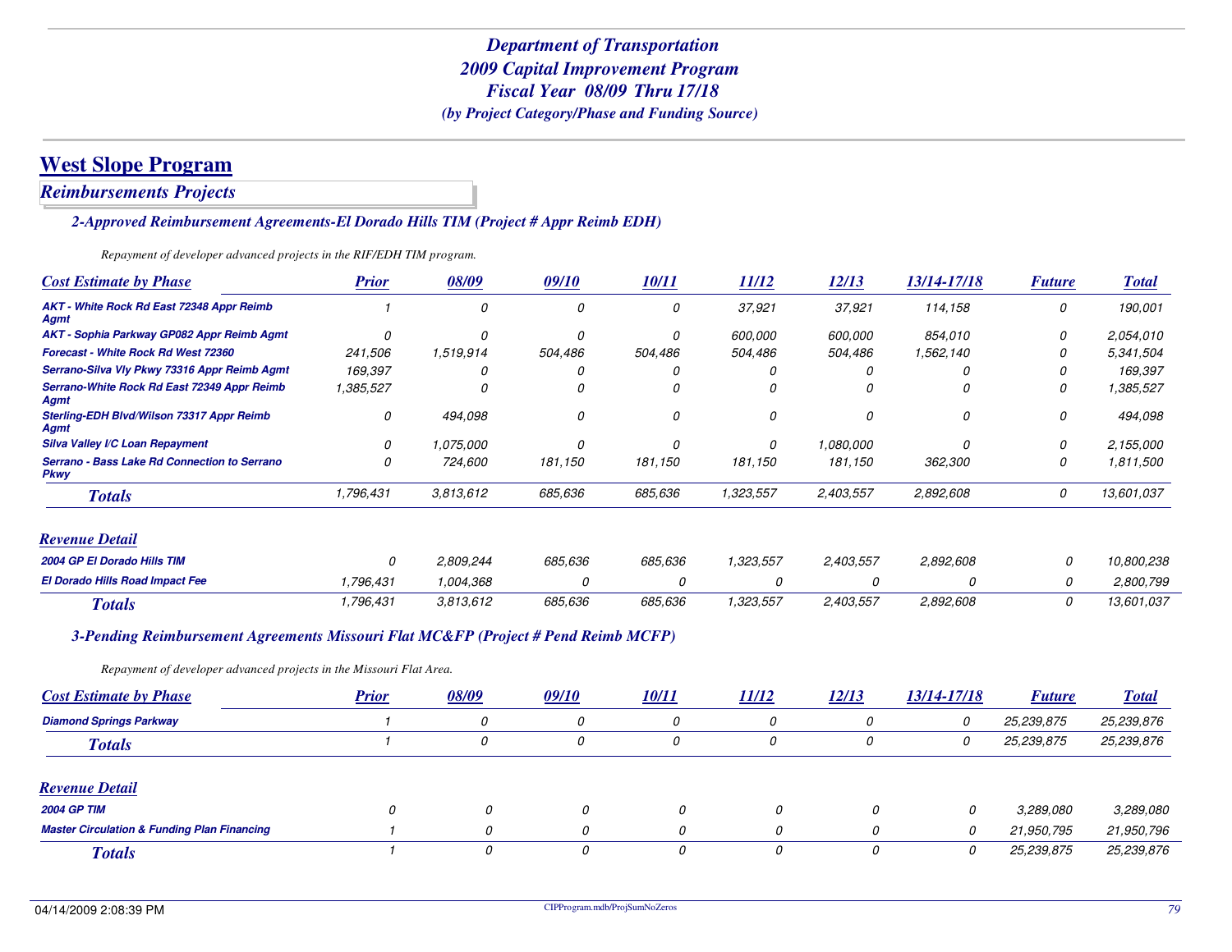*Reimbursements Projects*

#### *2-Approved Reimbursement Agreements-El Dorado Hills TIM (Project # Appr Reimb EDH)*

*Repayment of developer advanced projects in the RIF/EDH TIM program.*

| <b>Cost Estimate by Phase</b>                                                      | <b>Prior</b> | 08/09     | 09/10   | 10/11        | 11/12     | 12/13     | 13/14-17/18 | <b>Future</b> | <b>Total</b> |
|------------------------------------------------------------------------------------|--------------|-----------|---------|--------------|-----------|-----------|-------------|---------------|--------------|
| AKT - White Rock Rd East 72348 Appr Reimb<br><b>Agmt</b>                           |              | $\Omega$  | 0       | 0            | 37,921    | 37,921    | 114,158     | 0             | 190,001      |
| AKT - Sophia Parkway GP082 Appr Reimb Agmt                                         | 0            | 0         | 0       | 0            | 600,000   | 600,000   | 854,010     | 0             | 2,054,010    |
| <b>Forecast - White Rock Rd West 72360</b>                                         | 241,506      | 1,519,914 | 504,486 | 504,486      | 504,486   | 504,486   | 1,562,140   | 0             | 5,341,504    |
| Serrano-Silva Vly Pkwy 73316 Appr Reimb Agmt                                       | 169,397      |           |         |              |           |           |             | 0             | 169,397      |
| Serrano-White Rock Rd East 72349 Appr Reimb<br>Agmt                                | 1,385,527    | n         | 0       | n            |           |           |             | 0             | 1,385,527    |
| Sterling-EDH Blvd/Wilson 73317 Appr Reimb<br><b>Agmt</b>                           | 0            | 494,098   | 0       | 0            | 0         | 0         | 0           | 0             | 494,098      |
| Silva Valley I/C Loan Repayment                                                    | 0            | 1.075.000 | 0       | $\Omega$     | $\Omega$  | 1,080,000 |             | 0             | 2,155,000    |
| Serrano - Bass Lake Rd Connection to Serrano<br><b>Pkwy</b>                        | 0            | 724,600   | 181,150 | 181,150      | 181,150   | 181,150   | 362,300     | 0             | 1,811,500    |
| <b>Totals</b>                                                                      | 1,796,431    | 3,813,612 | 685,636 | 685,636      | 1,323,557 | 2,403,557 | 2,892,608   | 0             | 13,601,037   |
| <b>Revenue Detail</b>                                                              |              |           |         |              |           |           |             |               |              |
| 2004 GP El Dorado Hills TIM                                                        | 0            | 2,809,244 | 685.636 | 685,636      | 1,323,557 | 2,403,557 | 2,892,608   | 0             | 10,800,238   |
| El Dorado Hills Road Impact Fee                                                    | 1,796,431    | 1,004,368 | 0       | 0            | 0         |           | 0           | 0             | 2,800,799    |
| <b>Totals</b>                                                                      | 1,796,431    | 3,813,612 | 685,636 | 685,636      | 1,323,557 | 2,403,557 | 2,892,608   | 0             | 13,601,037   |
| 3-Pending Reimbursement Agreements Missouri Flat MC&FP (Project # Pend Reimb MCFP) |              |           |         |              |           |           |             |               |              |
| Repayment of developer advanced projects in the Missouri Flat Area.                |              |           |         |              |           |           |             |               |              |
| <b>Cost Estimate by Phase</b>                                                      | <b>Prior</b> | 08/09     | 09/10   | <u>10/11</u> | 11/12     | 12/13     | 13/14-17/18 | <b>Future</b> | <b>Total</b> |
| <b>Diamond Springs Parkway</b>                                                     |              | 0         | 0       | 0            | 0         | 0         | 0           | 25,239,875    | 25,239,876   |
| <b>Totals</b>                                                                      |              | 0         | 0       | 0            | 0         | 0         | 0           | 25,239,875    | 25,239,876   |

#### *Revenue Detail*

| IW FUITHE DUMM                                         |  |  |  |            |            |
|--------------------------------------------------------|--|--|--|------------|------------|
| <b>2004 GP TIM</b>                                     |  |  |  | 3,289,080  | 3,289,080  |
| <b>Master Circulation &amp; Funding Plan Financing</b> |  |  |  | 21,950,795 | 21,950,796 |
| <b>Totals</b>                                          |  |  |  | 25,239,875 | 25,239,876 |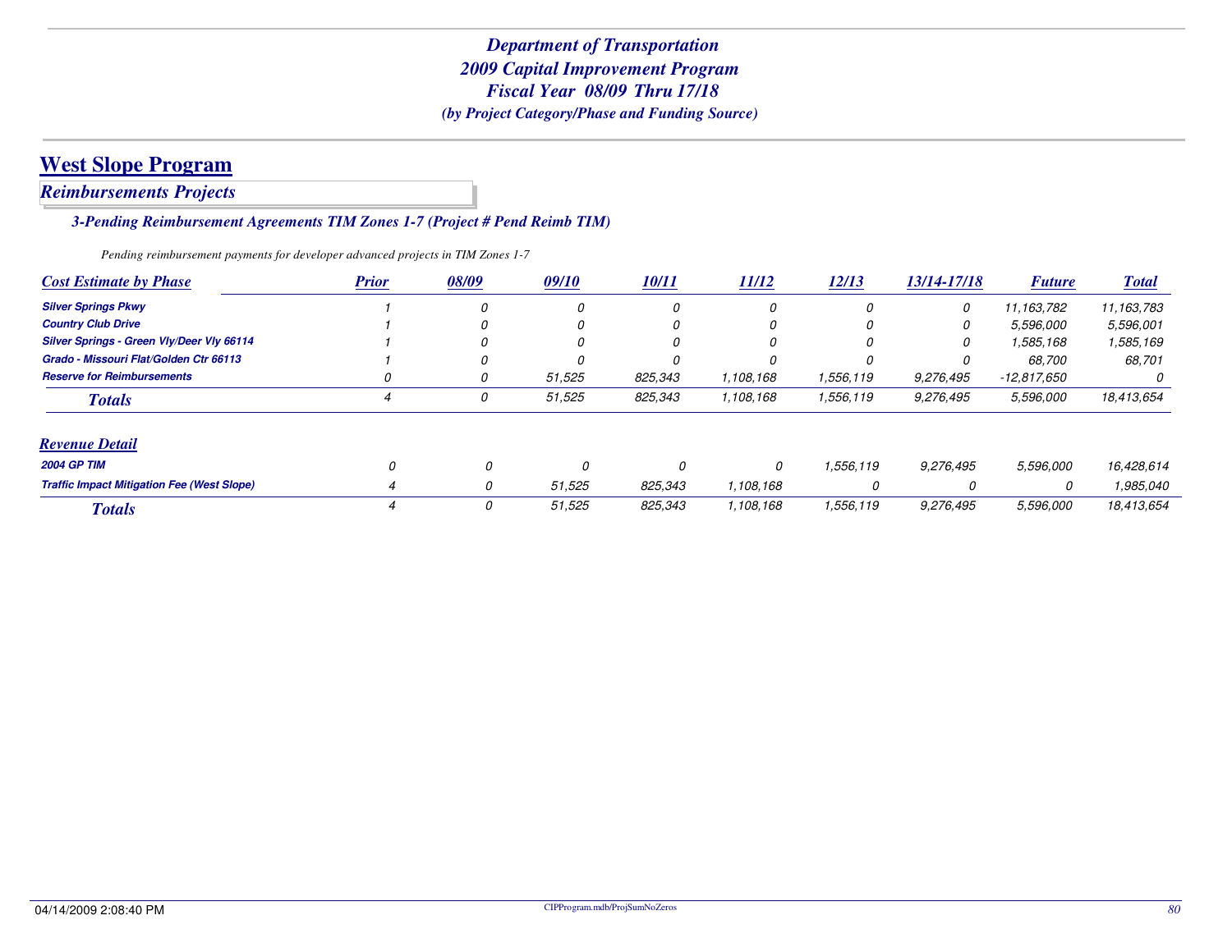*Reimbursements Projects*

*3-Pending Reimbursement Agreements TIM Zones 1-7 (Project # Pend Reimb TIM)*

*Pending reimbursement payments for developer advanced projects in TIM Zones 1-7*

| <b>Cost Estimate by Phase</b>                     | <b>Prior</b> | 08/09 | 09/10        | <b>10/11</b> | 11/12     | 12/13     | 13/14-17/18 | <b>Future</b> | <b>Total</b> |
|---------------------------------------------------|--------------|-------|--------------|--------------|-----------|-----------|-------------|---------------|--------------|
| <b>Silver Springs Pkwy</b>                        |              |       | <sup>0</sup> | 0            | 0         |           | 0           | 11, 163, 782  | 11,163,783   |
| <b>Country Club Drive</b>                         |              |       | O            | 0            | 0         |           | 0           | 5.596.000     | 5,596,001    |
| Silver Springs - Green Vly/Deer Vly 66114         |              |       |              | 0            | υ         |           | 0           | 1,585,168     | 1,585,169    |
| Grado - Missouri Flat/Golden Ctr 66113            |              |       |              |              |           |           |             | 68,700        | 68,701       |
| <b>Reserve for Reimbursements</b>                 | Ω            | U     | 51,525       | 825,343      | 1,108,168 | 1,556,119 | 9,276,495   | $-12.817.650$ | 0            |
| <b>Totals</b>                                     |              |       | 51,525       | 825,343      | 1,108,168 | 1,556,119 | 9,276,495   | 5,596,000     | 18,413,654   |
| <b>Revenue Detail</b>                             |              |       |              |              |           |           |             |               |              |
| <b>2004 GP TIM</b>                                |              | 0     |              | 0            |           | 1.556.119 | 9,276,495   | 5,596,000     | 16,428,614   |
| <b>Traffic Impact Mitigation Fee (West Slope)</b> |              | 0     | 51,525       | 825,343      | 1,108,168 | 0         |             | 0             | 1,985,040    |
| <b>Totals</b>                                     |              | 0     | 51,525       | 825,343      | 1,108,168 | 1,556,119 | 9,276,495   | 5,596,000     | 18,413,654   |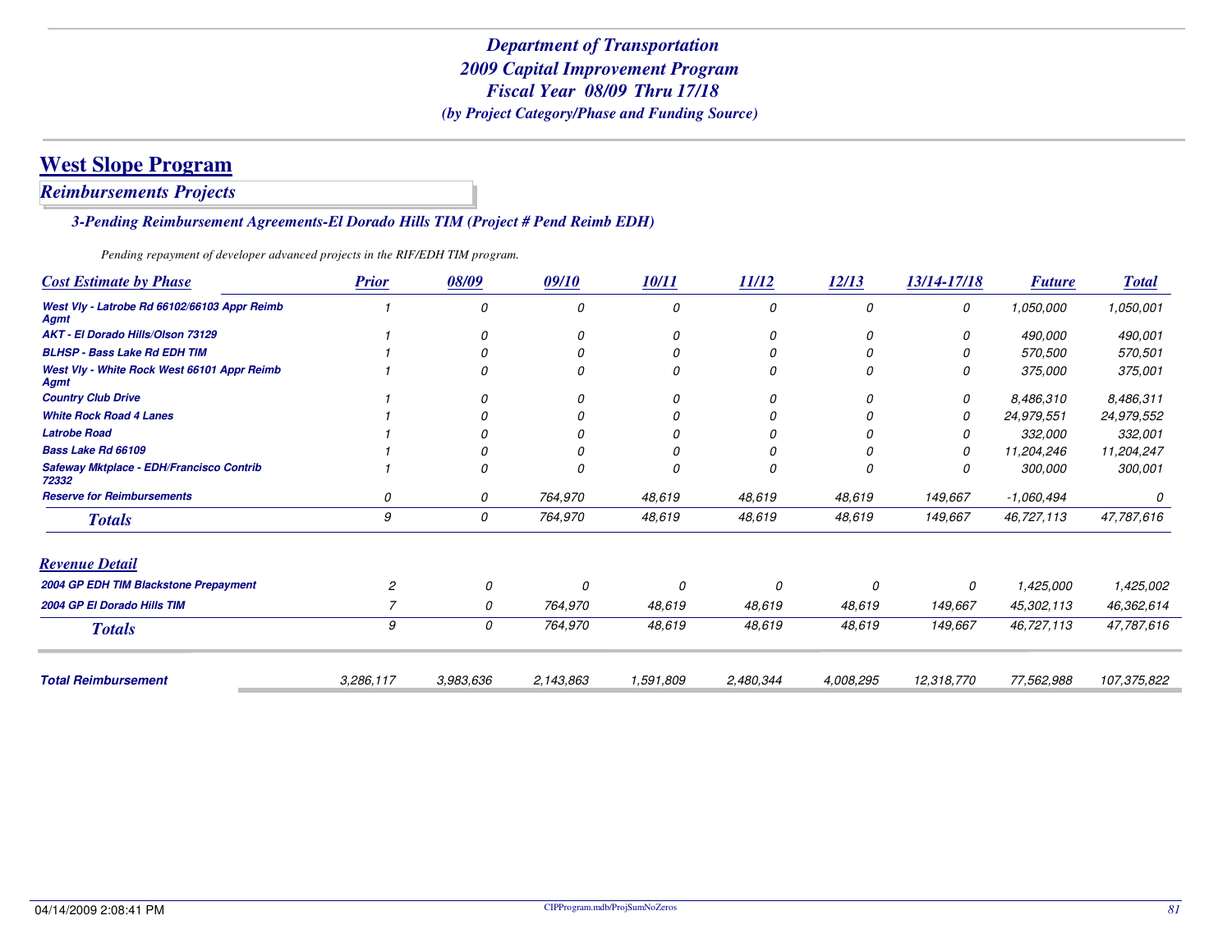*Reimbursements Projects*

*3-Pending Reimbursement Agreements-El Dorado Hills TIM (Project # Pend Reimb EDH)*

*Pending repayment of developer advanced projects in the RIF/EDH TIM program.*

| <b>Prior</b>   | 08/09     | 09/10     | 10/11     | 11/12     | 12/13     | 13/14-17/18 | <b>Future</b> | <b>Total</b> |
|----------------|-----------|-----------|-----------|-----------|-----------|-------------|---------------|--------------|
|                | 0         | 0         | 0         | 0         | 0         | 0           | 1,050,000     | 1,050,001    |
|                | 0         | 0         | 0         | 0         | 0         | 0           | 490,000       | 490,001      |
|                |           |           | 0         | 0         |           |             | 570,500       | 570,501      |
|                |           |           | 0         | 0         | C         |             | 375,000       | 375,001      |
|                | 0         | 0         | 0         | 0         | 0         | 0           | 8,486,310     | 8,486,311    |
|                |           |           | 0         |           |           | 0           | 24,979,551    | 24,979,552   |
|                |           |           |           |           |           |             | 332,000       | 332,001      |
|                |           |           |           |           |           |             | 11,204,246    | 11,204,247   |
|                |           |           |           | 0         |           |             | 300,000       | 300,001      |
| 0              | 0         | 764,970   | 48,619    | 48,619    | 48,619    | 149,667     | -1,060,494    |              |
| 9              | 0         | 764,970   | 48,619    | 48,619    | 48,619    | 149,667     | 46,727,113    | 47,787,616   |
|                |           |           |           |           |           |             |               |              |
| $\overline{c}$ | 0         | 0         | 0         | 0         | 0         | 0           | 1,425,000     | 1,425,002    |
|                | 0         | 764,970   | 48,619    | 48,619    | 48,619    | 149,667     | 45,302,113    | 46,362,614   |
| 9              | 0         | 764,970   | 48,619    | 48,619    | 48,619    | 149,667     | 46,727,113    | 47,787,616   |
| 3,286,117      | 3,983,636 | 2,143,863 | 1,591,809 | 2,480,344 | 4.008.295 | 12,318,770  | 77,562,988    | 107,375,822  |
|                |           |           |           |           |           |             |               |              |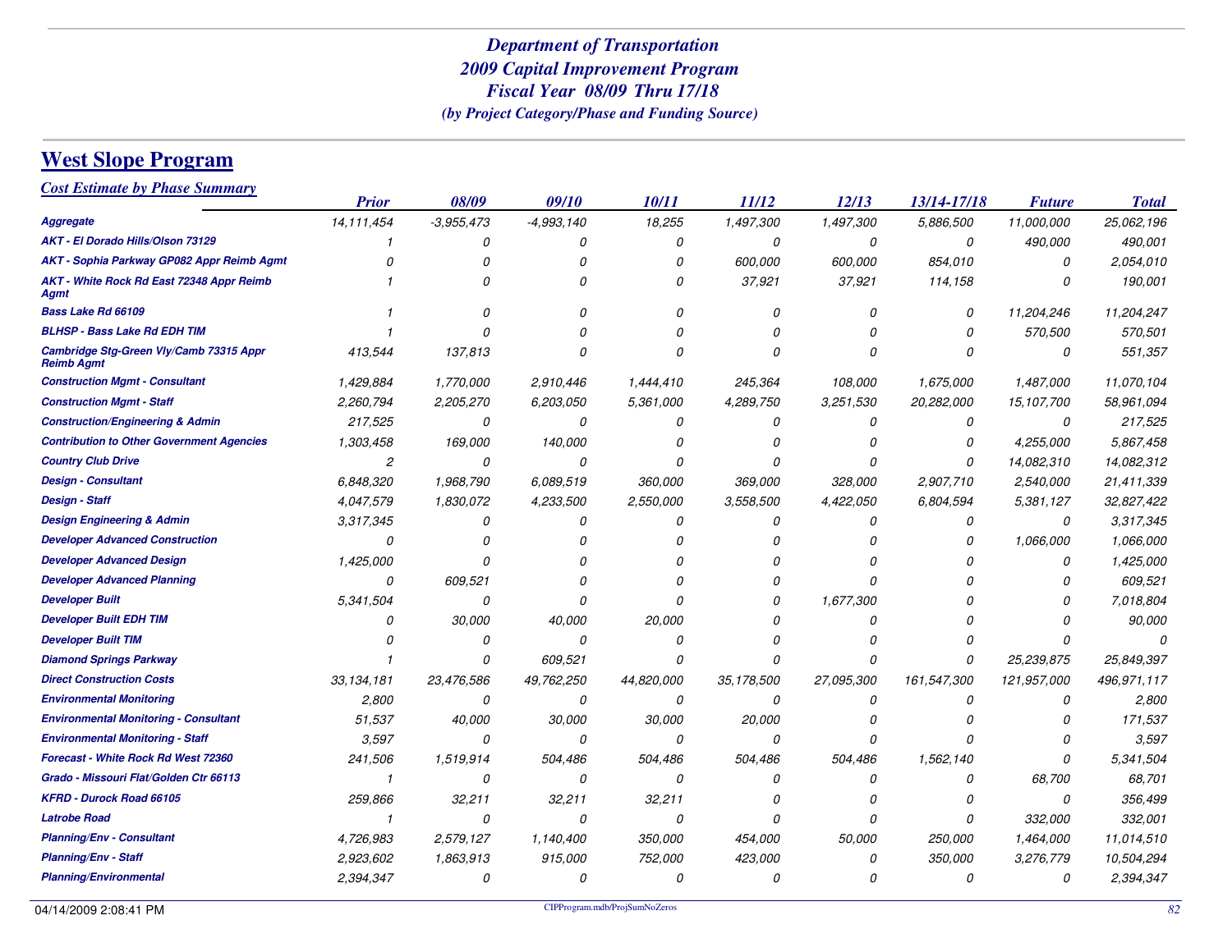# **West Slope Program**

*Cost Estimate by Phase Summary*

|                                                              | <b>Prior</b>   | 08/09        | 09/10         | 10/11         | 11/12      | 12/13      | 13/14-17/18 | <b>Future</b> | <b>Total</b> |
|--------------------------------------------------------------|----------------|--------------|---------------|---------------|------------|------------|-------------|---------------|--------------|
| <b>Aggregate</b>                                             | 14,111,454     | $-3,955,473$ | $-4,993,140$  | 18,255        | 1,497,300  | 1,497,300  | 5,886,500   | 11,000,000    | 25,062,196   |
| AKT - El Dorado Hills/Olson 73129                            |                | 0            | 0             | 0             | 0          | 0          | 0           | 490,000       | 490,001      |
| AKT - Sophia Parkway GP082 Appr Reimb Agmt                   | 0              | 0            | 0             | 0             | 600,000    | 600,000    | 854,010     | 0             | 2,054,010    |
| AKT - White Rock Rd East 72348 Appr Reimb<br>Agmt            |                | O            | $\Omega$      | O             | 37,921     | 37,921     | 114,158     | n             | 190,001      |
| Bass Lake Rd 66109                                           |                | O            | O             | O             | $\Omega$   | 0          | 0           | 11,204,246    | 11,204,247   |
| <b>BLHSP - Bass Lake Rd EDH TIM</b>                          |                | $\Omega$     |               |               |            | O          | 0           | 570,500       | 570,501      |
| Cambridge Stg-Green Vly/Camb 73315 Appr<br><b>Reimb Agmt</b> | 413,544        | 137,813      | Ω             | n             |            | O          | $\Omega$    | 0             | 551,357      |
| <b>Construction Mgmt - Consultant</b>                        | 1,429,884      | 1,770,000    | 2,910,446     | 1,444,410     | 245,364    | 108,000    | 1,675,000   | 1,487,000     | 11,070,104   |
| <b>Construction Mgmt - Staff</b>                             | 2,260,794      | 2,205,270    | 6,203,050     | 5,361,000     | 4,289,750  | 3,251,530  | 20,282,000  | 15,107,700    | 58,961,094   |
| <b>Construction/Engineering &amp; Admin</b>                  | 217,525        | 0            | $\Omega$      | 0             | $\Omega$   | 0          | 0           | 0             | 217,525      |
| <b>Contribution to Other Government Agencies</b>             | 1,303,458      | 169,000      | 140,000       |               |            | 0          | 0           | 4,255,000     | 5,867,458    |
| <b>Country Club Drive</b>                                    | $\overline{c}$ | 0            | 0             | $\Omega$      |            | O          | 0           | 14,082,310    | 14,082,312   |
| <b>Design - Consultant</b>                                   | 6,848,320      | 1,968,790    | 6.089.519     | 360,000       | 369,000    | 328,000    | 2,907,710   | 2,540,000     | 21,411,339   |
| <b>Design - Staff</b>                                        | 4,047,579      | 1,830,072    | 4,233,500     | 2,550,000     | 3,558,500  | 4,422,050  | 6,804,594   | 5,381,127     | 32,827,422   |
| <b>Design Engineering &amp; Admin</b>                        | 3,317,345      | 0            | 0             | 0             | 0          | 0          | 0           | 0             | 3,317,345    |
| <b>Developer Advanced Construction</b>                       | 0              | O            | n             |               |            | 0          | n           | 1.066.000     | 1,066,000    |
| <b>Developer Advanced Design</b>                             | 1,425,000      | $\Omega$     | n             |               |            | n          |             | $\Omega$      | 1,425,000    |
| <b>Developer Advanced Planning</b>                           | 0              | 609,521      | n             |               |            | n          |             | n             | 609,521      |
| <b>Developer Built</b>                                       | 5,341,504      | 0            | Ω             | n             | D          | 1,677,300  |             | n             | 7,018,804    |
| <b>Developer Built EDH TIM</b>                               | 0              | 30,000       | 40,000        | 20,000        |            | 0          |             |               | 90,000       |
| <b>Developer Built TIM</b>                                   | 0              | 0            | $\mathcal{O}$ | $\Omega$      |            | O          |             |               |              |
| <b>Diamond Springs Parkway</b>                               |                | 0            | 609,521       | 0             | $\Omega$   | O          | 0           | 25,239,875    | 25,849,397   |
| <b>Direct Construction Costs</b>                             | 33, 134, 181   | 23,476,586   | 49,762,250    | 44,820,000    | 35,178,500 | 27,095,300 | 161,547,300 | 121,957,000   | 496,971,117  |
| <b>Environmental Monitoring</b>                              | 2,800          | 0            | 0             | 0             | 0          | 0          | 0           | 0             | 2,800        |
| <b>Environmental Monitoring - Consultant</b>                 | 51,537         | 40,000       | 30,000        | 30,000        | 20,000     | 0          |             | n             | 171,537      |
| <b>Environmental Monitoring - Staff</b>                      | 3,597          | 0            | $\Omega$      | 0             | $\Omega$   | O          |             | n             | 3.597        |
| Forecast - White Rock Rd West 72360                          | 241,506        | 1,519,914    | 504,486       | 504,486       | 504,486    | 504,486    | 1,562,140   | $\Omega$      | 5,341,504    |
| Grado - Missouri Flat/Golden Ctr 66113                       | $\mathbf{1}$   | 0            | $\Omega$      | 0             | $\sqrt{2}$ | 0          | 0           | 68,700        | 68,701       |
| <b>KFRD - Durock Road 66105</b>                              | 259,866        | 32,211       | 32,211        | 32,211        |            | 0          | O           | 0             | 356,499      |
| <b>Latrobe Road</b>                                          | $\mathbf{1}$   | 0            | $\Omega$      | $\mathcal{O}$ | $\Omega$   | O          | 0           | 332,000       | 332,001      |
| <b>Planning/Env - Consultant</b>                             | 4,726,983      | 2,579,127    | 1,140,400     | 350,000       | 454,000    | 50,000     | 250,000     | 1,464,000     | 11,014,510   |
| <b>Planning/Env - Staff</b>                                  | 2,923,602      | 1,863,913    | 915,000       | 752,000       | 423,000    | O          | 350,000     | 3,276,779     | 10,504,294   |
| <b>Planning/Environmental</b>                                | 2,394,347      | 0            | $\Omega$      | 0             | $\Omega$   | 0          | 0           | 0             | 2,394,347    |
|                                                              |                |              |               |               |            |            |             |               |              |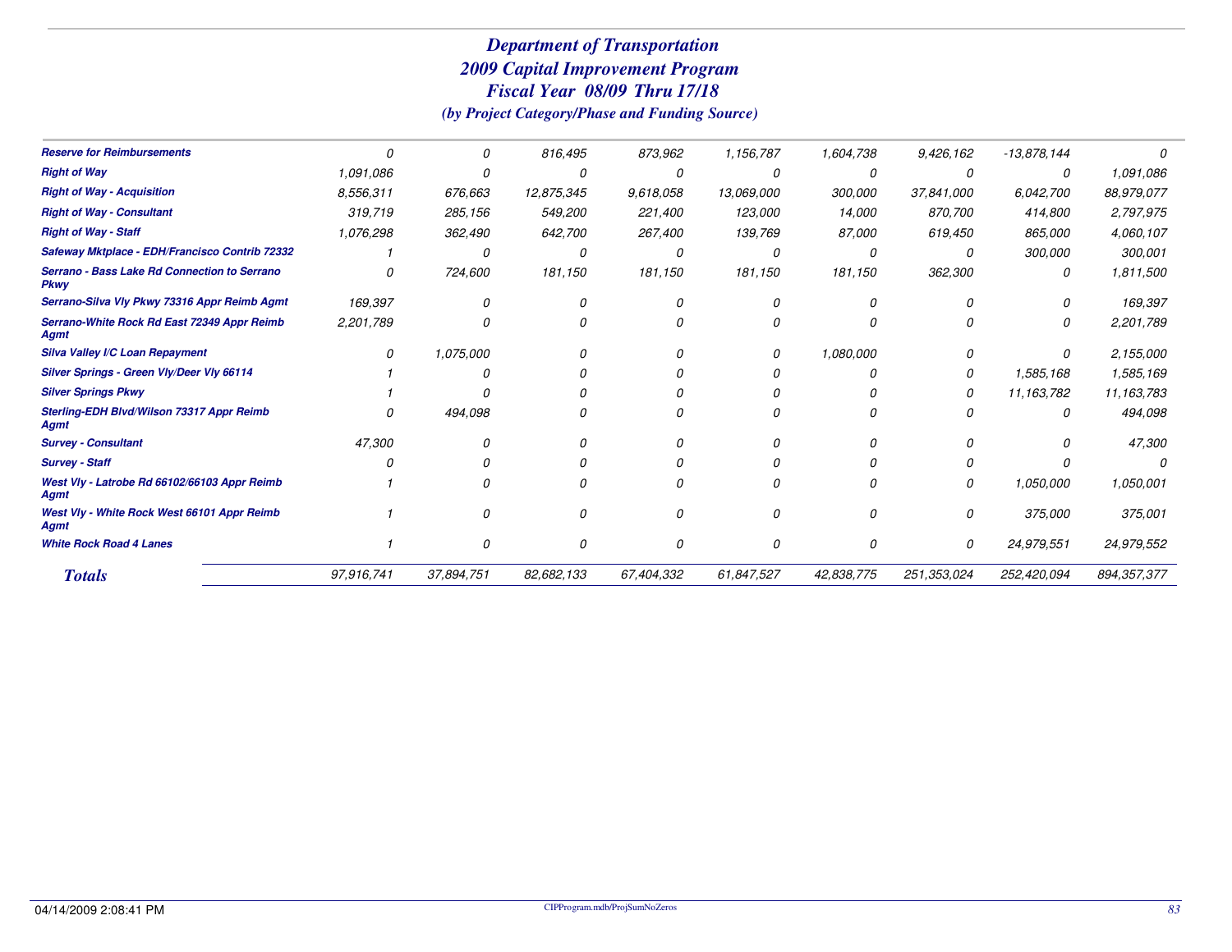## *Department of Transportation 2009 Capital Improvement ProgramFiscal Year Thru 08/09 17/18*

*(by Project Category/Phase and Funding Source)*

| <b>Reserve for Reimbursements</b>                           |            | 0          | 816,495    | 873,962    | 1,156,787  | 1,604,738  | 9,426,162   | $-13,878,144$ |             |
|-------------------------------------------------------------|------------|------------|------------|------------|------------|------------|-------------|---------------|-------------|
| <b>Right of Way</b>                                         | 1,091,086  |            |            |            |            |            |             | 0             | 1,091,086   |
| <b>Right of Way - Acquisition</b>                           | 8,556,311  | 676,663    | 12,875,345 | 9,618,058  | 13,069,000 | 300,000    | 37,841,000  | 6,042,700     | 88,979,077  |
| <b>Right of Way - Consultant</b>                            | 319,719    | 285,156    | 549,200    | 221,400    | 123,000    | 14,000     | 870,700     | 414,800       | 2,797,975   |
| <b>Right of Way - Staff</b>                                 | 1,076,298  | 362,490    | 642,700    | 267,400    | 139,769    | 87,000     | 619,450     | 865,000       | 4,060,107   |
| Safeway Mktplace - EDH/Francisco Contrib 72332              |            | O          |            |            |            | Ω          | $\Omega$    | 300,000       | 300,001     |
| Serrano - Bass Lake Rd Connection to Serrano<br><b>Pkwy</b> |            | 724,600    | 181,150    | 181,150    | 181,150    | 181,150    | 362,300     | 0             | 1,811,500   |
| Serrano-Silva VIy Pkwy 73316 Appr Reimb Agmt                | 169,397    | n          |            |            |            |            |             |               | 169,397     |
| Serrano-White Rock Rd East 72349 Appr Reimb<br>Agmt         | 2,201,789  | 0          |            |            |            |            |             | 0             | 2,201,789   |
| Silva Valley I/C Loan Repayment                             | 0          | 1,075,000  |            |            |            | 1,080,000  |             | 0             | 2,155,000   |
| Silver Springs - Green Vly/Deer Vly 66114                   |            |            |            |            |            | n          | O           | 1,585,168     | 1,585,169   |
| <b>Silver Springs Pkwy</b>                                  |            |            |            |            |            |            | 0           | 11,163,782    | 11,163,783  |
| Sterling-EDH Blvd/Wilson 73317 Appr Reimb<br>Agmt           |            | 494,098    |            |            |            |            |             | 0             | 494,098     |
| <b>Survey - Consultant</b>                                  | 47,300     |            |            |            |            |            |             |               | 47,300      |
| <b>Survey - Staff</b>                                       |            |            |            |            |            |            |             |               |             |
| West VIy - Latrobe Rd 66102/66103 Appr Reimb<br>Agmt        |            |            |            |            |            |            | O           | 1,050,000     | 1,050,001   |
| West VIy - White Rock West 66101 Appr Reimb<br><b>Agmt</b>  |            | n          | $\Omega$   |            | n          | n          | $\Omega$    | 375,000       | 375,001     |
| <b>White Rock Road 4 Lanes</b>                              |            | 0          | $\Omega$   |            | 0          | 0          | 0           | 24,979,551    | 24,979,552  |
| <b>Totals</b>                                               | 97,916,741 | 37,894,751 | 82,682,133 | 67,404,332 | 61,847,527 | 42,838,775 | 251,353,024 | 252,420,094   | 894,357,377 |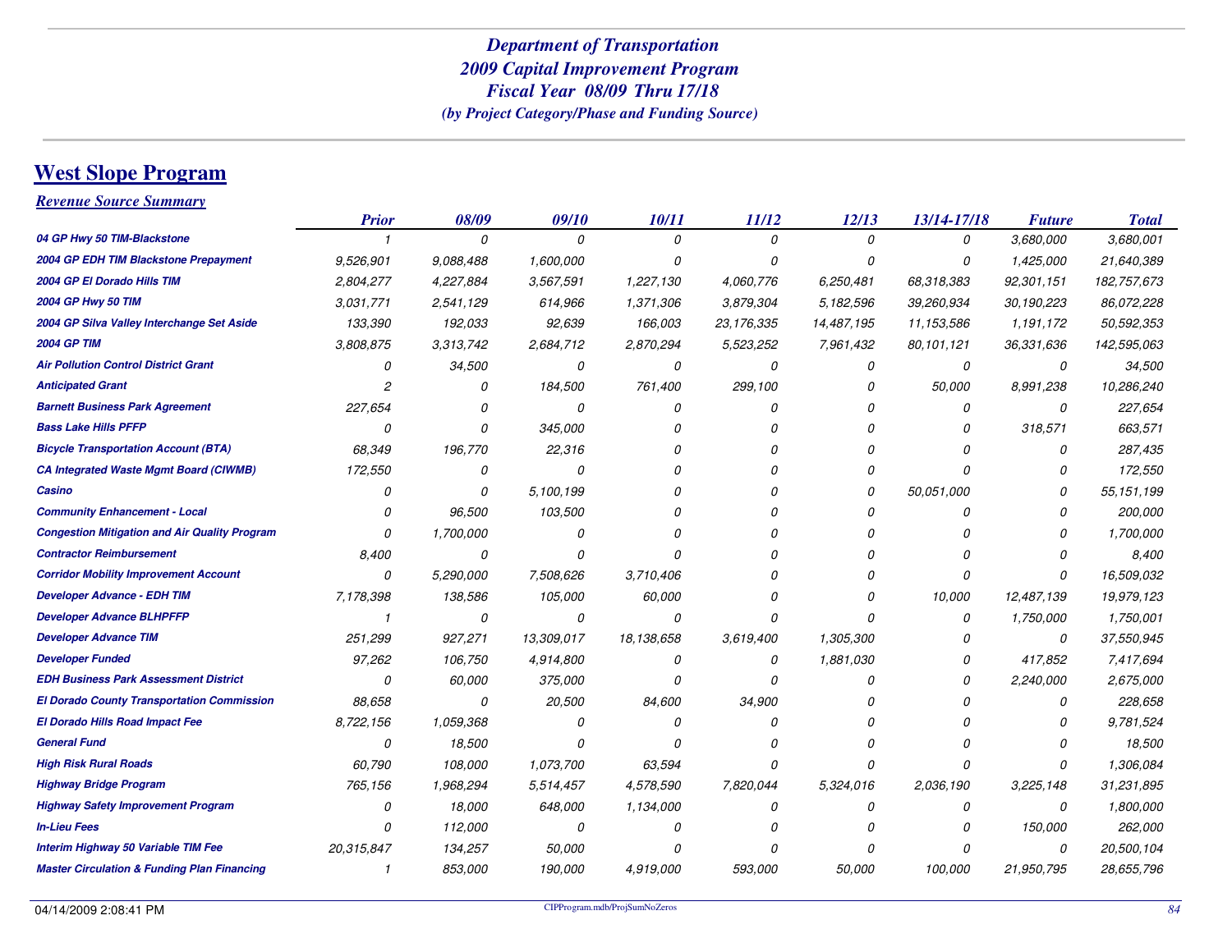# **West Slope Program**

*Revenue Source Summary*

|                                                        | <b>Prior</b> | 08/09     | 09/10      | 10/11      | 11/12      | 12/13      | 13/14-17/18 | <b>Future</b> | <b>Total</b> |
|--------------------------------------------------------|--------------|-----------|------------|------------|------------|------------|-------------|---------------|--------------|
| 04 GP Hwy 50 TIM-Blackstone                            |              | 0         | 0          | 0          | 0          | 0          | 0           | 3,680,000     | 3,680,001    |
| 2004 GP EDH TIM Blackstone Prepayment                  | 9,526,901    | 9.088.488 | 1,600,000  | Ω          | $\Omega$   | O          | 0           | 1,425,000     | 21,640,389   |
| 2004 GP El Dorado Hills TIM                            | 2,804,277    | 4,227,884 | 3,567,591  | 1,227,130  | 4,060,776  | 6,250,481  | 68,318,383  | 92,301,151    | 182,757,673  |
| 2004 GP Hwy 50 TIM                                     | 3,031,771    | 2,541,129 | 614,966    | 1,371,306  | 3,879,304  | 5,182,596  | 39,260,934  | 30,190,223    | 86,072,228   |
| 2004 GP Silva Valley Interchange Set Aside             | 133,390      | 192,033   | 92,639     | 166,003    | 23,176,335 | 14,487,195 | 11,153,586  | 1,191,172     | 50,592,353   |
| <b>2004 GP TIM</b>                                     | 3,808,875    | 3,313,742 | 2,684,712  | 2,870,294  | 5,523,252  | 7,961,432  | 80,101,121  | 36,331,636    | 142,595,063  |
| <b>Air Pollution Control District Grant</b>            | 0            | 34,500    | 0          | 0          | 0          | 0          | 0           | 0             | 34,500       |
| <b>Anticipated Grant</b>                               | 2            | $\Omega$  | 184,500    | 761,400    | 299,100    | 0          | 50,000      | 8,991,238     | 10,286,240   |
| <b>Barnett Business Park Agreement</b>                 | 227,654      | 0         | 0          | 0          | 0          | 0          | 0           | 0             | 227,654      |
| <b>Bass Lake Hills PFFP</b>                            | 0            | $\Omega$  | 345,000    | Ω          | n          | 0          | 0           | 318,571       | 663,571      |
| <b>Bicycle Transportation Account (BTA)</b>            | 68,349       | 196,770   | 22,316     | n          |            | O          | O           | 0             | 287,435      |
| <b>CA Integrated Waste Mgmt Board (CIWMB)</b>          | 172,550      | 0         | 0          | N          |            | 0          | 0           | 0             | 172,550      |
| Casino                                                 | 0            | $\Omega$  | 5,100,199  | n          |            | 0          | 50.051.000  | 0             | 55, 151, 199 |
| <b>Community Enhancement - Local</b>                   | 0            | 96,500    | 103,500    | n          |            | 0          | 0           | 0             | 200,000      |
| <b>Congestion Mitigation and Air Quality Program</b>   | 0            | 1,700,000 | 0          |            |            | 0          | 0           | O             | 1,700,000    |
| <b>Contractor Reimbursement</b>                        | 8,400        | 0         | 0          | Ŋ          |            | O          | O           | 0             | 8,400        |
| <b>Corridor Mobility Improvement Account</b>           | 0            | 5,290,000 | 7,508,626  | 3,710,406  |            | 0          | 0           | 0             | 16,509,032   |
| <b>Developer Advance - EDH TIM</b>                     | 7,178,398    | 138,586   | 105,000    | 60,000     |            | 0          | 10,000      | 12,487,139    | 19,979,123   |
| <b>Developer Advance BLHPFFP</b>                       |              | 0         | 0          | 0          | $\Omega$   | O          | 0           | 1,750,000     | 1,750,001    |
| <b>Developer Advance TIM</b>                           | 251,299      | 927,271   | 13,309,017 | 18.138.658 | 3,619,400  | 1,305,300  | 0           | 0             | 37,550,945   |
| <b>Developer Funded</b>                                | 97,262       | 106,750   | 4,914,800  | 0          | 0          | 1,881,030  | 0           | 417,852       | 7,417,694    |
| <b>EDH Business Park Assessment District</b>           | 0            | 60,000    | 375,000    | N          | $\Omega$   | 0          | O           | 2,240,000     | 2,675,000    |
| <b>El Dorado County Transportation Commission</b>      | 88,658       | 0         | 20,500     | 84,600     | 34,900     | 0          | 0           | 0             | 228,658      |
| <b>El Dorado Hills Road Impact Fee</b>                 | 8,722,156    | 1,059,368 | 0          | N          | $\Omega$   | 0          | 0           | 0             | 9,781,524    |
| <b>General Fund</b>                                    | 0            | 18,500    | O          | n          |            | O          | O           | n             | 18,500       |
| <b>High Risk Rural Roads</b>                           | 60,790       | 108,000   | 1,073,700  | 63,594     | $\Omega$   | 0          | 0           | 0             | 1,306,084    |
| <b>Highway Bridge Program</b>                          | 765,156      | 1,968,294 | 5,514,457  | 4,578,590  | 7,820,044  | 5,324,016  | 2,036,190   | 3,225,148     | 31,231,895   |
| <b>Highway Safety Improvement Program</b>              | 0            | 18,000    | 648,000    | 1,134,000  | 0          | 0          | 0           | 0             | 1,800,000    |
| <b>In-Lieu Fees</b>                                    | 0            | 112,000   | 0          | 0          |            | 0          | 0           | 150,000       | 262,000      |
| <b>Interim Highway 50 Variable TIM Fee</b>             | 20,315,847   | 134,257   | 50,000     | Ω          | $\Omega$   | 0          | 0           | 0             | 20,500,104   |
| <b>Master Circulation &amp; Funding Plan Financing</b> | 1            | 853,000   | 190,000    | 4.919.000  | 593,000    | 50,000     | 100,000     | 21,950,795    | 28,655,796   |